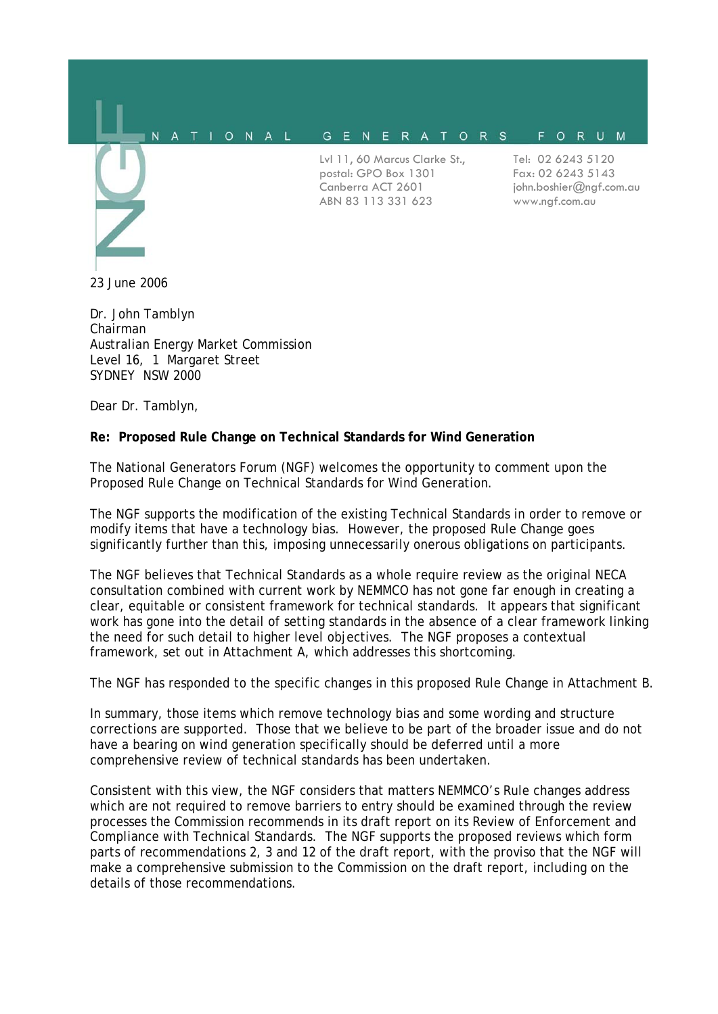

Dr. John Tamblyn Chairman Australian Energy Market Commission Level 16, 1 Margaret Street SYDNEY NSW 2000

Dear Dr. Tamblyn,

#### **Re: Proposed Rule Change on Technical Standards for Wind Generation**

The National Generators Forum (NGF) welcomes the opportunity to comment upon the Proposed Rule Change on Technical Standards for Wind Generation.

The NGF supports the modification of the existing Technical Standards in order to remove or modify items that have a technology bias. However, the proposed Rule Change goes significantly further than this, imposing unnecessarily onerous obligations on participants.

The NGF believes that Technical Standards as a whole require review as the original NECA consultation combined with current work by NEMMCO has not gone far enough in creating a clear, equitable or consistent framework for technical standards. It appears that significant work has gone into the detail of setting standards in the absence of a clear framework linking the need for such detail to higher level objectives. The NGF proposes a contextual framework, set out in Attachment A, which addresses this shortcoming.

The NGF has responded to the specific changes in this proposed Rule Change in Attachment B.

In summary, those items which remove technology bias and some wording and structure corrections are supported. Those that we believe to be part of the broader issue and do not have a bearing on wind generation specifically should be deferred until a more comprehensive review of technical standards has been undertaken.

Consistent with this view, the NGF considers that matters NEMMCO's Rule changes address which are not required to remove barriers to entry should be examined through the review processes the Commission recommends in its draft report on its Review of Enforcement and Compliance with Technical Standards. The NGF supports the proposed reviews which form parts of recommendations 2, 3 and 12 of the draft report, with the proviso that the NGF will make a comprehensive submission to the Commission on the draft report, including on the details of those recommendations.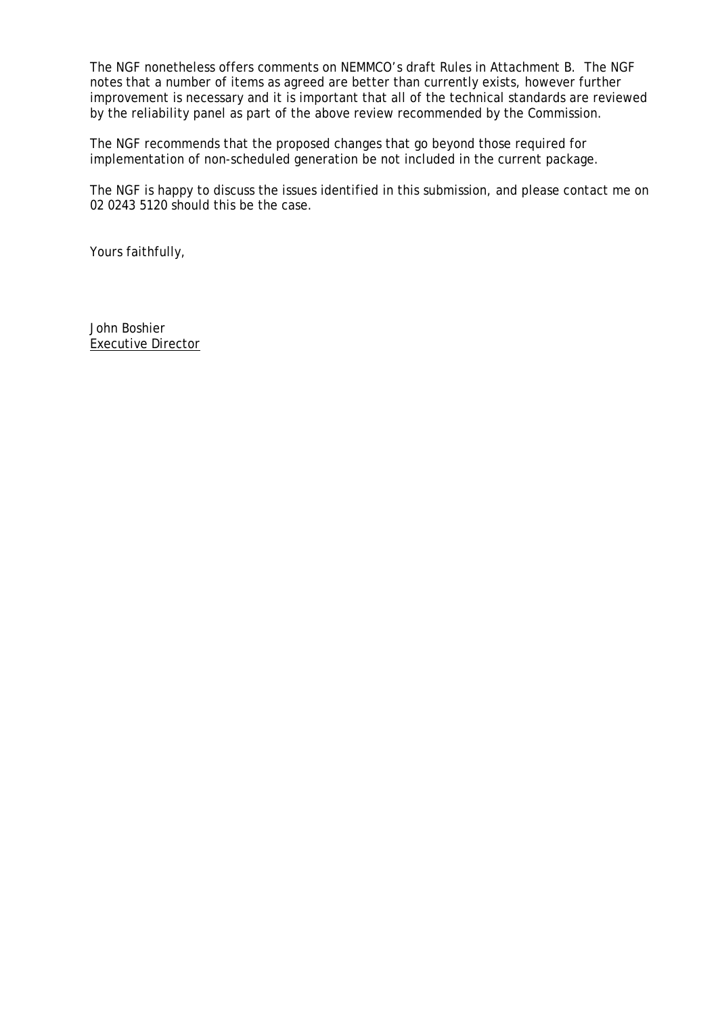The NGF nonetheless offers comments on NEMMCO's draft Rules in Attachment B. The NGF notes that a number of items as agreed are better than currently exists, however further improvement is necessary and it is important that all of the technical standards are reviewed by the reliability panel as part of the above review recommended by the Commission.

The NGF recommends that the proposed changes that go beyond those required for implementation of non-scheduled generation be not included in the current package.

The NGF is happy to discuss the issues identified in this submission, and please contact me on 02 0243 5120 should this be the case.

Yours faithfully,

John Boshier Executive Director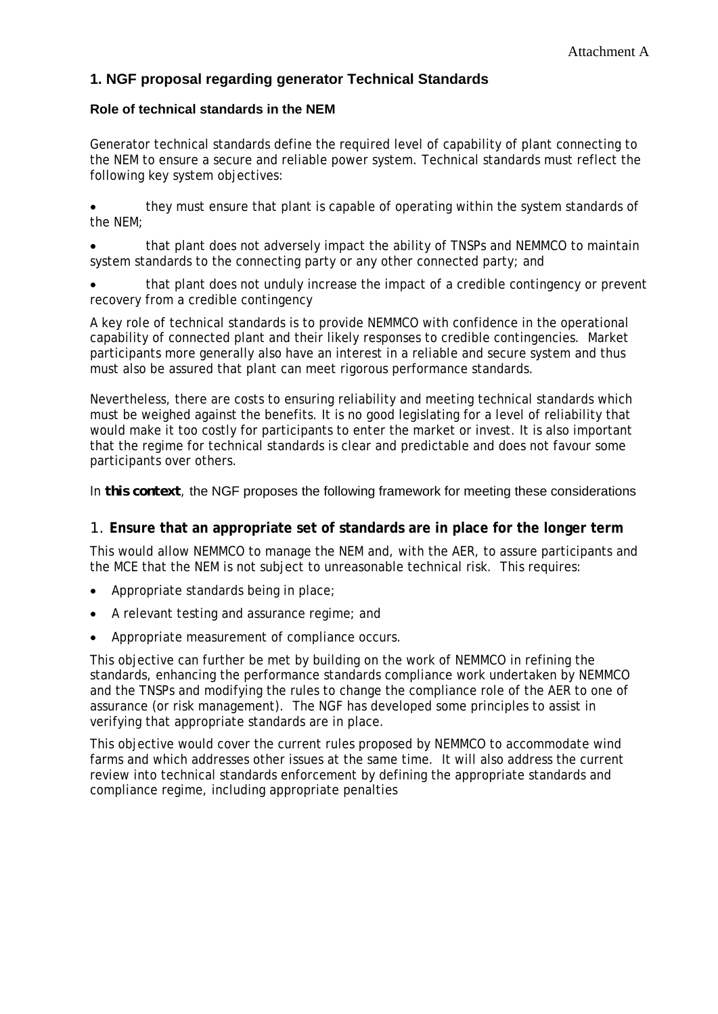## **1. NGF proposal regarding generator Technical Standards**

### **Role of technical standards in the NEM**

Generator technical standards define the required level of capability of plant connecting to the NEM to ensure a secure and reliable power system. Technical standards must reflect the following key system objectives:

• they must ensure that plant is capable of operating within the system standards of the NEM;

• that plant does not adversely impact the ability of TNSPs and NEMMCO to maintain system standards to the connecting party or any other connected party; and

• that plant does not unduly increase the impact of a credible contingency or prevent recovery from a credible contingency

A key role of technical standards is to provide NEMMCO with confidence in the operational capability of connected plant and their likely responses to credible contingencies. Market participants more generally also have an interest in a reliable and secure system and thus must also be assured that plant can meet rigorous performance standards.

Nevertheless, there are costs to ensuring reliability and meeting technical standards which must be weighed against the benefits. It is no good legislating for a level of reliability that would make it too costly for participants to enter the market or invest. It is also important that the regime for technical standards is clear and predictable and does not favour some participants over others.

In *this context*, the NGF proposes the following framework for meeting these considerations

## 1. **Ensure that an appropriate set of standards are in place for the longer term**

This would allow NEMMCO to manage the NEM and, with the AER, to assure participants and the MCE that the NEM is not subject to unreasonable technical risk. This requires:

- Appropriate standards being in place;
- A relevant testing and assurance regime; and
- Appropriate measurement of compliance occurs.

This objective can further be met by building on the work of NEMMCO in refining the standards, enhancing the performance standards compliance work undertaken by NEMMCO and the TNSPs and modifying the rules to change the compliance role of the AER to one of assurance (or risk management). The NGF has developed some principles to assist in verifying that appropriate standards are in place.

This objective would cover the current rules proposed by NEMMCO to accommodate wind farms and which addresses other issues at the same time. It will also address the current review into technical standards enforcement by defining the appropriate standards and compliance regime, including appropriate penalties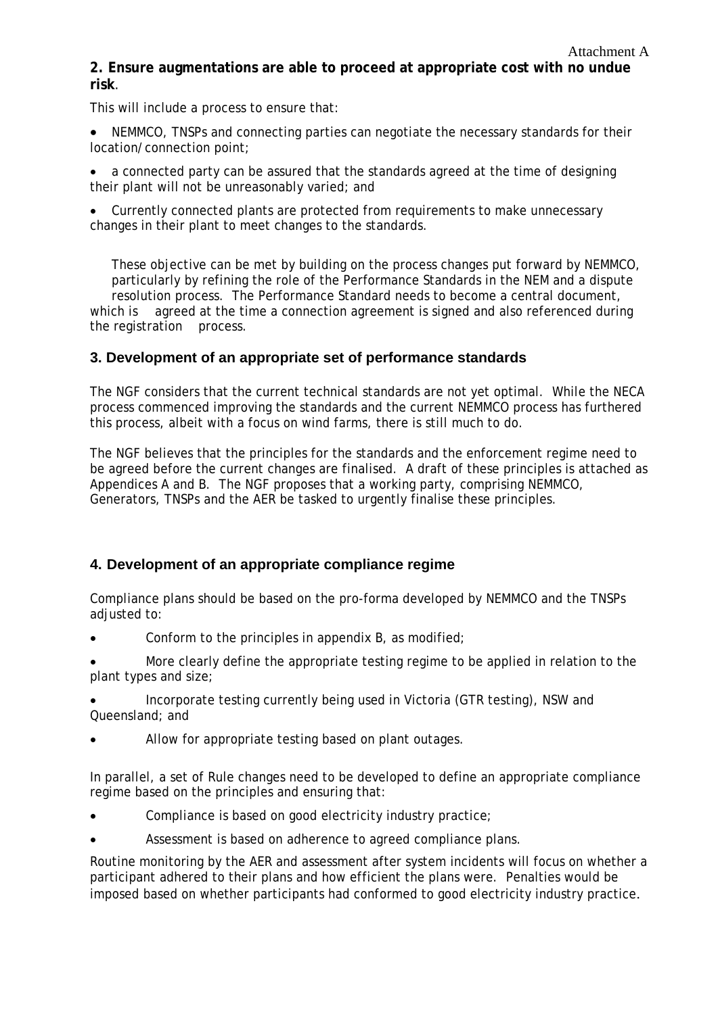## **2. Ensure augmentations are able to proceed at appropriate cost with no undue risk**.

This will include a process to ensure that:

• NEMMCO, TNSPs and connecting parties can negotiate the necessary standards for their location/connection point;

• a connected party can be assured that the standards agreed at the time of designing their plant will not be unreasonably varied; and

• Currently connected plants are protected from requirements to make unnecessary changes in their plant to meet changes to the standards.

 These objective can be met by building on the process changes put forward by NEMMCO, particularly by refining the role of the Performance Standards in the NEM and a dispute resolution process. The Performance Standard needs to become a central document, which is agreed at the time a connection agreement is signed and also referenced during the registration process.

## **3. Development of an appropriate set of performance standards**

The NGF considers that the current technical standards are not yet optimal. While the NECA process commenced improving the standards and the current NEMMCO process has furthered this process, albeit with a focus on wind farms, there is still much to do.

The NGF believes that the principles for the standards and the enforcement regime need to be agreed before the current changes are finalised. A draft of these principles is attached as Appendices A and B. The NGF proposes that a working party, comprising NEMMCO, Generators, TNSPs and the AER be tasked to urgently finalise these principles.

## **4. Development of an appropriate compliance regime**

Compliance plans should be based on the pro-forma developed by NEMMCO and the TNSPs adjusted to:

- Conform to the principles in appendix B, as modified;
- More clearly define the appropriate testing regime to be applied in relation to the plant types and size;

• Incorporate testing currently being used in Victoria (GTR testing), NSW and Queensland; and

Allow for appropriate testing based on plant outages.

In parallel, a set of Rule changes need to be developed to define an appropriate compliance regime based on the principles and ensuring that:

- Compliance is based on good electricity industry practice;
- Assessment is based on adherence to agreed compliance plans.

Routine monitoring by the AER and assessment after system incidents will focus on whether a participant adhered to their plans and how efficient the plans were. Penalties would be imposed based on whether participants had conformed to good electricity industry practice.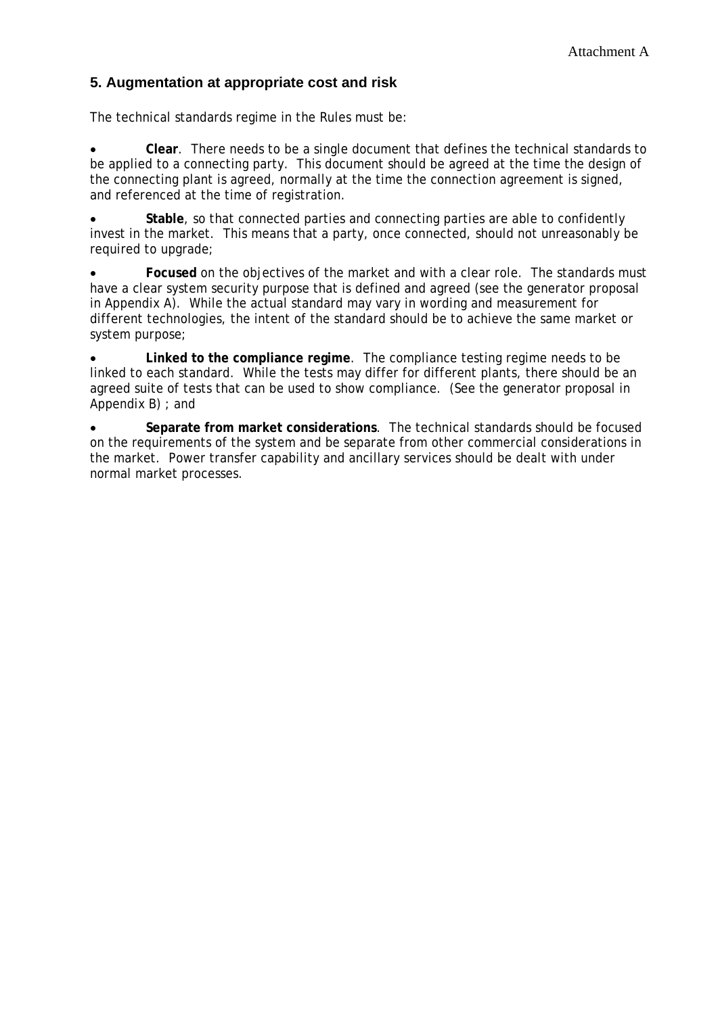## **5. Augmentation at appropriate cost and risk**

The technical standards regime in the Rules must be:

• **Clear**. There needs to be a single document that defines the technical standards to be applied to a connecting party. This document should be agreed at the time the design of the connecting plant is agreed, normally at the time the connection agreement is signed, and referenced at the time of registration.

• **Stable**, so that connected parties and connecting parties are able to confidently invest in the market. This means that a party, once connected, should not unreasonably be required to upgrade;

• **Focused** on the objectives of the market and with a clear role. The standards must have a clear system security purpose that is defined and agreed (see the generator proposal in Appendix A). While the actual standard may vary in wording and measurement for different technologies, the intent of the standard should be to achieve the same market or system purpose;

• **Linked to the compliance regime**. The compliance testing regime needs to be linked to each standard. While the tests may differ for different plants, there should be an agreed suite of tests that can be used to show compliance. (See the generator proposal in Appendix B) ; and

• **Separate from market considerations**. The technical standards should be focused on the requirements of the system and be separate from other commercial considerations in the market. Power transfer capability and ancillary services should be dealt with under normal market processes.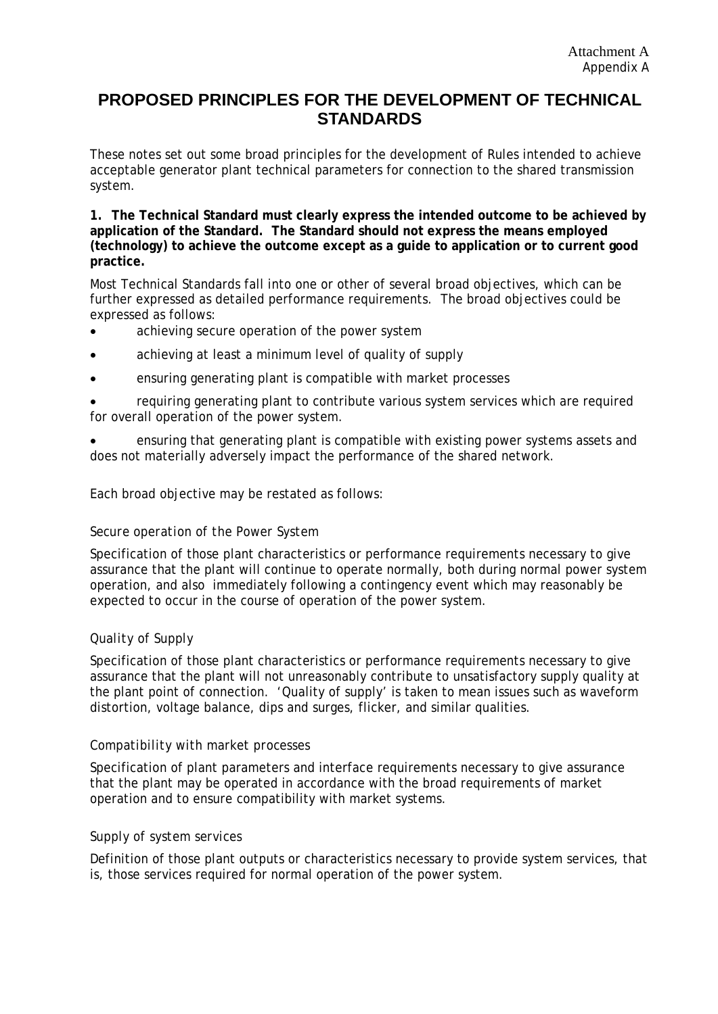## **PROPOSED PRINCIPLES FOR THE DEVELOPMENT OF TECHNICAL STANDARDS**

These notes set out some broad principles for the development of Rules intended to achieve acceptable generator plant technical parameters for connection to the shared transmission system.

**1. The Technical Standard must clearly express the intended outcome to be achieved by application of the Standard. The Standard should not express the means employed (technology) to achieve the outcome except as a guide to application or to current good practice.** 

Most Technical Standards fall into one or other of several broad objectives, which can be further expressed as detailed performance requirements. The broad objectives could be expressed as follows:

- achieving secure operation of the power system
- achieving at least a minimum level of quality of supply
- ensuring generating plant is compatible with market processes

• requiring generating plant to contribute various system services which are required for overall operation of the power system.

• ensuring that generating plant is compatible with existing power systems assets and does not materially adversely impact the performance of the shared network.

Each broad objective may be restated as follows:

#### *Secure operation of the Power System*

Specification of those plant characteristics or performance requirements necessary to give assurance that the plant will continue to operate normally, both during normal power system operation, and also immediately following a contingency event which may reasonably be expected to occur in the course of operation of the power system.

#### *Quality of Supply*

Specification of those plant characteristics or performance requirements necessary to give assurance that the plant will not unreasonably contribute to unsatisfactory supply quality at the plant point of connection. 'Quality of supply' is taken to mean issues such as waveform distortion, voltage balance, dips and surges, flicker, and similar qualities.

#### *Compatibility with market processes*

Specification of plant parameters and interface requirements necessary to give assurance that the plant may be operated in accordance with the broad requirements of market operation and to ensure compatibility with market systems.

#### *Supply of system services*

Definition of those plant outputs or characteristics necessary to provide system services, that is, those services required for normal operation of the power system.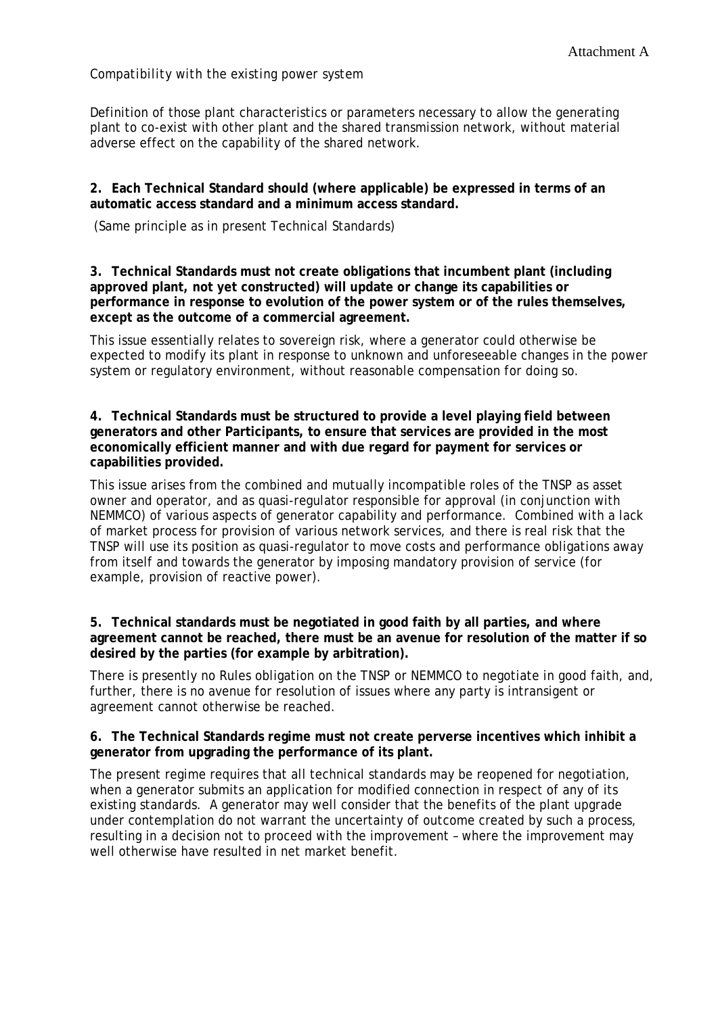#### *Compatibility with the existing power system*

Definition of those plant characteristics or parameters necessary to allow the generating plant to co-exist with other plant and the shared transmission network, without material adverse effect on the capability of the shared network.

#### **2. Each Technical Standard should (where applicable) be expressed in terms of an automatic access standard and a minimum access standard.**

(Same principle as in present Technical Standards)

**3. Technical Standards must not create obligations that incumbent plant (including approved plant, not yet constructed) will update or change its capabilities or performance in response to evolution of the power system or of the rules themselves, except as the outcome of a commercial agreement.** 

This issue essentially relates to sovereign risk, where a generator could otherwise be expected to modify its plant in response to unknown and unforeseeable changes in the power system or regulatory environment, without reasonable compensation for doing so.

#### **4. Technical Standards must be structured to provide a level playing field between generators and other Participants, to ensure that services are provided in the most economically efficient manner and with due regard for payment for services or capabilities provided.**

This issue arises from the combined and mutually incompatible roles of the TNSP as asset owner and operator, and as quasi-regulator responsible for approval (in conjunction with NEMMCO) of various aspects of generator capability and performance. Combined with a lack of market process for provision of various network services, and there is real risk that the TNSP will use its position as quasi-regulator to move costs and performance obligations away from itself and towards the generator by imposing mandatory provision of service (for example, provision of reactive power).

**5. Technical standards must be negotiated in good faith by all parties, and where agreement cannot be reached, there must be an avenue for resolution of the matter if so desired by the parties (for example by arbitration).** 

There is presently no Rules obligation on the TNSP or NEMMCO to negotiate in good faith, and, further, there is no avenue for resolution of issues where any party is intransigent or agreement cannot otherwise be reached.

#### **6. The Technical Standards regime must not create perverse incentives which inhibit a generator from upgrading the performance of its plant.**

The present regime requires that all technical standards may be reopened for negotiation, when a generator submits an application for modified connection in respect of any of its existing standards. A generator may well consider that the benefits of the plant upgrade under contemplation do not warrant the uncertainty of outcome created by such a process, resulting in a decision not to proceed with the improvement – where the improvement may well otherwise have resulted in net market benefit.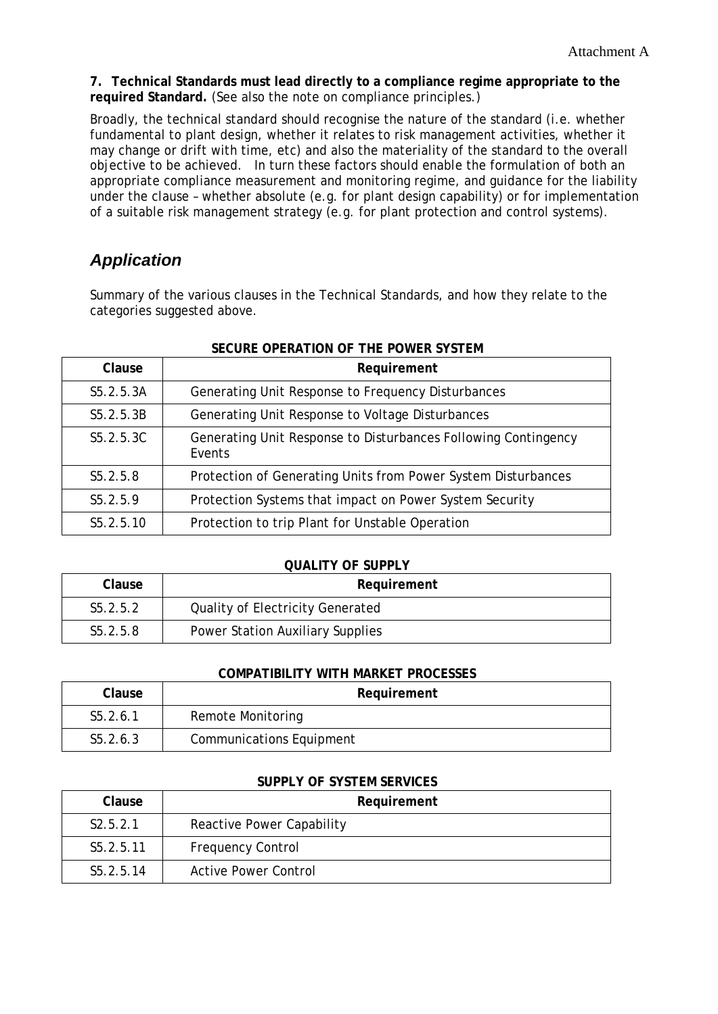**7. Technical Standards must lead directly to a compliance regime appropriate to the required Standard.** (See also the note on compliance principles.)

Broadly, the technical standard should recognise the nature of the standard (i.e. whether fundamental to plant design, whether it relates to risk management activities, whether it may change or drift with time, etc) and also the materiality of the standard to the overall objective to be achieved. In turn these factors should enable the formulation of both an appropriate compliance measurement and monitoring regime, and guidance for the liability under the clause – whether absolute (e.g. for plant design capability) or for implementation of a suitable risk management strategy (e.g. for plant protection and control systems).

# *Application*

Summary of the various clauses in the Technical Standards, and how they relate to the categories suggested above.

|              | SECURE OPERATION OF THE POWER SYSTEM                                     |  |  |  |
|--------------|--------------------------------------------------------------------------|--|--|--|
| Clause       | Requirement                                                              |  |  |  |
| $S_5.2.5.3A$ | Generating Unit Response to Frequency Disturbances                       |  |  |  |
| $S_5.2.5.3B$ | Generating Unit Response to Voltage Disturbances                         |  |  |  |
| S5.2.5.3C    | Generating Unit Response to Disturbances Following Contingency<br>Events |  |  |  |
| $S_5.2.5.8$  | Protection of Generating Units from Power System Disturbances            |  |  |  |
| S5.2.5.9     | Protection Systems that impact on Power System Security                  |  |  |  |
| $S_5.2.5.10$ | Protection to trip Plant for Unstable Operation                          |  |  |  |

## **SECURE OPERATION OF THE POWER SYSTEM**

#### **QUALITY OF SUPPLY**

| Clause                | Requirement                      |  |
|-----------------------|----------------------------------|--|
| S <sub>5</sub> .2.5.2 | Quality of Electricity Generated |  |
| S <sub>5</sub> .2.5.8 | Power Station Auxiliary Supplies |  |

#### **COMPATIBILITY WITH MARKET PROCESSES**

| Clause                | Requirement                     |  |
|-----------------------|---------------------------------|--|
| S <sub>5</sub> .2.6.1 | Remote Monitoring               |  |
| $S_5.2.6.3$           | <b>Communications Equipment</b> |  |

#### **SUPPLY OF SYSTEM SERVICES**

| Clause                | Requirement                 |  |
|-----------------------|-----------------------------|--|
| S2.5.2.1              | Reactive Power Capability   |  |
| S5.2.5.11             | <b>Frequency Control</b>    |  |
| S <sub>5</sub> 2.5.14 | <b>Active Power Control</b> |  |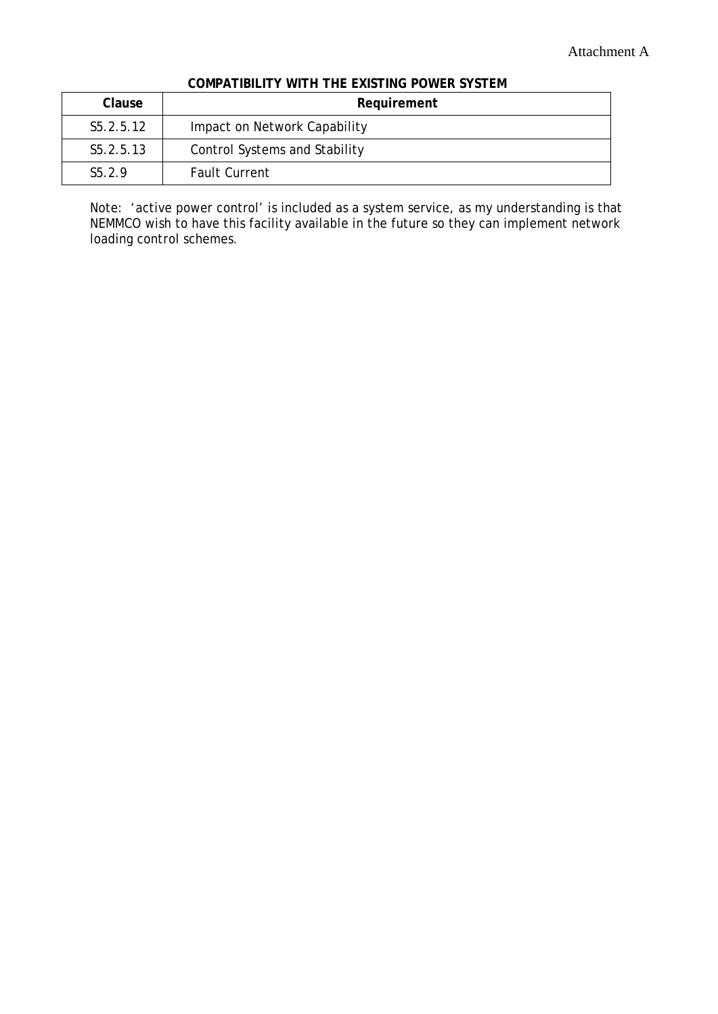| Clause             | Requirement                   |  |
|--------------------|-------------------------------|--|
| S5.2.5.12          | Impact on Network Capability  |  |
| S5.2.5.13          | Control Systems and Stability |  |
| S <sub>5</sub> 2.9 | <b>Fault Current</b>          |  |

Note: 'active power control' is included as a system service, as my understanding is that NEMMCO wish to have this facility available in the future so they can implement network loading control schemes.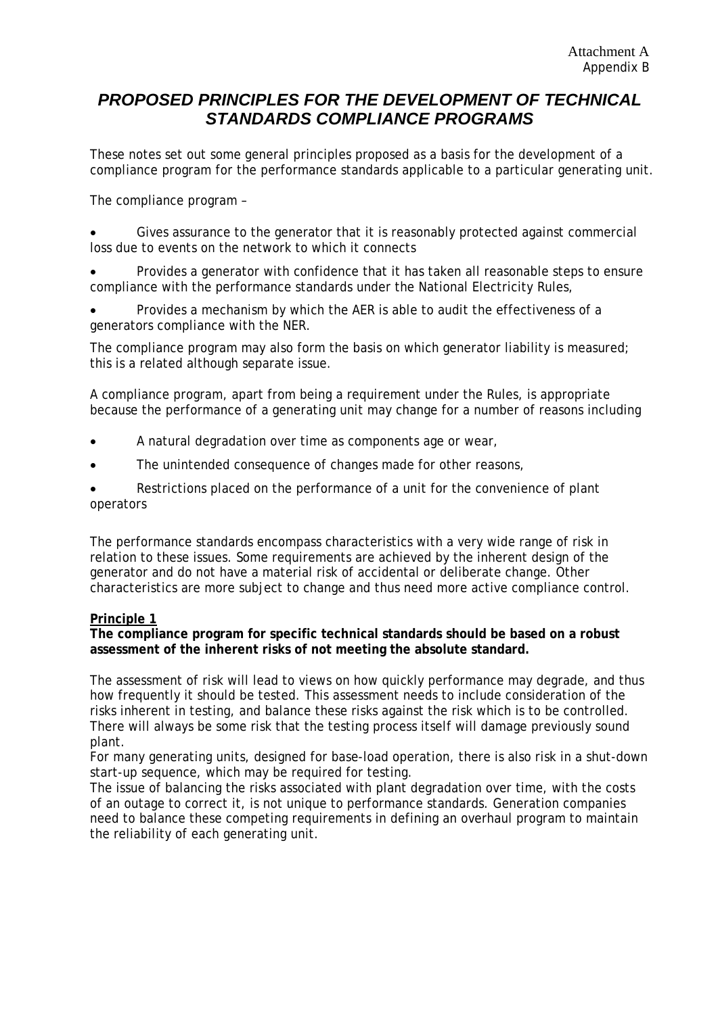# *PROPOSED PRINCIPLES FOR THE DEVELOPMENT OF TECHNICAL STANDARDS COMPLIANCE PROGRAMS*

These notes set out some general principles proposed as a basis for the development of a compliance program for the performance standards applicable to a particular generating unit.

The compliance program –

Gives assurance to the generator that it is reasonably protected against commercial loss due to events on the network to which it connects

• Provides a generator with confidence that it has taken all reasonable steps to ensure compliance with the performance standards under the National Electricity Rules,

• Provides a mechanism by which the AER is able to audit the effectiveness of a generators compliance with the NER.

The compliance program may also form the basis on which generator liability is measured; this is a related although separate issue.

A compliance program, apart from being a requirement under the Rules, is appropriate because the performance of a generating unit may change for a number of reasons including

- A natural degradation over time as components age or wear,
- The unintended consequence of changes made for other reasons,

Restrictions placed on the performance of a unit for the convenience of plant operators

The performance standards encompass characteristics with a very wide range of risk in relation to these issues. Some requirements are achieved by the inherent design of the generator and do not have a material risk of accidental or deliberate change. Other characteristics are more subject to change and thus need more active compliance control.

#### **Principle 1**

**The compliance program for specific technical standards should be based on a robust assessment of the inherent risks of not meeting the absolute standard.** 

The assessment of risk will lead to views on how quickly performance may degrade, and thus how frequently it should be tested. This assessment needs to include consideration of the risks inherent in testing, and balance these risks against the risk which is to be controlled. There will always be some risk that the testing process itself will damage previously sound plant.

For many generating units, designed for base-load operation, there is also risk in a shut-down start-up sequence, which may be required for testing.

The issue of balancing the risks associated with plant degradation over time, with the costs of an outage to correct it, is not unique to performance standards. Generation companies need to balance these competing requirements in defining an overhaul program to maintain the reliability of each generating unit.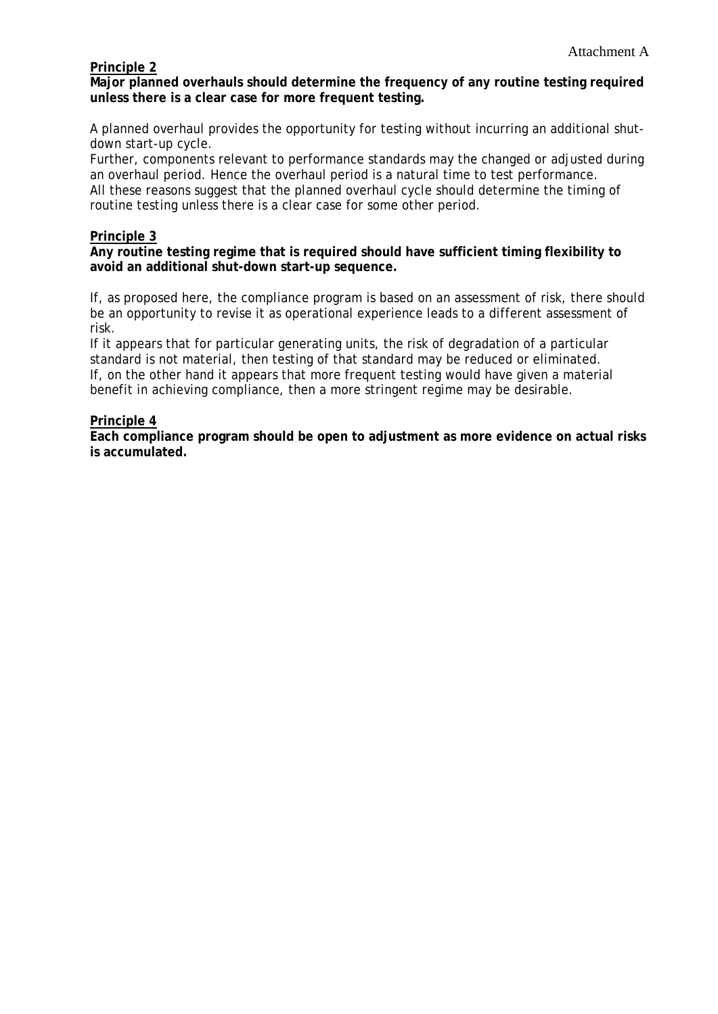## **Principle 2**

**Major planned overhauls should determine the frequency of any routine testing required unless there is a clear case for more frequent testing.** 

A planned overhaul provides the opportunity for testing without incurring an additional shutdown start-up cycle.

Further, components relevant to performance standards may the changed or adjusted during an overhaul period. Hence the overhaul period is a natural time to test performance. All these reasons suggest that the planned overhaul cycle should determine the timing of routine testing unless there is a clear case for some other period.

#### **Principle 3**

#### **Any routine testing regime that is required should have sufficient timing flexibility to avoid an additional shut-down start-up sequence.**

If, as proposed here, the compliance program is based on an assessment of risk, there should be an opportunity to revise it as operational experience leads to a different assessment of risk.

If it appears that for particular generating units, the risk of degradation of a particular standard is not material, then testing of that standard may be reduced or eliminated. If, on the other hand it appears that more frequent testing would have given a material benefit in achieving compliance, then a more stringent regime may be desirable.

#### **Principle 4**

**Each compliance program should be open to adjustment as more evidence on actual risks is accumulated.**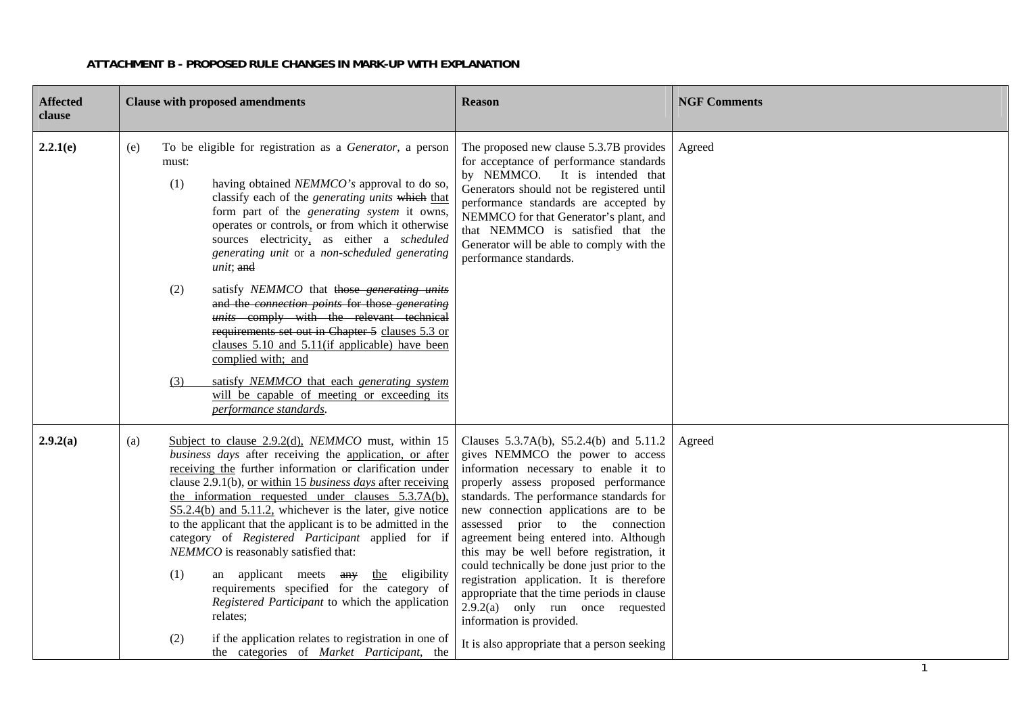| <b>Affected</b><br>clause | <b>Clause with proposed amendments</b>                                                                                                                                                                                                                                                                                                                                                                                                                                                                                                                                                                                                                                                                                                                                                                            | <b>Reason</b>                                                                                                                                                                                                                                                                                                                                                                                                                                                                                                                                                                                                                            | <b>NGF Comments</b> |
|---------------------------|-------------------------------------------------------------------------------------------------------------------------------------------------------------------------------------------------------------------------------------------------------------------------------------------------------------------------------------------------------------------------------------------------------------------------------------------------------------------------------------------------------------------------------------------------------------------------------------------------------------------------------------------------------------------------------------------------------------------------------------------------------------------------------------------------------------------|------------------------------------------------------------------------------------------------------------------------------------------------------------------------------------------------------------------------------------------------------------------------------------------------------------------------------------------------------------------------------------------------------------------------------------------------------------------------------------------------------------------------------------------------------------------------------------------------------------------------------------------|---------------------|
| 2.2.1(e)                  | To be eligible for registration as a Generator, a person<br>(e)<br>must:<br>(1)<br>having obtained NEMMCO's approval to do so,<br>classify each of the generating units which that<br>form part of the generating system it owns,<br>operates or controls, or from which it otherwise<br>sources electricity, as either a scheduled<br>generating unit or a non-scheduled generating<br>unit; and<br>satisfy NEMMCO that those generating units<br>(2)<br>and the connection points for those generating<br>units comply with the relevant technical<br>requirements set out in Chapter 5 clauses 5.3 or<br>clauses 5.10 and 5.11(if applicable) have been<br>complied with; and<br>satisfy NEMMCO that each generating system<br>(3)<br>will be capable of meeting or exceeding its<br>performance standards.    | The proposed new clause 5.3.7B provides<br>for acceptance of performance standards<br>by NEMMCO. It is intended that<br>Generators should not be registered until<br>performance standards are accepted by<br>NEMMCO for that Generator's plant, and<br>that NEMMCO is satisfied that the<br>Generator will be able to comply with the<br>performance standards.                                                                                                                                                                                                                                                                         | Agreed              |
| 2.9.2(a)                  | Subject to clause 2.9.2(d), NEMMCO must, within 15<br>(a)<br>business days after receiving the application, or after<br>receiving the further information or clarification under<br>clause 2.9.1(b), or within 15 business days after receiving<br>the information requested under clauses 5.3.7A(b),<br>$S5.2.4(b)$ and $5.11.2$ , whichever is the later, give notice<br>to the applicant that the applicant is to be admitted in the<br>category of Registered Participant applied for if<br>NEMMCO is reasonably satisfied that:<br>(1)<br>an applicant meets any<br>the eligibility<br>requirements specified for the category of<br>Registered Participant to which the application<br>relates;<br>if the application relates to registration in one of<br>(2)<br>the categories of Market Participant, the | Clauses 5.3.7A(b), S5.2.4(b) and 5.11.2<br>gives NEMMCO the power to access<br>information necessary to enable it to<br>properly assess proposed performance<br>standards. The performance standards for<br>new connection applications are to be<br>assessed prior to the connection<br>agreement being entered into. Although<br>this may be well before registration, it<br>could technically be done just prior to the<br>registration application. It is therefore<br>appropriate that the time periods in clause<br>$2.9.2(a)$ only run once requested<br>information is provided.<br>It is also appropriate that a person seeking | Agreed              |

#### **ATTACHMENT B - PROPOSED RULE CHANGES IN MARK-UP WITH EXPLANATION**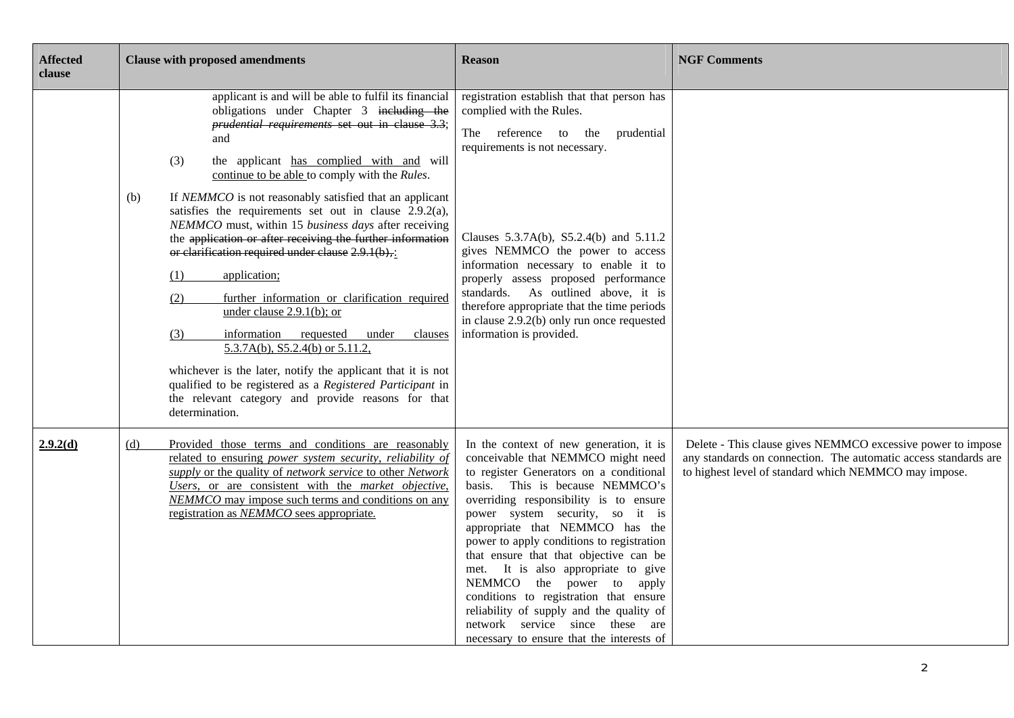| <b>Affected</b><br>clause | <b>Clause with proposed amendments</b>                                                                                                                                                                                                                                                                                                                                                                                                                                                                                                                                                                                                                                                                                                                                                                                                                                                                                                                                          | <b>Reason</b>                                                                                                                                                                                                                                                                                                                                                                                                                                                                                                                                                                                                | <b>NGF Comments</b>                                                                                                                                                                     |
|---------------------------|---------------------------------------------------------------------------------------------------------------------------------------------------------------------------------------------------------------------------------------------------------------------------------------------------------------------------------------------------------------------------------------------------------------------------------------------------------------------------------------------------------------------------------------------------------------------------------------------------------------------------------------------------------------------------------------------------------------------------------------------------------------------------------------------------------------------------------------------------------------------------------------------------------------------------------------------------------------------------------|--------------------------------------------------------------------------------------------------------------------------------------------------------------------------------------------------------------------------------------------------------------------------------------------------------------------------------------------------------------------------------------------------------------------------------------------------------------------------------------------------------------------------------------------------------------------------------------------------------------|-----------------------------------------------------------------------------------------------------------------------------------------------------------------------------------------|
|                           | applicant is and will be able to fulfil its financial<br>obligations under Chapter 3 including the<br>prudential requirements set out in clause 3.3;<br>and<br>(3)<br>the applicant has complied with and will<br>continue to be able to comply with the Rules.<br>If NEMMCO is not reasonably satisfied that an applicant<br>(b)<br>satisfies the requirements set out in clause 2.9.2(a),<br>NEMMCO must, within 15 business days after receiving<br>the application or after receiving the further information<br>or clarification required under clause $2.9.1(b)$ .<br>application;<br>(1)<br>further information or clarification required<br>(2)<br>under clause $2.9.1(b)$ ; or<br>information requested under<br>clauses<br>(3)<br>5.3.7A(b), S5.2.4(b) or 5.11.2,<br>whichever is the later, notify the applicant that it is not<br>qualified to be registered as a Registered Participant in<br>the relevant category and provide reasons for that<br>determination. | registration establish that that person has<br>complied with the Rules.<br>The<br>reference to the prudential<br>requirements is not necessary.<br>Clauses 5.3.7A(b), S5.2.4(b) and 5.11.2<br>gives NEMMCO the power to access<br>information necessary to enable it to<br>properly assess proposed performance<br>standards. As outlined above, it is<br>therefore appropriate that the time periods<br>in clause 2.9.2(b) only run once requested<br>information is provided.                                                                                                                              |                                                                                                                                                                                         |
| 2.9.2(d)                  | Provided those terms and conditions are reasonably<br>(d)<br>related to ensuring power system security, reliability of<br>supply or the quality of network service to other Network<br>Users, or are consistent with the market objective,<br>NEMMCO may impose such terms and conditions on any<br>registration as NEMMCO sees appropriate.                                                                                                                                                                                                                                                                                                                                                                                                                                                                                                                                                                                                                                    | In the context of new generation, it is<br>conceivable that NEMMCO might need<br>to register Generators on a conditional<br>basis. This is because NEMMCO's<br>overriding responsibility is to ensure<br>power system security, so it is<br>appropriate that NEMMCO has the<br>power to apply conditions to registration<br>that ensure that that objective can be<br>met. It is also appropriate to give<br>NEMMCO the power to apply<br>conditions to registration that ensure<br>reliability of supply and the quality of<br>network service since these are<br>necessary to ensure that the interests of | Delete - This clause gives NEMMCO excessive power to impose<br>any standards on connection. The automatic access standards are<br>to highest level of standard which NEMMCO may impose. |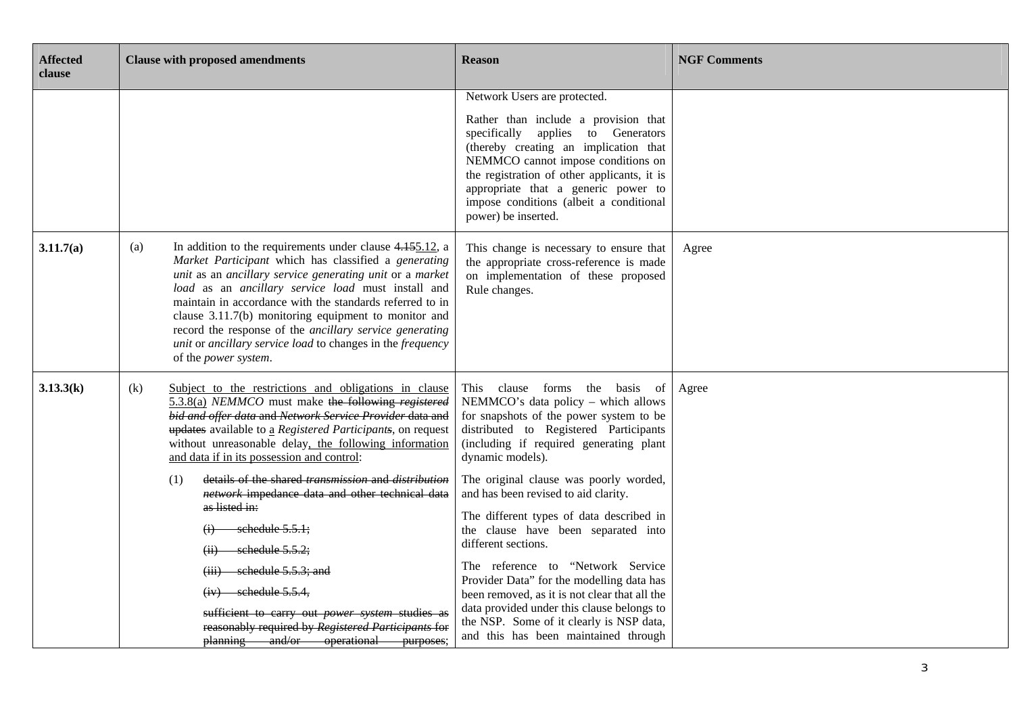| <b>Affected</b><br>clause | <b>Clause with proposed amendments</b>                                                                                                                                                                                                                                                                                                                                                                                                                                                                                                                      | <b>Reason</b>                                                                                                                                                                                                                                                                                                                                                                                                                                                                                           | <b>NGF Comments</b> |
|---------------------------|-------------------------------------------------------------------------------------------------------------------------------------------------------------------------------------------------------------------------------------------------------------------------------------------------------------------------------------------------------------------------------------------------------------------------------------------------------------------------------------------------------------------------------------------------------------|---------------------------------------------------------------------------------------------------------------------------------------------------------------------------------------------------------------------------------------------------------------------------------------------------------------------------------------------------------------------------------------------------------------------------------------------------------------------------------------------------------|---------------------|
|                           |                                                                                                                                                                                                                                                                                                                                                                                                                                                                                                                                                             | Network Users are protected.<br>Rather than include a provision that<br>specifically applies to Generators<br>(thereby creating an implication that<br>NEMMCO cannot impose conditions on<br>the registration of other applicants, it is<br>appropriate that a generic power to<br>impose conditions (albeit a conditional<br>power) be inserted.                                                                                                                                                       |                     |
| 3.11.7(a)                 | In addition to the requirements under clause $4.155.12$ , a<br>(a)<br>Market Participant which has classified a generating<br>unit as an ancillary service generating unit or a market<br>load as an ancillary service load must install and<br>maintain in accordance with the standards referred to in<br>clause 3.11.7(b) monitoring equipment to monitor and<br>record the response of the ancillary service generating<br>unit or ancillary service load to changes in the frequency<br>of the power system.                                           | This change is necessary to ensure that<br>the appropriate cross-reference is made<br>on implementation of these proposed<br>Rule changes.                                                                                                                                                                                                                                                                                                                                                              | Agree               |
| 3.13.3(k)                 | Subject to the restrictions and obligations in clause<br>(k)<br>5.3.8(a) NEMMCO must make the following registered<br>bid and offer data and Network Service Provider data and<br>updates available to a Registered Participants, on request<br>without unreasonable delay, the following information<br>and data if in its possession and control:<br>details of the shared transmission and distribution<br>(1)<br>network impedance data and other technical data<br>as listed in:<br>schedule 5.5.1;<br>schedule 5.5.2;<br>schedule 5.5.3; and<br>(iii) | This clause forms the basis of<br>NEMMCO's data policy - which allows<br>for snapshots of the power system to be<br>distributed to Registered Participants<br>(including if required generating plant<br>dynamic models).<br>The original clause was poorly worded,<br>and has been revised to aid clarity.<br>The different types of data described in<br>the clause have been separated into<br>different sections.<br>The reference to "Network Service<br>Provider Data" for the modelling data has | Agree               |
|                           | $(iv)$ schedule 5.5.4,<br>sufficient to carry out <i>power</i> system studies as<br>reasonably required by Registered Participants for<br>planning and/or operational purposes;                                                                                                                                                                                                                                                                                                                                                                             | been removed, as it is not clear that all the<br>data provided under this clause belongs to<br>the NSP. Some of it clearly is NSP data,<br>and this has been maintained through                                                                                                                                                                                                                                                                                                                         |                     |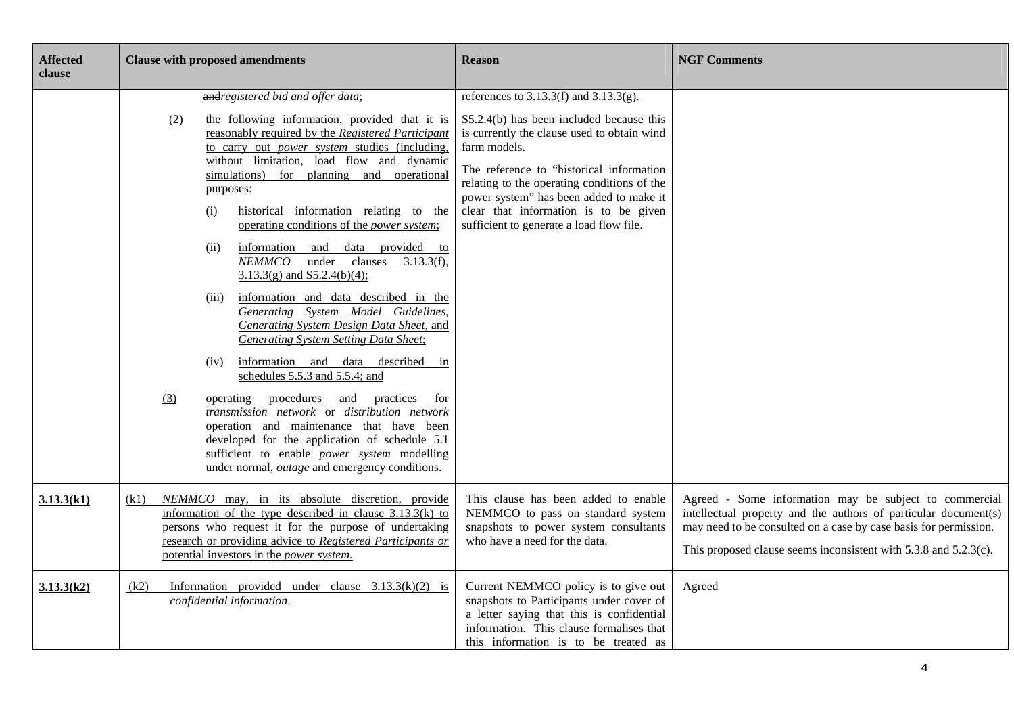| <b>Affected</b><br>clause | <b>Clause with proposed amendments</b>                                                                                                                                                                                                                                                                                                                                                                                                                                                                                                                                                                                                                                                                                                                                                                                                                                                                                                                                                                                                                                                                                       | <b>Reason</b>                                                                                                                                                                                                                                                                                                                                                                     | <b>NGF Comments</b>                                                                                                                                                                                                                                                    |
|---------------------------|------------------------------------------------------------------------------------------------------------------------------------------------------------------------------------------------------------------------------------------------------------------------------------------------------------------------------------------------------------------------------------------------------------------------------------------------------------------------------------------------------------------------------------------------------------------------------------------------------------------------------------------------------------------------------------------------------------------------------------------------------------------------------------------------------------------------------------------------------------------------------------------------------------------------------------------------------------------------------------------------------------------------------------------------------------------------------------------------------------------------------|-----------------------------------------------------------------------------------------------------------------------------------------------------------------------------------------------------------------------------------------------------------------------------------------------------------------------------------------------------------------------------------|------------------------------------------------------------------------------------------------------------------------------------------------------------------------------------------------------------------------------------------------------------------------|
|                           | andregistered bid and offer data;<br>(2)<br>the following information, provided that it is<br>reasonably required by the Registered Participant<br>to carry out power system studies (including,<br>without limitation, load flow and dynamic<br>simulations)<br>for planning and operational<br>purposes:<br>historical information relating to the<br>(i)<br>operating conditions of the <i>power system</i> ;<br>information and data provided to<br>(ii)<br>$NEMMCO$ under clauses 3.13.3(f),<br>$3.13.3(g)$ and $S5.2.4(b)(4)$ ;<br>information and data described in the<br>(iii)<br>Generating System Model Guidelines,<br>Generating System Design Data Sheet, and<br><b>Generating System Setting Data Sheet;</b><br>information and data described in<br>(iv)<br>schedules 5.5.3 and 5.5.4; and<br>(3)<br>operating<br>procedures and practices<br>for<br>transmission network or distribution network<br>operation and maintenance that have been<br>developed for the application of schedule 5.1<br>sufficient to enable <i>power</i> system modelling<br>under normal, <i>outage</i> and emergency conditions. | references to $3.13.3(f)$ and $3.13.3(g)$ .<br>S5.2.4(b) has been included because this<br>is currently the clause used to obtain wind<br>farm models.<br>The reference to "historical information<br>relating to the operating conditions of the<br>power system" has been added to make it<br>clear that information is to be given<br>sufficient to generate a load flow file. |                                                                                                                                                                                                                                                                        |
| 3.13.3(k1)                | NEMMCO may, in its absolute discretion, provide<br>(k1)<br>information of the type described in clause $3.13.3(k)$ to<br>persons who request it for the purpose of undertaking<br>research or providing advice to Registered Participants or<br>potential investors in the <i>power system</i> .                                                                                                                                                                                                                                                                                                                                                                                                                                                                                                                                                                                                                                                                                                                                                                                                                             | This clause has been added to enable<br>NEMMCO to pass on standard system<br>snapshots to power system consultants<br>who have a need for the data.                                                                                                                                                                                                                               | Agreed - Some information may be subject to commercial<br>intellectual property and the authors of particular document(s)<br>may need to be consulted on a case by case basis for permission.<br>This proposed clause seems inconsistent with $5.3.8$ and $5.2.3(c)$ . |
| 3.13.3(k2)                | Information provided under clause $3.13.3(k)(2)$ is<br>(k2)<br>confidential information.                                                                                                                                                                                                                                                                                                                                                                                                                                                                                                                                                                                                                                                                                                                                                                                                                                                                                                                                                                                                                                     | Current NEMMCO policy is to give out<br>snapshots to Participants under cover of<br>a letter saying that this is confidential<br>information. This clause formalises that<br>this information is to be treated as                                                                                                                                                                 | Agreed                                                                                                                                                                                                                                                                 |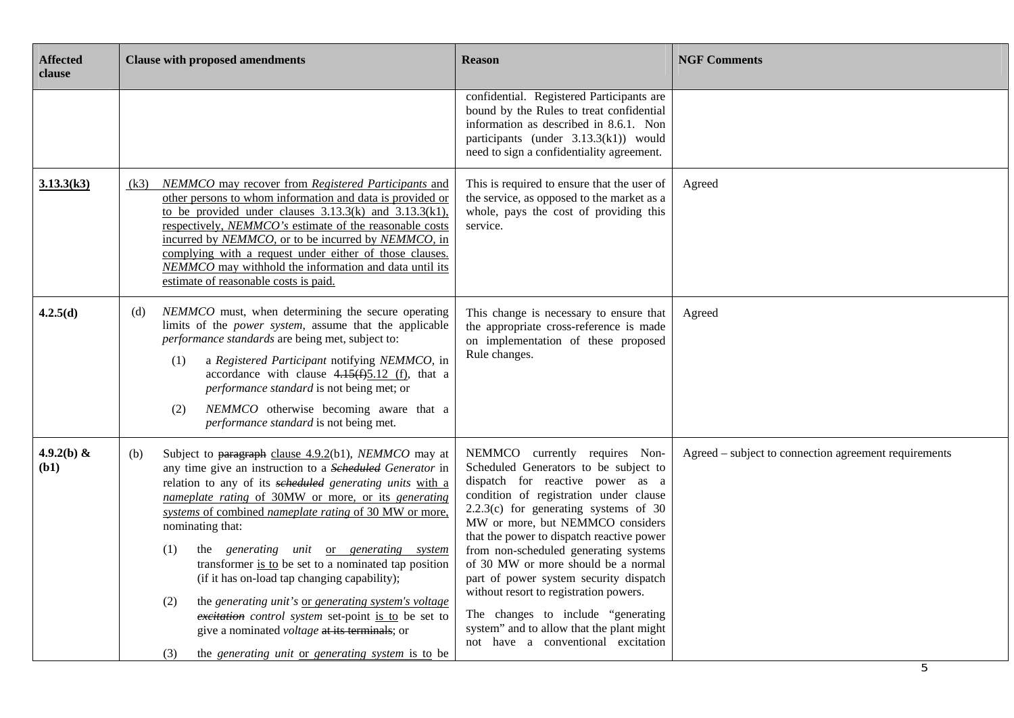| <b>Affected</b><br>clause | <b>Clause with proposed amendments</b>                                                                                                                                                                                                                                                                                                                                                                                                                                                                                                                                                                                                                                                                                        | <b>Reason</b>                                                                                                                                                                                                                                                                                                                                                                                                                                                                                                                                                                  | <b>NGF Comments</b>                                   |
|---------------------------|-------------------------------------------------------------------------------------------------------------------------------------------------------------------------------------------------------------------------------------------------------------------------------------------------------------------------------------------------------------------------------------------------------------------------------------------------------------------------------------------------------------------------------------------------------------------------------------------------------------------------------------------------------------------------------------------------------------------------------|--------------------------------------------------------------------------------------------------------------------------------------------------------------------------------------------------------------------------------------------------------------------------------------------------------------------------------------------------------------------------------------------------------------------------------------------------------------------------------------------------------------------------------------------------------------------------------|-------------------------------------------------------|
|                           |                                                                                                                                                                                                                                                                                                                                                                                                                                                                                                                                                                                                                                                                                                                               | confidential. Registered Participants are<br>bound by the Rules to treat confidential<br>information as described in 8.6.1. Non<br>participants (under 3.13.3(k1)) would<br>need to sign a confidentiality agreement.                                                                                                                                                                                                                                                                                                                                                          |                                                       |
| 3.13.3(k3)                | NEMMCO may recover from Registered Participants and<br>(k3)<br>other persons to whom information and data is provided or<br>to be provided under clauses $3.13.3(k)$ and $3.13.3(k1)$ ,<br>respectively, NEMMCO's estimate of the reasonable costs<br>incurred by NEMMCO, or to be incurred by NEMMCO, in<br>complying with a request under either of those clauses.<br>NEMMCO may withhold the information and data until its<br>estimate of reasonable costs is paid.                                                                                                                                                                                                                                                       | This is required to ensure that the user of<br>the service, as opposed to the market as a<br>whole, pays the cost of providing this<br>service.                                                                                                                                                                                                                                                                                                                                                                                                                                | Agreed                                                |
| 4.2.5(d)                  | NEMMCO must, when determining the secure operating<br>(d)<br>limits of the power system, assume that the applicable<br>performance standards are being met, subject to:<br>a Registered Participant notifying NEMMCO, in<br>(1)<br>accordance with clause $4.15(f)5.12(f)$ , that a<br>performance standard is not being met; or<br>NEMMCO otherwise becoming aware that a<br>(2)<br>performance standard is not being met.                                                                                                                                                                                                                                                                                                   | This change is necessary to ensure that<br>the appropriate cross-reference is made<br>on implementation of these proposed<br>Rule changes.                                                                                                                                                                                                                                                                                                                                                                                                                                     | Agreed                                                |
| 4.9.2(b) &<br>(b1)        | Subject to paragraph clause 4.9.2(b1), NEMMCO may at<br>(b)<br>any time give an instruction to a Scheduled Generator in<br>relation to any of its scheduled generating units with a<br>nameplate rating of 30MW or more, or its generating<br>systems of combined nameplate rating of 30 MW or more,<br>nominating that:<br>the generating unit or generating system<br>(1)<br>transformer is to be set to a nominated tap position<br>(if it has on-load tap changing capability);<br>the generating unit's or generating system's voltage<br>(2)<br>excitation control system set-point is to be set to<br>give a nominated <i>voltage</i> at its terminals; or<br>the generating unit or generating system is to be<br>(3) | NEMMCO currently requires Non-<br>Scheduled Generators to be subject to<br>dispatch for reactive power as a<br>condition of registration under clause<br>$2.2.3(c)$ for generating systems of 30<br>MW or more, but NEMMCO considers<br>that the power to dispatch reactive power<br>from non-scheduled generating systems<br>of 30 MW or more should be a normal<br>part of power system security dispatch<br>without resort to registration powers.<br>The changes to include "generating<br>system" and to allow that the plant might<br>not have a conventional excitation | Agreed – subject to connection agreement requirements |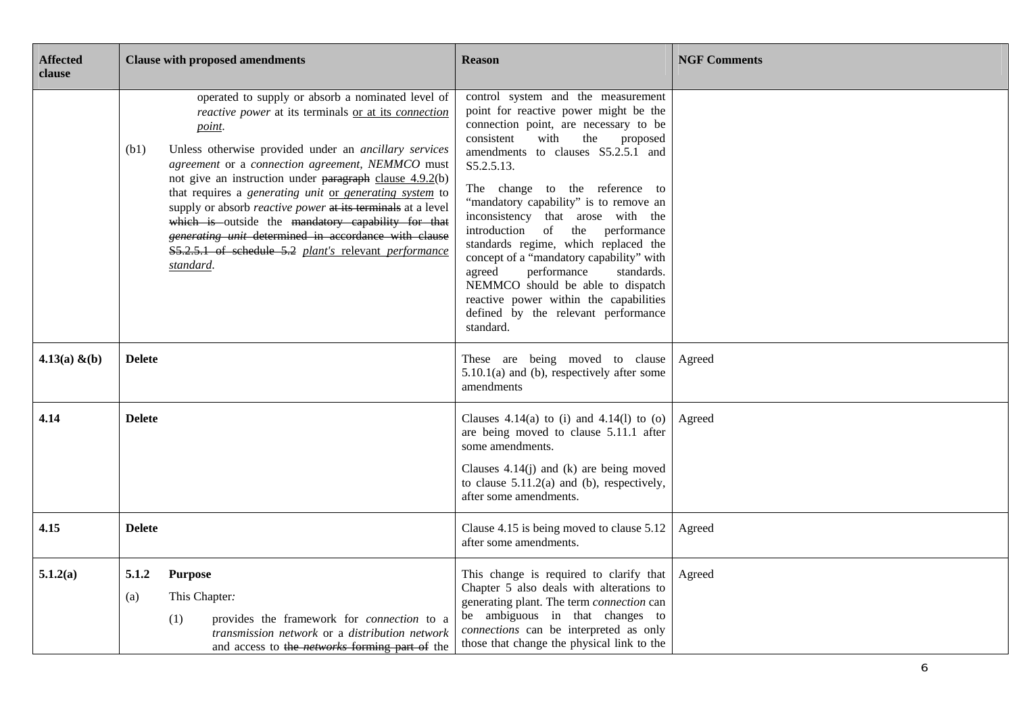| <b>Affected</b><br>clause | <b>Clause with proposed amendments</b>                                                                                                                                                                                                                                                                                                                                                                                                                                                                                                                                                                                     | <b>Reason</b>                                                                                                                                                                                                                                                                                                                                                                                                                                                                                                                                                                                                                       | <b>NGF Comments</b> |
|---------------------------|----------------------------------------------------------------------------------------------------------------------------------------------------------------------------------------------------------------------------------------------------------------------------------------------------------------------------------------------------------------------------------------------------------------------------------------------------------------------------------------------------------------------------------------------------------------------------------------------------------------------------|-------------------------------------------------------------------------------------------------------------------------------------------------------------------------------------------------------------------------------------------------------------------------------------------------------------------------------------------------------------------------------------------------------------------------------------------------------------------------------------------------------------------------------------------------------------------------------------------------------------------------------------|---------------------|
|                           | operated to supply or absorb a nominated level of<br>reactive power at its terminals or at its connection<br>point.<br>Unless otherwise provided under an ancillary services<br>(b1)<br>agreement or a connection agreement, NEMMCO must<br>not give an instruction under paragraph clause $4.9.2(b)$<br>that requires a generating unit or generating system to<br>supply or absorb <i>reactive power</i> at its terminals at a level<br>which is outside the mandatory capability for that<br>generating unit determined in accordance with clause<br>S5.2.5.1 of schedule 5.2 plant's relevant performance<br>standard. | control system and the measurement<br>point for reactive power might be the<br>connection point, are necessary to be<br>consistent<br>with<br>the<br>proposed<br>amendments to clauses S5.2.5.1 and<br>S5.2.5.13.<br>The change to the reference to<br>"mandatory capability" is to remove an<br>inconsistency that arose with the<br>introduction of the performance<br>standards regime, which replaced the<br>concept of a "mandatory capability" with<br>agreed<br>performance<br>standards.<br>NEMMCO should be able to dispatch<br>reactive power within the capabilities<br>defined by the relevant performance<br>standard. |                     |
| 4.13(a) $&(b)$            | <b>Delete</b>                                                                                                                                                                                                                                                                                                                                                                                                                                                                                                                                                                                                              | These are being moved to clause<br>$5.10.1(a)$ and (b), respectively after some<br>amendments                                                                                                                                                                                                                                                                                                                                                                                                                                                                                                                                       | Agreed              |
| 4.14                      | <b>Delete</b>                                                                                                                                                                                                                                                                                                                                                                                                                                                                                                                                                                                                              | Clauses 4.14(a) to (i) and 4.14(l) to (o)<br>are being moved to clause 5.11.1 after<br>some amendments.<br>Clauses $4.14(j)$ and (k) are being moved<br>to clause $5.11.2(a)$ and (b), respectively,<br>after some amendments.                                                                                                                                                                                                                                                                                                                                                                                                      | Agreed              |
| 4.15                      | <b>Delete</b>                                                                                                                                                                                                                                                                                                                                                                                                                                                                                                                                                                                                              | Clause 4.15 is being moved to clause 5.12<br>after some amendments.                                                                                                                                                                                                                                                                                                                                                                                                                                                                                                                                                                 | Agreed              |
| 5.1.2(a)                  | 5.1.2<br><b>Purpose</b><br>This Chapter:<br>(a)<br>provides the framework for <i>connection</i> to a<br>(1)<br>transmission network or a distribution network<br>and access to the <i>networks</i> forming part of the                                                                                                                                                                                                                                                                                                                                                                                                     | This change is required to clarify that<br>Chapter 5 also deals with alterations to<br>generating plant. The term connection can<br>be ambiguous in that changes to<br>connections can be interpreted as only<br>those that change the physical link to the                                                                                                                                                                                                                                                                                                                                                                         | Agreed              |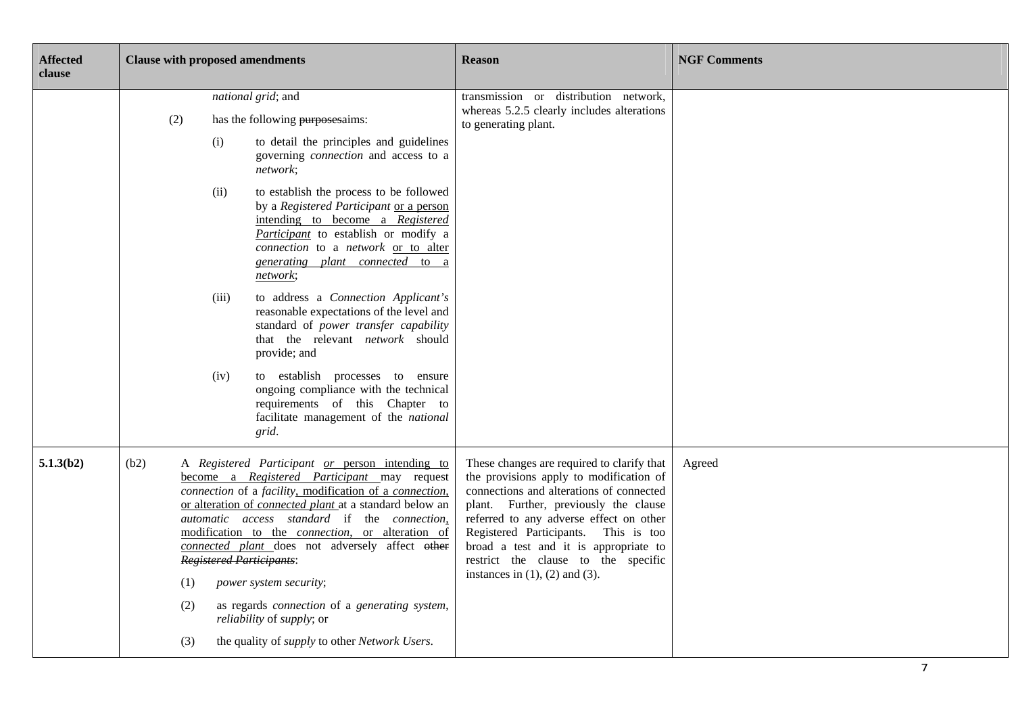| <b>Affected</b><br>clause | <b>Clause with proposed amendments</b>                                                                                                                                                                                                                                                                                                                                                                                                                                                                                                                                                                                                                                                                                                                                                                | <b>Reason</b>                                                                                                                                                                                                                                                                                                                                                                           | <b>NGF Comments</b> |
|---------------------------|-------------------------------------------------------------------------------------------------------------------------------------------------------------------------------------------------------------------------------------------------------------------------------------------------------------------------------------------------------------------------------------------------------------------------------------------------------------------------------------------------------------------------------------------------------------------------------------------------------------------------------------------------------------------------------------------------------------------------------------------------------------------------------------------------------|-----------------------------------------------------------------------------------------------------------------------------------------------------------------------------------------------------------------------------------------------------------------------------------------------------------------------------------------------------------------------------------------|---------------------|
|                           | national grid; and<br>(2)<br>has the following purposesaims:<br>to detail the principles and guidelines<br>(i)<br>governing connection and access to a<br>network;<br>to establish the process to be followed<br>(ii)<br>by a Registered Participant or a person<br>intending to become a Registered<br>Participant to establish or modify a<br>connection to a network or to alter<br>generating plant connected to a<br>network;<br>to address a Connection Applicant's<br>(iii)<br>reasonable expectations of the level and<br>standard of power transfer capability<br>that the relevant network should<br>provide; and<br>(iv)<br>to establish processes to ensure<br>ongoing compliance with the technical<br>requirements of this Chapter to<br>facilitate management of the national<br>grid. | transmission or distribution network,<br>whereas 5.2.5 clearly includes alterations<br>to generating plant.                                                                                                                                                                                                                                                                             |                     |
| 5.1.3(b2)                 | (b2)<br>A Registered Participant or person intending to<br>become a Registered Participant may request<br>connection of a facility, modification of a connection,<br>or alteration of <i>connected plant</i> at a standard below an<br>automatic access standard if the connection,<br>modification to the <i>connection</i> , or alteration of<br>connected plant does not adversely affect other<br><b>Registered Participants:</b><br>power system security;<br>(1)<br>(2)<br>as regards <i>connection</i> of a <i>generating</i> system,<br>reliability of supply; or<br>the quality of <i>supply</i> to other <i>Network Users</i> .<br>(3)                                                                                                                                                      | These changes are required to clarify that<br>the provisions apply to modification of<br>connections and alterations of connected<br>plant. Further, previously the clause<br>referred to any adverse effect on other<br>Registered Participants. This is too<br>broad a test and it is appropriate to<br>restrict the clause to the specific<br>instances in $(1)$ , $(2)$ and $(3)$ . | Agreed              |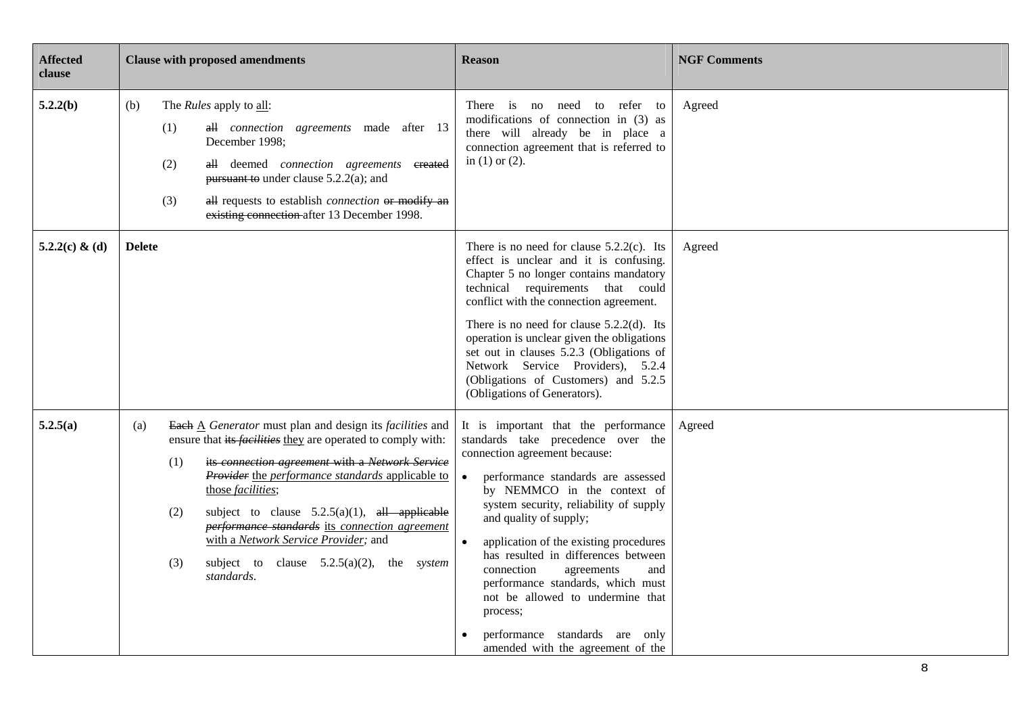| <b>Affected</b><br>clause | <b>Clause with proposed amendments</b>                                                                                                                                                                                                                                                                                                                                                                                                                                                                               | <b>Reason</b>                                                                                                                                                                                                                                                                                                                                                                                                                                                                                                                        | <b>NGF Comments</b> |
|---------------------------|----------------------------------------------------------------------------------------------------------------------------------------------------------------------------------------------------------------------------------------------------------------------------------------------------------------------------------------------------------------------------------------------------------------------------------------------------------------------------------------------------------------------|--------------------------------------------------------------------------------------------------------------------------------------------------------------------------------------------------------------------------------------------------------------------------------------------------------------------------------------------------------------------------------------------------------------------------------------------------------------------------------------------------------------------------------------|---------------------|
| 5.2.2(b)                  | (b)<br>The <i>Rules</i> apply to all:<br>all connection agreements made after 13<br>(1)<br>December 1998;<br>(2)<br>all deemed connection agreements created<br>pursuant to under clause $5.2.2(a)$ ; and<br>(3)<br>all requests to establish <i>connection</i> or modify an<br>existing connection after 13 December 1998.                                                                                                                                                                                          | There is no need to refer to<br>modifications of connection in (3) as<br>there will already be in place a<br>connection agreement that is referred to<br>in $(1)$ or $(2)$ .                                                                                                                                                                                                                                                                                                                                                         | Agreed              |
| 5.2.2(c) & (d)            | <b>Delete</b>                                                                                                                                                                                                                                                                                                                                                                                                                                                                                                        | There is no need for clause $5.2.2(c)$ . Its<br>effect is unclear and it is confusing.<br>Chapter 5 no longer contains mandatory<br>technical requirements that could<br>conflict with the connection agreement.<br>There is no need for clause $5.2.2(d)$ . Its<br>operation is unclear given the obligations<br>set out in clauses 5.2.3 (Obligations of<br>Network Service Providers), 5.2.4<br>(Obligations of Customers) and 5.2.5<br>(Obligations of Generators).                                                              | Agreed              |
| 5.2.5(a)                  | Each $\triangle$ Generator must plan and design its facilities and<br>(a)<br>ensure that its <i>facilities</i> they are operated to comply with:<br>its connection agreement with a Network Service<br>(1)<br>Provider the performance standards applicable to<br>those facilities;<br>subject to clause $5.2.5(a)(1)$ , all applicable<br>(2)<br>performance standards its connection agreement<br>with a Network Service Provider; and<br>(3)<br>subject to clause $5.2.5(a)(2)$ , the <i>system</i><br>standards. | It is important that the performance<br>standards take precedence over the<br>connection agreement because:<br>performance standards are assessed<br>by NEMMCO in the context of<br>system security, reliability of supply<br>and quality of supply;<br>application of the existing procedures<br>has resulted in differences between<br>connection<br>agreements<br>and<br>performance standards, which must<br>not be allowed to undermine that<br>process;<br>performance standards are only<br>amended with the agreement of the | Agreed              |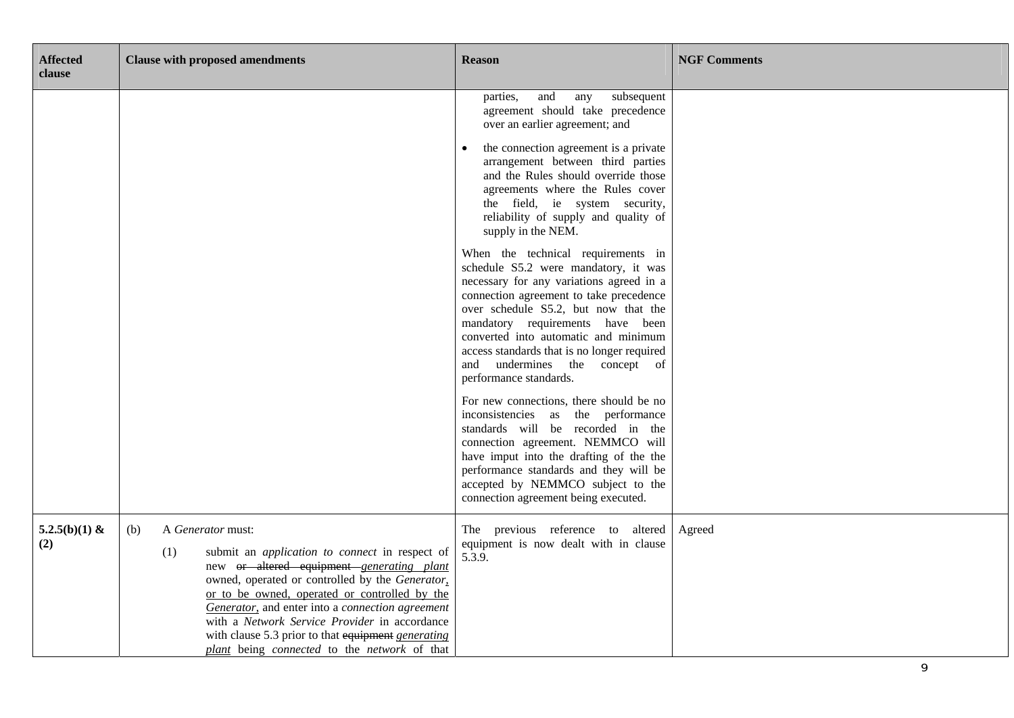| <b>Affected</b><br>clause | <b>Clause with proposed amendments</b>                                                                                                                                                                                                                                                                                                                                                                                                               | <b>Reason</b>                                                                                                                                                                                                                                                                                                                                                                                   | <b>NGF Comments</b> |
|---------------------------|------------------------------------------------------------------------------------------------------------------------------------------------------------------------------------------------------------------------------------------------------------------------------------------------------------------------------------------------------------------------------------------------------------------------------------------------------|-------------------------------------------------------------------------------------------------------------------------------------------------------------------------------------------------------------------------------------------------------------------------------------------------------------------------------------------------------------------------------------------------|---------------------|
|                           |                                                                                                                                                                                                                                                                                                                                                                                                                                                      | and<br>subsequent<br>parties,<br>any<br>agreement should take precedence<br>over an earlier agreement; and<br>the connection agreement is a private                                                                                                                                                                                                                                             |                     |
|                           |                                                                                                                                                                                                                                                                                                                                                                                                                                                      | arrangement between third parties<br>and the Rules should override those<br>agreements where the Rules cover<br>the field, ie system security,<br>reliability of supply and quality of<br>supply in the NEM.                                                                                                                                                                                    |                     |
|                           |                                                                                                                                                                                                                                                                                                                                                                                                                                                      | When the technical requirements in<br>schedule S5.2 were mandatory, it was<br>necessary for any variations agreed in a<br>connection agreement to take precedence<br>over schedule S5.2, but now that the<br>mandatory requirements have been<br>converted into automatic and minimum<br>access standards that is no longer required<br>and undermines the concept of<br>performance standards. |                     |
|                           |                                                                                                                                                                                                                                                                                                                                                                                                                                                      | For new connections, there should be no<br>inconsistencies as the performance<br>standards will be recorded in the<br>connection agreement. NEMMCO will<br>have imput into the drafting of the the<br>performance standards and they will be<br>accepted by NEMMCO subject to the<br>connection agreement being executed.                                                                       |                     |
| 5.2.5(b)(1) &<br>(2)      | (b)<br>A Generator must:<br>(1)<br>submit an <i>application to connect</i> in respect of<br>new or altered equipment generating plant<br>owned, operated or controlled by the Generator,<br>or to be owned, operated or controlled by the<br>Generator, and enter into a connection agreement<br>with a Network Service Provider in accordance<br>with clause 5.3 prior to that equipment generating<br>plant being connected to the network of that | The previous reference to altered<br>equipment is now dealt with in clause<br>5.3.9.                                                                                                                                                                                                                                                                                                            | Agreed              |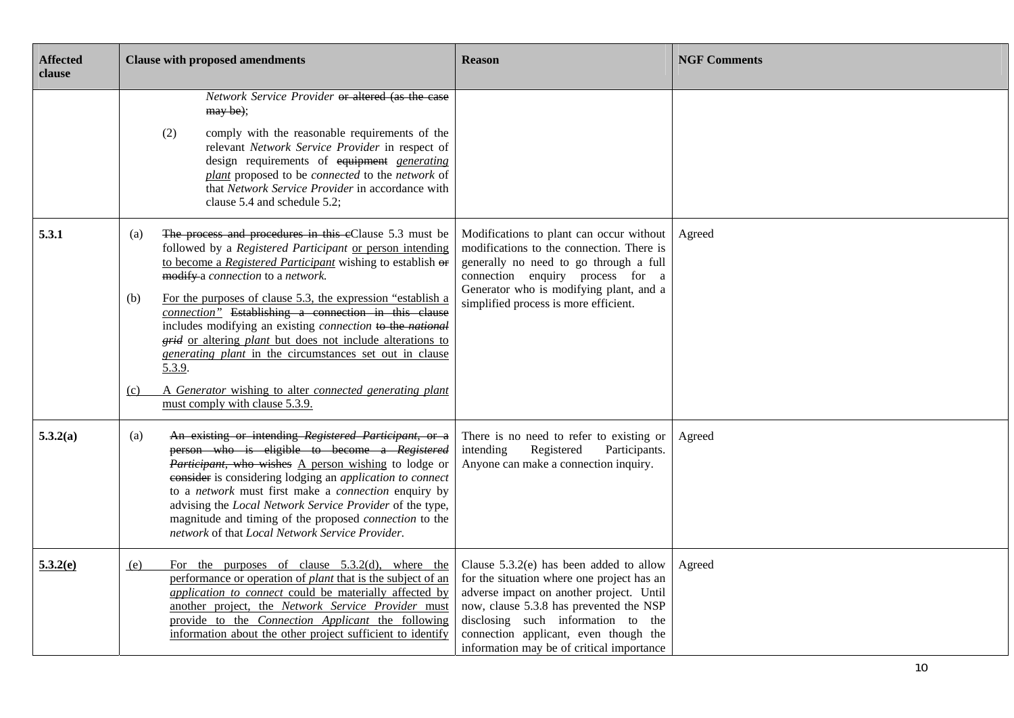| <b>Affected</b><br>clause | <b>Clause with proposed amendments</b>                                                                                                                                                                                                                                                                                                                                                                                                                                                                                                                                                                                                                                                     | <b>Reason</b>                                                                                                                                                                                                                                                                                              | <b>NGF Comments</b> |
|---------------------------|--------------------------------------------------------------------------------------------------------------------------------------------------------------------------------------------------------------------------------------------------------------------------------------------------------------------------------------------------------------------------------------------------------------------------------------------------------------------------------------------------------------------------------------------------------------------------------------------------------------------------------------------------------------------------------------------|------------------------------------------------------------------------------------------------------------------------------------------------------------------------------------------------------------------------------------------------------------------------------------------------------------|---------------------|
|                           | Network Service Provider or altered (as the case<br>may be);<br>comply with the reasonable requirements of the<br>(2)<br>relevant Network Service Provider in respect of<br>design requirements of equipment generating<br>plant proposed to be connected to the network of<br>that Network Service Provider in accordance with<br>clause 5.4 and schedule 5.2;                                                                                                                                                                                                                                                                                                                            |                                                                                                                                                                                                                                                                                                            |                     |
| 5.3.1                     | The process and procedures in this eClause 5.3 must be<br>(a)<br>followed by a Registered Participant or person intending<br>to become a Registered Participant wishing to establish or<br>modify a connection to a network.<br>For the purposes of clause 5.3, the expression "establish a<br>(b)<br>connection" Establishing a connection in this clause<br>includes modifying an existing <i>connection</i> to the national<br><i>grid</i> or altering <i>plant</i> but does not include alterations to<br><i>generating plant</i> in the circumstances set out in clause<br>5.3.9.<br>A Generator wishing to alter connected generating plant<br>(c)<br>must comply with clause 5.3.9. | Modifications to plant can occur without<br>modifications to the connection. There is<br>generally no need to go through a full<br>connection enquiry process for a<br>Generator who is modifying plant, and a<br>simplified process is more efficient.                                                    | Agreed              |
| 5.3.2(a)                  | An existing or intending Registered Participant, or a<br>(a)<br>person who is eligible to become a Registered<br>Participant, who wishes A person wishing to lodge or<br>consider is considering lodging an application to connect<br>to a network must first make a connection enquiry by<br>advising the Local Network Service Provider of the type,<br>magnitude and timing of the proposed connection to the<br>network of that Local Network Service Provider.                                                                                                                                                                                                                        | There is no need to refer to existing or<br>intending<br>Registered<br>Participants.<br>Anyone can make a connection inquiry.                                                                                                                                                                              | Agreed              |
| 5.3.2(e)                  | For the purposes of clause $5.3.2(d)$ , where the<br>(e)<br>performance or operation of <i>plant</i> that is the subject of an<br>application to connect could be materially affected by<br>another project, the Network Service Provider must<br>provide to the Connection Applicant the following<br>information about the other project sufficient to identify                                                                                                                                                                                                                                                                                                                          | Clause $5.3.2(e)$ has been added to allow<br>for the situation where one project has an<br>adverse impact on another project. Until<br>now, clause 5.3.8 has prevented the NSP<br>disclosing such information to the<br>connection applicant, even though the<br>information may be of critical importance | Agreed              |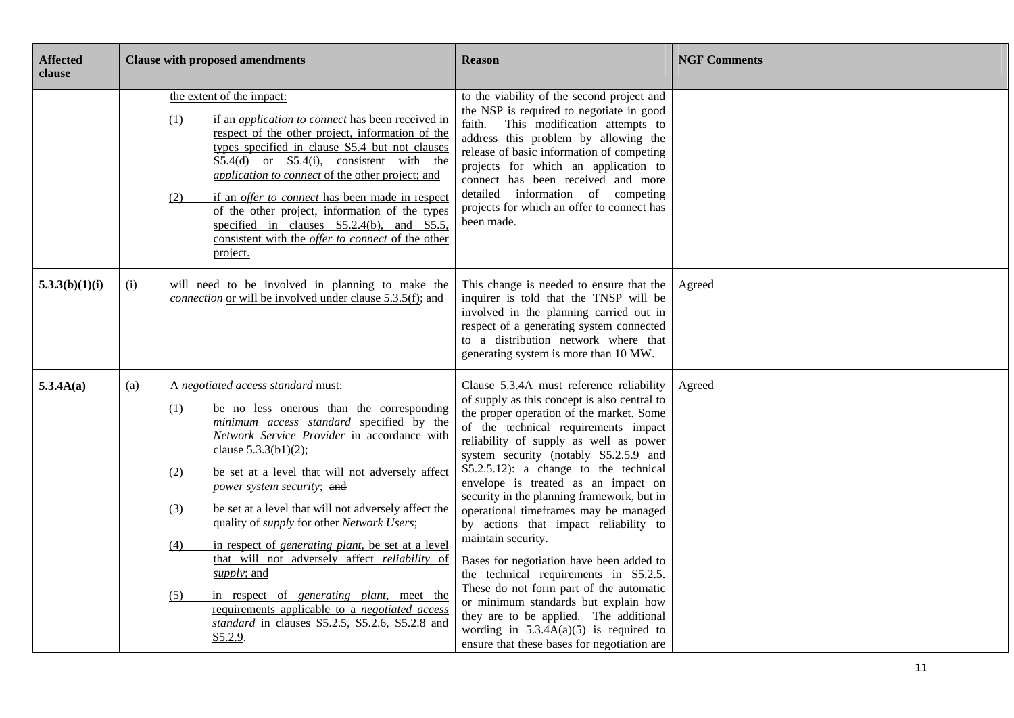| <b>Affected</b><br>clause | <b>Clause with proposed amendments</b>                                                                                                                                                                                                                                                                                                                                                                                                                                                                                                                                                                                                                                                                                                             | <b>Reason</b>                                                                                                                                                                                                                                                                                                                                                                                                                                                                                                                                                                                                                                                                                                                                                                                                        | <b>NGF Comments</b> |
|---------------------------|----------------------------------------------------------------------------------------------------------------------------------------------------------------------------------------------------------------------------------------------------------------------------------------------------------------------------------------------------------------------------------------------------------------------------------------------------------------------------------------------------------------------------------------------------------------------------------------------------------------------------------------------------------------------------------------------------------------------------------------------------|----------------------------------------------------------------------------------------------------------------------------------------------------------------------------------------------------------------------------------------------------------------------------------------------------------------------------------------------------------------------------------------------------------------------------------------------------------------------------------------------------------------------------------------------------------------------------------------------------------------------------------------------------------------------------------------------------------------------------------------------------------------------------------------------------------------------|---------------------|
|                           | the extent of the impact:<br>if an <i>application to connect</i> has been received in<br>(1)<br>respect of the other project, information of the<br>types specified in clause S5.4 but not clauses<br>$S5.4(d)$ or $S5.4(i)$ , consistent with the<br>application to connect of the other project; and<br>if an <i>offer to connect</i> has been made in respect<br>(2)<br>of the other project, information of the types<br>specified in clauses $S5.2.4(b)$ , and $S5.5$ ,<br>consistent with the offer to connect of the other<br>project.                                                                                                                                                                                                      | to the viability of the second project and<br>the NSP is required to negotiate in good<br>This modification attempts to<br>faith.<br>address this problem by allowing the<br>release of basic information of competing<br>projects for which an application to<br>connect has been received and more<br>detailed information of competing<br>projects for which an offer to connect has<br>been made.                                                                                                                                                                                                                                                                                                                                                                                                                |                     |
| 5.3.3(b)(1)(i)            | will need to be involved in planning to make the<br>(i)<br><i>connection</i> or will be involved under clause 5.3.5(f); and                                                                                                                                                                                                                                                                                                                                                                                                                                                                                                                                                                                                                        | This change is needed to ensure that the<br>inquirer is told that the TNSP will be<br>involved in the planning carried out in<br>respect of a generating system connected<br>to a distribution network where that<br>generating system is more than 10 MW.                                                                                                                                                                                                                                                                                                                                                                                                                                                                                                                                                           | Agreed              |
| 5.3.4A(a)                 | A negotiated access standard must:<br>(a)<br>be no less onerous than the corresponding<br>(1)<br>minimum access standard specified by the<br>Network Service Provider in accordance with<br>clause 5.3.3(b1)(2);<br>be set at a level that will not adversely affect<br>(2)<br>power system security; and<br>be set at a level that will not adversely affect the<br>(3)<br>quality of <i>supply</i> for other Network Users;<br>in respect of <i>generating plant</i> , be set at a level<br>(4)<br>that will not adversely affect reliability of<br>supply; and<br>in respect of <i>generating plant</i> , meet the<br>(5)<br>requirements applicable to a <i>negotiated access</i><br>standard in clauses S5.2.5, S5.2.6, S5.2.8 and<br>S5.2.9. | Clause 5.3.4A must reference reliability<br>of supply as this concept is also central to<br>the proper operation of the market. Some<br>of the technical requirements impact<br>reliability of supply as well as power<br>system security (notably S5.2.5.9 and<br>$S5.2.5.12$ : a change to the technical<br>envelope is treated as an impact on<br>security in the planning framework, but in<br>operational timeframes may be managed<br>by actions that impact reliability to<br>maintain security.<br>Bases for negotiation have been added to<br>the technical requirements in S5.2.5.<br>These do not form part of the automatic<br>or minimum standards but explain how<br>they are to be applied. The additional<br>wording in $5.3.4A(a)(5)$ is required to<br>ensure that these bases for negotiation are | Agreed              |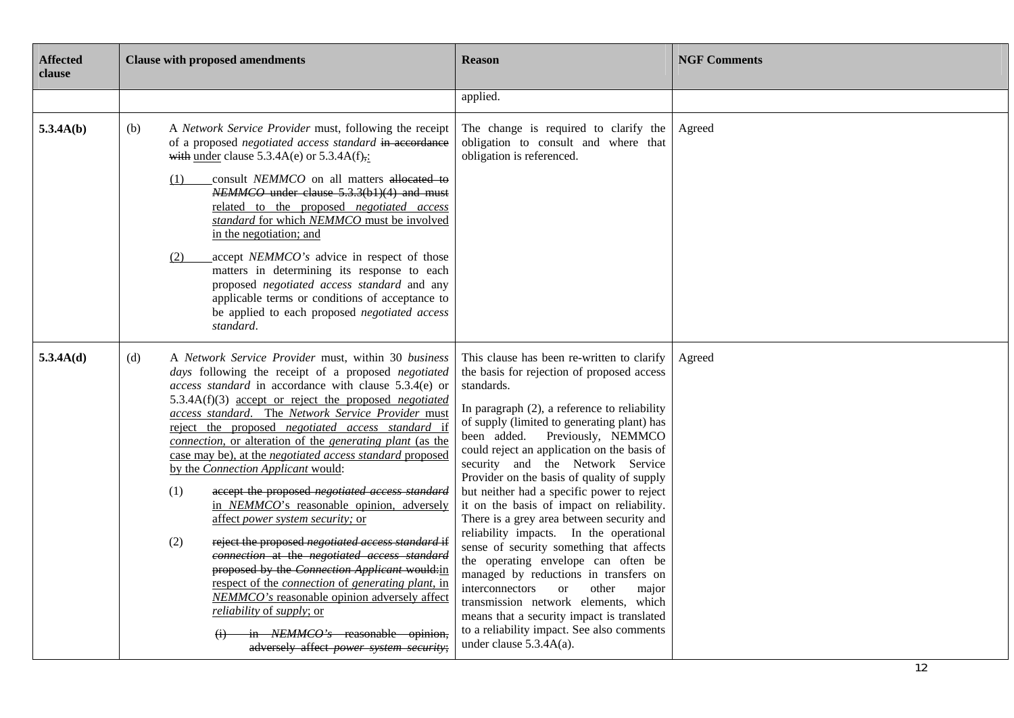| <b>Affected</b><br>clause |     | <b>Clause with proposed amendments</b>                                                                                                                                                                                                                                                                                                                                                                                                                                                                                                                                                                                                                                                                                                                                                                                                                                                                                                                                                                                                                                           | <b>Reason</b>                                                                                                                                                                                                                                                                                                                                                                                                                                                                                                                                                                                                                                                                                                                                                                                                                                                                                                | <b>NGF Comments</b> |
|---------------------------|-----|----------------------------------------------------------------------------------------------------------------------------------------------------------------------------------------------------------------------------------------------------------------------------------------------------------------------------------------------------------------------------------------------------------------------------------------------------------------------------------------------------------------------------------------------------------------------------------------------------------------------------------------------------------------------------------------------------------------------------------------------------------------------------------------------------------------------------------------------------------------------------------------------------------------------------------------------------------------------------------------------------------------------------------------------------------------------------------|--------------------------------------------------------------------------------------------------------------------------------------------------------------------------------------------------------------------------------------------------------------------------------------------------------------------------------------------------------------------------------------------------------------------------------------------------------------------------------------------------------------------------------------------------------------------------------------------------------------------------------------------------------------------------------------------------------------------------------------------------------------------------------------------------------------------------------------------------------------------------------------------------------------|---------------------|
|                           |     |                                                                                                                                                                                                                                                                                                                                                                                                                                                                                                                                                                                                                                                                                                                                                                                                                                                                                                                                                                                                                                                                                  | applied.                                                                                                                                                                                                                                                                                                                                                                                                                                                                                                                                                                                                                                                                                                                                                                                                                                                                                                     |                     |
| 5.3.4A(b)                 | (b) | A Network Service Provider must, following the receipt<br>of a proposed negotiated access standard in accordance<br>with under clause $5.3.4A(e)$ or $5.3.4A(f)$ .<br>consult NEMMCO on all matters allocated to<br>(1)<br>NEMMCO under clause 5.3.3(b1)(4) and must<br>related to the proposed negotiated access<br>standard for which NEMMCO must be involved<br>in the negotiation; and<br>accept NEMMCO's advice in respect of those<br>(2)<br>matters in determining its response to each<br>proposed negotiated access standard and any<br>applicable terms or conditions of acceptance to<br>be applied to each proposed negotiated access<br>standard.                                                                                                                                                                                                                                                                                                                                                                                                                   | The change is required to clarify the<br>obligation to consult and where that<br>obligation is referenced.                                                                                                                                                                                                                                                                                                                                                                                                                                                                                                                                                                                                                                                                                                                                                                                                   | Agreed              |
| 5.3.4A(d)                 | (d) | A Network Service Provider must, within 30 business<br>days following the receipt of a proposed negotiated<br>access standard in accordance with clause 5.3.4(e) or<br>5.3.4A(f)(3) <u>accept or reject the proposed <i>negotiated</i></u><br>access standard. The Network Service Provider must<br>reject the proposed negotiated access standard if<br>connection, or alteration of the generating plant (as the<br>case may be), at the <i>negotiated access standard</i> proposed<br>by the Connection Applicant would:<br>(1)<br>accept the proposed negotiated access standard<br>in NEMMCO's reasonable opinion, adversely<br>affect power system security; or<br>(2)<br>reject the proposed negotiated access standard if<br>connection at the negotiated access standard<br>proposed by the Connection Applicant would:in<br>respect of the <i>connection</i> of <i>generating plant</i> , in<br>NEMMCO's reasonable opinion adversely affect<br><i>reliability</i> of <i>supply</i> ; or<br>in NEMMCO's reasonable opinion,<br>adversely affect power system security; | This clause has been re-written to clarify<br>the basis for rejection of proposed access<br>standards.<br>In paragraph (2), a reference to reliability<br>of supply (limited to generating plant) has<br>been added. Previously, NEMMCO<br>could reject an application on the basis of<br>security and the Network Service<br>Provider on the basis of quality of supply<br>but neither had a specific power to reject<br>it on the basis of impact on reliability.<br>There is a grey area between security and<br>reliability impacts. In the operational<br>sense of security something that affects<br>the operating envelope can often be<br>managed by reductions in transfers on<br>interconnectors<br>other<br><sub>or</sub><br>major<br>transmission network elements, which<br>means that a security impact is translated<br>to a reliability impact. See also comments<br>under clause 5.3.4A(a). | Agreed              |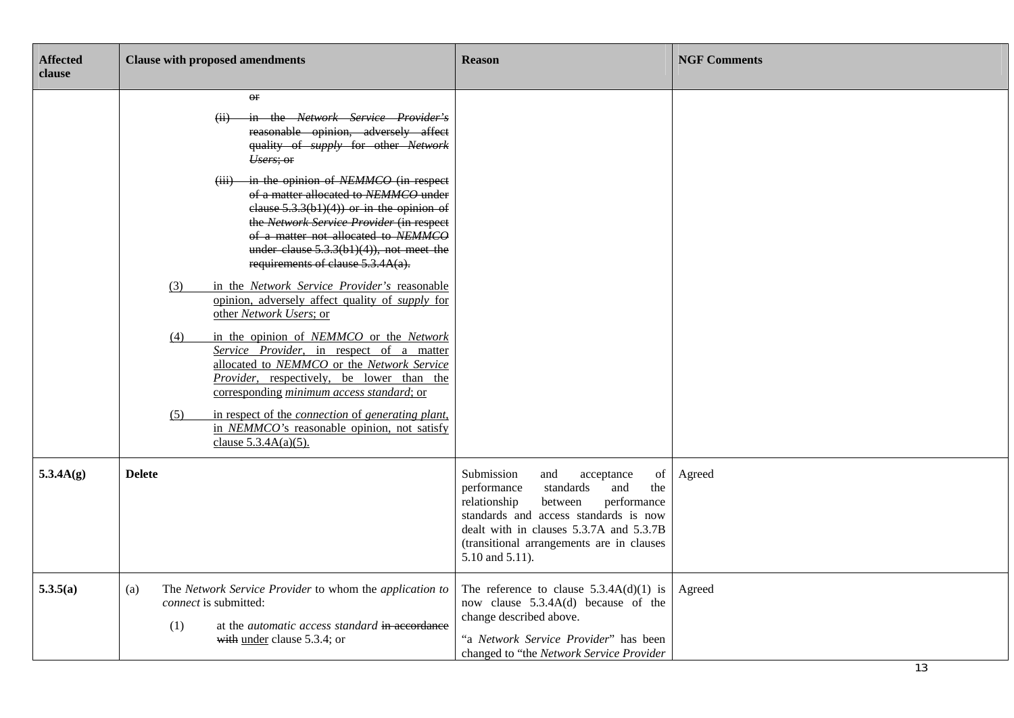| <b>Affected</b><br>clause | <b>Clause with proposed amendments</b>                                                                                                                                                                                                                                                                                                                                                                                                                                                                                                                                                                                                                                                                                                                                                                                                                                                                                                                                                                                | <b>Reason</b>                                                                                                                                                                                                                                                                 | <b>NGF Comments</b> |
|---------------------------|-----------------------------------------------------------------------------------------------------------------------------------------------------------------------------------------------------------------------------------------------------------------------------------------------------------------------------------------------------------------------------------------------------------------------------------------------------------------------------------------------------------------------------------------------------------------------------------------------------------------------------------------------------------------------------------------------------------------------------------------------------------------------------------------------------------------------------------------------------------------------------------------------------------------------------------------------------------------------------------------------------------------------|-------------------------------------------------------------------------------------------------------------------------------------------------------------------------------------------------------------------------------------------------------------------------------|---------------------|
|                           | $\Theta$ r<br>in the Network Service Provider's<br>reasonable opinion, adversely affect<br>quality of supply for other Network<br>Users; or<br>in the opinion of NEMMCO (in respect<br>$\overline{(iii)}$<br>of a matter allocated to NEMMCO under<br>clause $5.3.3(b1)(4)$ or in the opinion of<br>the Network Service Provider (in respect<br>of a matter not allocated to NEMMCO<br>under clause $5.3.3(b1)(4)$ , not meet the<br>requirements of clause 5.3.4A(a).<br>in the Network Service Provider's reasonable<br>(3)<br>opinion, adversely affect quality of <i>supply</i> for<br>other Network Users; or<br>in the opinion of NEMMCO or the Network<br>(4)<br>Service Provider, in respect of a matter<br>allocated to NEMMCO or the Network Service<br><i>Provider</i> , respectively, be lower than the<br>corresponding minimum access standard; or<br>in respect of the <i>connection</i> of <i>generating plant</i> ,<br>(5)<br>in NEMMCO's reasonable opinion, not satisfy<br>clause $5.3.4A(a)(5)$ . |                                                                                                                                                                                                                                                                               |                     |
| 5.3.4A(g)                 | <b>Delete</b>                                                                                                                                                                                                                                                                                                                                                                                                                                                                                                                                                                                                                                                                                                                                                                                                                                                                                                                                                                                                         | Submission<br>and<br>acceptance<br>of<br>and<br>standards<br>the<br>performance<br>relationship<br>performance<br>between<br>standards and access standards is now<br>dealt with in clauses 5.3.7A and 5.3.7B<br>(transitional arrangements are in clauses<br>5.10 and 5.11). | Agreed              |
| 5.3.5(a)                  | The Network Service Provider to whom the application to<br>(a)<br><i>connect</i> is submitted:<br>at the automatic access standard in accordance<br>(1)<br>with under clause 5.3.4; or                                                                                                                                                                                                                                                                                                                                                                                                                                                                                                                                                                                                                                                                                                                                                                                                                                | The reference to clause $5.3.4A(d)(1)$ is<br>now clause 5.3.4A(d) because of the<br>change described above.<br>"a Network Service Provider" has been<br>changed to "the Network Service Provider                                                                              | Agreed              |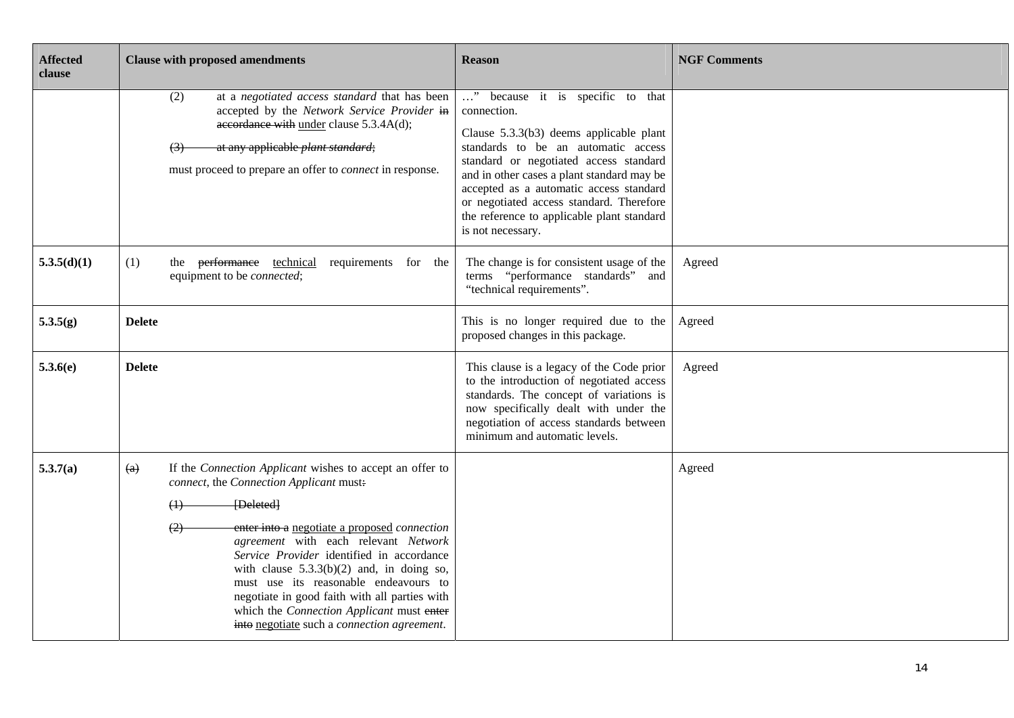| <b>Affected</b><br>clause | <b>Clause with proposed amendments</b>                                                                                                                                                                                                                                                                                                                                                                                                                                                                                                       | <b>Reason</b>                                                                                                                                                                                                                                                                                                                                                                       | <b>NGF Comments</b> |
|---------------------------|----------------------------------------------------------------------------------------------------------------------------------------------------------------------------------------------------------------------------------------------------------------------------------------------------------------------------------------------------------------------------------------------------------------------------------------------------------------------------------------------------------------------------------------------|-------------------------------------------------------------------------------------------------------------------------------------------------------------------------------------------------------------------------------------------------------------------------------------------------------------------------------------------------------------------------------------|---------------------|
|                           | at a negotiated access standard that has been<br>(2)<br>accepted by the Network Service Provider in<br>accordance with under clause 5.3.4A(d);<br>at any applicable <i>plant standard</i> ;<br>(3)<br>must proceed to prepare an offer to <i>connect</i> in response.                                                                                                                                                                                                                                                                        | " because it is specific to that<br>connection.<br>Clause 5.3.3(b3) deems applicable plant<br>standards to be an automatic access<br>standard or negotiated access standard<br>and in other cases a plant standard may be<br>accepted as a automatic access standard<br>or negotiated access standard. Therefore<br>the reference to applicable plant standard<br>is not necessary. |                     |
| 5.3.5(d)(1)               | (1)<br>the performance technical<br>requirements for the<br>equipment to be <i>connected</i> ;                                                                                                                                                                                                                                                                                                                                                                                                                                               | The change is for consistent usage of the<br>terms "performance standards" and<br>"technical requirements".                                                                                                                                                                                                                                                                         | Agreed              |
| 5.3.5(g)                  | <b>Delete</b>                                                                                                                                                                                                                                                                                                                                                                                                                                                                                                                                | This is no longer required due to the<br>proposed changes in this package.                                                                                                                                                                                                                                                                                                          | Agreed              |
| 5.3.6(e)                  | <b>Delete</b>                                                                                                                                                                                                                                                                                                                                                                                                                                                                                                                                | This clause is a legacy of the Code prior<br>to the introduction of negotiated access<br>standards. The concept of variations is<br>now specifically dealt with under the<br>negotiation of access standards between<br>minimum and automatic levels.                                                                                                                               | Agreed              |
| 5.3.7(a)                  | If the Connection Applicant wishes to accept an offer to<br>$\left( a\right)$<br>connect, the Connection Applicant must:<br>[Deleted]<br>$^{(1)}$<br>enter into a negotiate a proposed connection<br>$\circled{2}$<br>agreement with each relevant Network<br>Service Provider identified in accordance<br>with clause $5.3.3(b)(2)$ and, in doing so,<br>must use its reasonable endeavours to<br>negotiate in good faith with all parties with<br>which the Connection Applicant must enter<br>into negotiate such a connection agreement. |                                                                                                                                                                                                                                                                                                                                                                                     | Agreed              |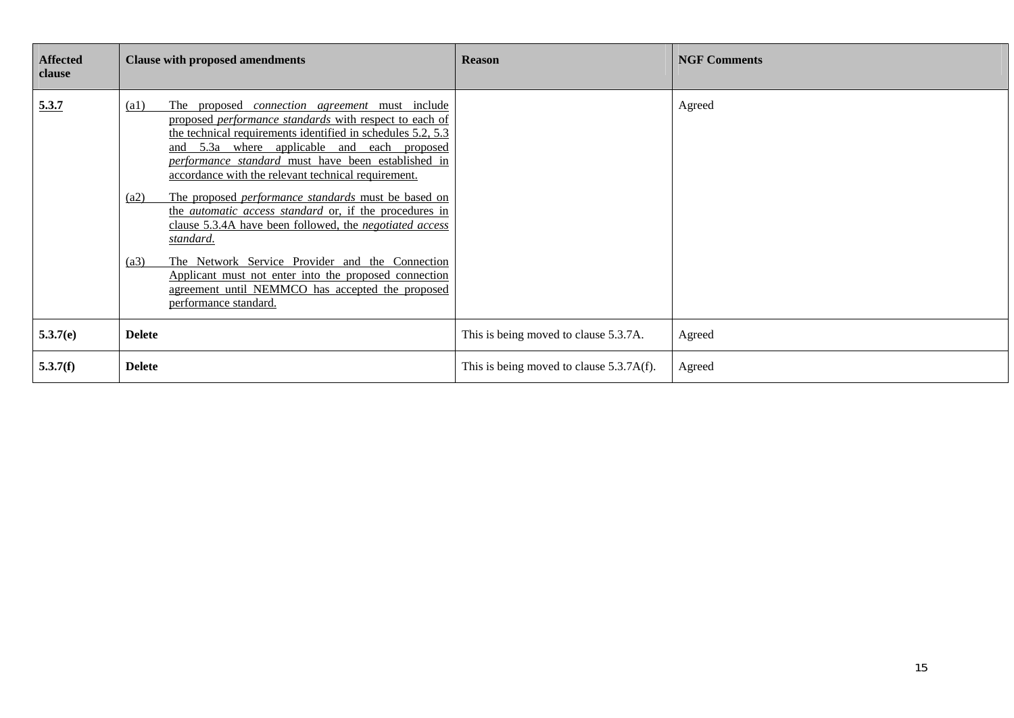| <b>Affected</b><br>clause | <b>Clause with proposed amendments</b>                                                                                                                                                                                                                                                                                                                                                                                                                                                                                                                                                                                                                                                                                                                                                  | <b>Reason</b>                            | <b>NGF Comments</b> |
|---------------------------|-----------------------------------------------------------------------------------------------------------------------------------------------------------------------------------------------------------------------------------------------------------------------------------------------------------------------------------------------------------------------------------------------------------------------------------------------------------------------------------------------------------------------------------------------------------------------------------------------------------------------------------------------------------------------------------------------------------------------------------------------------------------------------------------|------------------------------------------|---------------------|
| 5.3.7                     | $\left( a1\right)$<br>The proposed <i>connection agreement</i> must include<br>proposed <i>performance standards</i> with respect to each of<br>the technical requirements identified in schedules 5.2, 5.3<br>and 5.3a where applicable and each proposed<br>performance standard must have been established in<br>accordance with the relevant technical requirement.<br>The proposed <i>performance standards</i> must be based on<br>(a2)<br>the <i>automatic access standard</i> or, if the procedures in<br>clause 5.3.4A have been followed, the negotiated access<br>standard.<br>The Network Service Provider and the Connection<br>(a3)<br>Applicant must not enter into the proposed connection<br>agreement until NEMMCO has accepted the proposed<br>performance standard. |                                          | Agreed              |
| 5.3.7(e)                  | <b>Delete</b>                                                                                                                                                                                                                                                                                                                                                                                                                                                                                                                                                                                                                                                                                                                                                                           | This is being moved to clause 5.3.7A.    | Agreed              |
| 5.3.7(f)                  | <b>Delete</b>                                                                                                                                                                                                                                                                                                                                                                                                                                                                                                                                                                                                                                                                                                                                                                           | This is being moved to clause 5.3.7A(f). | Agreed              |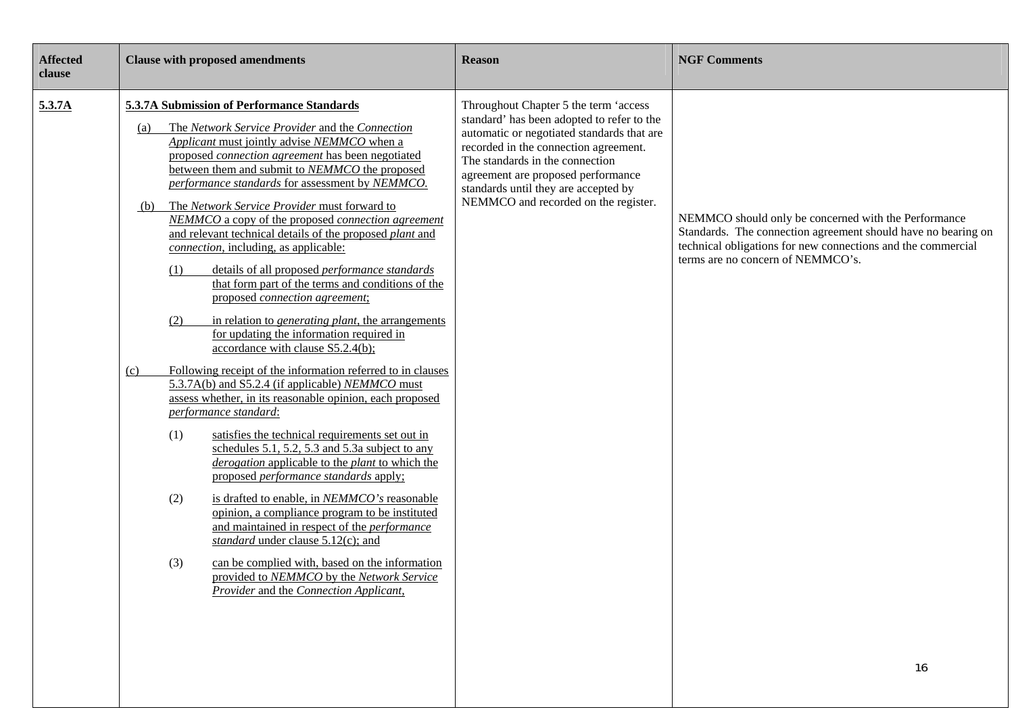| <b>Affected</b><br>clause | <b>Clause with proposed amendments</b>                                                                                                                                                                                                                                                                                                                                                                                                                                                                                                                                                                                                                                                                                                                                                                                                                                                                                                                                                                                                                                                                                                                                                                                                                                                                                                                                                                                                                                                                                                                                                                                          | <b>Reason</b>                                                                                                                                                                                                                                                                                                                       | <b>NGF Comments</b>                                                                                                                                                                                                              |
|---------------------------|---------------------------------------------------------------------------------------------------------------------------------------------------------------------------------------------------------------------------------------------------------------------------------------------------------------------------------------------------------------------------------------------------------------------------------------------------------------------------------------------------------------------------------------------------------------------------------------------------------------------------------------------------------------------------------------------------------------------------------------------------------------------------------------------------------------------------------------------------------------------------------------------------------------------------------------------------------------------------------------------------------------------------------------------------------------------------------------------------------------------------------------------------------------------------------------------------------------------------------------------------------------------------------------------------------------------------------------------------------------------------------------------------------------------------------------------------------------------------------------------------------------------------------------------------------------------------------------------------------------------------------|-------------------------------------------------------------------------------------------------------------------------------------------------------------------------------------------------------------------------------------------------------------------------------------------------------------------------------------|----------------------------------------------------------------------------------------------------------------------------------------------------------------------------------------------------------------------------------|
| 5.3.7A                    | 5.3.7A Submission of Performance Standards<br>The Network Service Provider and the Connection<br>(a)<br>Applicant must jointly advise NEMMCO when a<br>proposed <i>connection agreement</i> has been negotiated<br>between them and submit to NEMMCO the proposed<br>performance standards for assessment by NEMMCO.<br>The Network Service Provider must forward to<br>(b)<br>NEMMCO a copy of the proposed connection agreement<br>and relevant technical details of the proposed plant and<br>connection, including, as applicable:<br>details of all proposed <i>performance</i> standards<br>(1)<br>that form part of the terms and conditions of the<br>proposed connection agreement;<br>(2)<br>in relation to <i>generating plant</i> , the arrangements<br>for updating the information required in<br>accordance with clause S5.2.4(b);<br>Following receipt of the information referred to in clauses<br>(c)<br>5.3.7A(b) and S5.2.4 (if applicable) NEMMCO must<br>assess whether, in its reasonable opinion, each proposed<br>performance standard:<br>satisfies the technical requirements set out in<br>(1)<br>schedules 5.1, 5.2, 5.3 and 5.3a subject to any<br>derogation applicable to the plant to which the<br>proposed performance standards apply;<br>is drafted to enable, in NEMMCO's reasonable<br>(2)<br>opinion, a compliance program to be instituted<br>and maintained in respect of the <i>performance</i><br>standard under clause 5.12(c); and<br>(3)<br>can be complied with, based on the information<br>provided to NEMMCO by the Network Service<br>Provider and the Connection Applicant, | Throughout Chapter 5 the term 'access<br>standard' has been adopted to refer to the<br>automatic or negotiated standards that are<br>recorded in the connection agreement.<br>The standards in the connection<br>agreement are proposed performance<br>standards until they are accepted by<br>NEMMCO and recorded on the register. | NEMMCO should only be concerned with the Performance<br>Standards. The connection agreement should have no bearing on<br>technical obligations for new connections and the commercial<br>terms are no concern of NEMMCO's.<br>16 |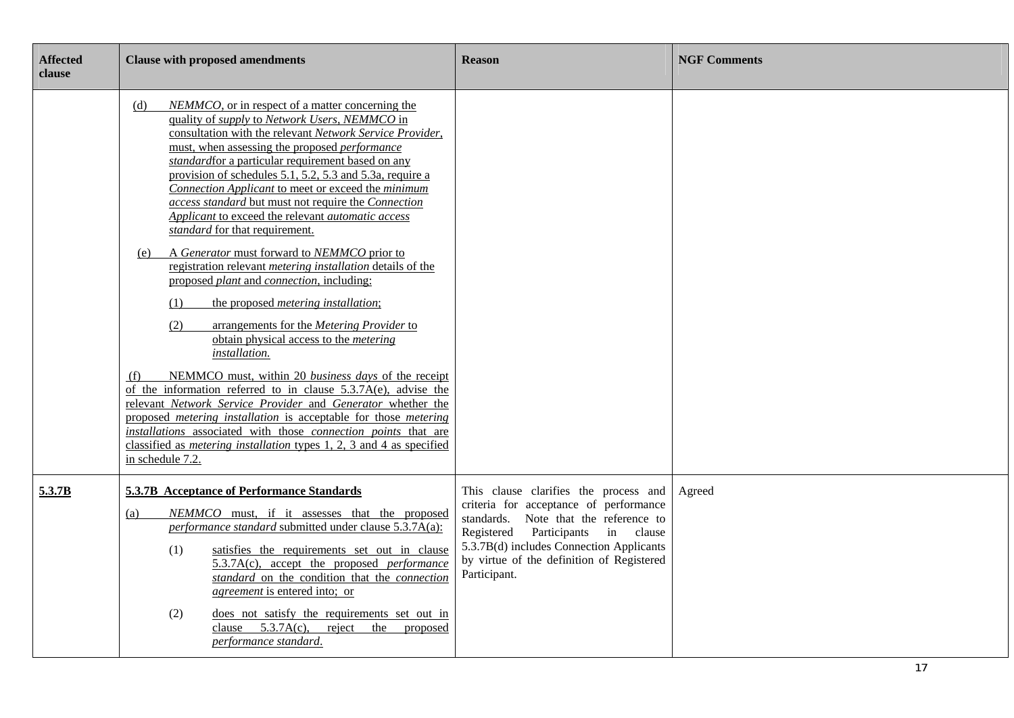| <b>Affected</b><br>clause | <b>Clause with proposed amendments</b>                                                                                                                                                                                                                                                                                                                                                                                                                                                                                                                                                                                                                                                                                                                                                                                                                                                                                                                                                                                                                                                                                                                                                          | <b>Reason</b>                                                                                                                                                                                                                                                          | <b>NGF Comments</b> |
|---------------------------|-------------------------------------------------------------------------------------------------------------------------------------------------------------------------------------------------------------------------------------------------------------------------------------------------------------------------------------------------------------------------------------------------------------------------------------------------------------------------------------------------------------------------------------------------------------------------------------------------------------------------------------------------------------------------------------------------------------------------------------------------------------------------------------------------------------------------------------------------------------------------------------------------------------------------------------------------------------------------------------------------------------------------------------------------------------------------------------------------------------------------------------------------------------------------------------------------|------------------------------------------------------------------------------------------------------------------------------------------------------------------------------------------------------------------------------------------------------------------------|---------------------|
|                           | NEMMCO, or in respect of a matter concerning the<br>(d)<br>quality of <i>supply</i> to <i>Network Users</i> , <i>NEMMCO</i> in<br>consultation with the relevant Network Service Provider,<br>must, when assessing the proposed <i>performance</i><br>standardfor a particular requirement based on any<br>provision of schedules 5.1, 5.2, 5.3 and 5.3a, require a<br>Connection Applicant to meet or exceed the minimum<br>access standard but must not require the Connection<br>Applicant to exceed the relevant automatic access<br>standard for that requirement.<br>A Generator must forward to NEMMCO prior to<br>(e)<br>registration relevant <i>metering</i> installation details of the<br>proposed plant and connection, including:<br>the proposed <i>metering</i> installation;<br>(1)<br>arrangements for the Metering Provider to<br>(2)<br>obtain physical access to the <i>metering</i><br>installation.<br>NEMMCO must, within 20 business days of the receipt<br>(f)<br>of the information referred to in clause $5.3.7A(e)$ , advise the<br>relevant Network Service Provider and Generator whether the<br>proposed metering installation is acceptable for those metering |                                                                                                                                                                                                                                                                        |                     |
|                           | installations associated with those connection points that are<br>classified as <i>metering installation</i> types 1, 2, 3 and 4 as specified<br>in schedule 7.2.                                                                                                                                                                                                                                                                                                                                                                                                                                                                                                                                                                                                                                                                                                                                                                                                                                                                                                                                                                                                                               |                                                                                                                                                                                                                                                                        |                     |
| 5.3.7B                    | 5.3.7B Acceptance of Performance Standards<br>NEMMCO must, if it assesses that the proposed<br>(a)<br>performance standard submitted under clause 5.3.7A(a):<br>satisfies the requirements set out in clause<br>(1)<br>$5.3.7A(c)$ , accept the proposed <i>performance</i><br>standard on the condition that the connection<br><i>agreement</i> is entered into; or<br>does not satisfy the requirements set out in<br>(2)<br>clause $5.3.7A(c)$ ,<br>reject<br>the<br>proposed<br>performance standard.                                                                                                                                                                                                                                                                                                                                                                                                                                                                                                                                                                                                                                                                                       | This clause clarifies the process and<br>criteria for acceptance of performance<br>standards. Note that the reference to<br>Registered Participants in clause<br>5.3.7B(d) includes Connection Applicants<br>by virtue of the definition of Registered<br>Participant. | Agreed              |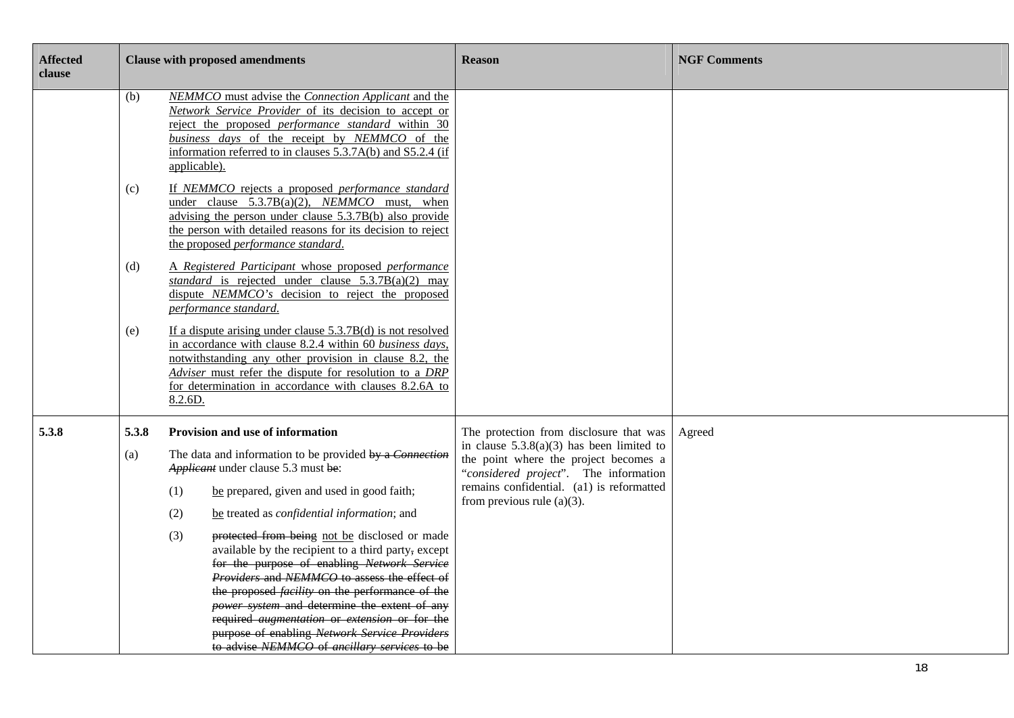| <b>Affected</b><br>clause |              | <b>Clause with proposed amendments</b>                                                                                                                                                                                                                                                                                                                                                                                                                                                                                                                                                                                                                                                                                                        | <b>Reason</b>                                                                                                                                                                                                                                          | <b>NGF Comments</b> |
|---------------------------|--------------|-----------------------------------------------------------------------------------------------------------------------------------------------------------------------------------------------------------------------------------------------------------------------------------------------------------------------------------------------------------------------------------------------------------------------------------------------------------------------------------------------------------------------------------------------------------------------------------------------------------------------------------------------------------------------------------------------------------------------------------------------|--------------------------------------------------------------------------------------------------------------------------------------------------------------------------------------------------------------------------------------------------------|---------------------|
|                           | (b)          | NEMMCO must advise the Connection Applicant and the<br>Network Service Provider of its decision to accept or<br>reject the proposed <i>performance</i> standard within 30<br>business days of the receipt by NEMMCO of the<br>information referred to in clauses 5.3.7A(b) and S5.2.4 (if<br>applicable).                                                                                                                                                                                                                                                                                                                                                                                                                                     |                                                                                                                                                                                                                                                        |                     |
|                           | (c)          | If NEMMCO rejects a proposed performance standard<br>under clause $5.3.7B(a)(2)$ , <i>NEMMCO</i> must, when<br>advising the person under clause 5.3.7B(b) also provide<br>the person with detailed reasons for its decision to reject<br>the proposed performance standard.                                                                                                                                                                                                                                                                                                                                                                                                                                                                   |                                                                                                                                                                                                                                                        |                     |
|                           | (d)          | A Registered Participant whose proposed performance<br>standard is rejected under clause $5.3.7B(a)(2)$ may<br>dispute NEMMCO's decision to reject the proposed<br>performance standard.                                                                                                                                                                                                                                                                                                                                                                                                                                                                                                                                                      |                                                                                                                                                                                                                                                        |                     |
|                           | (e)          | If a dispute arising under clause $5.3.7B(d)$ is not resolved<br>in accordance with clause 8.2.4 within 60 business days,<br>notwithstanding any other provision in clause 8.2, the<br>Adviser must refer the dispute for resolution to a DRP<br>for determination in accordance with clauses 8.2.6A to<br>8.2.6D.                                                                                                                                                                                                                                                                                                                                                                                                                            |                                                                                                                                                                                                                                                        |                     |
| 5.3.8                     | 5.3.8<br>(a) | Provision and use of information<br>The data and information to be provided by a Connection<br>Applicant under clause 5.3 must be:<br>be prepared, given and used in good faith;<br>(1)<br>(2)<br>be treated as <i>confidential information</i> ; and<br>protected from being not be disclosed or made<br>(3)<br>available by the recipient to a third party, except<br>for the purpose of enabling Network Service<br>Providers and NEMMCO to assess the effect of<br>the proposed <i>facility</i> on the performance of the<br>power system and determine the extent of any<br>required <i>augmentation</i> or <i>extension</i> or for the<br>purpose of enabling Network Service Providers<br>to advise NEMMCO of ancillary services to be | The protection from disclosure that was<br>in clause $5.3.8(a)(3)$ has been limited to<br>the point where the project becomes a<br>"considered project". The information<br>remains confidential. (a1) is reformatted<br>from previous rule $(a)(3)$ . | Agreed              |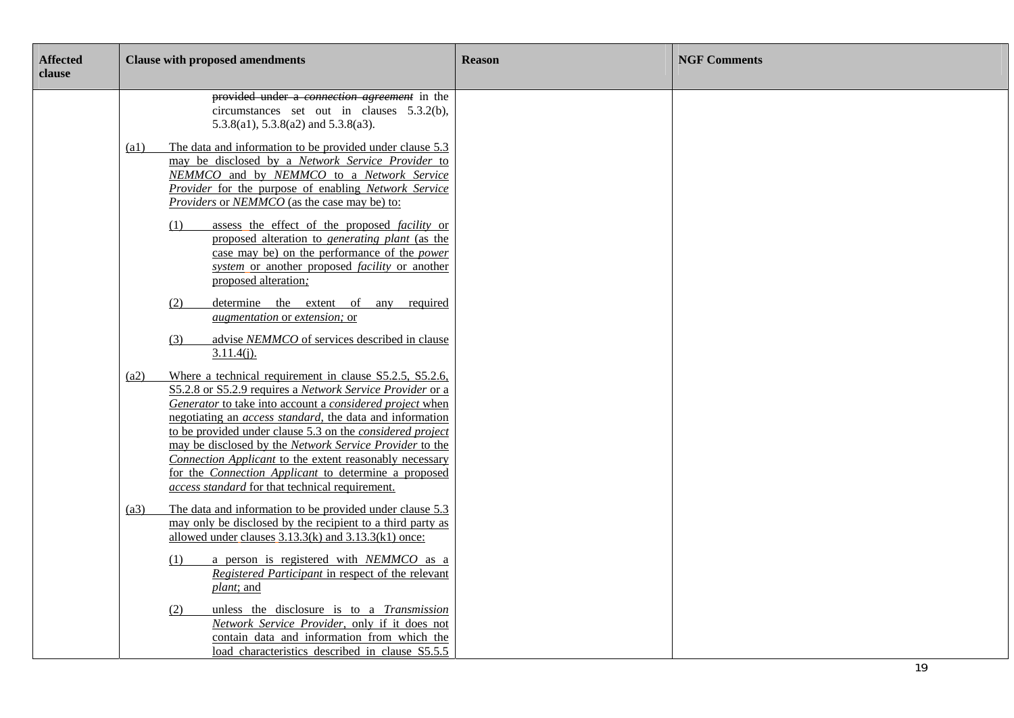| <b>Affected</b><br>clause | <b>Clause with proposed amendments</b>                                                                                                                                                                                                                                                                                                                                                                                                                                                                                                                     | <b>Reason</b> | <b>NGF Comments</b> |
|---------------------------|------------------------------------------------------------------------------------------------------------------------------------------------------------------------------------------------------------------------------------------------------------------------------------------------------------------------------------------------------------------------------------------------------------------------------------------------------------------------------------------------------------------------------------------------------------|---------------|---------------------|
|                           | provided under a <i>connection agreement</i> in the<br>circumstances set out in clauses $5.3.2(b)$ ,<br>$5.3.8(a1)$ , $5.3.8(a2)$ and $5.3.8(a3)$ .                                                                                                                                                                                                                                                                                                                                                                                                        |               |                     |
|                           | The data and information to be provided under clause 5.3<br>$\left( a1\right)$<br>may be disclosed by a Network Service Provider to<br>NEMMCO and by NEMMCO to a Network Service<br>Provider for the purpose of enabling Network Service<br><i>Providers</i> or <i>NEMMCO</i> (as the case may be) to:                                                                                                                                                                                                                                                     |               |                     |
|                           | assess the effect of the proposed <i>facility</i> or<br>(1)<br>proposed alteration to <i>generating plant</i> (as the<br>case may be) on the performance of the <i>power</i><br>system or another proposed facility or another<br>proposed alteration;                                                                                                                                                                                                                                                                                                     |               |                     |
|                           | determine the extent of<br>any required<br>(2)<br><i>augmentation</i> or <i>extension</i> ; or                                                                                                                                                                                                                                                                                                                                                                                                                                                             |               |                     |
|                           | advise NEMMCO of services described in clause<br>(3)<br>$3.11.4(j)$ .                                                                                                                                                                                                                                                                                                                                                                                                                                                                                      |               |                     |
|                           | Where a technical requirement in clause S5.2.5, S5.2.6,<br>(a2)<br>S5.2.8 or S5.2.9 requires a Network Service Provider or a<br>Generator to take into account a considered project when<br>negotiating an <i>access standard</i> , the data and information<br>to be provided under clause 5.3 on the considered project<br>may be disclosed by the Network Service Provider to the<br>Connection Applicant to the extent reasonably necessary<br>for the Connection Applicant to determine a proposed<br>access standard for that technical requirement. |               |                     |
|                           | The data and information to be provided under clause 5.3<br>(a3)<br>may only be disclosed by the recipient to a third party as<br>allowed under clauses $3.13.3(k)$ and $3.13.3(k1)$ once:<br>a person is registered with NEMMCO as a<br>(1)<br>Registered Participant in respect of the relevant                                                                                                                                                                                                                                                          |               |                     |
|                           | plant; and<br>unless the disclosure is to a Transmission<br>(2)<br>Network Service Provider, only if it does not<br>contain data and information from which the<br>load characteristics described in clause S5.5.5                                                                                                                                                                                                                                                                                                                                         |               | 19                  |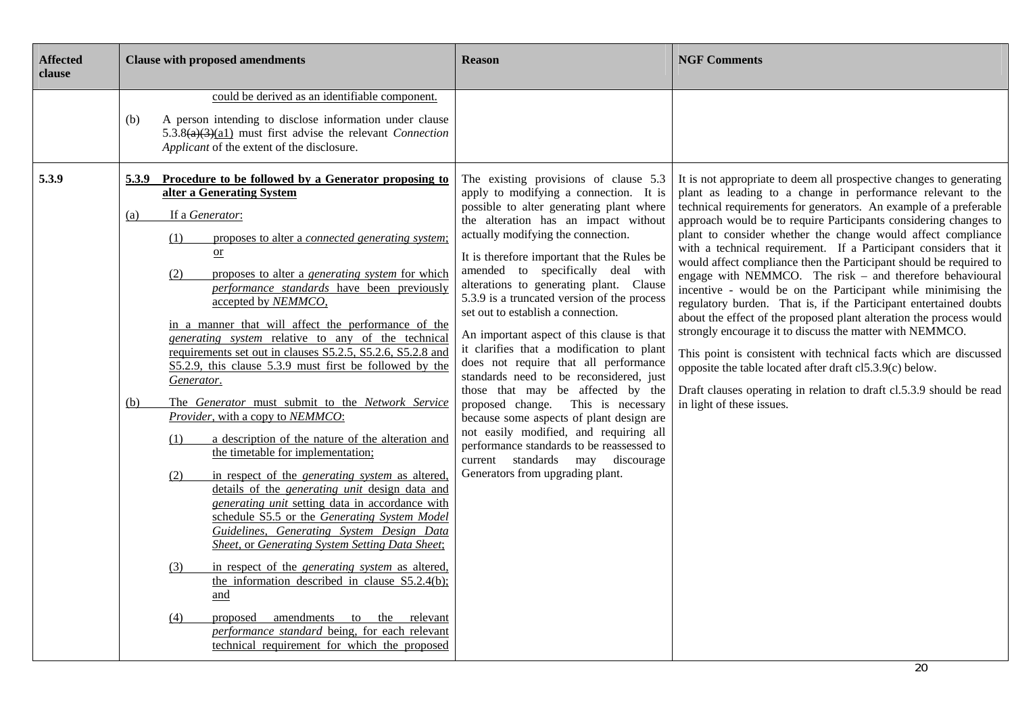| <b>Affected</b><br>clause | <b>Clause with proposed amendments</b>                                                                                                                                                                                                                                                                                                                                                                                                                                                                                                                                                                                                                                                                                                                                                                                                                                                                                                                                                                                                                                                                                                                                                                                                                                                                                        | <b>Reason</b>                                                                                                                                                                                                                                                                                                                                                                                                                                                                                                                                                                                                                                                                                                                                                       | <b>NGF Comments</b>                                                                                                                                                                                                                                                                                                                                                                                                                                                                                                                                                                                                                                                                                                                                                                                                                                        |
|---------------------------|-------------------------------------------------------------------------------------------------------------------------------------------------------------------------------------------------------------------------------------------------------------------------------------------------------------------------------------------------------------------------------------------------------------------------------------------------------------------------------------------------------------------------------------------------------------------------------------------------------------------------------------------------------------------------------------------------------------------------------------------------------------------------------------------------------------------------------------------------------------------------------------------------------------------------------------------------------------------------------------------------------------------------------------------------------------------------------------------------------------------------------------------------------------------------------------------------------------------------------------------------------------------------------------------------------------------------------|---------------------------------------------------------------------------------------------------------------------------------------------------------------------------------------------------------------------------------------------------------------------------------------------------------------------------------------------------------------------------------------------------------------------------------------------------------------------------------------------------------------------------------------------------------------------------------------------------------------------------------------------------------------------------------------------------------------------------------------------------------------------|------------------------------------------------------------------------------------------------------------------------------------------------------------------------------------------------------------------------------------------------------------------------------------------------------------------------------------------------------------------------------------------------------------------------------------------------------------------------------------------------------------------------------------------------------------------------------------------------------------------------------------------------------------------------------------------------------------------------------------------------------------------------------------------------------------------------------------------------------------|
| 5.3.9                     | could be derived as an identifiable component.<br>A person intending to disclose information under clause<br>(b)<br>$5.3.8(a)(3)(a1)$ must first advise the relevant Connection<br>Applicant of the extent of the disclosure.<br>Procedure to be followed by a Generator proposing to<br>5.3.9<br>alter a Generating System                                                                                                                                                                                                                                                                                                                                                                                                                                                                                                                                                                                                                                                                                                                                                                                                                                                                                                                                                                                                   | The existing provisions of clause 5.3<br>apply to modifying a connection. It is<br>possible to alter generating plant where                                                                                                                                                                                                                                                                                                                                                                                                                                                                                                                                                                                                                                         | It is not appropriate to deem all prospective changes to generating<br>plant as leading to a change in performance relevant to the<br>technical requirements for generators. An example of a preferable                                                                                                                                                                                                                                                                                                                                                                                                                                                                                                                                                                                                                                                    |
|                           | If a Generator:<br>(a)<br>proposes to alter a <i>connected generating system</i> ;<br>(1)<br>$\overline{\text{or}}$<br>proposes to alter a <i>generating system</i> for which<br>(2)<br>performance standards have been previously<br>accepted by NEMMCO,<br>in a manner that will affect the performance of the<br>generating system relative to any of the technical<br>requirements set out in clauses S5.2.5, S5.2.6, S5.2.8 and<br>S5.2.9, this clause 5.3.9 must first be followed by the<br>Generator.<br>The Generator must submit to the Network Service<br>(b)<br>Provider, with a copy to NEMMCO:<br>a description of the nature of the alteration and<br>(1)<br>the timetable for implementation;<br>in respect of the <i>generating system</i> as altered,<br>(2)<br>details of the <i>generating unit</i> design data and<br>generating unit setting data in accordance with<br>schedule S5.5 or the Generating System Model<br>Guidelines, Generating System Design Data<br>Sheet, or Generating System Setting Data Sheet;<br>in respect of the <i>generating system</i> as altered,<br>(3)<br>the information described in clause S5.2.4(b);<br>and<br>amendments to the relevant<br>proposed<br>(4)<br><i>performance standard</i> being, for each relevant<br>technical requirement for which the proposed | the alteration has an impact without<br>actually modifying the connection.<br>It is therefore important that the Rules be<br>amended to specifically deal with<br>alterations to generating plant. Clause<br>5.3.9 is a truncated version of the process<br>set out to establish a connection.<br>An important aspect of this clause is that<br>it clarifies that a modification to plant<br>does not require that all performance<br>standards need to be reconsidered, just<br>those that may be affected by the<br>proposed change. This is necessary<br>because some aspects of plant design are<br>not easily modified, and requiring all<br>performance standards to be reassessed to<br>current standards may discourage<br>Generators from upgrading plant. | approach would be to require Participants considering changes to<br>plant to consider whether the change would affect compliance<br>with a technical requirement. If a Participant considers that it<br>would affect compliance then the Participant should be required to<br>engage with NEMMCO. The risk - and therefore behavioural<br>incentive - would be on the Participant while minimising the<br>regulatory burden. That is, if the Participant entertained doubts<br>about the effect of the proposed plant alteration the process would<br>strongly encourage it to discuss the matter with NEMMCO.<br>This point is consistent with technical facts which are discussed<br>opposite the table located after draft cl5.3.9(c) below.<br>Draft clauses operating in relation to draft cl.5.3.9 should be read<br>in light of these issues.<br>20 |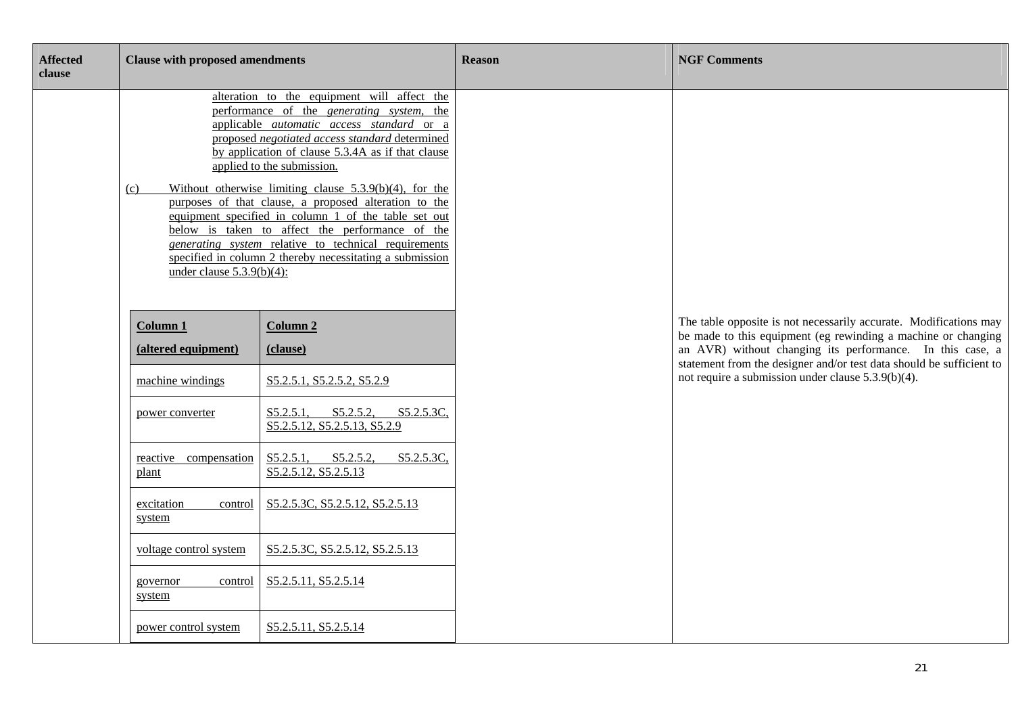| <b>Affected</b><br>clause | <b>Clause with proposed amendments</b> |                                                                                                                                                                                                                                                                                                                                                                                                                                                                                                                                                                                                                                               | <b>Reason</b> | <b>NGF Comments</b>                                                                                                                                                                                                                                                     |
|---------------------------|----------------------------------------|-----------------------------------------------------------------------------------------------------------------------------------------------------------------------------------------------------------------------------------------------------------------------------------------------------------------------------------------------------------------------------------------------------------------------------------------------------------------------------------------------------------------------------------------------------------------------------------------------------------------------------------------------|---------------|-------------------------------------------------------------------------------------------------------------------------------------------------------------------------------------------------------------------------------------------------------------------------|
|                           | (c)<br>under clause $5.3.9(b)(4)$ :    | alteration to the equipment will affect the<br>performance of the <i>generating</i> system, the<br>applicable automatic access standard or a<br>proposed negotiated access standard determined<br>by application of clause 5.3.4A as if that clause<br>applied to the submission.<br>Without otherwise limiting clause $5.3.9(b)(4)$ , for the<br>purposes of that clause, a proposed alteration to the<br>equipment specified in column 1 of the table set out<br>below is taken to affect the performance of the<br><i>generating system relative to technical requirements</i><br>specified in column 2 thereby necessitating a submission |               |                                                                                                                                                                                                                                                                         |
|                           | <b>Column 1</b><br>(altered equipment) | <b>Column 2</b><br>(clause)                                                                                                                                                                                                                                                                                                                                                                                                                                                                                                                                                                                                                   |               | The table opposite is not necessarily accurate. Modifications may<br>be made to this equipment (eg rewinding a machine or changing<br>an AVR) without changing its performance. In this case, a<br>statement from the designer and/or test data should be sufficient to |
|                           | machine windings<br>power converter    | S5.2.5.1, S5.2.5.2, S5.2.9<br>S5.2.5.2,<br>S5.2.5.3C<br>S5.2.5.1,<br>S5.2.5.12, S5.2.5.13, S5.2.9                                                                                                                                                                                                                                                                                                                                                                                                                                                                                                                                             |               | not require a submission under clause 5.3.9(b)(4).                                                                                                                                                                                                                      |
|                           | reactive compensation<br>plant         | S5.2.5.1, S5.2.5.2,<br>S5.2.5.3C,<br>S5.2.5.12, S5.2.5.13                                                                                                                                                                                                                                                                                                                                                                                                                                                                                                                                                                                     |               |                                                                                                                                                                                                                                                                         |
|                           | excitation<br>control<br>system        | S5.2.5.3C, S5.2.5.12, S5.2.5.13                                                                                                                                                                                                                                                                                                                                                                                                                                                                                                                                                                                                               |               |                                                                                                                                                                                                                                                                         |
|                           | voltage control system                 | S5.2.5.3C, S5.2.5.12, S5.2.5.13                                                                                                                                                                                                                                                                                                                                                                                                                                                                                                                                                                                                               |               |                                                                                                                                                                                                                                                                         |
|                           | governor<br>control<br>system          | S5.2.5.11, S5.2.5.14                                                                                                                                                                                                                                                                                                                                                                                                                                                                                                                                                                                                                          |               |                                                                                                                                                                                                                                                                         |
|                           | power control system                   | S5.2.5.11, S5.2.5.14                                                                                                                                                                                                                                                                                                                                                                                                                                                                                                                                                                                                                          |               |                                                                                                                                                                                                                                                                         |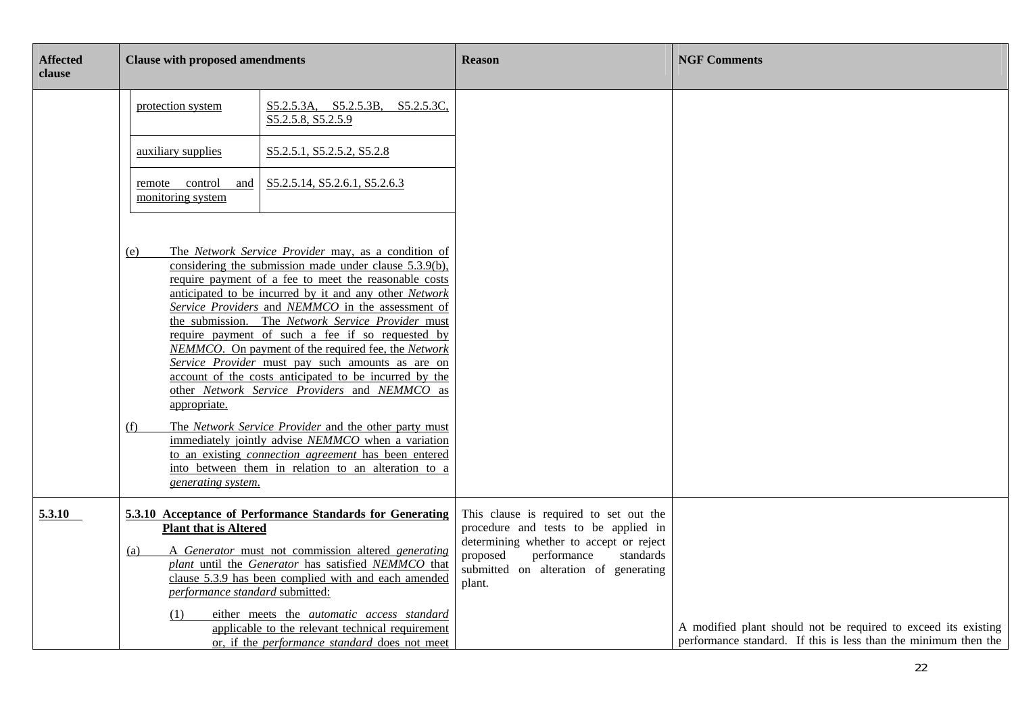| <b>Affected</b><br>clause | <b>Clause with proposed amendments</b>                                                                                                                                                                                                                                                                   |                                                                                                                                                                                                                                                                                                                                                                                                                                                                                                                                                                                                                                                                                                                                                                                                                                                           | <b>Reason</b>                                                                                                                                                                                                        | <b>NGF Comments</b>                                                                                                               |
|---------------------------|----------------------------------------------------------------------------------------------------------------------------------------------------------------------------------------------------------------------------------------------------------------------------------------------------------|-----------------------------------------------------------------------------------------------------------------------------------------------------------------------------------------------------------------------------------------------------------------------------------------------------------------------------------------------------------------------------------------------------------------------------------------------------------------------------------------------------------------------------------------------------------------------------------------------------------------------------------------------------------------------------------------------------------------------------------------------------------------------------------------------------------------------------------------------------------|----------------------------------------------------------------------------------------------------------------------------------------------------------------------------------------------------------------------|-----------------------------------------------------------------------------------------------------------------------------------|
|                           | protection system                                                                                                                                                                                                                                                                                        | S5.2.5.3A, S5.2.5.3B, S5.2.5.3C,<br>S5.2.5.8, S5.2.5.9                                                                                                                                                                                                                                                                                                                                                                                                                                                                                                                                                                                                                                                                                                                                                                                                    |                                                                                                                                                                                                                      |                                                                                                                                   |
|                           | auxiliary supplies                                                                                                                                                                                                                                                                                       | S5.2.5.1, S5.2.5.2, S5.2.8                                                                                                                                                                                                                                                                                                                                                                                                                                                                                                                                                                                                                                                                                                                                                                                                                                |                                                                                                                                                                                                                      |                                                                                                                                   |
|                           | remote control<br>and<br>monitoring system                                                                                                                                                                                                                                                               | S5.2.5.14, S5.2.6.1, S5.2.6.3                                                                                                                                                                                                                                                                                                                                                                                                                                                                                                                                                                                                                                                                                                                                                                                                                             |                                                                                                                                                                                                                      |                                                                                                                                   |
|                           | (e)<br>appropriate.<br>(f)<br>generating system.                                                                                                                                                                                                                                                         | The Network Service Provider may, as a condition of<br>considering the submission made under clause 5.3.9(b),<br>require payment of a fee to meet the reasonable costs<br>anticipated to be incurred by it and any other Network<br>Service Providers and NEMMCO in the assessment of<br>the submission. The Network Service Provider must<br>require payment of such a fee if so requested by<br>NEMMCO. On payment of the required fee, the Network<br>Service Provider must pay such amounts as are on<br>account of the costs anticipated to be incurred by the<br>other Network Service Providers and NEMMCO as<br>The Network Service Provider and the other party must<br>immediately jointly advise NEMMCO when a variation<br>to an existing <i>connection agreement</i> has been entered<br>into between them in relation to an alteration to a |                                                                                                                                                                                                                      |                                                                                                                                   |
| 5.3.10                    | 5.3.10 Acceptance of Performance Standards for Generating<br><b>Plant that is Altered</b><br>A Generator must not commission altered generating<br>(a)<br>plant until the Generator has satisfied NEMMCO that<br>clause 5.3.9 has been complied with and each amended<br>performance standard submitted: |                                                                                                                                                                                                                                                                                                                                                                                                                                                                                                                                                                                                                                                                                                                                                                                                                                                           | This clause is required to set out the<br>procedure and tests to be applied in<br>determining whether to accept or reject<br>proposed<br>performance<br>standards<br>submitted on alteration of generating<br>plant. |                                                                                                                                   |
|                           | (1)                                                                                                                                                                                                                                                                                                      | either meets the <i>automatic</i> access standard<br>applicable to the relevant technical requirement<br>or, if the <i>performance</i> standard does not meet                                                                                                                                                                                                                                                                                                                                                                                                                                                                                                                                                                                                                                                                                             |                                                                                                                                                                                                                      | A modified plant should not be required to exceed its existing<br>performance standard. If this is less than the minimum then the |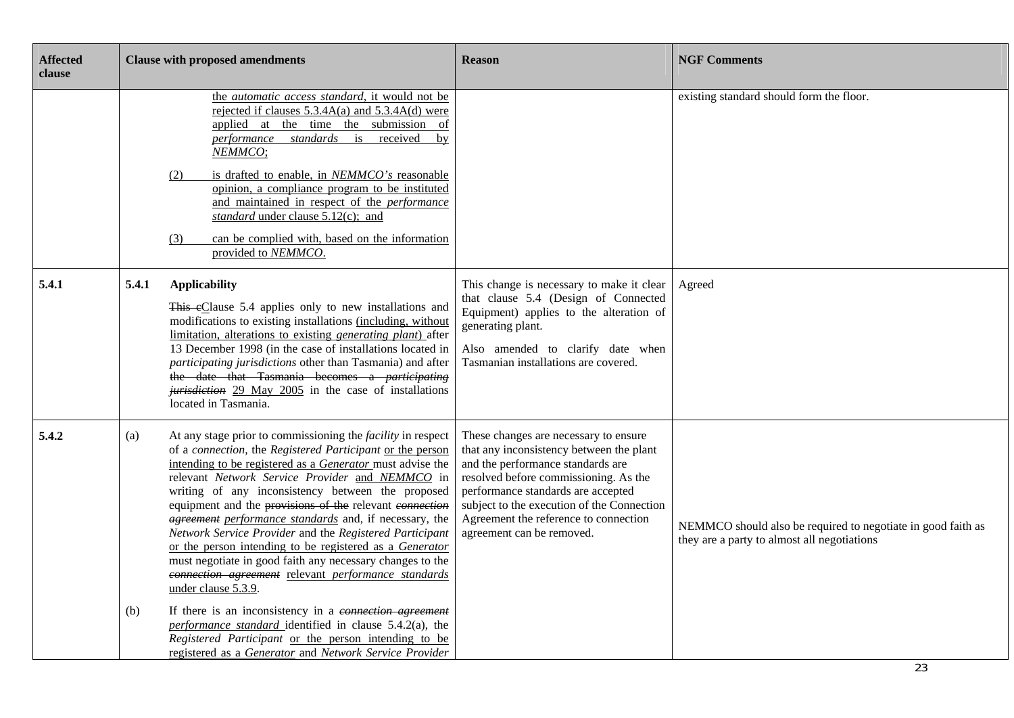| <b>Affected</b><br>clause | <b>Clause with proposed amendments</b>                                                                                                                                                                                                                                                                                                                                                                                                                                                                                                                                                                                                                                                                                                                                                                                                                                                                                                                        | <b>Reason</b>                                                                                                                                                                                                                                                                                                             | <b>NGF Comments</b>                                                                                         |
|---------------------------|---------------------------------------------------------------------------------------------------------------------------------------------------------------------------------------------------------------------------------------------------------------------------------------------------------------------------------------------------------------------------------------------------------------------------------------------------------------------------------------------------------------------------------------------------------------------------------------------------------------------------------------------------------------------------------------------------------------------------------------------------------------------------------------------------------------------------------------------------------------------------------------------------------------------------------------------------------------|---------------------------------------------------------------------------------------------------------------------------------------------------------------------------------------------------------------------------------------------------------------------------------------------------------------------------|-------------------------------------------------------------------------------------------------------------|
|                           | the <i>automatic access standard</i> , it would not be<br>rejected if clauses 5.3.4A(a) and 5.3.4A(d) were<br>applied at the time the submission<br>- of<br><i>performance standards</i> is<br>received<br>by<br>NEMMCO;<br>is drafted to enable, in NEMMCO's reasonable<br>(2)<br>opinion, a compliance program to be instituted<br>and maintained in respect of the <i>performance</i><br>standard under clause 5.12(c); and<br>can be complied with, based on the information<br>(3)<br>provided to NEMMCO.                                                                                                                                                                                                                                                                                                                                                                                                                                                |                                                                                                                                                                                                                                                                                                                           | existing standard should form the floor.                                                                    |
| 5.4.1                     | 5.4.1<br><b>Applicability</b><br>This eClause 5.4 applies only to new installations and<br>modifications to existing installations (including, without<br>limitation, alterations to existing <i>generating plant</i> ) after<br>13 December 1998 (in the case of installations located in<br>participating jurisdictions other than Tasmania) and after<br>the date that Tasmania becomes a <i>participating</i><br><i>jurisdiction</i> 29 May 2005 in the case of installations<br>located in Tasmania.                                                                                                                                                                                                                                                                                                                                                                                                                                                     | This change is necessary to make it clear<br>that clause 5.4 (Design of Connected<br>Equipment) applies to the alteration of<br>generating plant.<br>Also amended to clarify date when<br>Tasmanian installations are covered.                                                                                            | Agreed                                                                                                      |
| 5.4.2                     | At any stage prior to commissioning the <i>facility</i> in respect<br>(a)<br>of a connection, the Registered Participant or the person<br>intending to be registered as a <i>Generator</i> must advise the<br>relevant Network Service Provider and NEMMCO in<br>writing of any inconsistency between the proposed<br>equipment and the provisions of the relevant connection<br><i>agreement performance standards</i> and, if necessary, the<br>Network Service Provider and the Registered Participant<br>or the person intending to be registered as a Generator<br>must negotiate in good faith any necessary changes to the<br>connection agreement relevant performance standards<br>under clause 5.3.9.<br>If there is an inconsistency in a connection agreement<br>(b)<br>performance standard identified in clause 5.4.2(a), the<br>Registered Participant or the person intending to be<br>registered as a Generator and Network Service Provider | These changes are necessary to ensure<br>that any inconsistency between the plant<br>and the performance standards are<br>resolved before commissioning. As the<br>performance standards are accepted<br>subject to the execution of the Connection<br>Agreement the reference to connection<br>agreement can be removed. | NEMMCO should also be required to negotiate in good faith as<br>they are a party to almost all negotiations |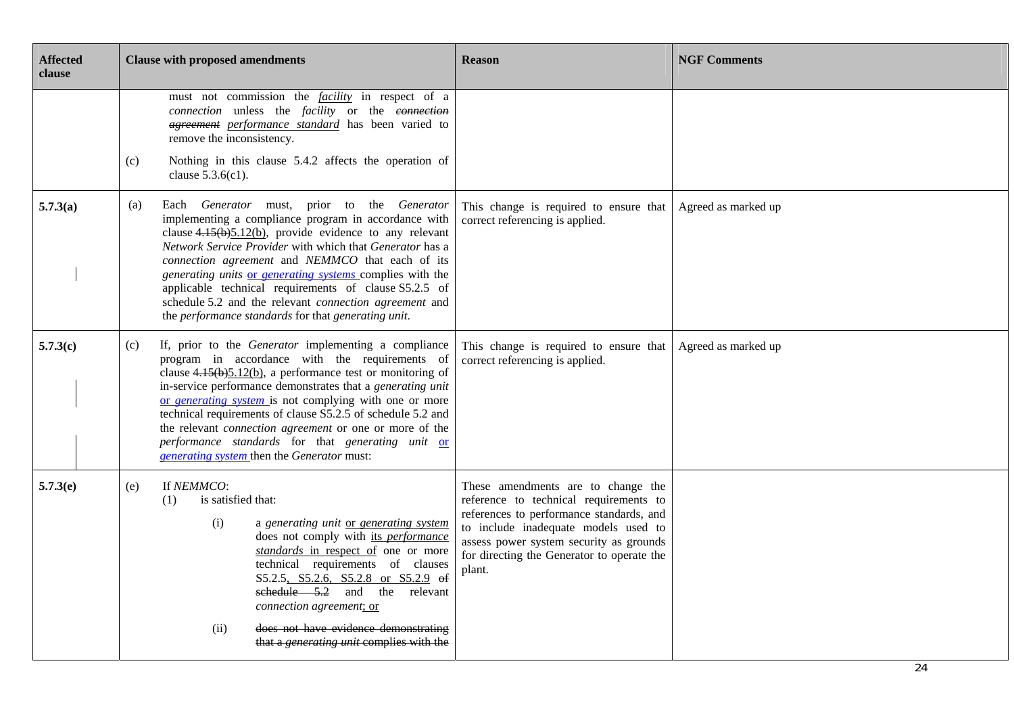| <b>Affected</b><br>clause | <b>Clause with proposed amendments</b>                                                                                                                                                                                                                                                                                                                                                                                                                                                                                                     | <b>Reason</b>                                                                                                                                                                                                                                                       | <b>NGF Comments</b> |
|---------------------------|--------------------------------------------------------------------------------------------------------------------------------------------------------------------------------------------------------------------------------------------------------------------------------------------------------------------------------------------------------------------------------------------------------------------------------------------------------------------------------------------------------------------------------------------|---------------------------------------------------------------------------------------------------------------------------------------------------------------------------------------------------------------------------------------------------------------------|---------------------|
|                           | must not commission the <i>facility</i> in respect of a<br>connection unless the facility or the connection<br><i>agreement performance standard</i> has been varied to<br>remove the inconsistency.<br>Nothing in this clause 5.4.2 affects the operation of<br>(c)                                                                                                                                                                                                                                                                       |                                                                                                                                                                                                                                                                     |                     |
|                           | clause $5.3.6(c1)$ .                                                                                                                                                                                                                                                                                                                                                                                                                                                                                                                       |                                                                                                                                                                                                                                                                     |                     |
| 5.7.3(a)                  | Each Generator must, prior to the Generator<br>(a)<br>implementing a compliance program in accordance with<br>clause $4.15(b)5.12(b)$ , provide evidence to any relevant<br>Network Service Provider with which that Generator has a<br>connection agreement and NEMMCO that each of its<br>generating units or generating systems complies with the<br>applicable technical requirements of clause S5.2.5 of<br>schedule 5.2 and the relevant <i>connection agreement</i> and<br>the performance standards for that generating unit.      | This change is required to ensure that<br>correct referencing is applied.                                                                                                                                                                                           | Agreed as marked up |
| 5.7.3(c)                  | If, prior to the Generator implementing a compliance<br>(c)<br>program in accordance with the requirements of<br>clause $4.15(b)5.12(b)$ , a performance test or monitoring of<br>in-service performance demonstrates that a generating unit<br>or generating system is not complying with one or more<br>technical requirements of clause S5.2.5 of schedule 5.2 and<br>the relevant <i>connection agreement</i> or one or more of the<br>performance standards for that generating unit or<br>generating system then the Generator must: | This change is required to ensure that<br>correct referencing is applied.                                                                                                                                                                                           | Agreed as marked up |
| 5.7.3(e)                  | If NEMMCO:<br>(e)<br>is satisfied that:<br>(1)<br>(i)<br>a generating unit or generating system<br>does not comply with its performance<br>standards in respect of one or more<br>technical requirements of clauses<br>S5.2.5, S5.2.6, S5.2.8 or S5.2.9 of<br>sehedule $5.2$ and the relevant<br>connection agreement; or<br>does not have evidence demonstrating<br>(ii)<br>that a <i>generating unit</i> complies with the                                                                                                               | These amendments are to change the<br>reference to technical requirements to<br>references to performance standards, and<br>to include inadequate models used to<br>assess power system security as grounds<br>for directing the Generator to operate the<br>plant. |                     |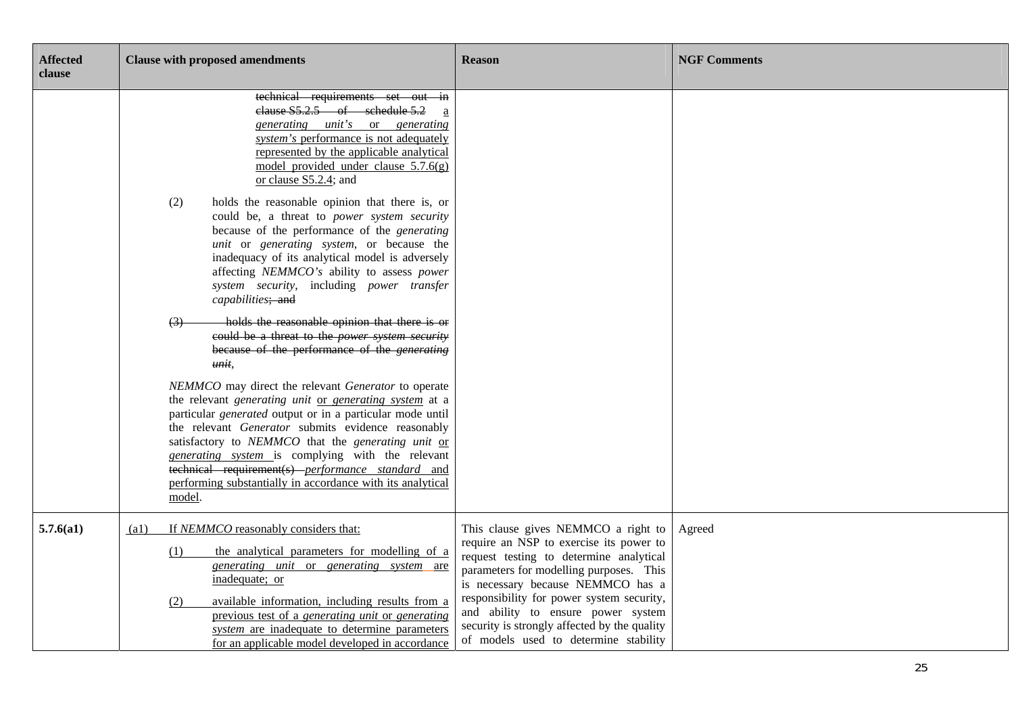| <b>Affected</b><br>clause | <b>Clause with proposed amendments</b>                                                                                                                                                                                                                                                                                                                                                                                                                                                                                                                                                                                                                                                                                                                                                                                                                                                                                                                                                                                                                                                                                                                                                                                                                                                   | <b>Reason</b>                                                                                                                                                                                             | <b>NGF Comments</b> |
|---------------------------|------------------------------------------------------------------------------------------------------------------------------------------------------------------------------------------------------------------------------------------------------------------------------------------------------------------------------------------------------------------------------------------------------------------------------------------------------------------------------------------------------------------------------------------------------------------------------------------------------------------------------------------------------------------------------------------------------------------------------------------------------------------------------------------------------------------------------------------------------------------------------------------------------------------------------------------------------------------------------------------------------------------------------------------------------------------------------------------------------------------------------------------------------------------------------------------------------------------------------------------------------------------------------------------|-----------------------------------------------------------------------------------------------------------------------------------------------------------------------------------------------------------|---------------------|
|                           | technical requirements set out in<br>clause S5.2.5 of schedule 5.2<br>generating unit's or generating<br>system's performance is not adequately<br>represented by the applicable analytical<br>model provided under clause $5.7.6(g)$<br>or clause S5.2.4; and<br>holds the reasonable opinion that there is, or<br>(2)<br>could be, a threat to power system security<br>because of the performance of the <i>generating</i><br>unit or generating system, or because the<br>inadequacy of its analytical model is adversely<br>affecting NEMMCO's ability to assess power<br>system security, including power transfer<br>capabilities; and<br>holds the reasonable opinion that there is or<br>(3)<br>could be a threat to the power system security<br>because of the performance of the <i>generating</i><br>unit,<br>NEMMCO may direct the relevant Generator to operate<br>the relevant generating unit or generating system at a<br>particular generated output or in a particular mode until<br>the relevant Generator submits evidence reasonably<br>satisfactory to NEMMCO that the generating unit or<br>generating system is complying with the relevant<br>technical requirement(s) performance standard and<br>performing substantially in accordance with its analytical |                                                                                                                                                                                                           |                     |
|                           | model.                                                                                                                                                                                                                                                                                                                                                                                                                                                                                                                                                                                                                                                                                                                                                                                                                                                                                                                                                                                                                                                                                                                                                                                                                                                                                   |                                                                                                                                                                                                           |                     |
| 5.7.6(a1)                 | If NEMMCO reasonably considers that:<br>(a1)<br>the analytical parameters for modelling of a<br>(1)<br>generating unit or generating system are<br>inadequate; or                                                                                                                                                                                                                                                                                                                                                                                                                                                                                                                                                                                                                                                                                                                                                                                                                                                                                                                                                                                                                                                                                                                        | This clause gives NEMMCO a right to<br>require an NSP to exercise its power to<br>request testing to determine analytical<br>parameters for modelling purposes. This<br>is necessary because NEMMCO has a | Agreed              |
|                           | available information, including results from a<br>(2)<br>previous test of a generating unit or generating<br>system are inadequate to determine parameters<br>for an applicable model developed in accordance                                                                                                                                                                                                                                                                                                                                                                                                                                                                                                                                                                                                                                                                                                                                                                                                                                                                                                                                                                                                                                                                           | responsibility for power system security,<br>and ability to ensure power system<br>security is strongly affected by the quality<br>of models used to determine stability                                  |                     |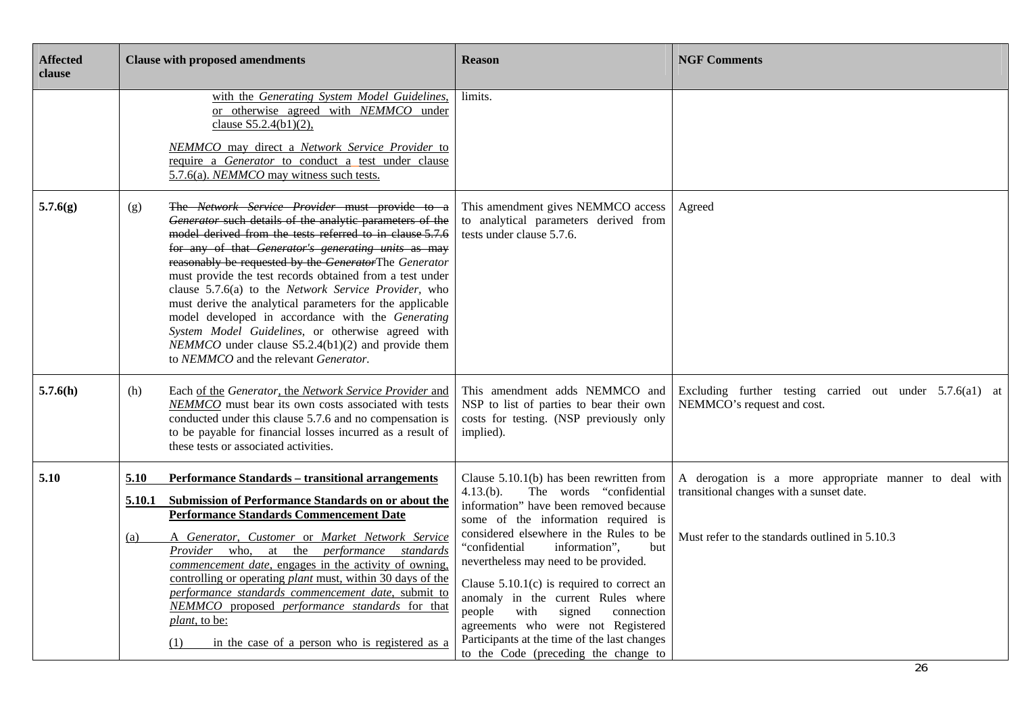| <b>Affected</b><br>clause |            | <b>Clause with proposed amendments</b>                                                                                                                                                                                                                                                                                                                                                                                                                                                                                                                                                                                                                                            | <b>Reason</b>                                                                                                                                                                                                                                                                                                                                                                           | <b>NGF Comments</b>                                                                    |
|---------------------------|------------|-----------------------------------------------------------------------------------------------------------------------------------------------------------------------------------------------------------------------------------------------------------------------------------------------------------------------------------------------------------------------------------------------------------------------------------------------------------------------------------------------------------------------------------------------------------------------------------------------------------------------------------------------------------------------------------|-----------------------------------------------------------------------------------------------------------------------------------------------------------------------------------------------------------------------------------------------------------------------------------------------------------------------------------------------------------------------------------------|----------------------------------------------------------------------------------------|
|                           |            | with the Generating System Model Guidelines,<br>or otherwise agreed with NEMMCO under<br>clause S5.2.4(b1)(2),<br>NEMMCO may direct a Network Service Provider to<br>require a Generator to conduct a test under clause<br>5.7.6(a). NEMMCO may witness such tests.                                                                                                                                                                                                                                                                                                                                                                                                               | limits.                                                                                                                                                                                                                                                                                                                                                                                 |                                                                                        |
| 5.7.6(g)                  | (g)        | The Network Service Provider must provide to a<br>Generator such details of the analytic parameters of the<br>model derived from the tests referred to in clause 5.7.6<br>for any of that Generator's generating units as may<br>reasonably be requested by the GeneratorThe Generator<br>must provide the test records obtained from a test under<br>clause 5.7.6(a) to the Network Service Provider, who<br>must derive the analytical parameters for the applicable<br>model developed in accordance with the Generating<br>System Model Guidelines, or otherwise agreed with<br>$NEMMCO$ under clause S5.2.4(b1)(2) and provide them<br>to NEMMCO and the relevant Generator. | This amendment gives NEMMCO access<br>to analytical parameters derived from<br>tests under clause 5.7.6.                                                                                                                                                                                                                                                                                | Agreed                                                                                 |
| 5.7.6(h)                  | (h)        | Each of the Generator, the Network Service Provider and<br>NEMMCO must bear its own costs associated with tests<br>conducted under this clause 5.7.6 and no compensation is<br>to be payable for financial losses incurred as a result of<br>these tests or associated activities.                                                                                                                                                                                                                                                                                                                                                                                                | This amendment adds NEMMCO and<br>NSP to list of parties to bear their own<br>costs for testing. (NSP previously only<br>implied).                                                                                                                                                                                                                                                      | Excluding further testing carried out under 5.7.6(a1) at<br>NEMMCO's request and cost. |
| 5.10                      | 5.10       | <b>Performance Standards - transitional arrangements</b>                                                                                                                                                                                                                                                                                                                                                                                                                                                                                                                                                                                                                          | Clause $5.10.1(b)$ has been rewritten from                                                                                                                                                                                                                                                                                                                                              | A derogation is a more appropriate manner to deal with                                 |
|                           | 5.10.1     | Submission of Performance Standards on or about the<br><b>Performance Standards Commencement Date</b>                                                                                                                                                                                                                                                                                                                                                                                                                                                                                                                                                                             | $4.13(b)$ .<br>The words "confidential<br>information" have been removed because<br>some of the information required is                                                                                                                                                                                                                                                                 | transitional changes with a sunset date.                                               |
|                           | <u>(a)</u> | A Generator, Customer or Market Network Service<br>Provider who, at the performance standards<br>commencement date, engages in the activity of owning.<br>controlling or operating <i>plant</i> must, within 30 days of the<br>performance standards commencement date, submit to<br>NEMMCO proposed performance standards for that<br><i>plant</i> , to be:<br>in the case of a person who is registered as a<br>(1)                                                                                                                                                                                                                                                             | considered elsewhere in the Rules to be<br>"confidential<br>information",<br>but<br>nevertheless may need to be provided.<br>Clause $5.10.1(c)$ is required to correct an<br>anomaly in the current Rules where<br>with<br>people<br>signed<br>connection<br>agreements who were not Registered<br>Participants at the time of the last changes<br>to the Code (preceding the change to | Must refer to the standards outlined in 5.10.3                                         |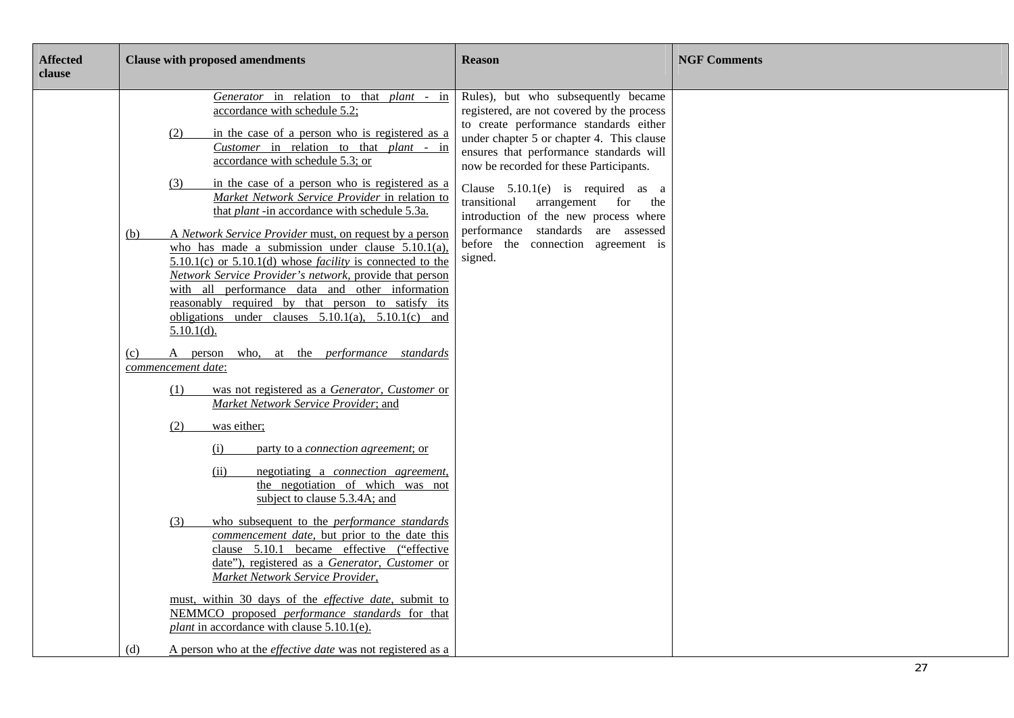| <b>Affected</b><br>clause | <b>Clause with proposed amendments</b>                                                                                                                                                                                                                                                                                                                                                                                                                                                                                                                                      | <b>Reason</b>                                                                                                                                                                                                                                                  | <b>NGF Comments</b> |
|---------------------------|-----------------------------------------------------------------------------------------------------------------------------------------------------------------------------------------------------------------------------------------------------------------------------------------------------------------------------------------------------------------------------------------------------------------------------------------------------------------------------------------------------------------------------------------------------------------------------|----------------------------------------------------------------------------------------------------------------------------------------------------------------------------------------------------------------------------------------------------------------|---------------------|
|                           | Generator in relation to that plant - in<br>accordance with schedule 5.2;<br>in the case of a person who is registered as a<br>(2)<br>Customer in relation to that plant - in<br>accordance with schedule 5.3; or                                                                                                                                                                                                                                                                                                                                                           | Rules), but who subsequently became<br>registered, are not covered by the process<br>to create performance standards either<br>under chapter 5 or chapter 4. This clause<br>ensures that performance standards will<br>now be recorded for these Participants. |                     |
|                           | (3)<br>in the case of a person who is registered as a<br>Market Network Service Provider in relation to<br>that <i>plant</i> -in accordance with schedule 5.3a.<br>A Network Service Provider must, on request by a person<br>(b)<br>who has made a submission under clause $5.10.1(a)$ ,<br>$5.10.1(c)$ or $5.10.1(d)$ whose <i>facility</i> is connected to the<br>Network Service Provider's network, provide that person<br>with all performance data and other information                                                                                             | Clause $5.10.1(e)$ is required as a<br>transitional<br>arrangement for<br>the<br>introduction of the new process where<br>performance standards are assessed<br>before the connection agreement is<br>signed.                                                  |                     |
|                           | reasonably required by that person to satisfy its<br>obligations under clauses $5.10.1(a)$ , $5.10.1(c)$ and<br>$5.10.1(d)$ .<br>A person who, at the <i>performance</i> standards<br>(c)                                                                                                                                                                                                                                                                                                                                                                                   |                                                                                                                                                                                                                                                                |                     |
|                           | commencement date:<br>was not registered as a Generator, Customer or<br>(1)<br>Market Network Service Provider; and<br>was either;<br>(2)<br>(i)<br>party to a <i>connection</i> agreement; or<br>(ii)<br>negotiating a <i>connection</i> agreement,<br>the negotiation of which was not<br>subject to clause 5.3.4A; and<br>who subsequent to the <i>performance</i> standards<br>(3)<br>commencement date, but prior to the date this<br>clause 5.10.1 became effective ("effective<br>date"), registered as a Generator, Customer or<br>Market Network Service Provider, |                                                                                                                                                                                                                                                                |                     |
|                           | must, within 30 days of the <i>effective date</i> , submit to<br>NEMMCO proposed performance standards for that<br>plant in accordance with clause $5.10.1(e)$ .<br>A person who at the <i>effective date</i> was not registered as a<br>(d)                                                                                                                                                                                                                                                                                                                                |                                                                                                                                                                                                                                                                |                     |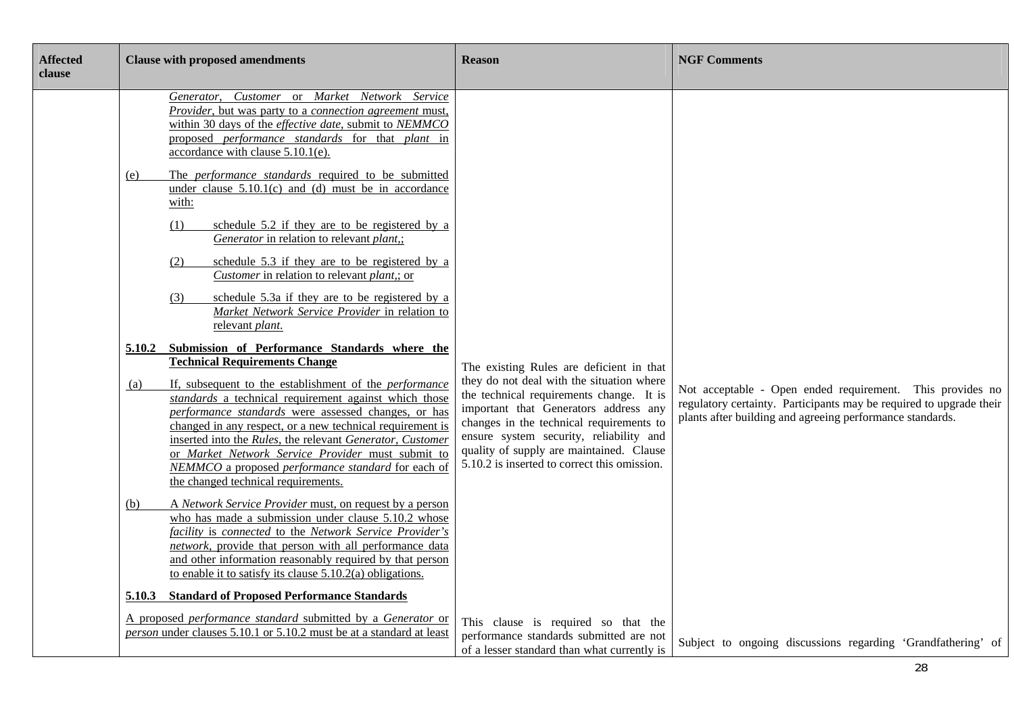| <b>Affected</b><br>clause | <b>Clause with proposed amendments</b>                                                                                                                                                                                                                                                                                                                                                                                                                                                                                                                                                                                                                                                                                                                                                                                                                                                                                                                                                                                                                                                                                                                                                                                                                                                                                                                                                                                                                                                                                                                                                                                                                        | <b>Reason</b>                                                                                                                                                                                                                                                                                                                                                 | <b>NGF Comments</b>                                                                                                                                                                           |
|---------------------------|---------------------------------------------------------------------------------------------------------------------------------------------------------------------------------------------------------------------------------------------------------------------------------------------------------------------------------------------------------------------------------------------------------------------------------------------------------------------------------------------------------------------------------------------------------------------------------------------------------------------------------------------------------------------------------------------------------------------------------------------------------------------------------------------------------------------------------------------------------------------------------------------------------------------------------------------------------------------------------------------------------------------------------------------------------------------------------------------------------------------------------------------------------------------------------------------------------------------------------------------------------------------------------------------------------------------------------------------------------------------------------------------------------------------------------------------------------------------------------------------------------------------------------------------------------------------------------------------------------------------------------------------------------------|---------------------------------------------------------------------------------------------------------------------------------------------------------------------------------------------------------------------------------------------------------------------------------------------------------------------------------------------------------------|-----------------------------------------------------------------------------------------------------------------------------------------------------------------------------------------------|
|                           | Generator, Customer or Market Network Service<br>Provider, but was party to a connection agreement must,<br>within 30 days of the effective date, submit to NEMMCO<br>proposed <i>performance standards</i> for that <i>plant</i> in<br>accordance with clause 5.10.1(e).<br>The <i>performance</i> standards required to be submitted<br>(e)<br>under clause $5.10.1(c)$ and (d) must be in accordance<br>with:<br>schedule 5.2 if they are to be registered by a<br>(1)<br>Generator in relation to relevant plant,;<br>schedule 5.3 if they are to be registered by a<br>(2)<br><i>Customer</i> in relation to relevant <i>plant</i> ,; or<br>schedule 5.3a if they are to be registered by a<br>(3)<br>Market Network Service Provider in relation to<br>relevant plant.<br>Submission of Performance Standards where the<br>5.10.2<br><b>Technical Requirements Change</b><br>If, subsequent to the establishment of the <i>performance</i><br>(a)<br>standards a technical requirement against which those<br>performance standards were assessed changes, or has<br>changed in any respect, or a new technical requirement is<br>inserted into the Rules, the relevant Generator, Customer<br>or Market Network Service Provider must submit to<br>NEMMCO a proposed performance standard for each of<br>the changed technical requirements.<br>A Network Service Provider must, on request by a person<br>(b)<br>who has made a submission under clause 5.10.2 whose<br>facility is connected to the Network Service Provider's<br>network, provide that person with all performance data<br>and other information reasonably required by that person | The existing Rules are deficient in that<br>they do not deal with the situation where<br>the technical requirements change. It is<br>important that Generators address any<br>changes in the technical requirements to<br>ensure system security, reliability and<br>quality of supply are maintained. Clause<br>5.10.2 is inserted to correct this omission. | Not acceptable - Open ended requirement. This provides no<br>regulatory certainty. Participants may be required to upgrade their<br>plants after building and agreeing performance standards. |
|                           | to enable it to satisfy its clause $5.10.2(a)$ obligations.<br>5.10.3 Standard of Proposed Performance Standards<br>A proposed performance standard submitted by a Generator or                                                                                                                                                                                                                                                                                                                                                                                                                                                                                                                                                                                                                                                                                                                                                                                                                                                                                                                                                                                                                                                                                                                                                                                                                                                                                                                                                                                                                                                                               | This clause is required so that the                                                                                                                                                                                                                                                                                                                           |                                                                                                                                                                                               |
|                           | person under clauses 5.10.1 or 5.10.2 must be at a standard at least                                                                                                                                                                                                                                                                                                                                                                                                                                                                                                                                                                                                                                                                                                                                                                                                                                                                                                                                                                                                                                                                                                                                                                                                                                                                                                                                                                                                                                                                                                                                                                                          | performance standards submitted are not<br>of a lesser standard than what currently is                                                                                                                                                                                                                                                                        | Subject to ongoing discussions regarding 'Grandfathering' of                                                                                                                                  |

۰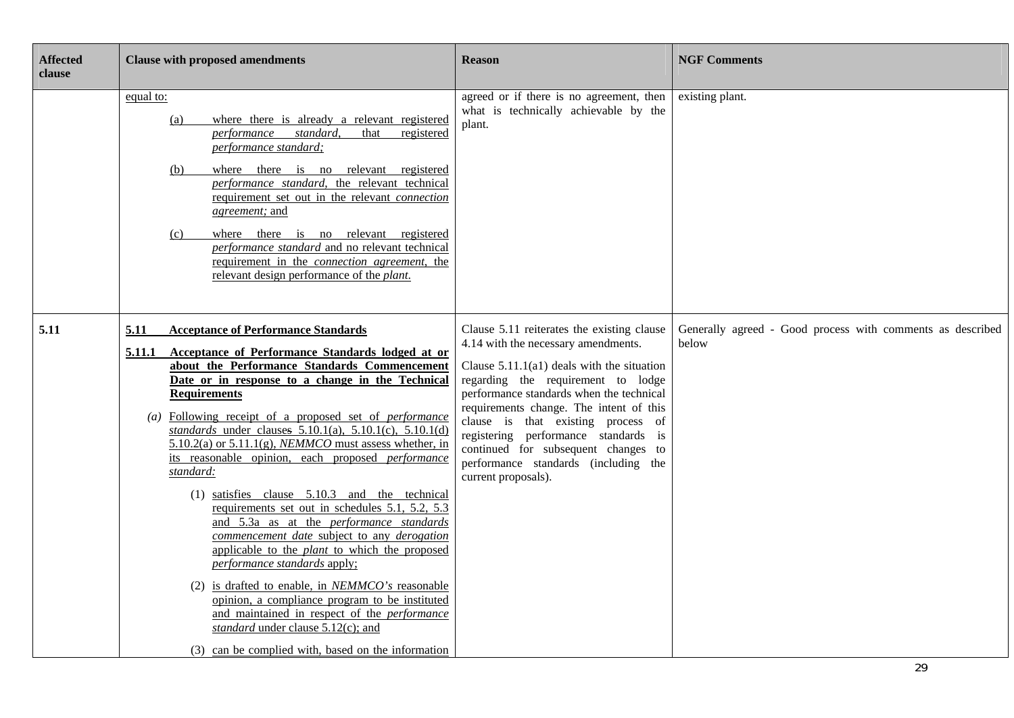| <b>Affected</b><br>clause | <b>Clause with proposed amendments</b>                                                                                                                                                                                                                                                                                                                                                                                                                                                                                                                                                                                                                                                                                                                                                                                                                                                                                                                                                                                                                                               | <b>Reason</b>                                                                                                                                                                                                                                                                                                                                                                                                                                      | <b>NGF Comments</b>                                                 |
|---------------------------|--------------------------------------------------------------------------------------------------------------------------------------------------------------------------------------------------------------------------------------------------------------------------------------------------------------------------------------------------------------------------------------------------------------------------------------------------------------------------------------------------------------------------------------------------------------------------------------------------------------------------------------------------------------------------------------------------------------------------------------------------------------------------------------------------------------------------------------------------------------------------------------------------------------------------------------------------------------------------------------------------------------------------------------------------------------------------------------|----------------------------------------------------------------------------------------------------------------------------------------------------------------------------------------------------------------------------------------------------------------------------------------------------------------------------------------------------------------------------------------------------------------------------------------------------|---------------------------------------------------------------------|
|                           | equal to:<br>where there is already a relevant registered<br>(a)<br>standard,<br>registered<br>performance<br>that<br>performance standard;<br>where there is no relevant registered<br>(b)<br>performance standard, the relevant technical<br>requirement set out in the relevant <i>connection</i><br>agreement; and<br>where there is no relevant registered<br>(c)<br>performance standard and no relevant technical<br>requirement in the <i>connection agreement</i> , the<br>relevant design performance of the <i>plant</i> .                                                                                                                                                                                                                                                                                                                                                                                                                                                                                                                                                | agreed or if there is no agreement, then<br>what is technically achievable by the<br>plant.                                                                                                                                                                                                                                                                                                                                                        | existing plant.                                                     |
| 5.11                      | 5.11<br><b>Acceptance of Performance Standards</b><br>5.11.1<br>Acceptance of Performance Standards lodged at or<br>about the Performance Standards Commencement<br>Date or in response to a change in the Technical<br><b>Requirements</b><br>(a) Following receipt of a proposed set of <i>performance</i><br>standards under clauses $5.10.1(a)$ , $5.10.1(c)$ , $5.10.1(d)$<br>$5.10.2(a)$ or $5.11.1(g)$ , <i>NEMMCO</i> must assess whether, in<br>its reasonable opinion, each proposed performance<br>standard:<br>$(1)$ satisfies clause $5.10.3$ and the technical<br>requirements set out in schedules 5.1, 5.2, 5.3<br>and 5.3a as at the <i>performance</i> standards<br>commencement date subject to any derogation<br>applicable to the <i>plant</i> to which the proposed<br>performance standards apply:<br>(2) is drafted to enable, in $NEMMCO's$ reasonable<br>opinion, a compliance program to be instituted<br>and maintained in respect of the <i>performance</i><br>standard under clause 5.12(c); and<br>(3) can be complied with, based on the information | Clause 5.11 reiterates the existing clause<br>4.14 with the necessary amendments.<br>Clause $5.11.1(a1)$ deals with the situation<br>regarding the requirement to lodge<br>performance standards when the technical<br>requirements change. The intent of this<br>clause is that existing process of<br>registering performance standards is<br>continued for subsequent changes to<br>performance standards (including the<br>current proposals). | Generally agreed - Good process with comments as described<br>below |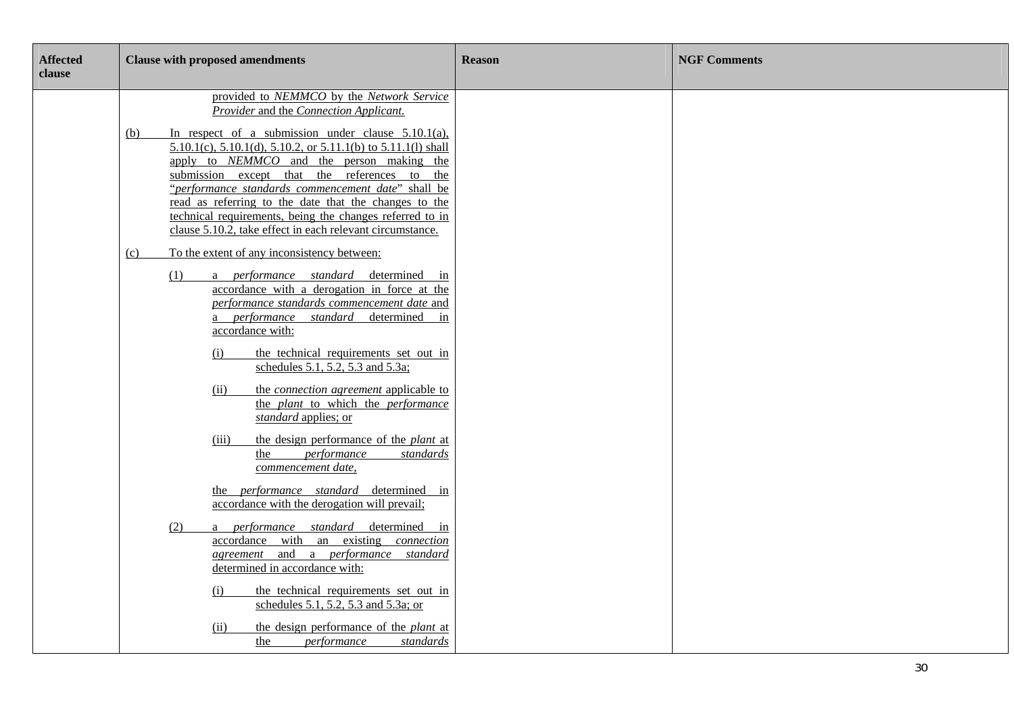| <b>Affected</b><br>clause | <b>Clause with proposed amendments</b>                                                                                                                                                                                                                                                                                                                                                                                                                                                                                                                                        | <b>Reason</b> | <b>NGF Comments</b> |
|---------------------------|-------------------------------------------------------------------------------------------------------------------------------------------------------------------------------------------------------------------------------------------------------------------------------------------------------------------------------------------------------------------------------------------------------------------------------------------------------------------------------------------------------------------------------------------------------------------------------|---------------|---------------------|
|                           | provided to NEMMCO by the Network Service<br>Provider and the Connection Applicant.<br>In respect of a submission under clause $5.10.1(a)$ ,<br>(b)<br>$5.10.1(c)$ , $5.10.1(d)$ , $5.10.2$ , or $5.11.1(b)$ to $5.11.1(l)$ shall<br>apply to <i>NEMMCO</i> and the person making the<br>submission except that the references to the<br>"performance standards commencement date" shall be<br>read as referring to the date that the changes to the<br>technical requirements, being the changes referred to in<br>clause 5.10.2, take effect in each relevant circumstance. |               |                     |
|                           | To the extent of any inconsistency between:<br>(c)<br>a performance standard determined in<br>(1)<br>accordance with a derogation in force at the<br>performance standards commencement date and<br>a <i>performance standard</i> determined in<br>accordance with:<br>the technical requirements set out in<br>(i)<br>schedules 5.1, 5.2, 5.3 and 5.3a;                                                                                                                                                                                                                      |               |                     |
|                           | the <i>connection</i> agreement applicable to<br>(ii)<br>the plant to which the performance<br>standard applies; or<br>the design performance of the <i>plant</i> at<br>(iii)<br>performance<br>standards<br>the<br>commencement date,<br>the <i>performance standard</i> determined in<br>accordance with the derogation will prevail;                                                                                                                                                                                                                                       |               |                     |
|                           | a <i>performance standard</i> determined in<br>(2)<br>accordance with an existing <i>connection</i><br>agreement and a performance standard<br>determined in accordance with:<br>the technical requirements set out in<br>(i)<br>schedules 5.1, 5.2, 5.3 and 5.3a; or<br>the design performance of the <i>plant</i> at<br>(ii)<br>performance<br>standards<br>the                                                                                                                                                                                                             |               |                     |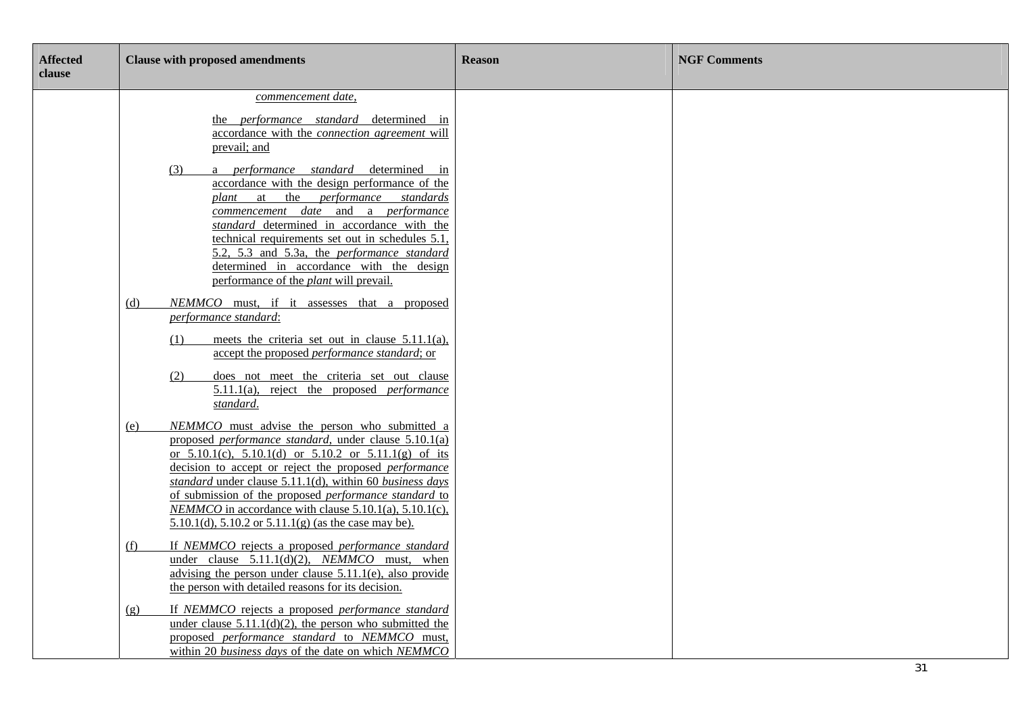| <b>Affected</b><br>clause | <b>Clause with proposed amendments</b>                                                                                                                                                                                                                                                                                                                                                                                                                                                                                                 | <b>Reason</b> | <b>NGF Comments</b> |
|---------------------------|----------------------------------------------------------------------------------------------------------------------------------------------------------------------------------------------------------------------------------------------------------------------------------------------------------------------------------------------------------------------------------------------------------------------------------------------------------------------------------------------------------------------------------------|---------------|---------------------|
|                           | commencement date,<br>the <i>performance standard</i> determined in<br>accordance with the connection agreement will<br>prevail; and<br>a <i>performance standard</i> determined in<br>(3)<br>accordance with the design performance of the<br>plant at the <i>performance</i><br>standards<br>commencement date and a performance<br>standard determined in accordance with the<br>technical requirements set out in schedules 5.1,<br>5.2, 5.3 and 5.3a, the <i>performance</i> standard<br>determined in accordance with the design |               |                     |
|                           | performance of the <i>plant</i> will prevail.<br>NEMMCO must, if it assesses that a proposed<br>(d)<br>performance standard:<br>meets the criteria set out in clause $5.11.1(a)$ ,<br>(1)<br>accept the proposed performance standard; or<br>does not meet the criteria set out clause<br>(2)<br>$5.11.1(a)$ , reject the proposed <i>performance</i><br>standard.                                                                                                                                                                     |               |                     |
|                           | NEMMCO must advise the person who submitted a<br>(e)<br>proposed performance standard, under clause 5.10.1(a)<br>or $5.10.1(c)$ , $5.10.1(d)$ or $5.10.2$ or $5.11.1(g)$ of its<br>decision to accept or reject the proposed <i>performance</i><br>standard under clause 5.11.1(d), within 60 business days<br>of submission of the proposed <i>performance standard</i> to<br>NEMMCO in accordance with clause $5.10.1(a)$ , $5.10.1(c)$ ,<br>5.10.1(d), 5.10.2 or 5.11.1(g) (as the case may be).                                    |               |                     |
|                           | If NEMMCO rejects a proposed performance standard<br>(f)<br>under clause $5.11.1(d)(2)$ , <i>NEMMCO</i> must, when<br>advising the person under clause $5.11.1(e)$ , also provide<br>the person with detailed reasons for its decision.<br>If NEMMCO rejects a proposed performance standard<br>(g)<br>under clause $5.11.1(d)(2)$ , the person who submitted the<br>proposed performance standard to NEMMCO must,<br>within 20 business days of the date on which NEMMCO                                                              |               |                     |
|                           |                                                                                                                                                                                                                                                                                                                                                                                                                                                                                                                                        |               | 01                  |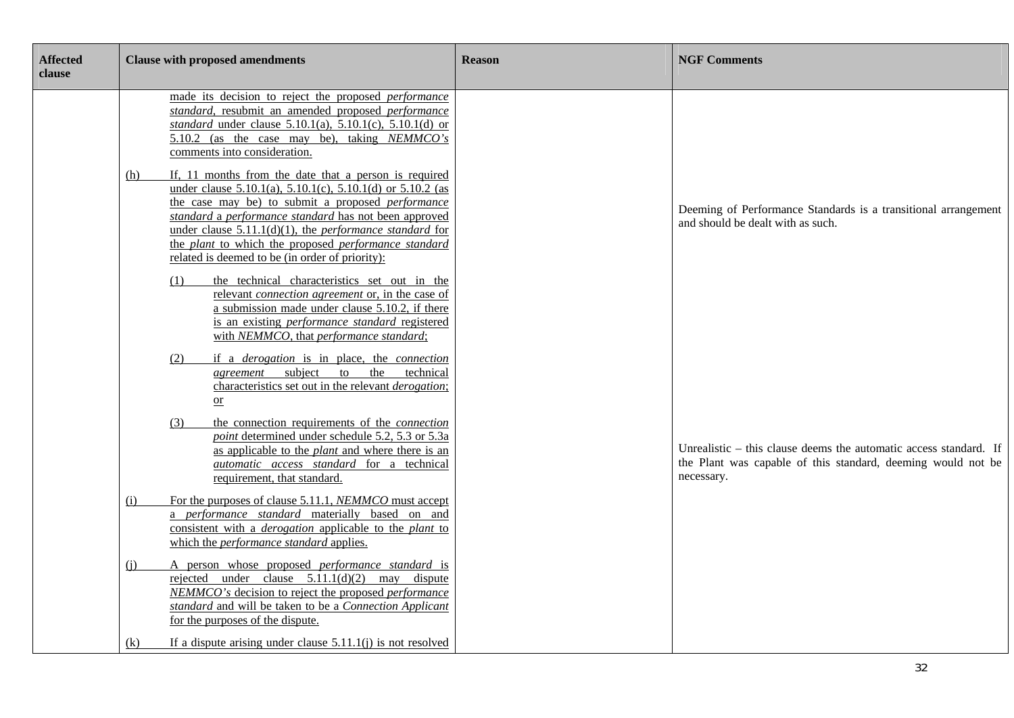| <b>Affected</b><br>clause | <b>Clause with proposed amendments</b>                                                                                                                                                                                                                                                                                                                                                                                                           | <b>Reason</b> | <b>NGF Comments</b>                                                                                                                             |
|---------------------------|--------------------------------------------------------------------------------------------------------------------------------------------------------------------------------------------------------------------------------------------------------------------------------------------------------------------------------------------------------------------------------------------------------------------------------------------------|---------------|-------------------------------------------------------------------------------------------------------------------------------------------------|
|                           | made its decision to reject the proposed <i>performance</i><br>standard, resubmit an amended proposed performance<br><i>standard</i> under clause $5.10.1(a)$ , $5.10.1(c)$ , $5.10.1(d)$ or<br>5.10.2 (as the case may be), taking NEMMCO's<br>comments into consideration.                                                                                                                                                                     |               |                                                                                                                                                 |
|                           | If, 11 months from the date that a person is required<br><u>(h)</u><br>under clause $5.10.1(a)$ , $5.10.1(c)$ , $5.10.1(d)$ or $5.10.2$ (as<br>the case may be) to submit a proposed <i>performance</i><br>standard a performance standard has not been approved<br>under clause $5.11.1(d)(1)$ , the <i>performance standard</i> for<br>the plant to which the proposed performance standard<br>related is deemed to be (in order of priority): |               | Deeming of Performance Standards is a transitional arrangement<br>and should be dealt with as such.                                             |
|                           | the technical characteristics set out in the<br>(1)<br>relevant connection agreement or, in the case of<br>a submission made under clause 5.10.2, if there<br>is an existing <i>performance</i> standard registered<br>with NEMMCO, that performance standard;                                                                                                                                                                                   |               |                                                                                                                                                 |
|                           | if a <i>derogation</i> is in place, the <i>connection</i><br>(2)<br><i>agreement</i> subject to<br>the technical<br>characteristics set out in the relevant <i>derogation</i> ;<br>$\overline{\text{or}}$                                                                                                                                                                                                                                        |               |                                                                                                                                                 |
|                           | the connection requirements of the <i>connection</i><br>(3)<br>point determined under schedule 5.2, 5.3 or 5.3a<br>as applicable to the <i>plant</i> and where there is an<br>automatic access standard for a technical<br>requirement, that standard.                                                                                                                                                                                           |               | Unrealistic – this clause deems the automatic access standard. If<br>the Plant was capable of this standard, deeming would not be<br>necessary. |
|                           | For the purposes of clause 5.11.1, NEMMCO must accept<br>(i)<br>a performance standard materially based on and<br>consistent with a <i>derogation</i> applicable to the <i>plant</i> to<br>which the <i>performance</i> standard applies.                                                                                                                                                                                                        |               |                                                                                                                                                 |
|                           | A person whose proposed <i>performance</i> standard is<br>(i)<br>rejected under clause $5.11.1(d)(2)$ may dispute<br>NEMMCO's decision to reject the proposed performance<br>standard and will be taken to be a Connection Applicant<br>for the purposes of the dispute.                                                                                                                                                                         |               |                                                                                                                                                 |
|                           | If a dispute arising under clause $5.11.1(j)$ is not resolved<br>(k)                                                                                                                                                                                                                                                                                                                                                                             |               |                                                                                                                                                 |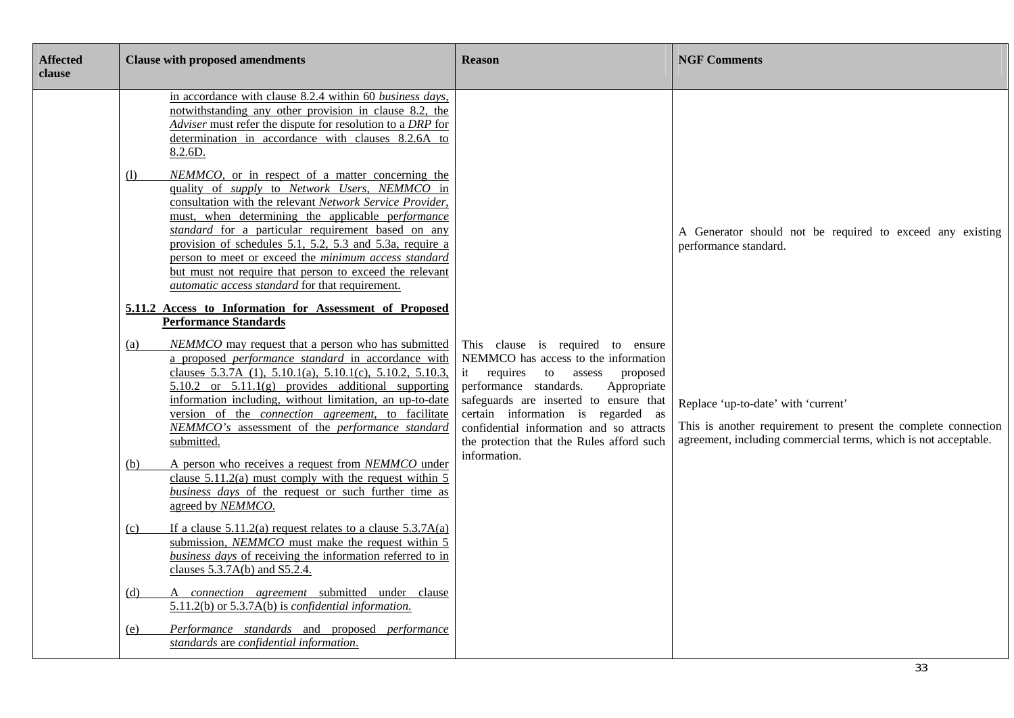| <b>Affected</b><br>clause | <b>Clause with proposed amendments</b>                                                                                                                                                                                                                                                                                                                                                                                                                                                                                   | <b>Reason</b>                                                                                                                                                                                                                                                                                                                       | <b>NGF Comments</b>                                                                                                                                                      |
|---------------------------|--------------------------------------------------------------------------------------------------------------------------------------------------------------------------------------------------------------------------------------------------------------------------------------------------------------------------------------------------------------------------------------------------------------------------------------------------------------------------------------------------------------------------|-------------------------------------------------------------------------------------------------------------------------------------------------------------------------------------------------------------------------------------------------------------------------------------------------------------------------------------|--------------------------------------------------------------------------------------------------------------------------------------------------------------------------|
|                           | in accordance with clause 8.2.4 within 60 business days,<br>notwithstanding any other provision in clause 8.2, the<br>Adviser must refer the dispute for resolution to a DRP for<br>determination in accordance with clauses 8.2.6A to<br>8.2.6D.                                                                                                                                                                                                                                                                        |                                                                                                                                                                                                                                                                                                                                     |                                                                                                                                                                          |
|                           | NEMMCO, or in respect of a matter concerning the<br>(1)<br>quality of supply to Network Users, NEMMCO in<br>consultation with the relevant Network Service Provider,<br>must, when determining the applicable performance<br>standard for a particular requirement based on any<br>provision of schedules 5.1, 5.2, 5.3 and 5.3a, require a<br>person to meet or exceed the minimum access standard<br>but must not require that person to exceed the relevant<br><i>automatic access standard</i> for that requirement. |                                                                                                                                                                                                                                                                                                                                     | A Generator should not be required to exceed any existing<br>performance standard.                                                                                       |
|                           | 5.11.2 Access to Information for Assessment of Proposed<br><b>Performance Standards</b>                                                                                                                                                                                                                                                                                                                                                                                                                                  |                                                                                                                                                                                                                                                                                                                                     |                                                                                                                                                                          |
|                           | NEMMCO may request that a person who has submitted<br>(a)<br>a proposed <i>performance</i> standard in accordance with<br>clauses 5.3.7A (1), 5.10.1(a), 5.10.1(c), 5.10.2, 5.10.3,<br>5.10.2 or $5.11.1(g)$ provides additional supporting<br>information including, without limitation, an up-to-date<br>version of the <i>connection agreement</i> , to facilitate<br>NEMMCO's assessment of the performance standard<br>submitted.                                                                                   | This clause is required to ensure<br>NEMMCO has access to the information<br>requires to<br>it<br>assess proposed<br>performance standards.<br>Appropriate<br>safeguards are inserted to ensure that<br>certain information is regarded as<br>confidential information and so attracts<br>the protection that the Rules afford such | Replace 'up-to-date' with 'current'<br>This is another requirement to present the complete connection<br>agreement, including commercial terms, which is not acceptable. |
|                           | A person who receives a request from NEMMCO under<br>(b)<br>clause $5.11.2(a)$ must comply with the request within 5<br>business days of the request or such further time as<br>agreed by NEMMCO.                                                                                                                                                                                                                                                                                                                        | information.                                                                                                                                                                                                                                                                                                                        |                                                                                                                                                                          |
|                           | If a clause $5.11.2(a)$ request relates to a clause $5.3.7A(a)$<br>(c)<br>submission, <i>NEMMCO</i> must make the request within 5<br>business days of receiving the information referred to in<br>clauses $5.3.7A(b)$ and $S5.2.4$ .                                                                                                                                                                                                                                                                                    |                                                                                                                                                                                                                                                                                                                                     |                                                                                                                                                                          |
|                           | A connection agreement submitted under clause<br><u>(d)</u><br>$5.11.2(b)$ or $5.3.7A(b)$ is <i>confidential information</i> .                                                                                                                                                                                                                                                                                                                                                                                           |                                                                                                                                                                                                                                                                                                                                     |                                                                                                                                                                          |
|                           | Performance standards and proposed performance<br>(e)<br>standards are confidential information.                                                                                                                                                                                                                                                                                                                                                                                                                         |                                                                                                                                                                                                                                                                                                                                     |                                                                                                                                                                          |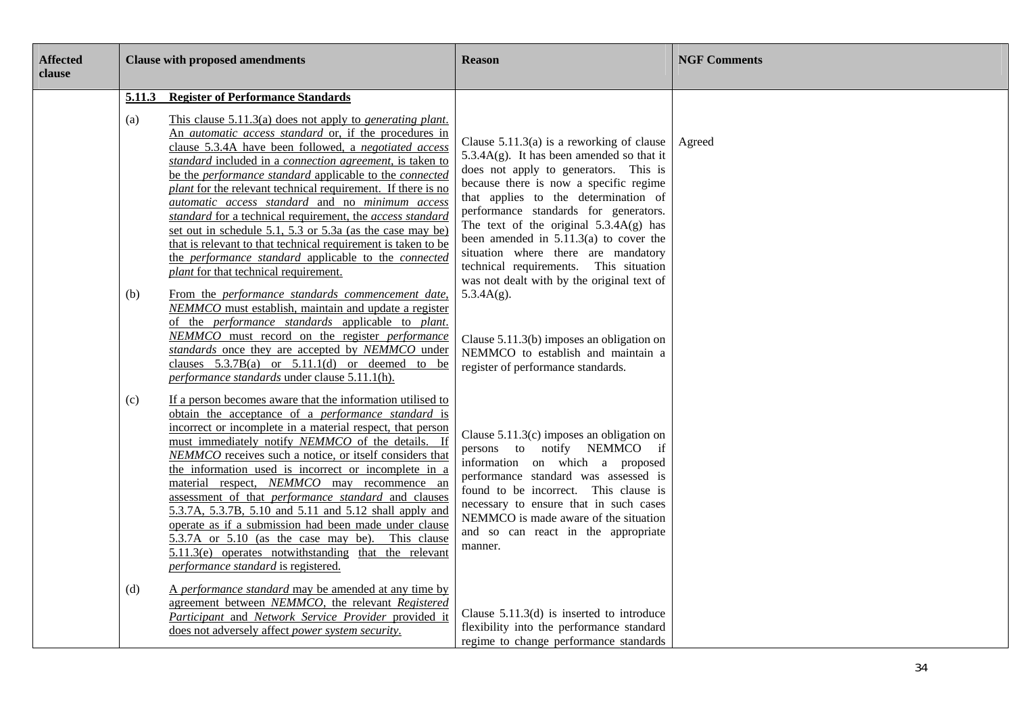| <b>Affected</b><br>clause |               | <b>Clause with proposed amendments</b>                                                                                                                                                                                                                                                                                                                                                                                                                                                                                                                                                                                                                                                                                                                                               | <b>Reason</b>                                                                                                                                                                                                                                                                                                                                                                                                                            | <b>NGF Comments</b> |
|---------------------------|---------------|--------------------------------------------------------------------------------------------------------------------------------------------------------------------------------------------------------------------------------------------------------------------------------------------------------------------------------------------------------------------------------------------------------------------------------------------------------------------------------------------------------------------------------------------------------------------------------------------------------------------------------------------------------------------------------------------------------------------------------------------------------------------------------------|------------------------------------------------------------------------------------------------------------------------------------------------------------------------------------------------------------------------------------------------------------------------------------------------------------------------------------------------------------------------------------------------------------------------------------------|---------------------|
|                           | 5.11.3<br>(a) | <b>Register of Performance Standards</b><br>This clause $5.11.3(a)$ does not apply to <i>generating plant.</i><br>An <i>automatic access standard</i> or, if the procedures in<br>clause 5.3.4A have been followed, a negotiated access<br>standard included in a connection agreement, is taken to<br>be the performance standard applicable to the connected<br>plant for the relevant technical requirement. If there is no<br>automatic access standard and no minimum access<br>standard for a technical requirement, the access standard<br>set out in schedule 5.1, 5.3 or 5.3a (as the case may be)<br>that is relevant to that technical requirement is taken to be<br>the performance standard applicable to the connected<br><i>plant</i> for that technical requirement. | Clause $5.11.3(a)$ is a reworking of clause<br>$5.3.4A(g)$ . It has been amended so that it<br>does not apply to generators. This is<br>because there is now a specific regime<br>that applies to the determination of<br>performance standards for generators.<br>The text of the original $5.3.4A(g)$ has<br>been amended in $5.11.3(a)$ to cover the<br>situation where there are mandatory<br>technical requirements. This situation | Agreed              |
|                           | (b)           | From the performance standards commencement date,<br>NEMMCO must establish, maintain and update a register<br>of the performance standards applicable to plant.<br>NEMMCO must record on the register performance<br>standards once they are accepted by NEMMCO under<br>clauses $5.3.7B(a)$ or $5.11.1(d)$ or deemed to be<br>performance standards under clause 5.11.1(h).                                                                                                                                                                                                                                                                                                                                                                                                         | was not dealt with by the original text of<br>$5.3.4A(g)$ .<br>Clause $5.11.3(b)$ imposes an obligation on<br>NEMMCO to establish and maintain a<br>register of performance standards.                                                                                                                                                                                                                                                   |                     |
|                           | (c)           | If a person becomes aware that the information utilised to<br>obtain the acceptance of a <i>performance</i> standard is<br>incorrect or incomplete in a material respect, that person<br>must immediately notify NEMMCO of the details. If<br>NEMMCO receives such a notice, or itself considers that<br>the information used is incorrect or incomplete in a<br>material respect, NEMMCO may recommence an<br>assessment of that <i>performance</i> standard and clauses<br>5.3.7A, 5.3.7B, 5.10 and 5.11 and 5.12 shall apply and<br>operate as if a submission had been made under clause<br>5.3.7A or 5.10 (as the case may be). This clause<br>5.11.3(e) operates notwithstanding that the relevant<br>performance standard is registered.                                      | Clause $5.11.3(c)$ imposes an obligation on<br>persons to notify NEMMCO if<br>information on which a proposed<br>performance standard was assessed is<br>found to be incorrect. This clause is<br>necessary to ensure that in such cases<br>NEMMCO is made aware of the situation<br>and so can react in the appropriate<br>manner.                                                                                                      |                     |
|                           | (d)           | A performance standard may be amended at any time by<br>agreement between NEMMCO, the relevant Registered<br>Participant and Network Service Provider provided it<br>does not adversely affect power system security.                                                                                                                                                                                                                                                                                                                                                                                                                                                                                                                                                                | Clause $5.11.3(d)$ is inserted to introduce<br>flexibility into the performance standard<br>regime to change performance standards                                                                                                                                                                                                                                                                                                       |                     |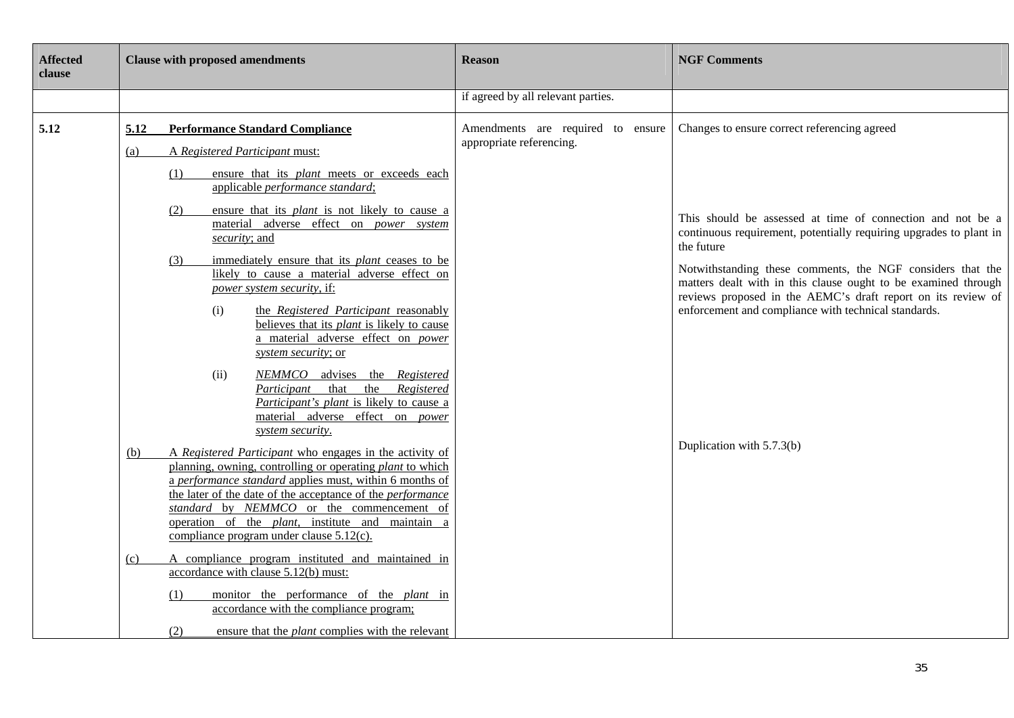| <b>Affected</b><br>clause | <b>Clause with proposed amendments</b>                                                                                                                                                                                                                                                                                                                                                                                                                                                                                                                                                                                                                                                                                                                                                                                                                                                                                                                                                                                                                                                              | <b>Reason</b>                                                 | <b>NGF Comments</b>                                                                                                                                                                                                                                                                                                                                                                                                                                                                 |
|---------------------------|-----------------------------------------------------------------------------------------------------------------------------------------------------------------------------------------------------------------------------------------------------------------------------------------------------------------------------------------------------------------------------------------------------------------------------------------------------------------------------------------------------------------------------------------------------------------------------------------------------------------------------------------------------------------------------------------------------------------------------------------------------------------------------------------------------------------------------------------------------------------------------------------------------------------------------------------------------------------------------------------------------------------------------------------------------------------------------------------------------|---------------------------------------------------------------|-------------------------------------------------------------------------------------------------------------------------------------------------------------------------------------------------------------------------------------------------------------------------------------------------------------------------------------------------------------------------------------------------------------------------------------------------------------------------------------|
|                           |                                                                                                                                                                                                                                                                                                                                                                                                                                                                                                                                                                                                                                                                                                                                                                                                                                                                                                                                                                                                                                                                                                     | if agreed by all relevant parties.                            |                                                                                                                                                                                                                                                                                                                                                                                                                                                                                     |
| 5.12                      | <b>Performance Standard Compliance</b><br>5.12<br>A Registered Participant must:<br>(a)<br>ensure that its plant meets or exceeds each<br>(1)<br>applicable <i>performance</i> standard;<br>(2)<br>ensure that its <i>plant</i> is not likely to cause a<br>material adverse effect on power system<br>security; and<br>immediately ensure that its <i>plant</i> ceases to be<br>(3)<br>likely to cause a material adverse effect on<br>power system security, if:<br>(i)<br>the Registered Participant reasonably<br>believes that its <i>plant</i> is likely to cause<br>a material adverse effect on power<br>system security; or<br>(ii)<br><i>NEMMCO</i><br>advises the Registered<br>the Registered<br>that<br>Participant<br>Participant's plant is likely to cause a<br>material adverse effect on power<br>system security.<br>A Registered Participant who engages in the activity of<br>(b)<br>planning, owning, controlling or operating plant to which<br>a performance standard applies must, within 6 months of<br>the later of the date of the acceptance of the <i>performance</i> | Amendments are required to ensure<br>appropriate referencing. | Changes to ensure correct referencing agreed<br>This should be assessed at time of connection and not be a<br>continuous requirement, potentially requiring upgrades to plant in<br>the future<br>Notwithstanding these comments, the NGF considers that the<br>matters dealt with in this clause ought to be examined through<br>reviews proposed in the AEMC's draft report on its review of<br>enforcement and compliance with technical standards.<br>Duplication with 5.7.3(b) |
|                           | standard by NEMMCO or the commencement of<br>operation of the <i>plant</i> , institute and maintain a<br>compliance program under clause $5.12(c)$ .<br>A compliance program instituted and maintained in<br>(c)<br>accordance with clause 5.12(b) must:<br>monitor the performance of the <i>plant</i> in<br>(1)<br>accordance with the compliance program;<br>(2)<br>ensure that the <i>plant</i> complies with the relevant                                                                                                                                                                                                                                                                                                                                                                                                                                                                                                                                                                                                                                                                      |                                                               |                                                                                                                                                                                                                                                                                                                                                                                                                                                                                     |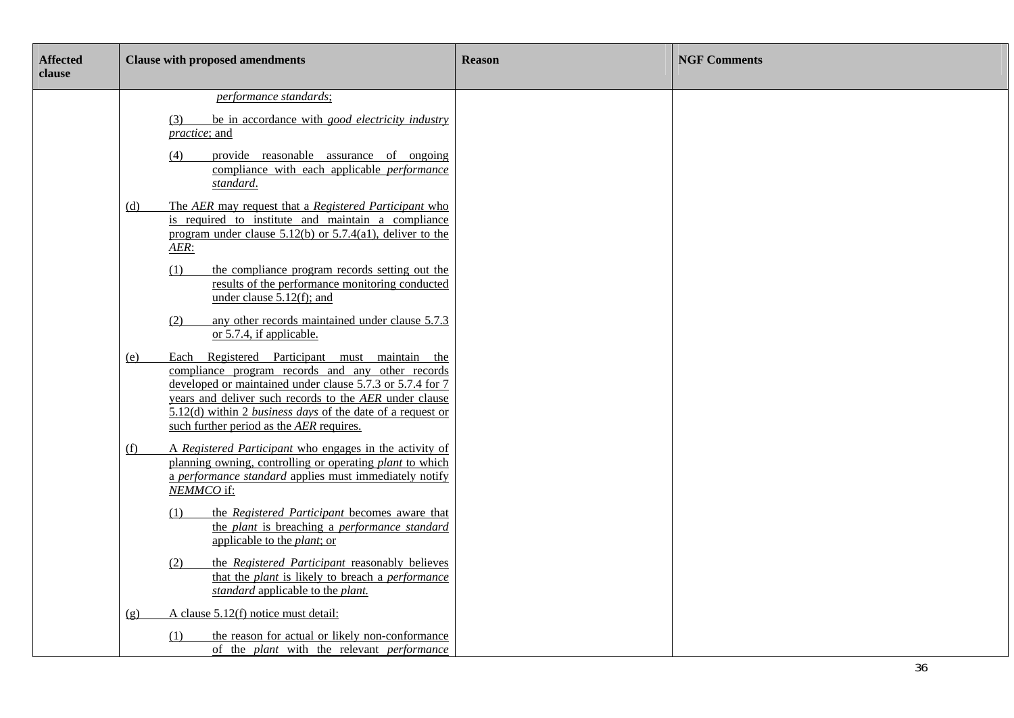| <b>Affected</b><br>clause | <b>Clause with proposed amendments</b>                                                                                                                                                                                                                                                                                                                                                                                                                                                                      | <b>Reason</b> | <b>NGF Comments</b> |
|---------------------------|-------------------------------------------------------------------------------------------------------------------------------------------------------------------------------------------------------------------------------------------------------------------------------------------------------------------------------------------------------------------------------------------------------------------------------------------------------------------------------------------------------------|---------------|---------------------|
|                           | performance standards;<br>be in accordance with good electricity industry<br>(3)<br>practice; and<br>provide reasonable assurance of ongoing<br>(4)<br>compliance with each applicable <i>performance</i><br>standard.                                                                                                                                                                                                                                                                                      |               |                     |
|                           | The AER may request that a Registered Participant who<br><u>(d)</u><br>is required to institute and maintain a compliance<br>program under clause $5.12(b)$ or $5.7.4(a1)$ , deliver to the<br>$AER$ :<br>the compliance program records setting out the<br>(1)<br>results of the performance monitoring conducted<br>under clause $5.12(f)$ ; and                                                                                                                                                          |               |                     |
|                           | any other records maintained under clause 5.7.3<br>(2)<br>or 5.7.4, if applicable.<br>Each Registered Participant must maintain the<br>(e)<br>compliance program records and any other records<br>developed or maintained under clause 5.7.3 or 5.7.4 for 7<br>years and deliver such records to the AER under clause<br>$5.12(d)$ within 2 <i>business days</i> of the date of a request or<br>such further period as the AER requires.                                                                    |               |                     |
|                           | A Registered Participant who engages in the activity of<br>(f)<br>planning owning, controlling or operating <i>plant</i> to which<br>a performance standard applies must immediately notify<br>NEMMCO if:<br>the Registered Participant becomes aware that<br>(1)<br>the plant is breaching a performance standard<br>applicable to the <i>plant</i> ; or<br>the Registered Participant reasonably believes<br>(2)<br>that the plant is likely to breach a performance<br>standard applicable to the plant. |               |                     |
|                           | A clause 5.12(f) notice must detail:<br>(g)<br>the reason for actual or likely non-conformance<br>(1)<br>of the plant with the relevant performance                                                                                                                                                                                                                                                                                                                                                         |               |                     |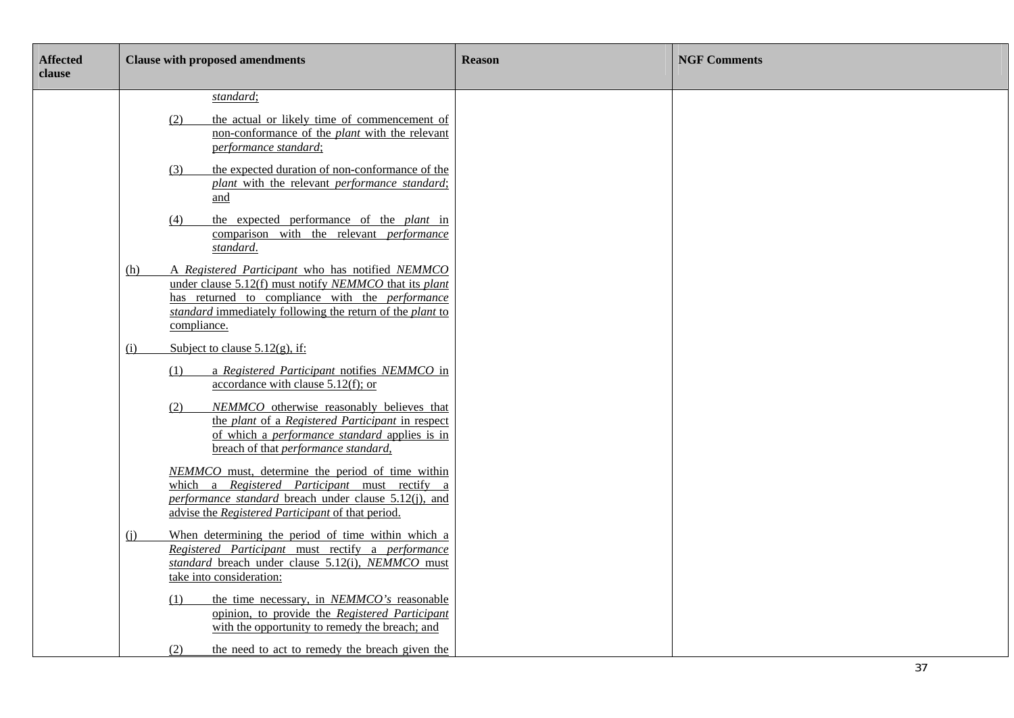| <b>Affected</b><br>clause | <b>Clause with proposed amendments</b>                                                                                                                                                                                                                               | <b>Reason</b> | <b>NGF Comments</b> |
|---------------------------|----------------------------------------------------------------------------------------------------------------------------------------------------------------------------------------------------------------------------------------------------------------------|---------------|---------------------|
|                           | standard;<br>the actual or likely time of commencement of<br>(2)<br>non-conformance of the <i>plant</i> with the relevant<br>performance standard;<br>the expected duration of non-conformance of the<br>(3)<br>plant with the relevant performance standard;<br>and |               |                     |
|                           | the expected performance of the <i>plant</i> in<br>(4)<br>comparison with the relevant <i>performance</i><br>standard.                                                                                                                                               |               |                     |
|                           | A Registered Participant who has notified NEMMCO<br>(h)<br>under clause 5.12(f) must notify NEMMCO that its plant<br>has returned to compliance with the <i>performance</i><br>standard immediately following the return of the plant to<br>compliance.              |               |                     |
|                           | Subject to clause $5.12(g)$ , if:<br>(i)<br>a Registered Participant notifies NEMMCO in<br>(1)                                                                                                                                                                       |               |                     |
|                           | accordance with clause $5.12(f)$ ; or<br>NEMMCO otherwise reasonably believes that<br>(2)<br>the plant of a Registered Participant in respect<br>of which a <i>performance standard</i> applies is in<br>breach of that performance standard,                        |               |                     |
|                           | NEMMCO must, determine the period of time within<br>which a Registered Participant must rectify a<br>performance standard breach under clause 5.12(j), and<br>advise the Registered Participant of that period.                                                      |               |                     |
|                           | When determining the period of time within which a<br>(i)<br>Registered Participant must rectify a performance<br>standard breach under clause 5.12(i), NEMMCO must<br>take into consideration:                                                                      |               |                     |
|                           | the time necessary, in NEMMCO's reasonable<br>(1)<br>opinion, to provide the Registered Participant<br>with the opportunity to remedy the breach; and                                                                                                                |               |                     |
|                           | (2)<br>the need to act to remedy the breach given the                                                                                                                                                                                                                |               |                     |

Ξ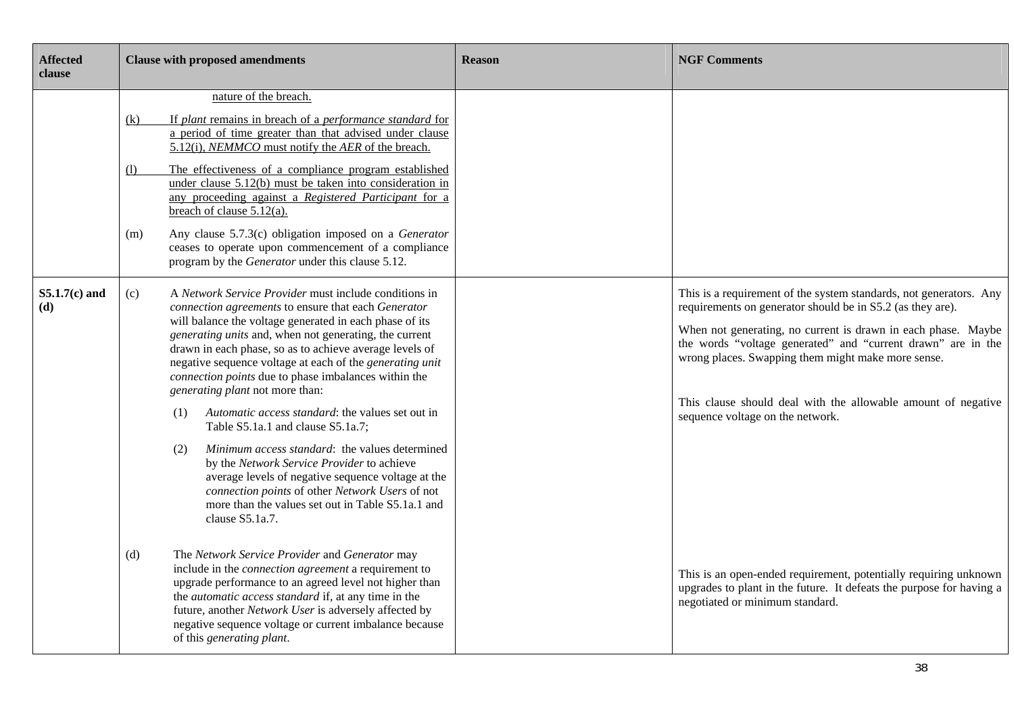| <b>Affected</b><br>clause | <b>Clause with proposed amendments</b>                                                                                                                                                                                                                                                                                                                                                                                                                                                                                                                                                                                                                                                                                                                                                                                                             | <b>Reason</b> | <b>NGF Comments</b>                                                                                                                                                                                                                                                                                                                                                                                                          |
|---------------------------|----------------------------------------------------------------------------------------------------------------------------------------------------------------------------------------------------------------------------------------------------------------------------------------------------------------------------------------------------------------------------------------------------------------------------------------------------------------------------------------------------------------------------------------------------------------------------------------------------------------------------------------------------------------------------------------------------------------------------------------------------------------------------------------------------------------------------------------------------|---------------|------------------------------------------------------------------------------------------------------------------------------------------------------------------------------------------------------------------------------------------------------------------------------------------------------------------------------------------------------------------------------------------------------------------------------|
|                           | nature of the breach.<br>If plant remains in breach of a performance standard for<br><u>(k)</u><br>a period of time greater than that advised under clause<br>5.12(i), NEMMCO must notify the AER of the breach.<br>The effectiveness of a compliance program established<br>(1)<br>under clause 5.12(b) must be taken into consideration in<br>any proceeding against a Registered Participant for a<br>breach of clause 5.12(a).<br>Any clause 5.7.3(c) obligation imposed on a Generator<br>(m)<br>ceases to operate upon commencement of a compliance<br>program by the Generator under this clause 5.12.                                                                                                                                                                                                                                      |               |                                                                                                                                                                                                                                                                                                                                                                                                                              |
| $S5.1.7(c)$ and<br>(d)    | A Network Service Provider must include conditions in<br>(c)<br>connection agreements to ensure that each Generator<br>will balance the voltage generated in each phase of its<br>generating units and, when not generating, the current<br>drawn in each phase, so as to achieve average levels of<br>negative sequence voltage at each of the generating unit<br>connection points due to phase imbalances within the<br>generating plant not more than:<br>Automatic access standard: the values set out in<br>(1)<br>Table S5.1a.1 and clause S5.1a.7;<br>Minimum access standard: the values determined<br>(2)<br>by the Network Service Provider to achieve<br>average levels of negative sequence voltage at the<br>connection points of other Network Users of not<br>more than the values set out in Table S5.1a.1 and<br>clause S5.1a.7. |               | This is a requirement of the system standards, not generators. Any<br>requirements on generator should be in S5.2 (as they are).<br>When not generating, no current is drawn in each phase. Maybe<br>the words "voltage generated" and "current drawn" are in the<br>wrong places. Swapping them might make more sense.<br>This clause should deal with the allowable amount of negative<br>sequence voltage on the network. |
|                           | The Network Service Provider and Generator may<br>(d)<br>include in the <i>connection</i> agreement a requirement to<br>upgrade performance to an agreed level not higher than<br>the <i>automatic access standard</i> if, at any time in the<br>future, another Network User is adversely affected by<br>negative sequence voltage or current imbalance because<br>of this generating plant.                                                                                                                                                                                                                                                                                                                                                                                                                                                      |               | This is an open-ended requirement, potentially requiring unknown<br>upgrades to plant in the future. It defeats the purpose for having a<br>negotiated or minimum standard.                                                                                                                                                                                                                                                  |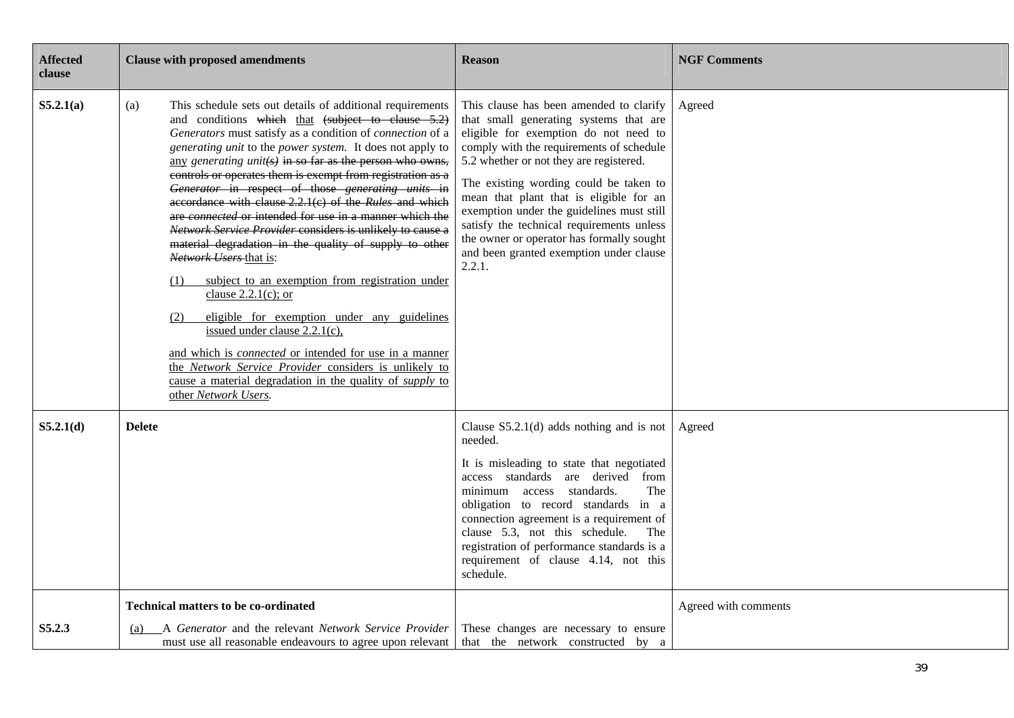| <b>Affected</b><br>clause | <b>Clause with proposed amendments</b>                                                                                                                                                                                                                                                                                                                                                                                                                                                                                                                                                                                                                                                                                                                                                                                                                                                                                                                                                                                                                                                                      | <b>Reason</b>                                                                                                                                                                                                                                                                                                                                                                                                                                                                                      | <b>NGF Comments</b>  |
|---------------------------|-------------------------------------------------------------------------------------------------------------------------------------------------------------------------------------------------------------------------------------------------------------------------------------------------------------------------------------------------------------------------------------------------------------------------------------------------------------------------------------------------------------------------------------------------------------------------------------------------------------------------------------------------------------------------------------------------------------------------------------------------------------------------------------------------------------------------------------------------------------------------------------------------------------------------------------------------------------------------------------------------------------------------------------------------------------------------------------------------------------|----------------------------------------------------------------------------------------------------------------------------------------------------------------------------------------------------------------------------------------------------------------------------------------------------------------------------------------------------------------------------------------------------------------------------------------------------------------------------------------------------|----------------------|
| S5.2.1(a)                 | This schedule sets out details of additional requirements<br>(a)<br>and conditions which that (subject to clause 5.2)<br>Generators must satisfy as a condition of connection of a<br>generating unit to the power system. It does not apply to<br>any generating unit( $s$ ) in so far as the person who owns,<br>controls or operates them is exempt from registration as a<br>Generator in respect of those generating units in<br>accordance with clause 2.2.1(c) of the Rules and which<br>are connected or intended for use in a manner which the<br>Network Service Provider considers is unlikely to cause a<br>material degradation in the quality of supply to other<br>Network Users that is:<br>subject to an exemption from registration under<br>(1)<br>clause $2.2.1(c)$ ; or<br>eligible for exemption under any guidelines<br>(2)<br>issued under clause $2.2.1(c)$ ,<br>and which is <i>connected</i> or intended for use in a manner<br>the Network Service Provider considers is unlikely to<br>cause a material degradation in the quality of <i>supply</i> to<br>other Network Users. | This clause has been amended to clarify<br>that small generating systems that are<br>eligible for exemption do not need to<br>comply with the requirements of schedule<br>5.2 whether or not they are registered.<br>The existing wording could be taken to<br>mean that plant that is eligible for an<br>exemption under the guidelines must still<br>satisfy the technical requirements unless<br>the owner or operator has formally sought<br>and been granted exemption under clause<br>2.2.1. | Agreed               |
| S5.2.1(d)                 | <b>Delete</b>                                                                                                                                                                                                                                                                                                                                                                                                                                                                                                                                                                                                                                                                                                                                                                                                                                                                                                                                                                                                                                                                                               | Clause $S5.2.1(d)$ adds nothing and is not<br>needed.<br>It is misleading to state that negotiated<br>access standards are derived from<br>minimum access standards.<br>The<br>obligation to record standards in a<br>connection agreement is a requirement of<br>clause 5.3, not this schedule.<br>The<br>registration of performance standards is a<br>requirement of clause 4.14, not this<br>schedule.                                                                                         | Agreed               |
| S5.2.3                    | <b>Technical matters to be co-ordinated</b><br>A Generator and the relevant Network Service Provider<br>(a)<br>must use all reasonable endeavours to agree upon relevant                                                                                                                                                                                                                                                                                                                                                                                                                                                                                                                                                                                                                                                                                                                                                                                                                                                                                                                                    | These changes are necessary to ensure<br>that the network constructed by a                                                                                                                                                                                                                                                                                                                                                                                                                         | Agreed with comments |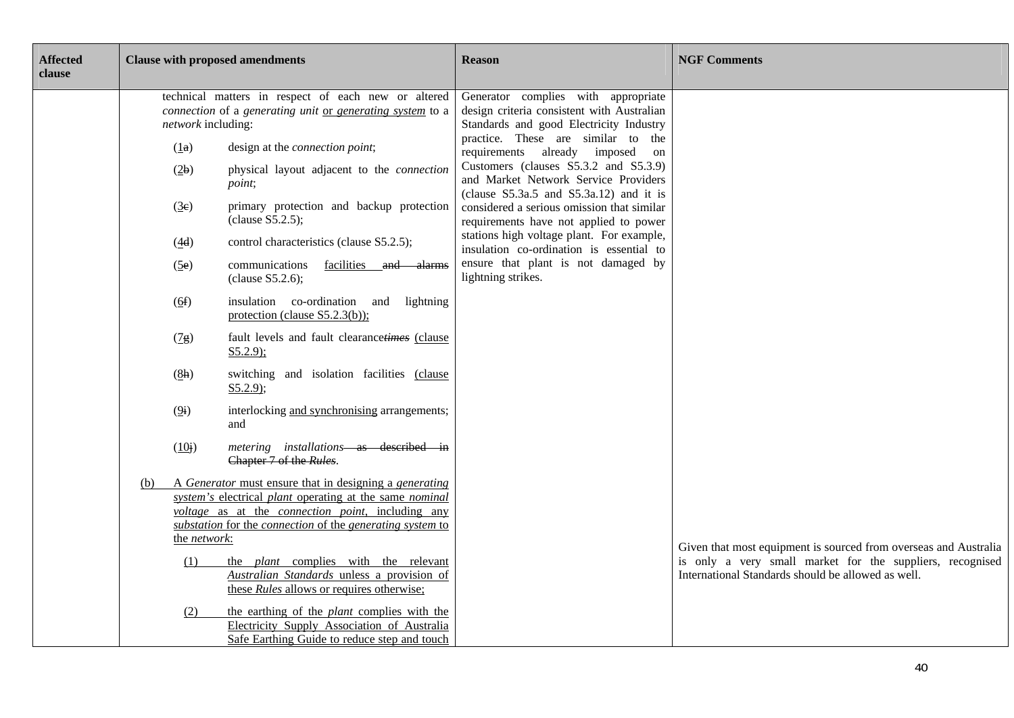| <b>Affected</b><br>clause |                                                                                                                                        |              | <b>Clause with proposed amendments</b>                                                                                                            | <b>Reason</b>                                                                                                                 | <b>NGF Comments</b>                                                                                                           |
|---------------------------|----------------------------------------------------------------------------------------------------------------------------------------|--------------|---------------------------------------------------------------------------------------------------------------------------------------------------|-------------------------------------------------------------------------------------------------------------------------------|-------------------------------------------------------------------------------------------------------------------------------|
|                           | technical matters in respect of each new or altered<br>connection of a generating unit or generating system to a<br>network including: |              |                                                                                                                                                   | Generator complies with appropriate<br>design criteria consistent with Australian<br>Standards and good Electricity Industry  |                                                                                                                               |
|                           |                                                                                                                                        | (1a)         | design at the <i>connection point</i> ;                                                                                                           | practice. These are similar to the<br>requirements already imposed on                                                         |                                                                                                                               |
|                           |                                                                                                                                        | (2b)         | physical layout adjacent to the connection<br>point;                                                                                              | Customers (clauses S5.3.2 and S5.3.9)<br>and Market Network Service Providers<br>(clause $S5.3a.5$ and $S5.3a.12$ ) and it is |                                                                                                                               |
|                           |                                                                                                                                        | (3e)         | primary protection and backup protection<br>clause S5.2.5);                                                                                       | considered a serious omission that similar<br>requirements have not applied to power                                          |                                                                                                                               |
|                           |                                                                                                                                        | (4d)         | control characteristics (clause S5.2.5);                                                                                                          | stations high voltage plant. For example,<br>insulation co-ordination is essential to                                         |                                                                                                                               |
|                           |                                                                                                                                        | (5e)         | communications<br>facilities and alarms<br>clause S5.2.6);                                                                                        | ensure that plant is not damaged by<br>lightning strikes.                                                                     |                                                                                                                               |
|                           |                                                                                                                                        | (6f)         | insulation co-ordination and lightning<br>protection (clause $S5.2.3(b)$ );                                                                       |                                                                                                                               |                                                                                                                               |
|                           |                                                                                                                                        | (7g)         | fault levels and fault clearancetimes (clause<br>$S5.2.9$ ;                                                                                       |                                                                                                                               |                                                                                                                               |
|                           |                                                                                                                                        | (8h)         | switching and isolation facilities (clause<br>$S5.2.9$ ;                                                                                          |                                                                                                                               |                                                                                                                               |
|                           |                                                                                                                                        | (9i)         | interlocking and synchronising arrangements;<br>and                                                                                               |                                                                                                                               |                                                                                                                               |
|                           |                                                                                                                                        | (10j)        | metering installations-as described in<br>Chapter 7 of the Rules.                                                                                 |                                                                                                                               |                                                                                                                               |
|                           | (b)                                                                                                                                    |              | A Generator must ensure that in designing a generating<br>system's electrical plant operating at the same nominal                                 |                                                                                                                               |                                                                                                                               |
|                           |                                                                                                                                        |              | voltage as at the connection point, including any                                                                                                 |                                                                                                                               |                                                                                                                               |
|                           |                                                                                                                                        | the network: | substation for the connection of the generating system to                                                                                         |                                                                                                                               |                                                                                                                               |
|                           |                                                                                                                                        |              |                                                                                                                                                   |                                                                                                                               | Given that most equipment is sourced from overseas and Australia<br>is only a very small market for the suppliers, recognised |
|                           |                                                                                                                                        | (1)          | the <i>plant</i> complies with the relevant<br>Australian Standards unless a provision of<br>these <i>Rules</i> allows or requires otherwise;     |                                                                                                                               | International Standards should be allowed as well.                                                                            |
|                           |                                                                                                                                        | (2)          | the earthing of the <i>plant</i> complies with the<br>Electricity Supply Association of Australia<br>Safe Earthing Guide to reduce step and touch |                                                                                                                               |                                                                                                                               |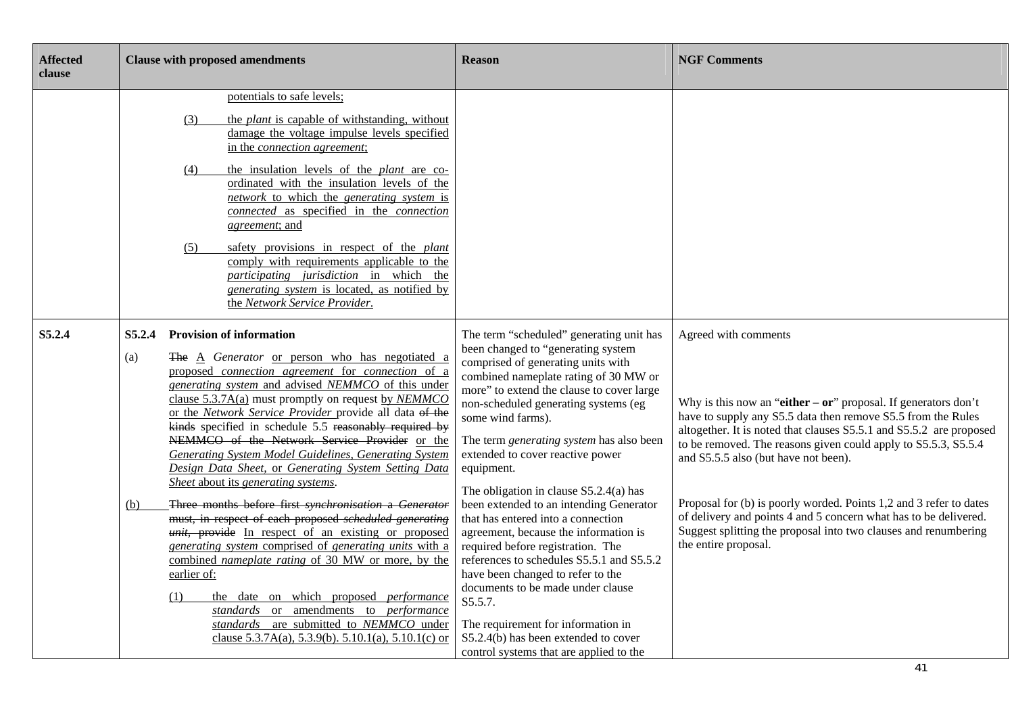| <b>Affected</b><br>clause | <b>Clause with proposed amendments</b>                                                                                                                                                                                                                                                                                                                                                                                                                                                                                                                                                                                                                                                                                                                                                                                                                                                                                                                                                                                                                                                                                                     | <b>Reason</b>                                                                                                                                                                                                                                                                                                                                                                                                                                                                                                                                                                                                                                                                                                                                                                                                                               | <b>NGF Comments</b>                                                                                                                                                                                                                                                                                                                                                                                                                                                                                                                                                            |
|---------------------------|--------------------------------------------------------------------------------------------------------------------------------------------------------------------------------------------------------------------------------------------------------------------------------------------------------------------------------------------------------------------------------------------------------------------------------------------------------------------------------------------------------------------------------------------------------------------------------------------------------------------------------------------------------------------------------------------------------------------------------------------------------------------------------------------------------------------------------------------------------------------------------------------------------------------------------------------------------------------------------------------------------------------------------------------------------------------------------------------------------------------------------------------|---------------------------------------------------------------------------------------------------------------------------------------------------------------------------------------------------------------------------------------------------------------------------------------------------------------------------------------------------------------------------------------------------------------------------------------------------------------------------------------------------------------------------------------------------------------------------------------------------------------------------------------------------------------------------------------------------------------------------------------------------------------------------------------------------------------------------------------------|--------------------------------------------------------------------------------------------------------------------------------------------------------------------------------------------------------------------------------------------------------------------------------------------------------------------------------------------------------------------------------------------------------------------------------------------------------------------------------------------------------------------------------------------------------------------------------|
|                           | potentials to safe levels;<br>the <i>plant</i> is capable of withstanding, without<br>(3)<br>damage the voltage impulse levels specified<br>in the connection agreement;<br>the insulation levels of the <i>plant</i> are co-<br>(4)<br>ordinated with the insulation levels of the<br>network to which the generating system is<br>connected as specified in the connection<br><i>agreement</i> ; and<br>safety provisions in respect of the <i>plant</i><br>(5)<br>comply with requirements applicable to the<br>participating jurisdiction in which the<br>generating system is located, as notified by<br>the Network Service Provider.                                                                                                                                                                                                                                                                                                                                                                                                                                                                                                |                                                                                                                                                                                                                                                                                                                                                                                                                                                                                                                                                                                                                                                                                                                                                                                                                                             |                                                                                                                                                                                                                                                                                                                                                                                                                                                                                                                                                                                |
| S5.2.4                    | <b>Provision of information</b><br>S5.2.4<br>The A Generator or person who has negotiated a<br>(a)<br>proposed connection agreement for connection of a<br>generating system and advised NEMMCO of this under<br>clause $5.3.7A(a)$ must promptly on request by NEMMCO<br>or the Network Service Provider provide all data of the<br>kinds specified in schedule 5.5 reasonably required by<br>NEMMCO of the Network Service Provider or the<br><b>Generating System Model Guidelines, Generating System</b><br>Design Data Sheet, or Generating System Setting Data<br>Sheet about its generating systems.<br>Three months before first synchronisation a Generator<br>(b)<br>must, in respect of each proposed scheduled generating<br>unit, provide In respect of an existing or proposed<br>generating system comprised of generating units with a<br>combined nameplate rating of 30 MW or more, by the<br>earlier of:<br>the date on which proposed <i>performance</i><br>(1)<br>standards or amendments to performance<br>standards are submitted to NEMMCO under<br>clause $5.3.7A(a)$ , $5.3.9(b)$ . $5.10.1(a)$ , $5.10.1(c)$ or | The term "scheduled" generating unit has<br>been changed to "generating system<br>comprised of generating units with<br>combined nameplate rating of 30 MW or<br>more" to extend the clause to cover large<br>non-scheduled generating systems (eg<br>some wind farms).<br>The term generating system has also been<br>extended to cover reactive power<br>equipment.<br>The obligation in clause $S5.2.4(a)$ has<br>been extended to an intending Generator<br>that has entered into a connection<br>agreement, because the information is<br>required before registration. The<br>references to schedules S5.5.1 and S5.5.2<br>have been changed to refer to the<br>documents to be made under clause<br>S5.5.7.<br>The requirement for information in<br>S5.2.4(b) has been extended to cover<br>control systems that are applied to the | Agreed with comments<br>Why is this now an "either $-$ or" proposal. If generators don't<br>have to supply any S5.5 data then remove S5.5 from the Rules<br>altogether. It is noted that clauses S5.5.1 and S5.5.2 are proposed<br>to be removed. The reasons given could apply to S5.5.3, S5.5.4<br>and S5.5.5 also (but have not been).<br>Proposal for (b) is poorly worded. Points 1,2 and 3 refer to dates<br>of delivery and points 4 and 5 concern what has to be delivered.<br>Suggest splitting the proposal into two clauses and renumbering<br>the entire proposal. |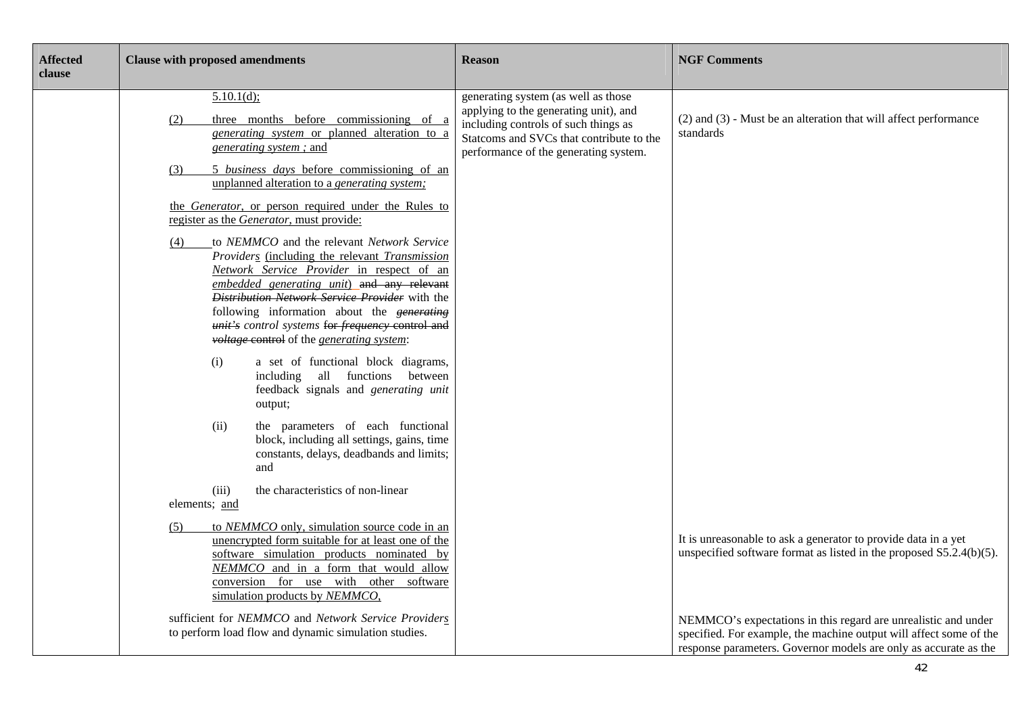| <b>Affected</b><br>clause | <b>Clause with proposed amendments</b>                                                                                                                                                                                                                                                                                                                                                                                                                       | <b>Reason</b>                                                                                                                                                                                             | <b>NGF Comments</b>                                                                                                                                                                                      |
|---------------------------|--------------------------------------------------------------------------------------------------------------------------------------------------------------------------------------------------------------------------------------------------------------------------------------------------------------------------------------------------------------------------------------------------------------------------------------------------------------|-----------------------------------------------------------------------------------------------------------------------------------------------------------------------------------------------------------|----------------------------------------------------------------------------------------------------------------------------------------------------------------------------------------------------------|
|                           | $5.10.1(d)$ ;<br>three months before commissioning of a<br>(2)<br>generating system or planned alteration to a<br>generating system; and                                                                                                                                                                                                                                                                                                                     | generating system (as well as those<br>applying to the generating unit), and<br>including controls of such things as<br>Statcoms and SVCs that contribute to the<br>performance of the generating system. | $(2)$ and $(3)$ - Must be an alteration that will affect performance<br>standards                                                                                                                        |
|                           | 5 business days before commissioning of an<br>(3)<br>unplanned alteration to a generating system;                                                                                                                                                                                                                                                                                                                                                            |                                                                                                                                                                                                           |                                                                                                                                                                                                          |
|                           | the Generator, or person required under the Rules to<br>register as the Generator, must provide:                                                                                                                                                                                                                                                                                                                                                             |                                                                                                                                                                                                           |                                                                                                                                                                                                          |
|                           | to NEMMCO and the relevant Network Service<br>(4)<br>Providers (including the relevant Transmission<br>Network Service Provider in respect of an<br>embedded generating unit) and any relevant<br>Distribution Network Service Provider with the<br>following information about the generating<br>unit's control systems for frequency control and<br><i>voltage</i> control of the <i>generating system</i> :<br>a set of functional block diagrams,<br>(i) |                                                                                                                                                                                                           |                                                                                                                                                                                                          |
|                           | including all functions between<br>feedback signals and generating unit<br>output;                                                                                                                                                                                                                                                                                                                                                                           |                                                                                                                                                                                                           |                                                                                                                                                                                                          |
|                           | the parameters of each functional<br>(ii)<br>block, including all settings, gains, time<br>constants, delays, deadbands and limits;<br>and                                                                                                                                                                                                                                                                                                                   |                                                                                                                                                                                                           |                                                                                                                                                                                                          |
|                           | the characteristics of non-linear<br>(iii)<br>elements; and                                                                                                                                                                                                                                                                                                                                                                                                  |                                                                                                                                                                                                           |                                                                                                                                                                                                          |
|                           | to NEMMCO only, simulation source code in an<br>(5)<br>unencrypted form suitable for at least one of the<br>software simulation products nominated by<br>NEMMCO and in a form that would allow<br>conversion for use with other software<br>simulation products by NEMMCO,                                                                                                                                                                                   |                                                                                                                                                                                                           | It is unreasonable to ask a generator to provide data in a yet<br>unspecified software format as listed in the proposed $S5.2.4(b)(5)$ .                                                                 |
|                           | sufficient for NEMMCO and Network Service Providers<br>to perform load flow and dynamic simulation studies.                                                                                                                                                                                                                                                                                                                                                  |                                                                                                                                                                                                           | NEMMCO's expectations in this regard are unrealistic and under<br>specified. For example, the machine output will affect some of the<br>response parameters. Governor models are only as accurate as the |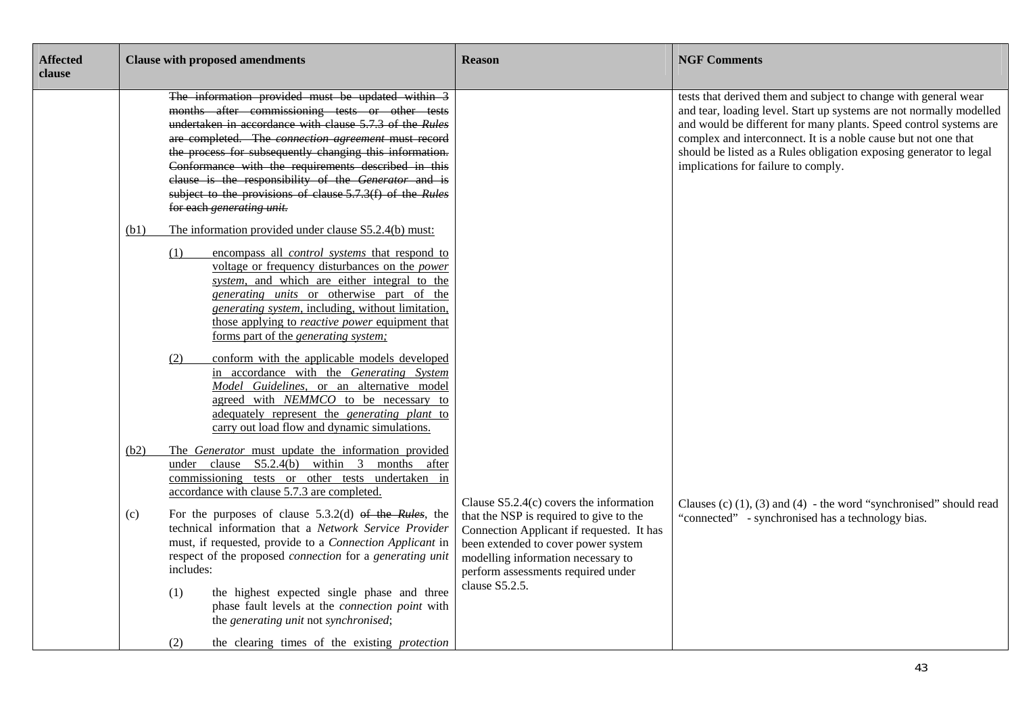| <b>Affected</b><br>clause | <b>Clause with proposed amendments</b>                                                                                                                                                                                                                                                                                                                                                                                                                                                                                                                                                                                                                                                                                                            | <b>Reason</b>                                                                                                                                                                                                                                                          | <b>NGF Comments</b>                                                                                                                                                                                                                                                                                                                                                                        |
|---------------------------|---------------------------------------------------------------------------------------------------------------------------------------------------------------------------------------------------------------------------------------------------------------------------------------------------------------------------------------------------------------------------------------------------------------------------------------------------------------------------------------------------------------------------------------------------------------------------------------------------------------------------------------------------------------------------------------------------------------------------------------------------|------------------------------------------------------------------------------------------------------------------------------------------------------------------------------------------------------------------------------------------------------------------------|--------------------------------------------------------------------------------------------------------------------------------------------------------------------------------------------------------------------------------------------------------------------------------------------------------------------------------------------------------------------------------------------|
|                           | The information provided must be updated within 3<br>months after commissioning tests or other tests<br>undertaken in accordance with clause 5.7.3 of the Rules<br>are completed. The <i>connection agreement</i> must record<br>the process for subsequently changing this information.<br>Conformance with the requirements described in this<br>clause is the responsibility of the Generator and is<br>subject to the provisions of clause 5.7.3(f) of the Rules<br>for each generating unit.                                                                                                                                                                                                                                                 |                                                                                                                                                                                                                                                                        | tests that derived them and subject to change with general wear<br>and tear, loading level. Start up systems are not normally modelled<br>and would be different for many plants. Speed control systems are<br>complex and interconnect. It is a noble cause but not one that<br>should be listed as a Rules obligation exposing generator to legal<br>implications for failure to comply. |
|                           | The information provided under clause S5.2.4(b) must:<br>(b1)<br>(1)<br>encompass all <i>control systems</i> that respond to<br>voltage or frequency disturbances on the <i>power</i><br>system, and which are either integral to the<br>generating units or otherwise part of the<br>generating system, including, without limitation,<br>those applying to <i>reactive power</i> equipment that<br>forms part of the <i>generating system</i> ;<br>conform with the applicable models developed<br>(2)<br>in accordance with the Generating System<br>Model Guidelines, or an alternative model<br>agreed with NEMMCO to be necessary to<br>adequately represent the <i>generating plant</i> to<br>carry out load flow and dynamic simulations. |                                                                                                                                                                                                                                                                        |                                                                                                                                                                                                                                                                                                                                                                                            |
|                           | The Generator must update the information provided<br>(b2)<br>under clause S5.2.4(b) within 3 months after<br>commissioning tests or other tests undertaken in<br>accordance with clause 5.7.3 are completed.<br>For the purposes of clause $5.3.2(d)$ of the Rules, the<br>(c)<br>technical information that a Network Service Provider<br>must, if requested, provide to a Connection Applicant in<br>respect of the proposed connection for a generating unit<br>includes:<br>the highest expected single phase and three<br>(1)<br>phase fault levels at the connection point with<br>the generating unit not synchronised;<br>the clearing times of the existing protection<br>(2)                                                           | Clause $S5.2.4(c)$ covers the information<br>that the NSP is required to give to the<br>Connection Applicant if requested. It has<br>been extended to cover power system<br>modelling information necessary to<br>perform assessments required under<br>clause S5.2.5. | Clauses (c) $(1)$ , $(3)$ and $(4)$ - the word "synchronised" should read<br>"connected" - synchronised has a technology bias.                                                                                                                                                                                                                                                             |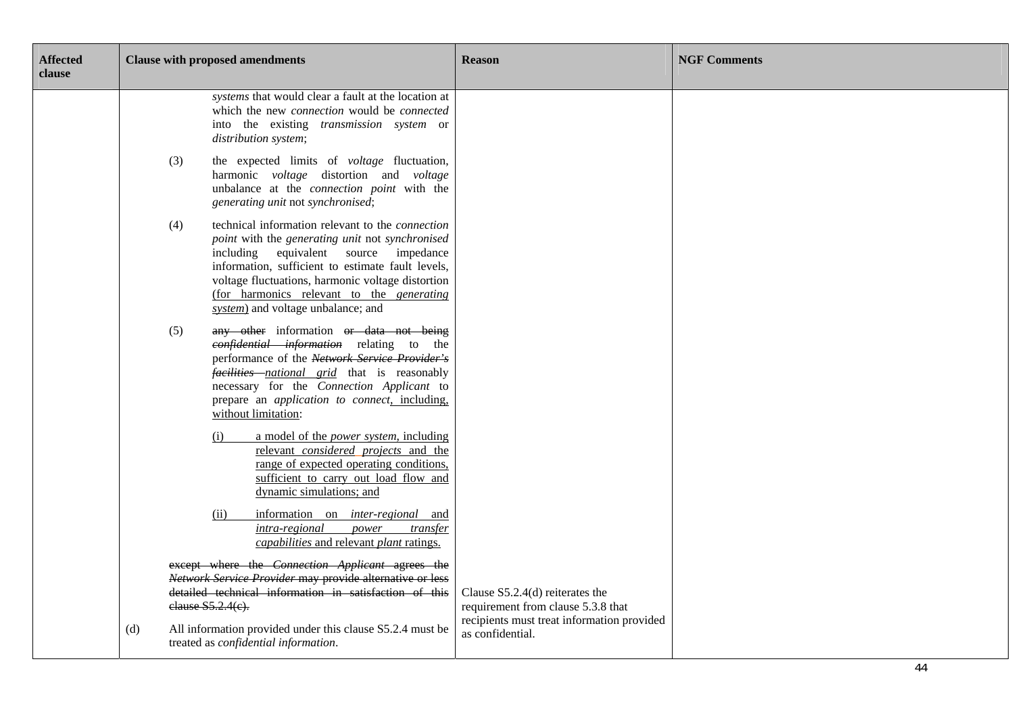| <b>Affected</b><br>clause | <b>Clause with proposed amendments</b>                                                                                                                                                                                                                                                                                                                         | <b>Reason</b>                                                           | <b>NGF Comments</b> |
|---------------------------|----------------------------------------------------------------------------------------------------------------------------------------------------------------------------------------------------------------------------------------------------------------------------------------------------------------------------------------------------------------|-------------------------------------------------------------------------|---------------------|
|                           | systems that would clear a fault at the location at<br>which the new <i>connection</i> would be <i>connected</i><br>into the existing <i>transmission</i> system or<br>distribution system;                                                                                                                                                                    |                                                                         |                     |
|                           | the expected limits of <i>voltage</i> fluctuation,<br>(3)<br>harmonic voltage distortion and voltage<br>unbalance at the <i>connection point</i> with the<br>generating unit not synchronised;                                                                                                                                                                 |                                                                         |                     |
|                           | technical information relevant to the <i>connection</i><br>(4)<br>point with the generating unit not synchronised<br>including equivalent source impedance<br>information, sufficient to estimate fault levels,<br>voltage fluctuations, harmonic voltage distortion<br>(for harmonics relevant to the <i>generating</i><br>system) and voltage unbalance; and |                                                                         |                     |
|                           | (5)<br>any other information or data not being<br>confidential information relating to the<br>performance of the Network Service Provider's<br><i>facilities national grid</i> that is reasonably<br>necessary for the Connection Applicant to<br>prepare an <i>application to connect</i> , including,<br>without limitation:                                 |                                                                         |                     |
|                           | a model of the <i>power system</i> , including<br>(i)<br>relevant considered projects and the<br>range of expected operating conditions,<br>sufficient to carry out load flow and<br>dynamic simulations; and                                                                                                                                                  |                                                                         |                     |
|                           | information on <i>inter-regional</i> and<br>(ii)<br>intra-regional<br>power<br>transfer<br>capabilities and relevant plant ratings.                                                                                                                                                                                                                            |                                                                         |                     |
|                           | except where the Connection Applicant agrees the<br>Network Service Provider may provide alternative or less<br>detailed technical information in satisfaction of this<br>elause S5.2.4(e).                                                                                                                                                                    | Clause $S5.2.4(d)$ reiterates the<br>requirement from clause 5.3.8 that |                     |
|                           | All information provided under this clause S5.2.4 must be<br>(d)<br>treated as confidential information.                                                                                                                                                                                                                                                       | recipients must treat information provided<br>as confidential.          |                     |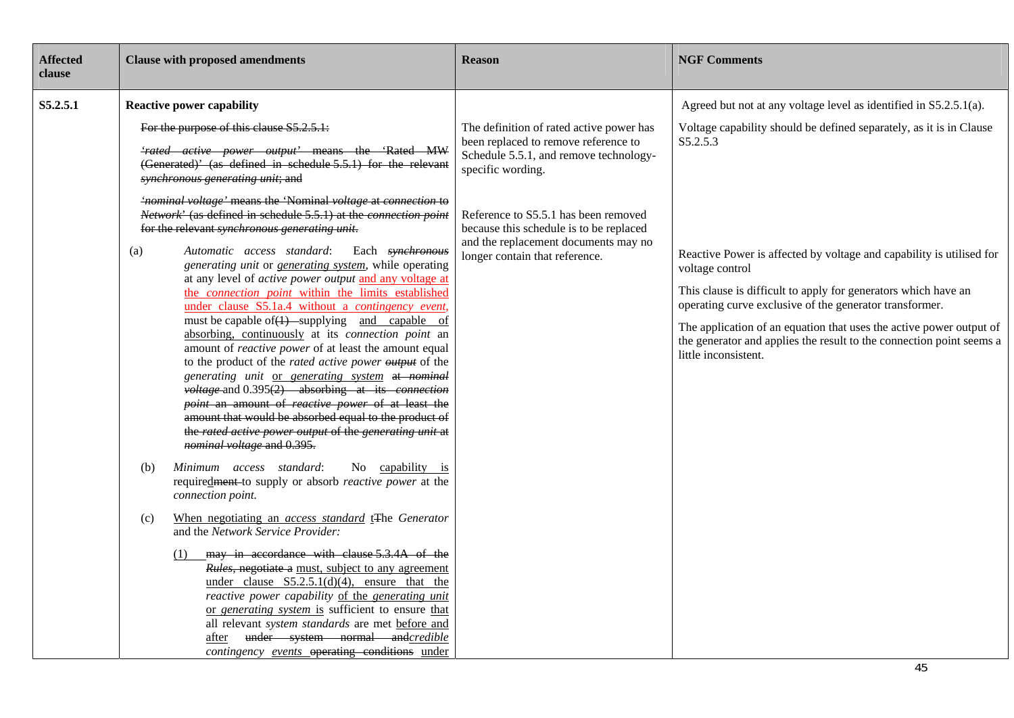| <b>Affected</b><br>clause | <b>Clause with proposed amendments</b>                                                                                                                                                                                                                                                                                                                                                                                                                                                                                                                                                                                                                                                                                                                                                                                                                                                                                                                                                                                                                                                                                                                                                                                                                                                                                                                                                                                                                                                                                                                                                                                                                                                                                                                                                                                                                                                                                                                                            | <b>Reason</b>                                                                                                                                                                                                                                                                                                | <b>NGF Comments</b>                                                                                                                                                                                                                                                                                                                                                                                                                                                                                                                                 |
|---------------------------|-----------------------------------------------------------------------------------------------------------------------------------------------------------------------------------------------------------------------------------------------------------------------------------------------------------------------------------------------------------------------------------------------------------------------------------------------------------------------------------------------------------------------------------------------------------------------------------------------------------------------------------------------------------------------------------------------------------------------------------------------------------------------------------------------------------------------------------------------------------------------------------------------------------------------------------------------------------------------------------------------------------------------------------------------------------------------------------------------------------------------------------------------------------------------------------------------------------------------------------------------------------------------------------------------------------------------------------------------------------------------------------------------------------------------------------------------------------------------------------------------------------------------------------------------------------------------------------------------------------------------------------------------------------------------------------------------------------------------------------------------------------------------------------------------------------------------------------------------------------------------------------------------------------------------------------------------------------------------------------|--------------------------------------------------------------------------------------------------------------------------------------------------------------------------------------------------------------------------------------------------------------------------------------------------------------|-----------------------------------------------------------------------------------------------------------------------------------------------------------------------------------------------------------------------------------------------------------------------------------------------------------------------------------------------------------------------------------------------------------------------------------------------------------------------------------------------------------------------------------------------------|
| S5.2.5.1                  | <b>Reactive power capability</b><br>For the purpose of this clause S5.2.5.1:<br><i>'rated active power output'</i> means the 'Rated MW<br>(Generated)' (as defined in schedule 5.5.1) for the relevant<br>synchronous generating unit; and<br>'nominal voltage' means the 'Nominal voltage at connection to<br>Network' (as defined in schedule 5.5.1) at the connection point<br>for the relevant synchronous generating unit.<br>Automatic access standard:<br>Each synchronous<br>(a)<br>generating unit or generating system, while operating<br>at any level of <i>active power output</i> and any voltage at<br>the <i>connection point</i> within the limits established<br>under clause S5.1a.4 without a contingency event,<br>must be capable of $(1)$ -supplying and capable of<br>absorbing, continuously at its connection point an<br>amount of reactive power of at least the amount equal<br>to the product of the rated active power output of the<br>generating unit or generating system at nominal<br>$voltage$ and 0.395 $\overline{(2)}$ absorbing at its connection<br>point an amount of reactive power of at least the<br>amount that would be absorbed equal to the product of<br>the rated active power output of the generating unit at<br>nominal voltage and 0.395.<br>Minimum access standard:<br>No capability is<br>(b)<br>requiredment-to supply or absorb reactive power at the<br>connection point.<br>When negotiating an <i>access standard</i> t <sub>The Generator</sub><br>(c)<br>and the Network Service Provider:<br>may in accordance with clause 5.3.4A of the<br>(1)<br>Rules, negotiate a must, subject to any agreement<br>under clause $S5.2.5.1(d)(4)$ , ensure that the<br>reactive power capability of the generating unit<br>or generating system is sufficient to ensure that<br>all relevant system standards are met before and<br>after under system normal andcredible<br>contingency events operating conditions under | The definition of rated active power has<br>been replaced to remove reference to<br>Schedule 5.5.1, and remove technology-<br>specific wording.<br>Reference to S5.5.1 has been removed<br>because this schedule is to be replaced<br>and the replacement documents may no<br>longer contain that reference. | Agreed but not at any voltage level as identified in S5.2.5.1(a).<br>Voltage capability should be defined separately, as it is in Clause<br>S5.2.5.3<br>Reactive Power is affected by voltage and capability is utilised for<br>voltage control<br>This clause is difficult to apply for generators which have an<br>operating curve exclusive of the generator transformer.<br>The application of an equation that uses the active power output of<br>the generator and applies the result to the connection point seems a<br>little inconsistent. |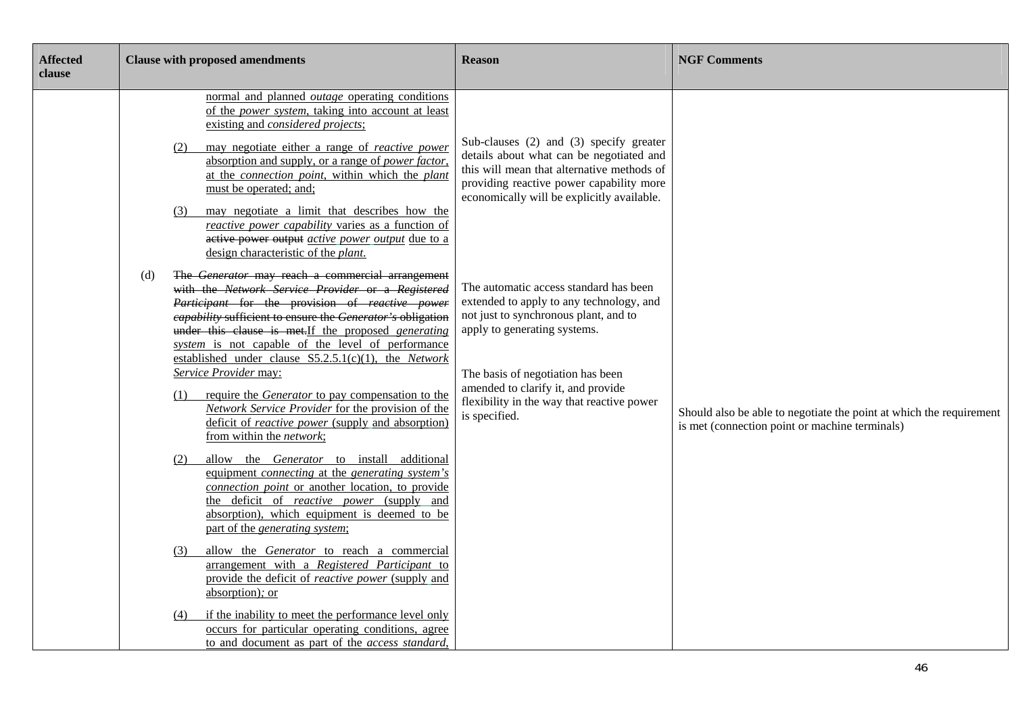| <b>Affected</b><br>clause | <b>Clause with proposed amendments</b>                                                                                                                                                                                                                                                                                                                                                                                                                                                                                                                                                                                                               | <b>Reason</b>                                                                                                                                                                                                                                                                                         | <b>NGF Comments</b>                                                                                                   |
|---------------------------|------------------------------------------------------------------------------------------------------------------------------------------------------------------------------------------------------------------------------------------------------------------------------------------------------------------------------------------------------------------------------------------------------------------------------------------------------------------------------------------------------------------------------------------------------------------------------------------------------------------------------------------------------|-------------------------------------------------------------------------------------------------------------------------------------------------------------------------------------------------------------------------------------------------------------------------------------------------------|-----------------------------------------------------------------------------------------------------------------------|
|                           | normal and planned <i>outage</i> operating conditions<br>of the <i>power</i> system, taking into account at least<br>existing and <i>considered projects</i> ;<br>may negotiate either a range of <i>reactive power</i><br>(2)<br>absorption and supply, or a range of <i>power factor</i> ,<br>at the connection point, within which the plant<br>must be operated; and;<br>may negotiate a limit that describes how the<br>(3)<br>reactive power capability varies as a function of<br>active power output <i>active power output</i> due to a<br>design characteristic of the <i>plant</i> .                                                      | Sub-clauses (2) and (3) specify greater<br>details about what can be negotiated and<br>this will mean that alternative methods of<br>providing reactive power capability more<br>economically will be explicitly available.                                                                           |                                                                                                                       |
|                           | The Generator may reach a commercial arrangement<br>(d)<br>with the Network Service Provider or a Registered<br>Participant for the provision of reactive power<br>eapability sufficient to ensure the Generator's obligation<br>under this clause is met. If the proposed generating<br>system is not capable of the level of performance<br>established under clause $S5.2.5.1(c)(1)$ , the <i>Network</i><br>Service Provider may:<br>require the <i>Generator</i> to pay compensation to the<br>(1)<br>Network Service Provider for the provision of the<br>deficit of <i>reactive power</i> (supply and absorption)<br>from within the network; | The automatic access standard has been<br>extended to apply to any technology, and<br>not just to synchronous plant, and to<br>apply to generating systems.<br>The basis of negotiation has been<br>amended to clarify it, and provide<br>flexibility in the way that reactive power<br>is specified. | Should also be able to negotiate the point at which the requirement<br>is met (connection point or machine terminals) |
|                           | allow the Generator to install additional<br>(2)<br>equipment connecting at the generating system's<br>connection point or another location, to provide<br>the deficit of <i>reactive power</i> (supply and<br>absorption), which equipment is deemed to be<br>part of the generating system;                                                                                                                                                                                                                                                                                                                                                        |                                                                                                                                                                                                                                                                                                       |                                                                                                                       |
|                           | allow the Generator to reach a commercial<br>(3)<br>arrangement with a Registered Participant to<br>provide the deficit of reactive power (supply and<br>absorption); or                                                                                                                                                                                                                                                                                                                                                                                                                                                                             |                                                                                                                                                                                                                                                                                                       |                                                                                                                       |
|                           | if the inability to meet the performance level only<br>(4)<br>occurs for particular operating conditions, agree<br>to and document as part of the access standard,                                                                                                                                                                                                                                                                                                                                                                                                                                                                                   |                                                                                                                                                                                                                                                                                                       |                                                                                                                       |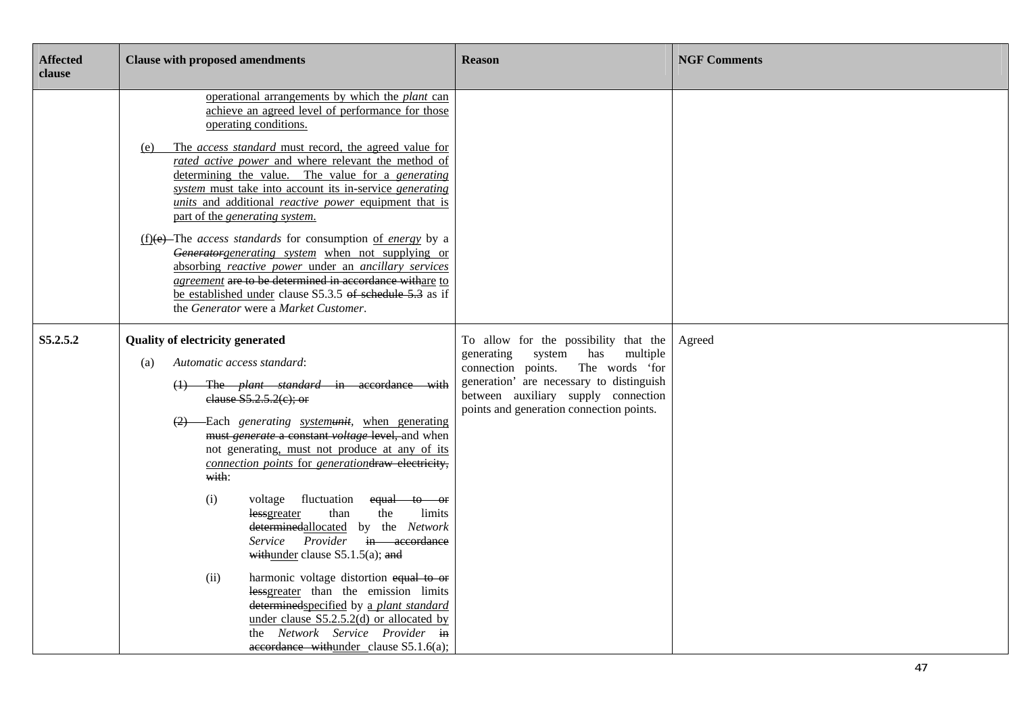| <b>Affected</b><br>clause | <b>Clause with proposed amendments</b>                                                                                                                                                                                                                                                                                                                                                                                                                                                                                                                                                                                                                                                                                                                                                                                                                     | <b>Reason</b>                                                                                                                                                                                                                                           | <b>NGF Comments</b> |
|---------------------------|------------------------------------------------------------------------------------------------------------------------------------------------------------------------------------------------------------------------------------------------------------------------------------------------------------------------------------------------------------------------------------------------------------------------------------------------------------------------------------------------------------------------------------------------------------------------------------------------------------------------------------------------------------------------------------------------------------------------------------------------------------------------------------------------------------------------------------------------------------|---------------------------------------------------------------------------------------------------------------------------------------------------------------------------------------------------------------------------------------------------------|---------------------|
|                           | operational arrangements by which the plant can<br>achieve an agreed level of performance for those<br>operating conditions.<br>The access standard must record, the agreed value for<br>(e)<br>rated active power and where relevant the method of<br>determining the value. The value for a generating<br>system must take into account its in-service generating<br>units and additional reactive power equipment that is<br>part of the generating system.<br>$(f)(e)$ -The <i>access standards</i> for consumption of <i>energy</i> by a<br>Generatorgenerating system when not supplying or<br>absorbing reactive power under an ancillary services<br>agreement are to be determined in accordance withare to<br>be established under clause S5.3.5 of schedule 5.3 as if<br>the Generator were a Market Customer.                                  |                                                                                                                                                                                                                                                         |                     |
| S5.2.5.2                  | <b>Quality of electricity generated</b><br>Automatic access standard:<br>(a)<br>(1) The <i>plant standard</i> in accordance with<br>elause $S5.2.5.2(e)$ ; or<br>(2) Each generating systemunit, when generating<br>must generate a constant voltage level, and when<br>not generating, must not produce at any of its<br>connection points for generationdraw electricity,<br>with:<br>(i)<br>voltage fluctuation<br>equal to or<br>than<br>the<br>limits<br>lessgreater<br>determinedallocated by the Network<br>Service Provider in accordance<br>withunder clause $S5.1.5(a)$ ; and<br>(ii)<br>harmonic voltage distortion equal to or<br>lessgreater than the emission limits<br>determinedspecified by a plant standard<br>under clause $S5.2.5.2(d)$ or allocated by<br>the Network Service Provider in<br>$aecordance$ withunder clause S5.1.6(a); | To allow for the possibility that the<br>multiple<br>generating<br>system<br>has<br>connection points.<br>The words 'for<br>generation' are necessary to distinguish<br>between auxiliary supply connection<br>points and generation connection points. | Agreed              |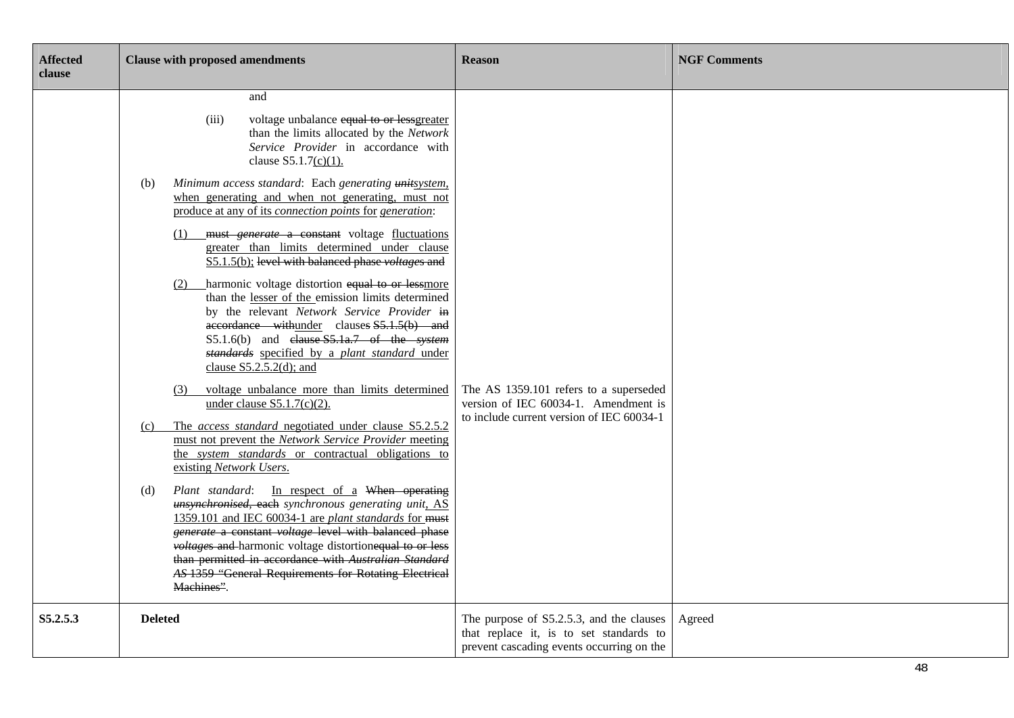| <b>Affected</b><br>clause | <b>Clause with proposed amendments</b>                                                                                                                                                                                                                                                                                                                                                                                                                                                                                                                                                                                                                                                                                                                                                                                                                                                                                                                                                                                                                                                                                                                                                                                                                                                                                                                                                                                                                                                                                                                                                                            | <b>Reason</b>                                                                                                                    | <b>NGF Comments</b> |
|---------------------------|-------------------------------------------------------------------------------------------------------------------------------------------------------------------------------------------------------------------------------------------------------------------------------------------------------------------------------------------------------------------------------------------------------------------------------------------------------------------------------------------------------------------------------------------------------------------------------------------------------------------------------------------------------------------------------------------------------------------------------------------------------------------------------------------------------------------------------------------------------------------------------------------------------------------------------------------------------------------------------------------------------------------------------------------------------------------------------------------------------------------------------------------------------------------------------------------------------------------------------------------------------------------------------------------------------------------------------------------------------------------------------------------------------------------------------------------------------------------------------------------------------------------------------------------------------------------------------------------------------------------|----------------------------------------------------------------------------------------------------------------------------------|---------------------|
|                           | and<br>(iii)<br>voltage unbalance equal to or lessgreater<br>than the limits allocated by the Network<br>Service Provider in accordance with<br>clause $S5.1.7(c)(1)$ .<br>Minimum access standard: Each generating unitsystem.<br>(b)<br>when generating and when not generating, must not<br>produce at any of its <i>connection points</i> for <i>generation</i> :<br>(1) must <i>generate</i> a constant voltage fluctuations<br>greater than limits determined under clause<br>S5.1.5(b); level with balanced phase voltages and<br>(2) harmonic voltage distortion equal to or lessmore<br>than the lesser of the emission limits determined<br>by the relevant Network Service Provider in<br>accordance withunder clauses S5.1.5(b) and<br>$S5.1.6(b)$ and elause $S5.1a.7$ of the system<br>standards specified by a plant standard under<br>clause $S5.2.5.2(d)$ ; and<br>voltage unbalance more than limits determined<br>(3)<br>under clause $S5.1.7(c)(2)$ .<br>The access standard negotiated under clause S5.2.5.2<br>(c)<br>must not prevent the Network Service Provider meeting<br>the system standards or contractual obligations to<br>existing Network Users.<br>Plant standard: In respect of a When operating<br>(d)<br>unsynchronised, each synchronous generating unit, AS<br>1359.101 and IEC 60034-1 are plant standards for must<br>generate a constant voltage level with balanced phase<br>voltages and harmonic voltage distortionequal to or less<br>than permitted in accordance with Australian Standard<br>AS 1359 "General Requirements for Rotating Electrical<br>Machines". | The AS 1359.101 refers to a superseded<br>version of IEC 60034-1. Amendment is<br>to include current version of IEC 60034-1      |                     |
| S5.2.5.3                  | <b>Deleted</b>                                                                                                                                                                                                                                                                                                                                                                                                                                                                                                                                                                                                                                                                                                                                                                                                                                                                                                                                                                                                                                                                                                                                                                                                                                                                                                                                                                                                                                                                                                                                                                                                    | The purpose of S5.2.5.3, and the clauses<br>that replace it, is to set standards to<br>prevent cascading events occurring on the | Agreed              |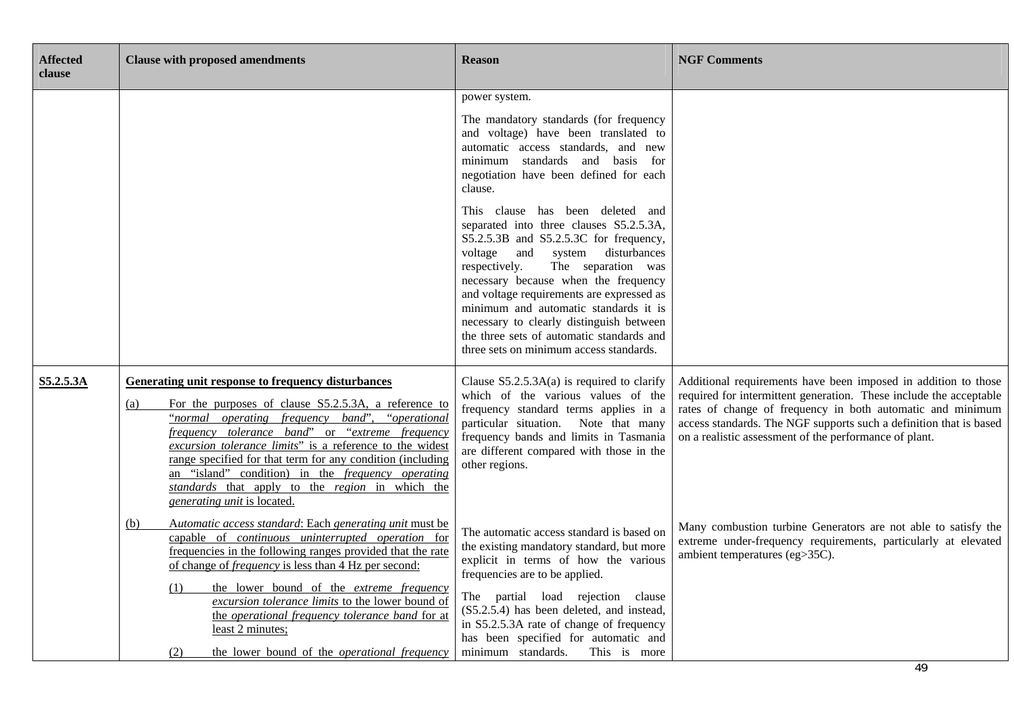| <b>Affected</b><br>clause | <b>Clause with proposed amendments</b>                                                                                                                                                                                                                                                                                                                                                                                                                                                                  | <b>Reason</b>                                                                                                                                                                                                                                                                                                                                                                                                                                                                                                                                                                                                                                                                                                | <b>NGF Comments</b>                                                                                                                                                                                                                                                                                                                |
|---------------------------|---------------------------------------------------------------------------------------------------------------------------------------------------------------------------------------------------------------------------------------------------------------------------------------------------------------------------------------------------------------------------------------------------------------------------------------------------------------------------------------------------------|--------------------------------------------------------------------------------------------------------------------------------------------------------------------------------------------------------------------------------------------------------------------------------------------------------------------------------------------------------------------------------------------------------------------------------------------------------------------------------------------------------------------------------------------------------------------------------------------------------------------------------------------------------------------------------------------------------------|------------------------------------------------------------------------------------------------------------------------------------------------------------------------------------------------------------------------------------------------------------------------------------------------------------------------------------|
|                           |                                                                                                                                                                                                                                                                                                                                                                                                                                                                                                         | power system.<br>The mandatory standards (for frequency<br>and voltage) have been translated to<br>automatic access standards, and new<br>minimum standards and basis for<br>negotiation have been defined for each<br>clause.<br>This clause has been deleted and<br>separated into three clauses S5.2.5.3A,<br>S5.2.5.3B and S5.2.5.3C for frequency,<br>and<br>disturbances<br>voltage<br>system<br>The separation was<br>respectively.<br>necessary because when the frequency<br>and voltage requirements are expressed as<br>minimum and automatic standards it is<br>necessary to clearly distinguish between<br>the three sets of automatic standards and<br>three sets on minimum access standards. |                                                                                                                                                                                                                                                                                                                                    |
| S5.2.5.3A                 | <b>Generating unit response to frequency disturbances</b><br>For the purposes of clause S5.2.5.3A, a reference to<br>(a)<br>"normal operating frequency band", "operational"<br>frequency tolerance band" or "extreme frequency<br>excursion tolerance limits" is a reference to the widest<br>range specified for that term for any condition (including<br>an "island" condition) in the <i>frequency operating</i><br>standards that apply to the region in which the<br>generating unit is located. | Clause $S5.2.5.3A(a)$ is required to clarify<br>which of the various values of the<br>frequency standard terms applies in a<br>particular situation. Note that many<br>frequency bands and limits in Tasmania<br>are different compared with those in the<br>other regions.                                                                                                                                                                                                                                                                                                                                                                                                                                  | Additional requirements have been imposed in addition to those<br>required for intermittent generation. These include the acceptable<br>rates of change of frequency in both automatic and minimum<br>access standards. The NGF supports such a definition that is based<br>on a realistic assessment of the performance of plant. |
|                           | Automatic access standard: Each generating unit must be<br>(b)<br>capable of continuous uninterrupted operation for<br>frequencies in the following ranges provided that the rate<br>of change of <i>frequency</i> is less than 4 Hz per second:<br>the lower bound of the <i>extreme frequency</i><br>(1)<br>excursion tolerance limits to the lower bound of<br>the operational frequency tolerance band for at<br>least 2 minutes;<br>the lower bound of the <i>operational frequency</i><br>(2)     | The automatic access standard is based on<br>the existing mandatory standard, but more<br>explicit in terms of how the various<br>frequencies are to be applied.<br>The partial load rejection clause<br>(S5.2.5.4) has been deleted, and instead,<br>in S5.2.5.3A rate of change of frequency<br>has been specified for automatic and<br>minimum standards.<br>This is more                                                                                                                                                                                                                                                                                                                                 | Many combustion turbine Generators are not able to satisfy the<br>extreme under-frequency requirements, particularly at elevated<br>ambient temperatures (eg>35C).<br>49                                                                                                                                                           |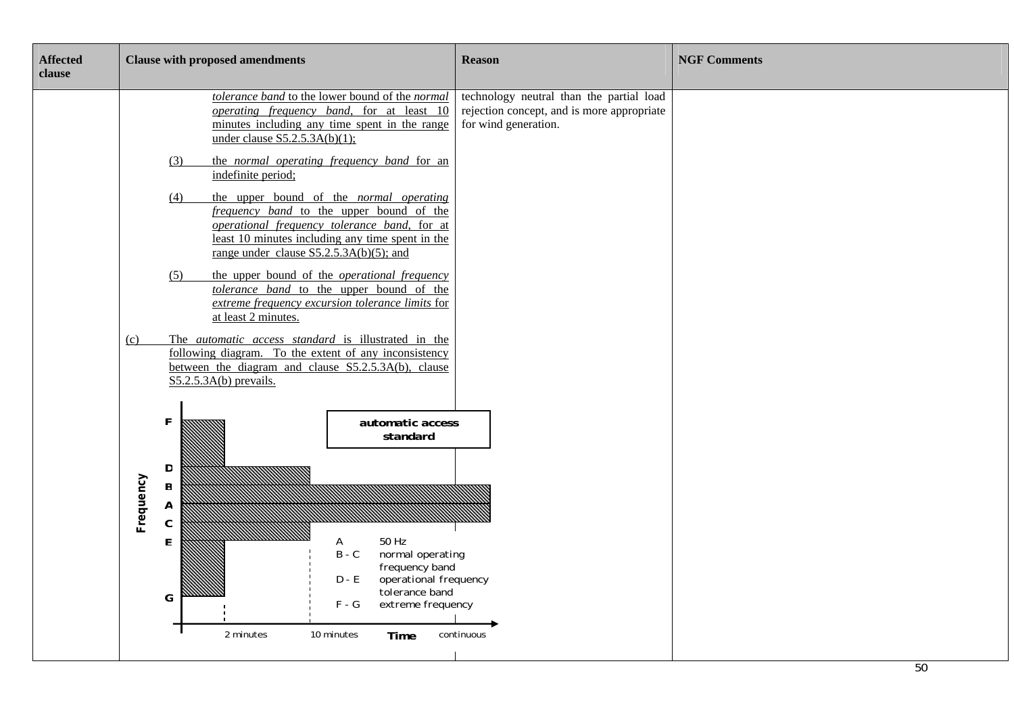| <b>Affected</b><br>clause | <b>Clause with proposed amendments</b>                                                        |                                                                                                                                                                                                                                                                                                                                                                                                                                                                                                                                                                                                                                                                                                                                                                                                                                                                                                                                                                                                                                          | <b>Reason</b>                                                                                                  | <b>NGF Comments</b> |
|---------------------------|-----------------------------------------------------------------------------------------------|------------------------------------------------------------------------------------------------------------------------------------------------------------------------------------------------------------------------------------------------------------------------------------------------------------------------------------------------------------------------------------------------------------------------------------------------------------------------------------------------------------------------------------------------------------------------------------------------------------------------------------------------------------------------------------------------------------------------------------------------------------------------------------------------------------------------------------------------------------------------------------------------------------------------------------------------------------------------------------------------------------------------------------------|----------------------------------------------------------------------------------------------------------------|---------------------|
|                           | (3)<br>(4)<br>(5)<br><u>(c)</u><br>F<br>D<br>Frequency<br>$\sf B$<br>A<br>$\mathfrak{c}$<br>F | tolerance band to the lower bound of the normal<br><i>operating frequency band</i> , for at least 10<br>minutes including any time spent in the range<br>under clause $S5.2.5.3A(b)(1)$ ;<br>the <i>normal operating frequency band</i> for an<br>indefinite period;<br>the upper bound of the normal operating<br>frequency band to the upper bound of the<br>operational frequency tolerance band, for at<br>least 10 minutes including any time spent in the<br>range under clause $S5.2.5.3A(b)(5)$ ; and<br>the upper bound of the <i>operational frequency</i><br>tolerance band to the upper bound of the<br>extreme frequency excursion tolerance limits for<br>at least 2 minutes.<br>The <i>automatic access standard</i> is illustrated in the<br>following diagram. To the extent of any inconsistency<br>between the diagram and clause S5.2.5.3A(b), clause<br>$S5.2.5.3A(b)$ prevails.<br>automatic access<br>standard<br>50 Hz<br>A<br>normal operating<br>$B - C$<br>frequency band<br>$D - E$<br>operational frequency | technology neutral than the partial load<br>rejection concept, and is more appropriate<br>for wind generation. |                     |
|                           | G                                                                                             | tolerance band<br>$F - G$<br>extreme frequency<br>2 minutes<br>10 minutes<br>Time                                                                                                                                                                                                                                                                                                                                                                                                                                                                                                                                                                                                                                                                                                                                                                                                                                                                                                                                                        | continuous                                                                                                     |                     |
|                           |                                                                                               |                                                                                                                                                                                                                                                                                                                                                                                                                                                                                                                                                                                                                                                                                                                                                                                                                                                                                                                                                                                                                                          |                                                                                                                | $E^{\wedge}$        |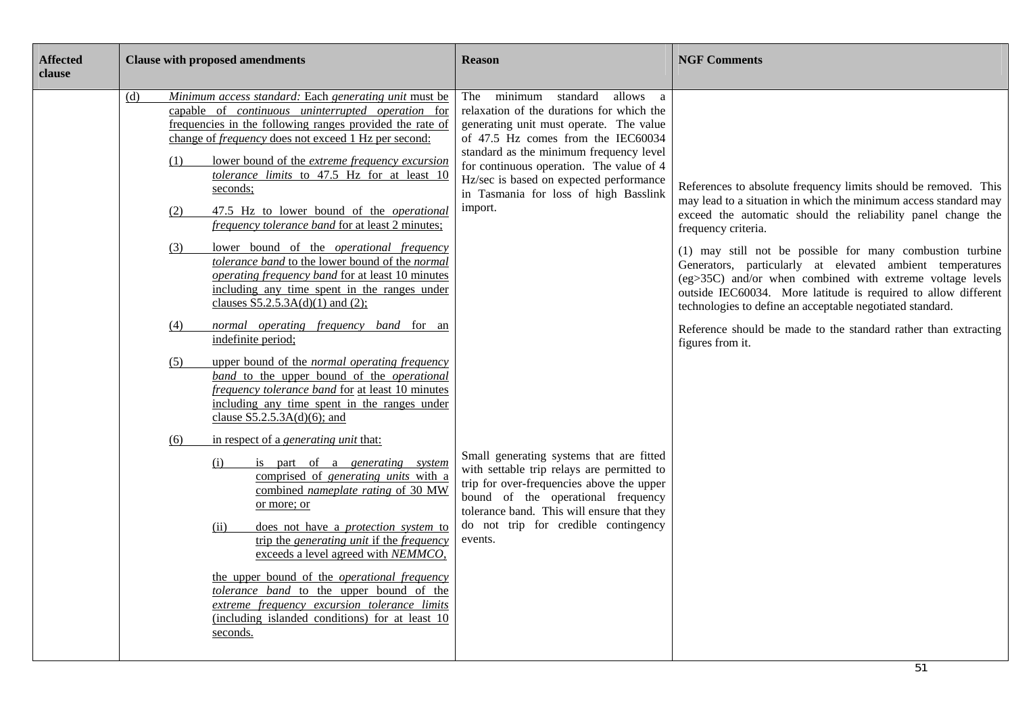| <b>Affected</b><br>clause | <b>Clause with proposed amendments</b>                                                                                                                                                                                                                                                                                                                                                                                                                                                                                                                                                                                                                                                                                                                                                                                             | <b>Reason</b>                                                                                                                                                                                                                                                                                                                                                         | <b>NGF Comments</b>                                                                                                                                                                                                                                                                                                                                                                                                                                                                                                                                                                                                                     |
|---------------------------|------------------------------------------------------------------------------------------------------------------------------------------------------------------------------------------------------------------------------------------------------------------------------------------------------------------------------------------------------------------------------------------------------------------------------------------------------------------------------------------------------------------------------------------------------------------------------------------------------------------------------------------------------------------------------------------------------------------------------------------------------------------------------------------------------------------------------------|-----------------------------------------------------------------------------------------------------------------------------------------------------------------------------------------------------------------------------------------------------------------------------------------------------------------------------------------------------------------------|-----------------------------------------------------------------------------------------------------------------------------------------------------------------------------------------------------------------------------------------------------------------------------------------------------------------------------------------------------------------------------------------------------------------------------------------------------------------------------------------------------------------------------------------------------------------------------------------------------------------------------------------|
|                           | Minimum access standard: Each generating unit must be<br>(d)<br>capable of continuous uninterrupted operation for<br>frequencies in the following ranges provided the rate of<br>change of <i>frequency</i> does not exceed 1 Hz per second:<br>lower bound of the <i>extreme frequency excursion</i><br>(1)<br>tolerance limits to 47.5 Hz for at least 10<br>seconds;<br>47.5 Hz to lower bound of the <i>operational</i><br>(2)<br><i>frequency tolerance band</i> for at least 2 minutes;<br>lower bound of the <i>operational frequency</i><br>(3)<br>tolerance band to the lower bound of the normal<br><i>operating frequency band for at least 10 minutes</i><br>including any time spent in the ranges under<br>clauses $S5.2.5.3A(d)(1)$ and (2);<br>normal operating frequency band for an<br>(4)<br>indefinite period; | allows<br>The<br>minimum standard<br><sub>a</sub><br>relaxation of the durations for which the<br>generating unit must operate. The value<br>of 47.5 Hz comes from the IEC60034<br>standard as the minimum frequency level<br>for continuous operation. The value of 4<br>Hz/sec is based on expected performance<br>in Tasmania for loss of high Basslink<br>import. | References to absolute frequency limits should be removed. This<br>may lead to a situation in which the minimum access standard may<br>exceed the automatic should the reliability panel change the<br>frequency criteria.<br>(1) may still not be possible for many combustion turbine<br>Generators, particularly at elevated ambient temperatures<br>(eg>35C) and/or when combined with extreme voltage levels<br>outside IEC60034. More latitude is required to allow different<br>technologies to define an acceptable negotiated standard.<br>Reference should be made to the standard rather than extracting<br>figures from it. |
|                           | upper bound of the <i>normal operating frequency</i><br>(5)<br>band to the upper bound of the <i>operational</i><br>frequency tolerance band for at least 10 minutes<br>including any time spent in the ranges under<br>clause $S5.2.5.3A(d)(6)$ ; and<br>in respect of a <i>generating unit</i> that:<br>(6)<br>is part of a <i>generating</i> system<br>(i)<br>comprised of generating units with a<br>combined nameplate rating of 30 MW<br>or more; or<br>(ii)<br>does not have a <i>protection</i> system to<br>trip the generating unit if the frequency<br>exceeds a level agreed with NEMMCO,<br>the upper bound of the <i>operational frequency</i><br>tolerance band to the upper bound of the<br>extreme frequency excursion tolerance limits<br>(including islanded conditions) for at least 10<br>seconds.            | Small generating systems that are fitted<br>with settable trip relays are permitted to<br>trip for over-frequencies above the upper<br>bound of the operational frequency<br>tolerance band. This will ensure that they<br>do not trip for credible contingency<br>events.                                                                                            |                                                                                                                                                                                                                                                                                                                                                                                                                                                                                                                                                                                                                                         |

51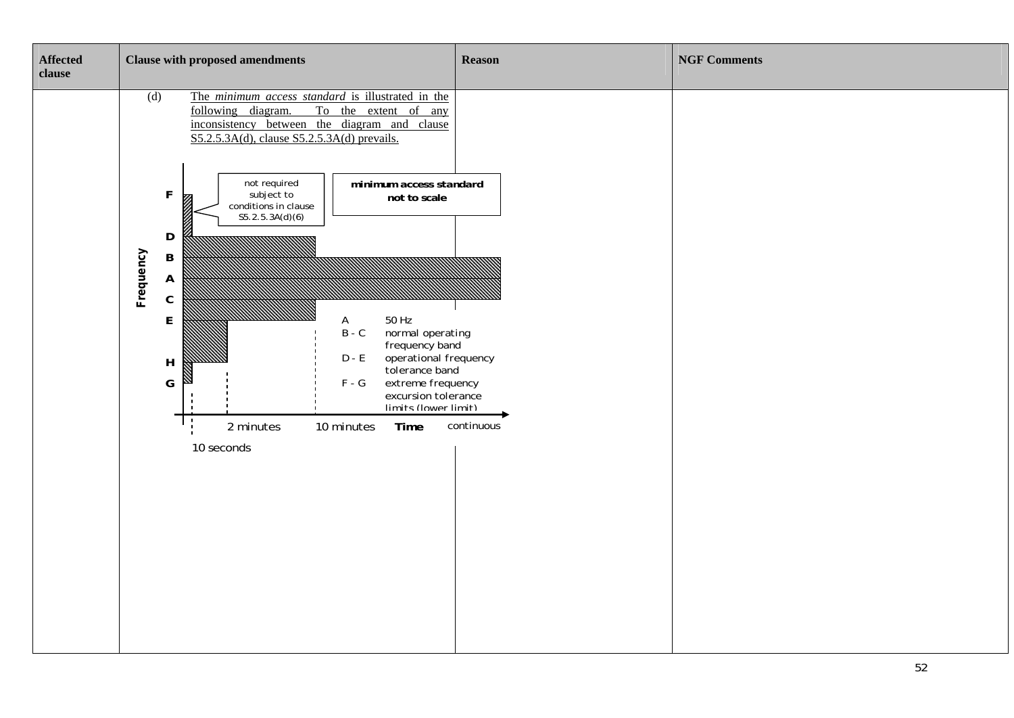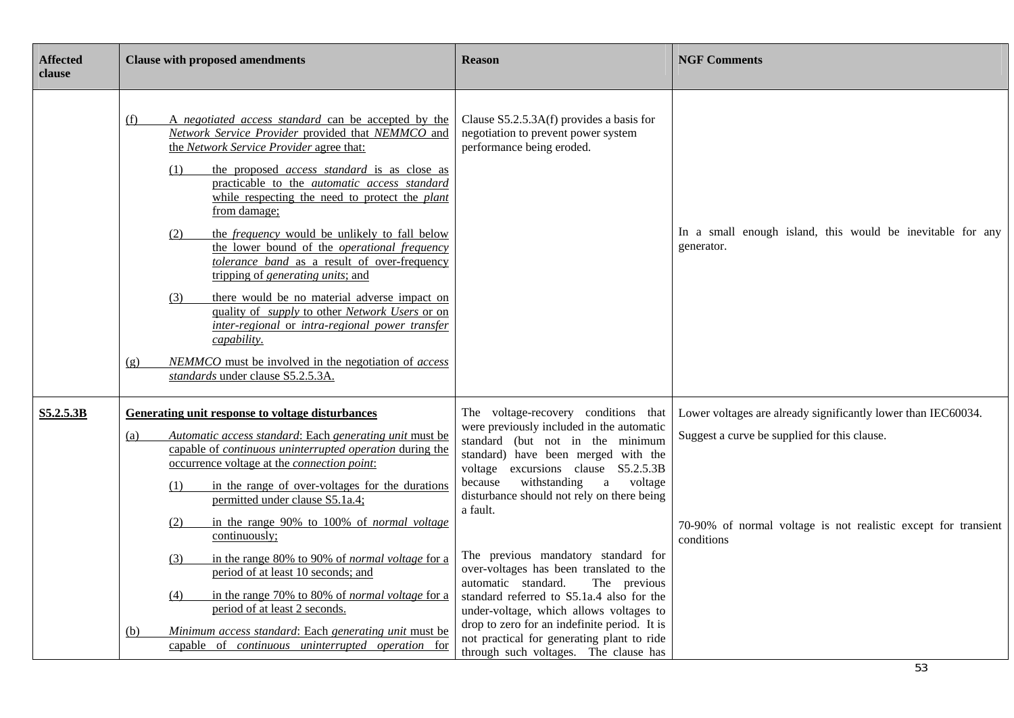| <b>Affected</b><br>clause | <b>Clause with proposed amendments</b>                                                                                                                                                                                                                                                                                                                                                                                                                                                                                                                                                                                                                                                                                                                                                                                                                            | <b>Reason</b>                                                                                                                                                                                                                                                                                                                                                                                                                                                                                                                                                                                                                                                  | <b>NGF Comments</b>                                                                                                                                                                           |
|---------------------------|-------------------------------------------------------------------------------------------------------------------------------------------------------------------------------------------------------------------------------------------------------------------------------------------------------------------------------------------------------------------------------------------------------------------------------------------------------------------------------------------------------------------------------------------------------------------------------------------------------------------------------------------------------------------------------------------------------------------------------------------------------------------------------------------------------------------------------------------------------------------|----------------------------------------------------------------------------------------------------------------------------------------------------------------------------------------------------------------------------------------------------------------------------------------------------------------------------------------------------------------------------------------------------------------------------------------------------------------------------------------------------------------------------------------------------------------------------------------------------------------------------------------------------------------|-----------------------------------------------------------------------------------------------------------------------------------------------------------------------------------------------|
|                           | A negotiated access standard can be accepted by the<br>(f)<br>Network Service Provider provided that NEMMCO and<br>the Network Service Provider agree that:<br>the proposed <i>access standard</i> is as close as<br>(1)<br>practicable to the <i>automatic</i> access standard<br>while respecting the need to protect the plant<br>from damage;<br>the <i>frequency</i> would be unlikely to fall below<br>(2)<br>the lower bound of the <i>operational frequency</i><br>tolerance band as a result of over-frequency<br>tripping of <i>generating units</i> ; and<br>(3)<br>there would be no material adverse impact on<br>quality of <i>supply</i> to other <i>Network</i> Users or on<br>inter-regional or intra-regional power transfer<br>capability.<br>NEMMCO must be involved in the negotiation of access<br>(g)<br>standards under clause S5.2.5.3A. | Clause $S5.2.5.3A(f)$ provides a basis for<br>negotiation to prevent power system<br>performance being eroded.                                                                                                                                                                                                                                                                                                                                                                                                                                                                                                                                                 | In a small enough island, this would be inevitable for any<br>generator.                                                                                                                      |
| <b>S5.2.5.3B</b>          | <b>Generating unit response to voltage disturbances</b><br>Automatic access standard: Each generating unit must be<br>(a)<br>capable of <i>continuous uninterrupted operation</i> during the<br>occurrence voltage at the <i>connection point</i> :<br>in the range of over-voltages for the durations<br>(1)<br>permitted under clause S5.1a.4;<br>(2)<br>in the range 90% to 100% of <i>normal voltage</i><br>continuously;<br>in the range 80% to 90% of <i>normal voltage</i> for a<br>(3)<br>period of at least 10 seconds; and<br>in the range 70% to 80% of <i>normal voltage</i> for a<br>(4)<br>period of at least 2 seconds.<br>Minimum access standard: Each generating unit must be<br>(b)<br>capable of <i>continuous uninterrupted operation</i> for                                                                                                | The voltage-recovery conditions that<br>were previously included in the automatic<br>standard (but not in the minimum<br>standard) have been merged with the<br>voltage excursions clause S5.2.5.3B<br>withstanding<br>because<br>a voltage<br>disturbance should not rely on there being<br>a fault.<br>The previous mandatory standard for<br>over-voltages has been translated to the<br>automatic standard.<br>The previous<br>standard referred to S5.1a.4 also for the<br>under-voltage, which allows voltages to<br>drop to zero for an indefinite period. It is<br>not practical for generating plant to ride<br>through such voltages. The clause has | Lower voltages are already significantly lower than IEC60034.<br>Suggest a curve be supplied for this clause.<br>70-90% of normal voltage is not realistic except for transient<br>conditions |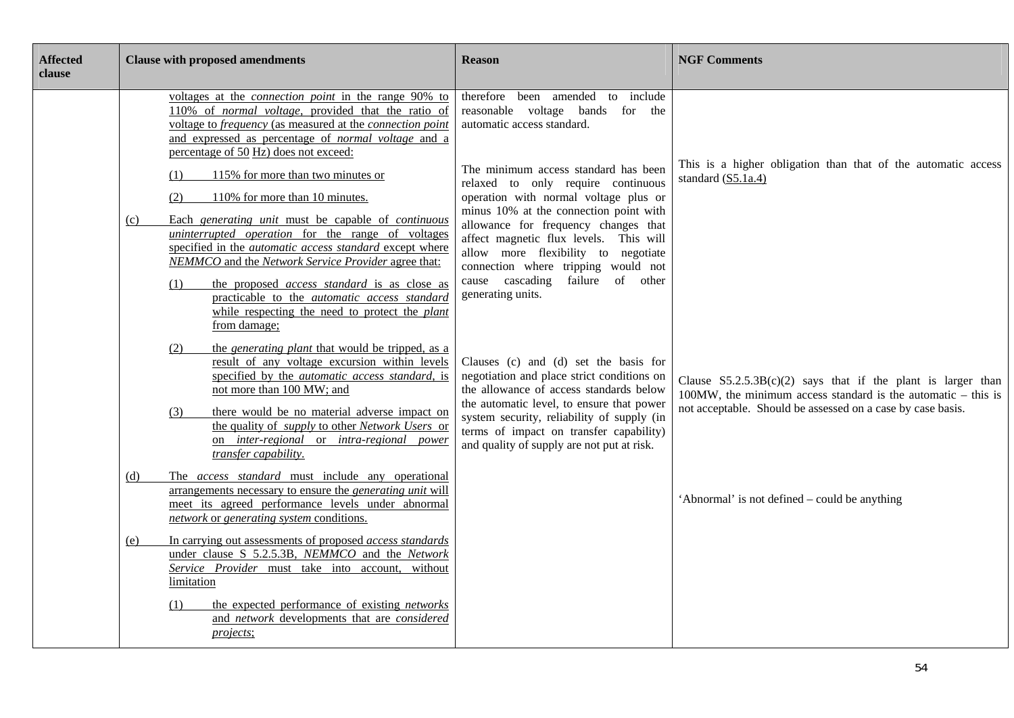| <b>Affected</b><br>clause | <b>Clause with proposed amendments</b>                                                                                                                                                                                                                                                        | <b>Reason</b>                                                                                                                                                                                          | <b>NGF Comments</b>                                                                                                                |
|---------------------------|-----------------------------------------------------------------------------------------------------------------------------------------------------------------------------------------------------------------------------------------------------------------------------------------------|--------------------------------------------------------------------------------------------------------------------------------------------------------------------------------------------------------|------------------------------------------------------------------------------------------------------------------------------------|
|                           | voltages at the <i>connection point</i> in the range 90% to<br>110% of <i>normal voltage</i> , provided that the ratio of<br>voltage to frequency (as measured at the connection point<br>and expressed as percentage of <i>normal voltage</i> and a<br>percentage of 50 Hz) does not exceed: | therefore been amended to include<br>reasonable voltage bands for the<br>automatic access standard.                                                                                                    |                                                                                                                                    |
|                           | 115% for more than two minutes or<br>(1)<br>110% for more than 10 minutes.<br>(2)                                                                                                                                                                                                             | The minimum access standard has been<br>relaxed to only require continuous<br>operation with normal voltage plus or                                                                                    | This is a higher obligation than that of the automatic access<br>standard (S5.1a.4)                                                |
|                           | Each generating unit must be capable of continuous<br>(c)<br>uninterrupted operation for the range of voltages<br>specified in the <i>automatic access standard</i> except where<br>NEMMCO and the Network Service Provider agree that:                                                       | minus 10% at the connection point with<br>allowance for frequency changes that<br>affect magnetic flux levels. This will<br>allow more flexibility to negotiate<br>connection where tripping would not |                                                                                                                                    |
|                           | the proposed <i>access standard</i> is as close as<br>(1)<br>practicable to the <i>automatic</i> access standard<br>while respecting the need to protect the plant<br>from damage;                                                                                                            | cause cascading failure of other<br>generating units.                                                                                                                                                  |                                                                                                                                    |
|                           | the <i>generating plant</i> that would be tripped, as a<br>(2)<br>result of any voltage excursion within levels<br>specified by the <i>automatic</i> access standard, is<br>not more than 100 MW; and                                                                                         | Clauses (c) and (d) set the basis for<br>negotiation and place strict conditions on<br>the allowance of access standards below                                                                         | Clause $S5.2.5.3B(c)(2)$ says that if the plant is larger than<br>$100MW$ , the minimum access standard is the automatic – this is |
|                           | there would be no material adverse impact on<br>(3)<br>the quality of <i>supply</i> to other <i>Network Users</i> or<br>on inter-regional or intra-regional power<br>transfer capability.                                                                                                     | the automatic level, to ensure that power<br>system security, reliability of supply (in<br>terms of impact on transfer capability)<br>and quality of supply are not put at risk.                       | not acceptable. Should be assessed on a case by case basis.                                                                        |
|                           | The access standard must include any operational<br>(d)<br>arrangements necessary to ensure the <i>generating unit</i> will<br>meet its agreed performance levels under abnormal<br>network or generating system conditions.                                                                  |                                                                                                                                                                                                        | 'Abnormal' is not defined – could be anything                                                                                      |
|                           | In carrying out assessments of proposed access standards<br>(e)<br>under clause S 5.2.5.3B, NEMMCO and the Network<br>Service Provider must take into account, without<br>limitation                                                                                                          |                                                                                                                                                                                                        |                                                                                                                                    |
|                           | the expected performance of existing <i>networks</i><br>(1)<br>and <i>network</i> developments that are <i>considered</i><br>projects;                                                                                                                                                        |                                                                                                                                                                                                        |                                                                                                                                    |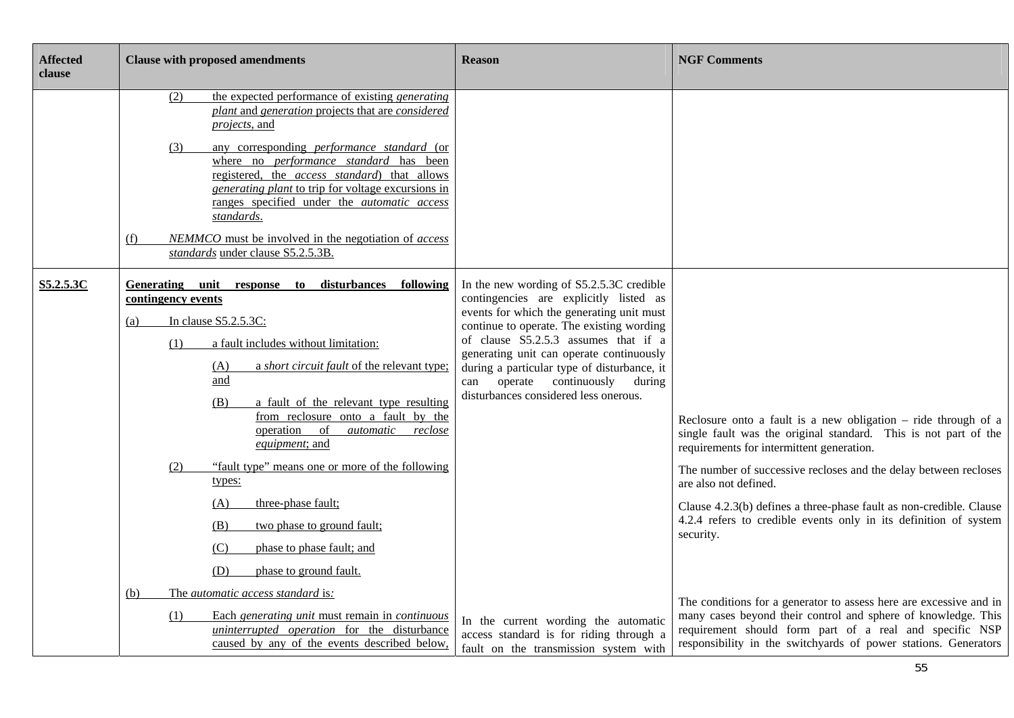| <b>Affected</b><br>clause | <b>Clause with proposed amendments</b>                                                                                                                                                                                                                                                                                                                                                                                                                                                                                                 | <b>Reason</b>                                                                                                                                                                                                                                                                                                                                                                                     | <b>NGF Comments</b>                                                                                                                                                                                                                                                                                                                                                                                                                                |
|---------------------------|----------------------------------------------------------------------------------------------------------------------------------------------------------------------------------------------------------------------------------------------------------------------------------------------------------------------------------------------------------------------------------------------------------------------------------------------------------------------------------------------------------------------------------------|---------------------------------------------------------------------------------------------------------------------------------------------------------------------------------------------------------------------------------------------------------------------------------------------------------------------------------------------------------------------------------------------------|----------------------------------------------------------------------------------------------------------------------------------------------------------------------------------------------------------------------------------------------------------------------------------------------------------------------------------------------------------------------------------------------------------------------------------------------------|
|                           | the expected performance of existing <i>generating</i><br>(2)<br>plant and generation projects that are considered<br><i>projects</i> , and<br>any corresponding <i>performance</i> standard (or<br>(3)<br>where no <i>performance standard</i> has been<br>registered, the access standard) that allows<br>generating plant to trip for voltage excursions in<br>ranges specified under the <i>automatic</i> access<br>standards.<br>NEMMCO must be involved in the negotiation of access<br>(f)<br>standards under clause S5.2.5.3B. |                                                                                                                                                                                                                                                                                                                                                                                                   |                                                                                                                                                                                                                                                                                                                                                                                                                                                    |
| S5.2.5.3C                 | Generating<br>unit<br>to disturbances following<br>response<br>contingency events<br>In clause S5.2.5.3C:<br>(a)<br>a fault includes without limitation:<br>(1)<br>a <i>short circuit fault</i> of the relevant type;<br><u>(A)</u><br>and<br>a fault of the relevant type resulting<br>(B)<br>from reclosure onto a fault by the<br>operation of<br>automatic reclose<br>equipment; and<br>"fault type" means one or more of the following<br>(2)                                                                                     | In the new wording of S5.2.5.3C credible<br>contingencies are explicitly listed as<br>events for which the generating unit must<br>continue to operate. The existing wording<br>of clause S5.2.5.3 assumes that if a<br>generating unit can operate continuously<br>during a particular type of disturbance, it<br>operate continuously<br>during<br>can<br>disturbances considered less onerous. | Reclosure onto a fault is a new obligation – ride through of a<br>single fault was the original standard. This is not part of the<br>requirements for intermittent generation.<br>The number of successive recloses and the delay between recloses                                                                                                                                                                                                 |
|                           | types:<br>three-phase fault;<br>(A)<br>two phase to ground fault;<br>(B)<br>(C)<br>phase to phase fault; and<br>(D)<br>phase to ground fault.<br>The automatic access standard is:<br>(b)<br>Each generating unit must remain in continuous<br>(1)<br>uninterrupted operation for the disturbance<br>caused by any of the events described below,                                                                                                                                                                                      | In the current wording the automatic<br>access standard is for riding through a<br>fault on the transmission system with                                                                                                                                                                                                                                                                          | are also not defined.<br>Clause 4.2.3(b) defines a three-phase fault as non-credible. Clause<br>4.2.4 refers to credible events only in its definition of system<br>security.<br>The conditions for a generator to assess here are excessive and in<br>many cases beyond their control and sphere of knowledge. This<br>requirement should form part of a real and specific NSP<br>responsibility in the switchyards of power stations. Generators |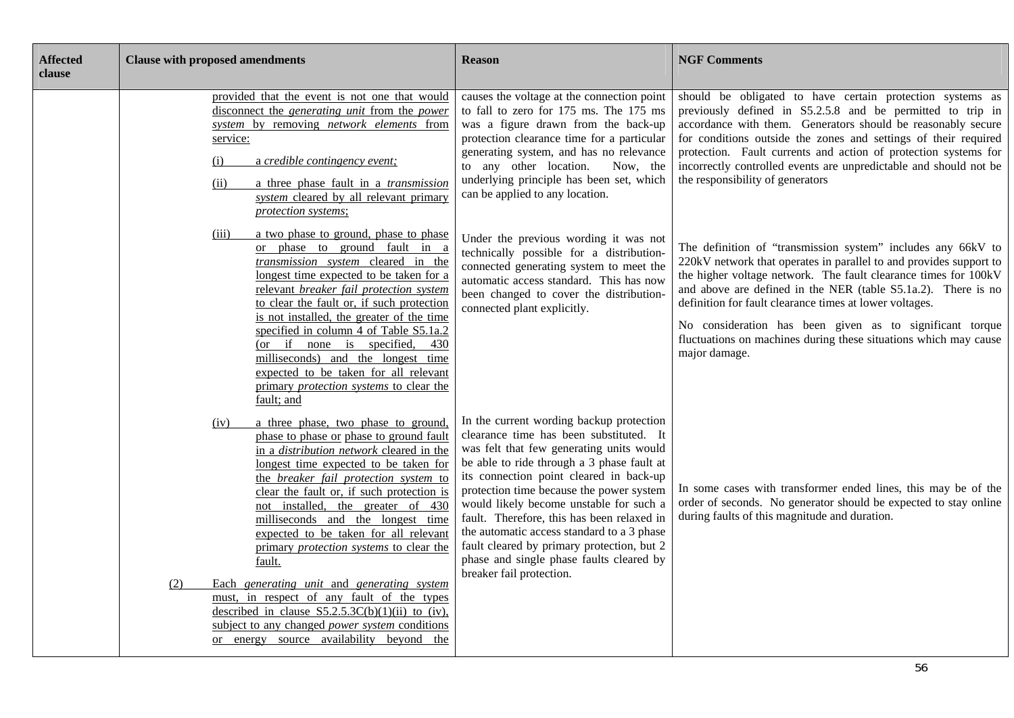| <b>Affected</b><br>clause | <b>Clause with proposed amendments</b>                                                                                                                                                                                                                                                                                                                                                                                                                                                                                                                                                                                                                                                                                | <b>Reason</b>                                                                                                                                                                                                                                                                                                                                                                                                                                                                                                                     | <b>NGF Comments</b>                                                                                                                                                                                                                                                                                                                                                                                                                                                                |
|---------------------------|-----------------------------------------------------------------------------------------------------------------------------------------------------------------------------------------------------------------------------------------------------------------------------------------------------------------------------------------------------------------------------------------------------------------------------------------------------------------------------------------------------------------------------------------------------------------------------------------------------------------------------------------------------------------------------------------------------------------------|-----------------------------------------------------------------------------------------------------------------------------------------------------------------------------------------------------------------------------------------------------------------------------------------------------------------------------------------------------------------------------------------------------------------------------------------------------------------------------------------------------------------------------------|------------------------------------------------------------------------------------------------------------------------------------------------------------------------------------------------------------------------------------------------------------------------------------------------------------------------------------------------------------------------------------------------------------------------------------------------------------------------------------|
|                           | provided that the event is not one that would<br>disconnect the <i>generating unit</i> from the <i>power</i><br>system by removing network elements from<br>service:<br>a credible contingency event;<br>(i)<br>(ii)<br>a three phase fault in a <i>transmission</i><br>system cleared by all relevant primary<br>protection systems;                                                                                                                                                                                                                                                                                                                                                                                 | causes the voltage at the connection point<br>to fall to zero for 175 ms. The 175 ms<br>was a figure drawn from the back-up<br>protection clearance time for a particular<br>generating system, and has no relevance<br>to any other location.<br>Now, the<br>underlying principle has been set, which<br>can be applied to any location.                                                                                                                                                                                         | should be obligated to have certain protection systems as<br>previously defined in S5.2.5.8 and be permitted to trip in<br>accordance with them. Generators should be reasonably secure<br>for conditions outside the zones and settings of their required<br>protection. Fault currents and action of protection systems for<br>incorrectly controlled events are unpredictable and should not be<br>the responsibility of generators                                             |
|                           | a two phase to ground, phase to phase<br>(iii)<br>or phase to ground fault in a<br>transmission system cleared in the<br>longest time expected to be taken for a<br>relevant breaker fail protection system<br>to clear the fault or, if such protection<br>is not installed, the greater of the time<br>specified in column 4 of Table S5.1a.2<br>(or if none is specified,<br>430<br>milliseconds) and the longest time<br>expected to be taken for all relevant<br>primary <i>protection</i> systems to clear the<br>fault; and                                                                                                                                                                                    | Under the previous wording it was not<br>technically possible for a distribution-<br>connected generating system to meet the<br>automatic access standard. This has now<br>been changed to cover the distribution-<br>connected plant explicitly.                                                                                                                                                                                                                                                                                 | The definition of "transmission system" includes any 66kV to<br>220kV network that operates in parallel to and provides support to<br>the higher voltage network. The fault clearance times for 100kV<br>and above are defined in the NER (table S5.1a.2). There is no<br>definition for fault clearance times at lower voltages.<br>No consideration has been given as to significant torque<br>fluctuations on machines during these situations which may cause<br>major damage. |
|                           | a three phase, two phase to ground,<br>(iv)<br>phase to phase or phase to ground fault<br>in a <i>distribution network</i> cleared in the<br>longest time expected to be taken for<br>the breaker fail protection system to<br>clear the fault or, if such protection is<br>not installed, the greater of 430<br>milliseconds and the longest time<br>expected to be taken for all relevant<br>primary <i>protection</i> systems to clear the<br>fault.<br>Each generating unit and generating system<br>(2)<br>must, in respect of any fault of the types<br>described in clause $S5.2.5.3C(b)(1)(ii)$ to (iv),<br>subject to any changed <i>power system</i> conditions<br>or energy source availability beyond the | In the current wording backup protection<br>clearance time has been substituted. It<br>was felt that few generating units would<br>be able to ride through a 3 phase fault at<br>its connection point cleared in back-up<br>protection time because the power system<br>would likely become unstable for such a<br>fault. Therefore, this has been relaxed in<br>the automatic access standard to a 3 phase<br>fault cleared by primary protection, but 2<br>phase and single phase faults cleared by<br>breaker fail protection. | In some cases with transformer ended lines, this may be of the<br>order of seconds. No generator should be expected to stay online<br>during faults of this magnitude and duration.                                                                                                                                                                                                                                                                                                |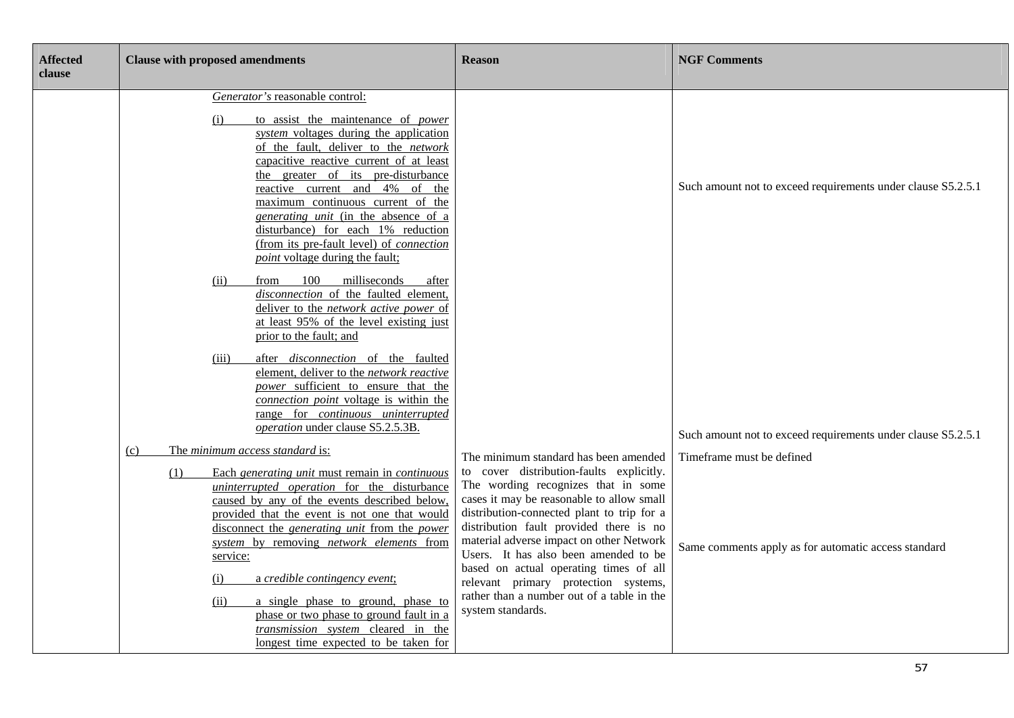| <b>Affected</b><br>clause | <b>Clause with proposed amendments</b>                                                                                                                                                                                                                                                                                                                                                                                                                                                                                                                                   | <b>Reason</b>                                                                                                                                                                                                                                                                                                                                                                                                                                                                                            | <b>NGF Comments</b>                                                               |
|---------------------------|--------------------------------------------------------------------------------------------------------------------------------------------------------------------------------------------------------------------------------------------------------------------------------------------------------------------------------------------------------------------------------------------------------------------------------------------------------------------------------------------------------------------------------------------------------------------------|----------------------------------------------------------------------------------------------------------------------------------------------------------------------------------------------------------------------------------------------------------------------------------------------------------------------------------------------------------------------------------------------------------------------------------------------------------------------------------------------------------|-----------------------------------------------------------------------------------|
|                           | Generator's reasonable control:<br>(i)<br>to assist the maintenance of <i>power</i><br>system voltages during the application<br>of the fault, deliver to the network<br>capacitive reactive current of at least<br>the greater of its pre-disturbance<br>reactive current and 4% of the<br>maximum continuous current of the<br>generating unit (in the absence of a<br>disturbance) for each 1% reduction<br>(from its pre-fault level) of <i>connection</i><br><i>point</i> voltage during the fault;                                                                 |                                                                                                                                                                                                                                                                                                                                                                                                                                                                                                          | Such amount not to exceed requirements under clause S5.2.5.1                      |
|                           | 100<br>milliseconds<br>(ii)<br>from<br>after<br>disconnection of the faulted element,<br>deliver to the network active power of<br>at least 95% of the level existing just<br>prior to the fault; and<br>after <i>disconnection</i> of the faulted<br>(iii)<br>element, deliver to the network reactive<br>power sufficient to ensure that the<br>connection point voltage is within the<br>range for <i>continuous uninterrupted</i><br>operation under clause S5.2.5.3B.                                                                                               |                                                                                                                                                                                                                                                                                                                                                                                                                                                                                                          | Such amount not to exceed requirements under clause S5.2.5.1                      |
|                           | The minimum access standard is:<br>(c)<br>Each generating unit must remain in continuous<br>(1)<br>uninterrupted operation for the disturbance<br>caused by any of the events described below,<br>provided that the event is not one that would<br>disconnect the generating unit from the power<br>system by removing network elements from<br>service:<br>(i)<br>a credible contingency event;<br>(ii)<br>a single phase to ground, phase to<br>phase or two phase to ground fault in a<br>transmission system cleared in the<br>longest time expected to be taken for | The minimum standard has been amended<br>to cover distribution-faults explicitly.<br>The wording recognizes that in some<br>cases it may be reasonable to allow small<br>distribution-connected plant to trip for a<br>distribution fault provided there is no<br>material adverse impact on other Network<br>Users. It has also been amended to be<br>based on actual operating times of all<br>relevant primary protection systems,<br>rather than a number out of a table in the<br>system standards. | Timeframe must be defined<br>Same comments apply as for automatic access standard |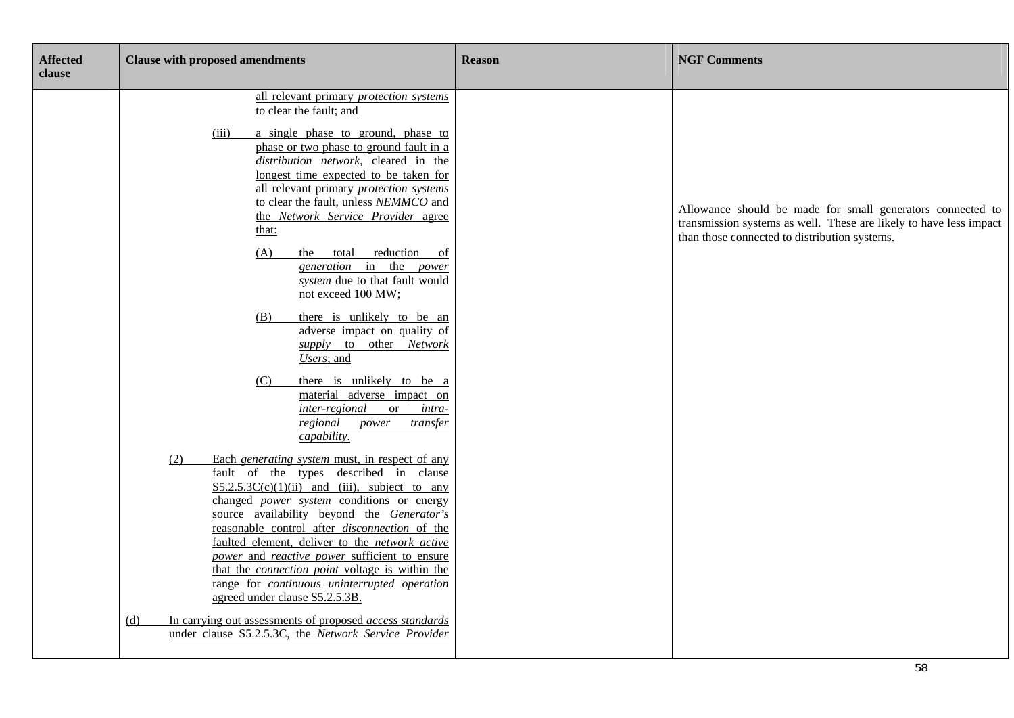| <b>Affected</b><br>clause | <b>Clause with proposed amendments</b>                                                                                                                                                                                                                                                                                                                                                                                                                                                                                                                                                                                                                                                         | <b>Reason</b> | <b>NGF Comments</b>                                                                                                                                                               |
|---------------------------|------------------------------------------------------------------------------------------------------------------------------------------------------------------------------------------------------------------------------------------------------------------------------------------------------------------------------------------------------------------------------------------------------------------------------------------------------------------------------------------------------------------------------------------------------------------------------------------------------------------------------------------------------------------------------------------------|---------------|-----------------------------------------------------------------------------------------------------------------------------------------------------------------------------------|
|                           | all relevant primary protection systems<br>to clear the fault; and<br>(iii)<br>a single phase to ground, phase to<br>phase or two phase to ground fault in a<br>distribution network, cleared in the<br>longest time expected to be taken for<br>all relevant primary protection systems<br>to clear the fault, unless NEMMCO and<br>the Network Service Provider agree<br>that:<br>(A)<br>the<br>reduction of<br>total<br>generation in the power<br>system due to that fault would<br>not exceed 100 MW;<br>there is unlikely to be an<br>(B)                                                                                                                                                |               | Allowance should be made for small generators connected to<br>transmission systems as well. These are likely to have less impact<br>than those connected to distribution systems. |
|                           | adverse impact on quality of<br>supply to other Network<br>Users; and<br>there is unlikely to be a<br>(C)<br>material adverse impact on<br>inter-regional<br><sub>or</sub><br>intra-<br>regional<br>power<br><i>transfer</i>                                                                                                                                                                                                                                                                                                                                                                                                                                                                   |               |                                                                                                                                                                                   |
|                           | capability.<br>Each generating system must, in respect of any<br>(2)<br>fault of the types described in clause<br>$S5.2.5.3C(c)(1)(ii)$ and (iii), subject to any<br>changed <i>power</i> system conditions or energy<br>source availability beyond the Generator's<br>reasonable control after disconnection of the<br>faulted element, deliver to the network active<br>power and reactive power sufficient to ensure<br>that the <i>connection point</i> voltage is within the<br>range for continuous uninterrupted operation<br>agreed under clause S5.2.5.3B.<br>In carrying out assessments of proposed access standards<br>(d)<br>under clause S5.2.5.3C, the Network Service Provider |               |                                                                                                                                                                                   |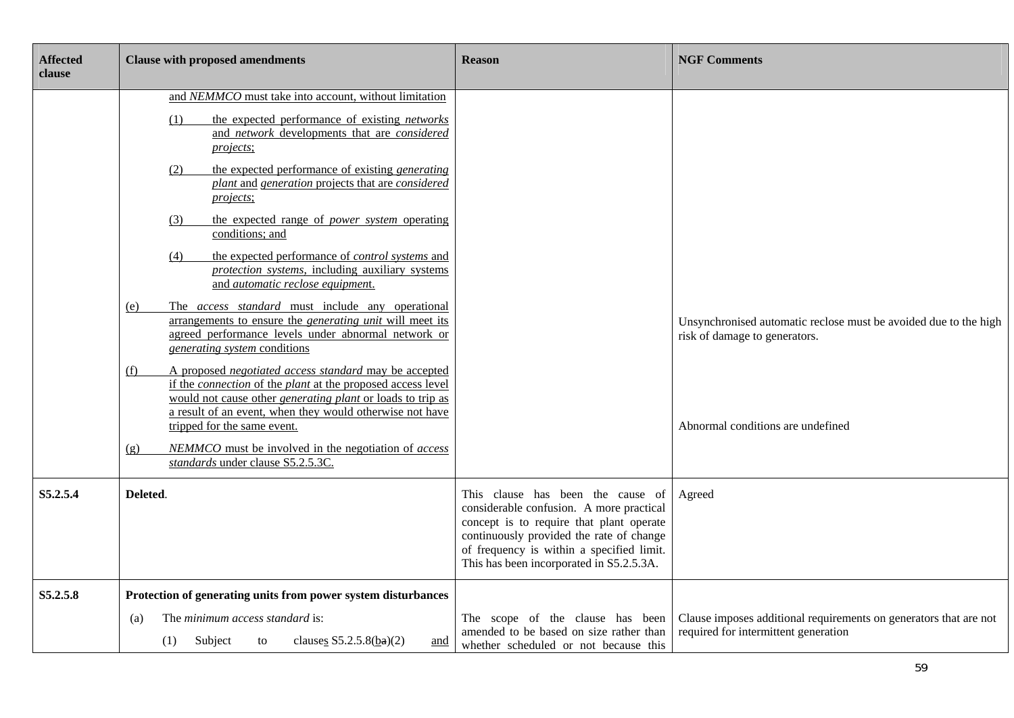| <b>Affected</b><br>clause | <b>Clause with proposed amendments</b>                                                                                                                                                                                                                                                                                                                                                                                                                                                                                                                                                                                                                                                                                                                                                                                                                                                                                                                                                                                                                                                                                                                                              | <b>Reason</b>                                                                                                                                                                                                                                                  | <b>NGF Comments</b>                                                                                                                    |
|---------------------------|-------------------------------------------------------------------------------------------------------------------------------------------------------------------------------------------------------------------------------------------------------------------------------------------------------------------------------------------------------------------------------------------------------------------------------------------------------------------------------------------------------------------------------------------------------------------------------------------------------------------------------------------------------------------------------------------------------------------------------------------------------------------------------------------------------------------------------------------------------------------------------------------------------------------------------------------------------------------------------------------------------------------------------------------------------------------------------------------------------------------------------------------------------------------------------------|----------------------------------------------------------------------------------------------------------------------------------------------------------------------------------------------------------------------------------------------------------------|----------------------------------------------------------------------------------------------------------------------------------------|
|                           | and NEMMCO must take into account, without limitation<br>the expected performance of existing <i>networks</i><br>(1)<br>and <i>network</i> developments that are <i>considered</i><br>projects;<br>the expected performance of existing <i>generating</i><br>(2)<br>plant and generation projects that are considered<br>projects;<br>the expected range of <i>power</i> system operating<br>(3)<br>conditions; and<br>the expected performance of <i>control systems</i> and<br>(4)<br>protection systems, including auxiliary systems<br>and automatic reclose equipment.<br>The <i>access standard</i> must include any operational<br>(e)<br>arrangements to ensure the <i>generating unit</i> will meet its<br>agreed performance levels under abnormal network or<br>generating system conditions<br>A proposed negotiated access standard may be accepted<br>(f)<br>if the <i>connection</i> of the <i>plant</i> at the proposed access level<br>would not cause other <i>generating plant</i> or loads to trip as<br>a result of an event, when they would otherwise not have<br>tripped for the same event.<br>NEMMCO must be involved in the negotiation of access<br>(g) |                                                                                                                                                                                                                                                                | Unsynchronised automatic reclose must be avoided due to the high<br>risk of damage to generators.<br>Abnormal conditions are undefined |
| S5.2.5.4                  | standards under clause S5.2.5.3C.<br>Deleted.                                                                                                                                                                                                                                                                                                                                                                                                                                                                                                                                                                                                                                                                                                                                                                                                                                                                                                                                                                                                                                                                                                                                       | This clause has been the cause of<br>considerable confusion. A more practical<br>concept is to require that plant operate<br>continuously provided the rate of change<br>of frequency is within a specified limit.<br>This has been incorporated in S5.2.5.3A. | Agreed                                                                                                                                 |
| S5.2.5.8                  | Protection of generating units from power system disturbances<br>The <i>minimum access standard</i> is:<br>(a)<br>clauses $S5.2.5.8(ba)(2)$<br>Subject<br>(1)<br>to<br>and                                                                                                                                                                                                                                                                                                                                                                                                                                                                                                                                                                                                                                                                                                                                                                                                                                                                                                                                                                                                          | The scope of the clause has been<br>amended to be based on size rather than<br>whether scheduled or not because this                                                                                                                                           | Clause imposes additional requirements on generators that are not<br>required for intermittent generation                              |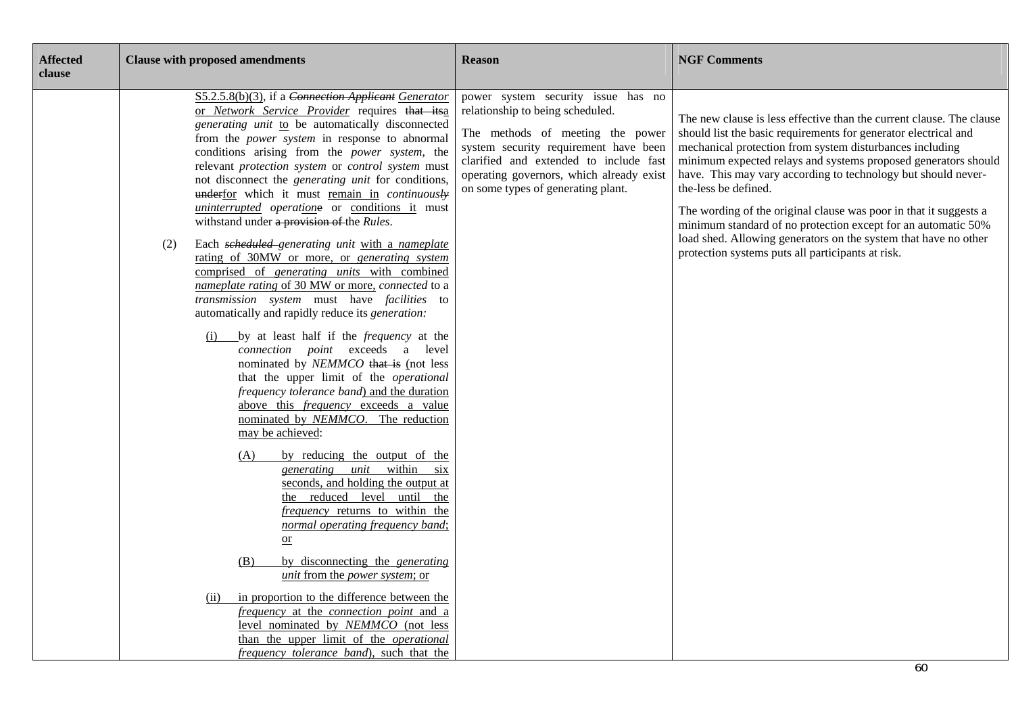| <b>Affected</b><br>clause | <b>Clause with proposed amendments</b>                                                                                                                                                                                                                                                                                                                                                                                                                                                                                                                                                                                                                                                                                                                           | <b>Reason</b>                                                                                                                                                                                                                                                                   | <b>NGF Comments</b>                                                                                                                                                                                                                                                                                                                                                                                                                                                                                                                                                                                                          |
|---------------------------|------------------------------------------------------------------------------------------------------------------------------------------------------------------------------------------------------------------------------------------------------------------------------------------------------------------------------------------------------------------------------------------------------------------------------------------------------------------------------------------------------------------------------------------------------------------------------------------------------------------------------------------------------------------------------------------------------------------------------------------------------------------|---------------------------------------------------------------------------------------------------------------------------------------------------------------------------------------------------------------------------------------------------------------------------------|------------------------------------------------------------------------------------------------------------------------------------------------------------------------------------------------------------------------------------------------------------------------------------------------------------------------------------------------------------------------------------------------------------------------------------------------------------------------------------------------------------------------------------------------------------------------------------------------------------------------------|
|                           | S5.2.5.8(b)(3), if a Connection Applicant Generator<br>or Network Service Provider requires that itsa<br>generating unit to be automatically disconnected<br>from the <i>power</i> system in response to abnormal<br>conditions arising from the <i>power</i> system, the<br>relevant protection system or control system must<br>not disconnect the <i>generating unit</i> for conditions,<br>underfor which it must remain in continuously<br>uninterrupted operatione or conditions it must<br>withstand under a provision of the Rules.<br>Each scheduled generating unit with a nameplate<br>(2)<br>rating of 30MW or more, or generating system<br>comprised of <i>generating units</i> with combined<br>nameplate rating of 30 MW or more, connected to a | power system security issue has no<br>relationship to being scheduled.<br>The methods of meeting the power<br>system security requirement have been<br>clarified and extended to include fast<br>operating governors, which already exist<br>on some types of generating plant. | The new clause is less effective than the current clause. The clause<br>should list the basic requirements for generator electrical and<br>mechanical protection from system disturbances including<br>minimum expected relays and systems proposed generators should<br>have. This may vary according to technology but should never-<br>the-less be defined.<br>The wording of the original clause was poor in that it suggests a<br>minimum standard of no protection except for an automatic 50%<br>load shed. Allowing generators on the system that have no other<br>protection systems puts all participants at risk. |
|                           | transmission system must have facilities to<br>automatically and rapidly reduce its generation:<br>(i) by at least half if the <i>frequency</i> at the<br>connection point exceeds a level<br>nominated by NEMMCO that is (not less<br>that the upper limit of the <i>operational</i><br>frequency tolerance band) and the duration<br>above this <i>frequency</i> exceeds a value<br>nominated by NEMMCO. The reduction<br>may be achieved:<br>by reducing the output of the                                                                                                                                                                                                                                                                                    |                                                                                                                                                                                                                                                                                 |                                                                                                                                                                                                                                                                                                                                                                                                                                                                                                                                                                                                                              |
|                           | (A)<br>generating unit within six<br>seconds, and holding the output at<br>the reduced level until<br>the<br>frequency returns to within the<br>normal operating frequency band;<br>$\overline{\text{or}}$<br>by disconnecting the <i>generating</i><br>(B)<br><i>unit</i> from the <i>power</i> system; or                                                                                                                                                                                                                                                                                                                                                                                                                                                      |                                                                                                                                                                                                                                                                                 |                                                                                                                                                                                                                                                                                                                                                                                                                                                                                                                                                                                                                              |
|                           | in proportion to the difference between the<br>(ii)<br><i>frequency</i> at the <i>connection point</i> and a<br>level nominated by NEMMCO (not less<br>than the upper limit of the <i>operational</i><br>frequency tolerance band), such that the                                                                                                                                                                                                                                                                                                                                                                                                                                                                                                                |                                                                                                                                                                                                                                                                                 | 60                                                                                                                                                                                                                                                                                                                                                                                                                                                                                                                                                                                                                           |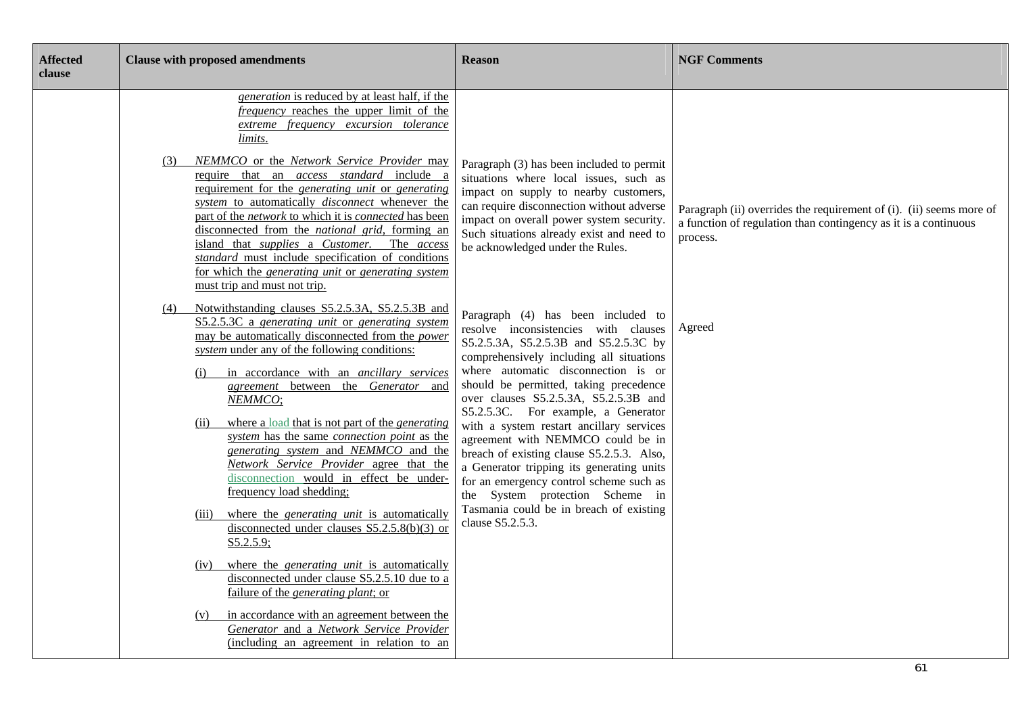| <b>Affected</b><br>clause | <b>Clause with proposed amendments</b>                                                                                                                                                                                                                                                                                                                                                                                                                                                                                                                                                                                                                                                                                                                                                                                                                                                                                                                                                                                                                                                                                                                                                                                                                                                                                                                                                                                                                                                                                                                                                                                                                                                                                                                                                   | <b>Reason</b>                                                                                                                                                                                                                                                                                                                                                                                                                                                                                                                                                                                                                                                                                                                                                                                                                                                                                                                                                      | <b>NGF Comments</b>                                                                                                                                          |
|---------------------------|------------------------------------------------------------------------------------------------------------------------------------------------------------------------------------------------------------------------------------------------------------------------------------------------------------------------------------------------------------------------------------------------------------------------------------------------------------------------------------------------------------------------------------------------------------------------------------------------------------------------------------------------------------------------------------------------------------------------------------------------------------------------------------------------------------------------------------------------------------------------------------------------------------------------------------------------------------------------------------------------------------------------------------------------------------------------------------------------------------------------------------------------------------------------------------------------------------------------------------------------------------------------------------------------------------------------------------------------------------------------------------------------------------------------------------------------------------------------------------------------------------------------------------------------------------------------------------------------------------------------------------------------------------------------------------------------------------------------------------------------------------------------------------------|--------------------------------------------------------------------------------------------------------------------------------------------------------------------------------------------------------------------------------------------------------------------------------------------------------------------------------------------------------------------------------------------------------------------------------------------------------------------------------------------------------------------------------------------------------------------------------------------------------------------------------------------------------------------------------------------------------------------------------------------------------------------------------------------------------------------------------------------------------------------------------------------------------------------------------------------------------------------|--------------------------------------------------------------------------------------------------------------------------------------------------------------|
|                           | generation is reduced by at least half, if the<br><i>frequency</i> reaches the upper limit of the<br>extreme frequency excursion tolerance<br>limits.<br>NEMMCO or the Network Service Provider may<br>(3)<br>require that an <i>access standard</i> include a<br>requirement for the <i>generating unit</i> or <i>generating</i><br>system to automatically <i>disconnect</i> whenever the<br>part of the network to which it is connected has been<br>disconnected from the <i>national grid</i> , forming an<br>island that <i>supplies</i> a <i>Customer</i> .<br>The access<br>standard must include specification of conditions<br>for which the generating unit or generating system<br>must trip and must not trip.<br>Notwithstanding clauses S5.2.5.3A, S5.2.5.3B and<br>(4)<br>S5.2.5.3C a generating unit or generating system<br>may be automatically disconnected from the <i>power</i><br>system under any of the following conditions:<br>in accordance with an <i>ancillary services</i><br>(i)<br>agreement between the Generator and<br>NEMMCO;<br>where a load that is not part of the <i>generating</i><br>(ii)<br>system has the same connection point as the<br>generating system and NEMMCO and the<br>Network Service Provider agree that the<br>disconnection would in effect be under-<br>frequency load shedding;<br>where the <i>generating unit</i> is automatically<br>(iii)<br>disconnected under clauses $S5.2.5.8(b)(3)$ or<br>$S5.2.5.9$ ;<br>where the <i>generating unit</i> is automatically<br>(iv)<br>disconnected under clause S5.2.5.10 due to a<br>failure of the <i>generating plant</i> ; or<br>in accordance with an agreement between the<br>(v)<br>Generator and a Network Service Provider<br>(including an agreement in relation to an | Paragraph (3) has been included to permit<br>situations where local issues, such as<br>impact on supply to nearby customers,<br>can require disconnection without adverse<br>impact on overall power system security.<br>Such situations already exist and need to<br>be acknowledged under the Rules.<br>Paragraph (4) has been included to<br>resolve inconsistencies with clauses<br>S5.2.5.3A, S5.2.5.3B and S5.2.5.3C by<br>comprehensively including all situations<br>where automatic disconnection is or<br>should be permitted, taking precedence<br>over clauses S5.2.5.3A, S5.2.5.3B and<br>S5.2.5.3C. For example, a Generator<br>with a system restart ancillary services<br>agreement with NEMMCO could be in<br>breach of existing clause S5.2.5.3. Also,<br>a Generator tripping its generating units<br>for an emergency control scheme such as<br>the System protection Scheme in<br>Tasmania could be in breach of existing<br>clause S5.2.5.3. | Paragraph (ii) overrides the requirement of (i). (ii) seems more of<br>a function of regulation than contingency as it is a continuous<br>process.<br>Agreed |
|                           |                                                                                                                                                                                                                                                                                                                                                                                                                                                                                                                                                                                                                                                                                                                                                                                                                                                                                                                                                                                                                                                                                                                                                                                                                                                                                                                                                                                                                                                                                                                                                                                                                                                                                                                                                                                          |                                                                                                                                                                                                                                                                                                                                                                                                                                                                                                                                                                                                                                                                                                                                                                                                                                                                                                                                                                    | 61                                                                                                                                                           |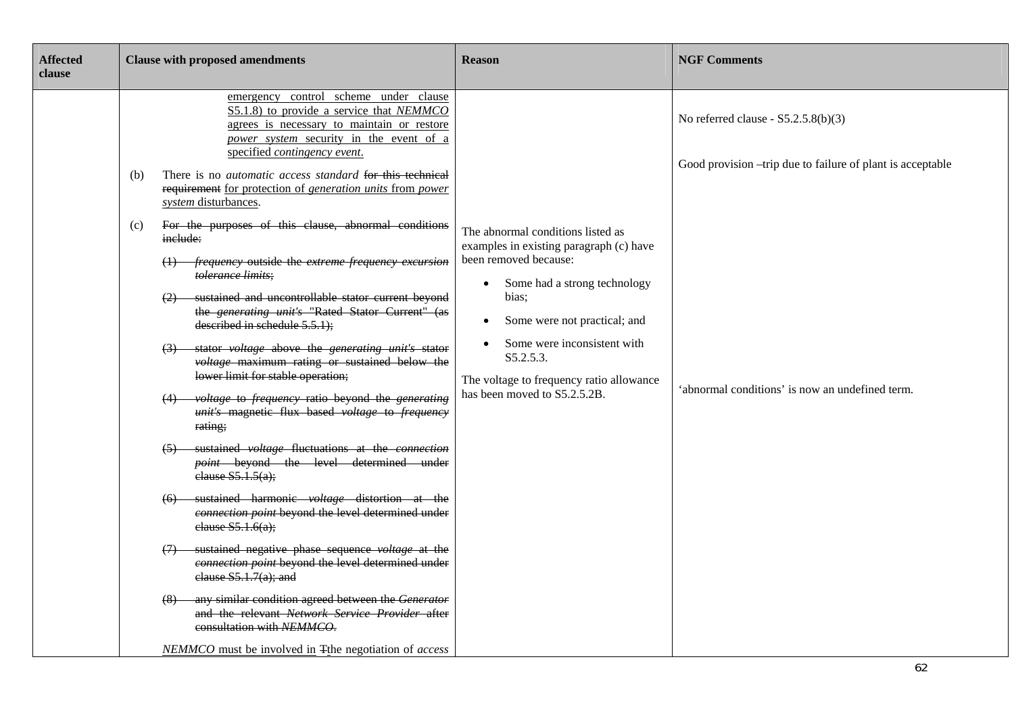| <b>Affected</b><br>clause | <b>Clause with proposed amendments</b>                                                                                                                                                                                                                                                                                                                                                                                                                                                                                                                                                                                                                                                                                                                                                                                                                                                                                                                                                                                                                                                                                                                                                                                                                                                                                                                                                                                                                                                                                                                    | <b>Reason</b>                                                                                                                                                                                                                                                                                                                    | <b>NGF Comments</b>                                                                                                                                    |
|---------------------------|-----------------------------------------------------------------------------------------------------------------------------------------------------------------------------------------------------------------------------------------------------------------------------------------------------------------------------------------------------------------------------------------------------------------------------------------------------------------------------------------------------------------------------------------------------------------------------------------------------------------------------------------------------------------------------------------------------------------------------------------------------------------------------------------------------------------------------------------------------------------------------------------------------------------------------------------------------------------------------------------------------------------------------------------------------------------------------------------------------------------------------------------------------------------------------------------------------------------------------------------------------------------------------------------------------------------------------------------------------------------------------------------------------------------------------------------------------------------------------------------------------------------------------------------------------------|----------------------------------------------------------------------------------------------------------------------------------------------------------------------------------------------------------------------------------------------------------------------------------------------------------------------------------|--------------------------------------------------------------------------------------------------------------------------------------------------------|
|                           | emergency control scheme under clause<br>S5.1.8) to provide a service that NEMMCO<br>agrees is necessary to maintain or restore<br>power system security in the event of a<br>specified contingency event.<br>There is no <i>automatic access standard</i> for this technical<br>(b)<br>requirement for protection of generation units from power<br>system disturbances.<br>For the purposes of this clause, abnormal conditions<br>(c)<br>inelude:<br><i>frequency</i> outside the <i>extreme frequency excursion</i><br>tolerance limits;<br>sustained and uncontrollable stator current beyond<br>the <i>generating unit's</i> "Rated Stator Current" (as<br>described in schedule $5.5.1$ );<br>stator voltage above the generating unit's stator<br>voltage maximum rating or sustained below the<br>lower limit for stable operation;<br>voltage to frequency ratio beyond the generating<br>unit's magnetic flux based voltage to frequency<br>rating;<br>sustained voltage fluctuations at the connection<br>point beyond the level determined under<br>elause S5.1.5(a);<br>sustained harmonic voltage distortion at the<br>connection point beyond the level determined under<br>elause S5.1.6(a);<br>sustained negative phase sequence voltage at the<br>connection point beyond the level determined under<br>elause $S5.1.7(a)$ ; and<br>any similar condition agreed between the Generator<br>(8)<br>and the relevant Network Service Provider after<br>consultation with NEMMCO.<br>NEMMCO must be involved in Tthe negotiation of access | The abnormal conditions listed as<br>examples in existing paragraph (c) have<br>been removed because:<br>Some had a strong technology<br>$\bullet$<br>bias:<br>Some were not practical; and<br>$\bullet$<br>Some were inconsistent with<br>S5.2.5.3.<br>The voltage to frequency ratio allowance<br>has been moved to S5.2.5.2B. | No referred clause - $S5.2.5.8(b)(3)$<br>Good provision –trip due to failure of plant is acceptable<br>'abnormal conditions' is now an undefined term. |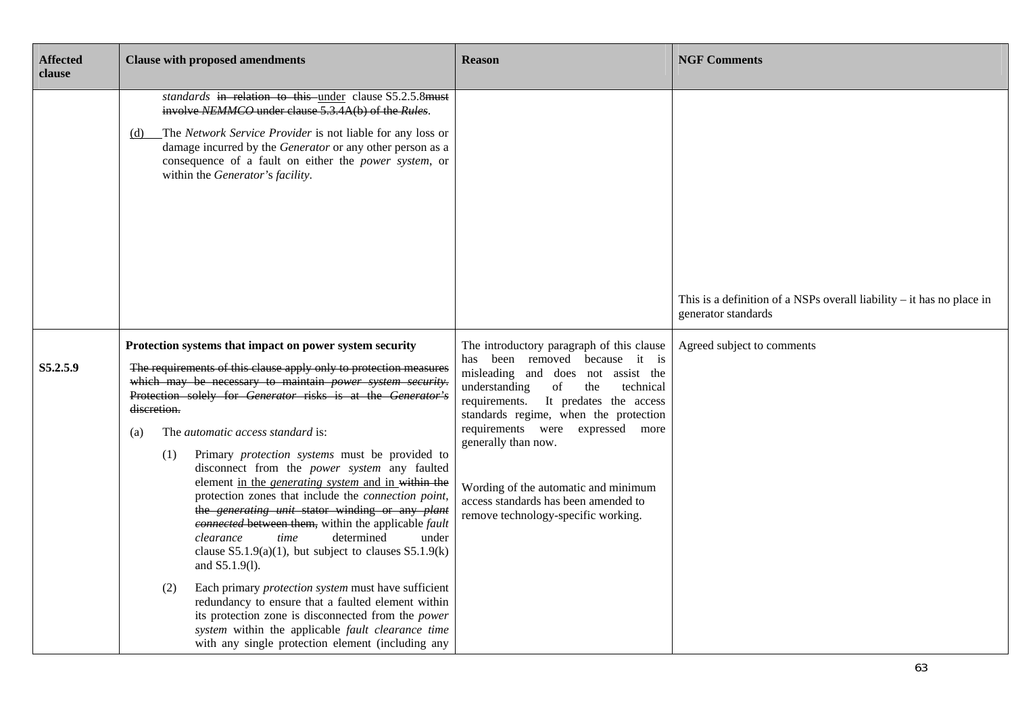| <b>Affected</b><br>clause | <b>Clause with proposed amendments</b>                                                                                                                                                                                                                                                                                                                                                                                                                                                                                                                                                                                                                                                                                                                                                                                                                                                                                                                                                                                                                                                   | <b>Reason</b>                                                                                                                                                                                                                                                                                                                                                                                                                      | <b>NGF Comments</b>                                                                            |
|---------------------------|------------------------------------------------------------------------------------------------------------------------------------------------------------------------------------------------------------------------------------------------------------------------------------------------------------------------------------------------------------------------------------------------------------------------------------------------------------------------------------------------------------------------------------------------------------------------------------------------------------------------------------------------------------------------------------------------------------------------------------------------------------------------------------------------------------------------------------------------------------------------------------------------------------------------------------------------------------------------------------------------------------------------------------------------------------------------------------------|------------------------------------------------------------------------------------------------------------------------------------------------------------------------------------------------------------------------------------------------------------------------------------------------------------------------------------------------------------------------------------------------------------------------------------|------------------------------------------------------------------------------------------------|
|                           | standards in relation to this under clause S5.2.5.8must<br>involve NEMMCO under clause 5.3.4A(b) of the Rules.<br>The Network Service Provider is not liable for any loss or<br>(d)<br>damage incurred by the Generator or any other person as a<br>consequence of a fault on either the power system, or<br>within the Generator's facility.                                                                                                                                                                                                                                                                                                                                                                                                                                                                                                                                                                                                                                                                                                                                            |                                                                                                                                                                                                                                                                                                                                                                                                                                    | This is a definition of a NSPs overall liability $-$ it has no place in<br>generator standards |
| S5.2.5.9                  | Protection systems that impact on power system security<br>The requirements of this clause apply only to protection measures<br>which may be necessary to maintain <i>power</i> system security.<br>Protection solely for Generator risks is at the Generator's<br>discretion.<br>The automatic access standard is:<br>(a)<br>Primary protection systems must be provided to<br>(1)<br>disconnect from the power system any faulted<br>element in the <i>generating system</i> and in within the<br>protection zones that include the connection point,<br>the generating unit stator winding or any plant<br>connected between them, within the applicable fault<br>determined<br>time<br>under<br>clearance<br>clause $S5.1.9(a)(1)$ , but subject to clauses $S5.1.9(k)$<br>and S5.1.9(1).<br>Each primary <i>protection system</i> must have sufficient<br>(2)<br>redundancy to ensure that a faulted element within<br>its protection zone is disconnected from the power<br>system within the applicable fault clearance time<br>with any single protection element (including any | The introductory paragraph of this clause<br>been removed because it is<br>has<br>misleading and does not assist the<br>understanding<br>of<br>the<br>technical<br>requirements. It predates the access<br>standards regime, when the protection<br>requirements were expressed more<br>generally than now.<br>Wording of the automatic and minimum<br>access standards has been amended to<br>remove technology-specific working. | Agreed subject to comments                                                                     |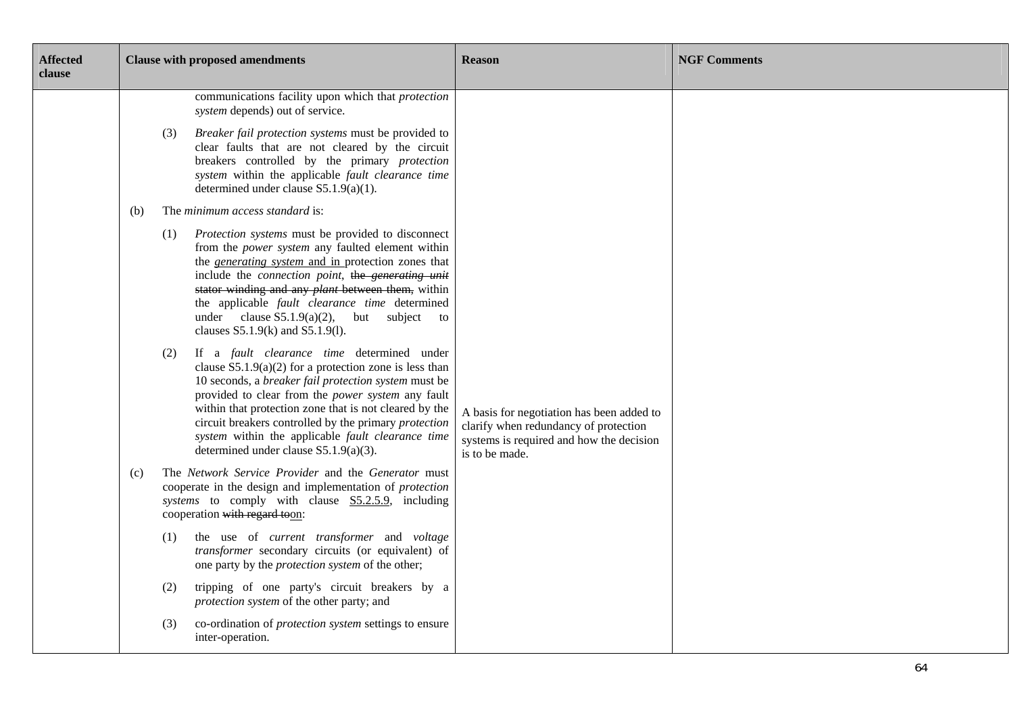| <b>Affected</b><br>clause |     |     | <b>Clause with proposed amendments</b>                                                                                                                                                                                                                                                                                                                                                                                                      | <b>Reason</b>                                                                                                                                    | <b>NGF Comments</b> |
|---------------------------|-----|-----|---------------------------------------------------------------------------------------------------------------------------------------------------------------------------------------------------------------------------------------------------------------------------------------------------------------------------------------------------------------------------------------------------------------------------------------------|--------------------------------------------------------------------------------------------------------------------------------------------------|---------------------|
|                           |     |     | communications facility upon which that <i>protection</i><br>system depends) out of service.                                                                                                                                                                                                                                                                                                                                                |                                                                                                                                                  |                     |
|                           |     | (3) | Breaker fail protection systems must be provided to<br>clear faults that are not cleared by the circuit<br>breakers controlled by the primary protection<br>system within the applicable fault clearance time<br>determined under clause $S5.1.9(a)(1)$ .                                                                                                                                                                                   |                                                                                                                                                  |                     |
|                           | (b) |     | The <i>minimum access standard</i> is:                                                                                                                                                                                                                                                                                                                                                                                                      |                                                                                                                                                  |                     |
|                           |     | (1) | Protection systems must be provided to disconnect<br>from the <i>power system</i> any faulted element within<br>the <i>generating system</i> and in protection zones that<br>include the connection point, the generating unit<br>stator winding and any <i>plant</i> between them, within<br>the applicable fault clearance time determined<br>under clause $S5.1.9(a)(2)$ , but subject to<br>clauses $S5.1.9(k)$ and $S5.1.9(l)$ .       |                                                                                                                                                  |                     |
|                           |     | (2) | If a fault clearance time determined under<br>clause $S5.1.9(a)(2)$ for a protection zone is less than<br>10 seconds, a breaker fail protection system must be<br>provided to clear from the <i>power system</i> any fault<br>within that protection zone that is not cleared by the<br>circuit breakers controlled by the primary protection<br>system within the applicable fault clearance time<br>determined under clause S5.1.9(a)(3). | A basis for negotiation has been added to<br>clarify when redundancy of protection<br>systems is required and how the decision<br>is to be made. |                     |
|                           | (c) |     | The Network Service Provider and the Generator must<br>cooperate in the design and implementation of protection<br>systems to comply with clause S5.2.5.9, including<br>cooperation with regard toon:                                                                                                                                                                                                                                       |                                                                                                                                                  |                     |
|                           |     | (1) | the use of current transformer and voltage<br>transformer secondary circuits (or equivalent) of<br>one party by the <i>protection system</i> of the other;                                                                                                                                                                                                                                                                                  |                                                                                                                                                  |                     |
|                           |     | (2) | tripping of one party's circuit breakers by a<br>protection system of the other party; and                                                                                                                                                                                                                                                                                                                                                  |                                                                                                                                                  |                     |
|                           |     | (3) | co-ordination of <i>protection system</i> settings to ensure<br>inter-operation.                                                                                                                                                                                                                                                                                                                                                            |                                                                                                                                                  |                     |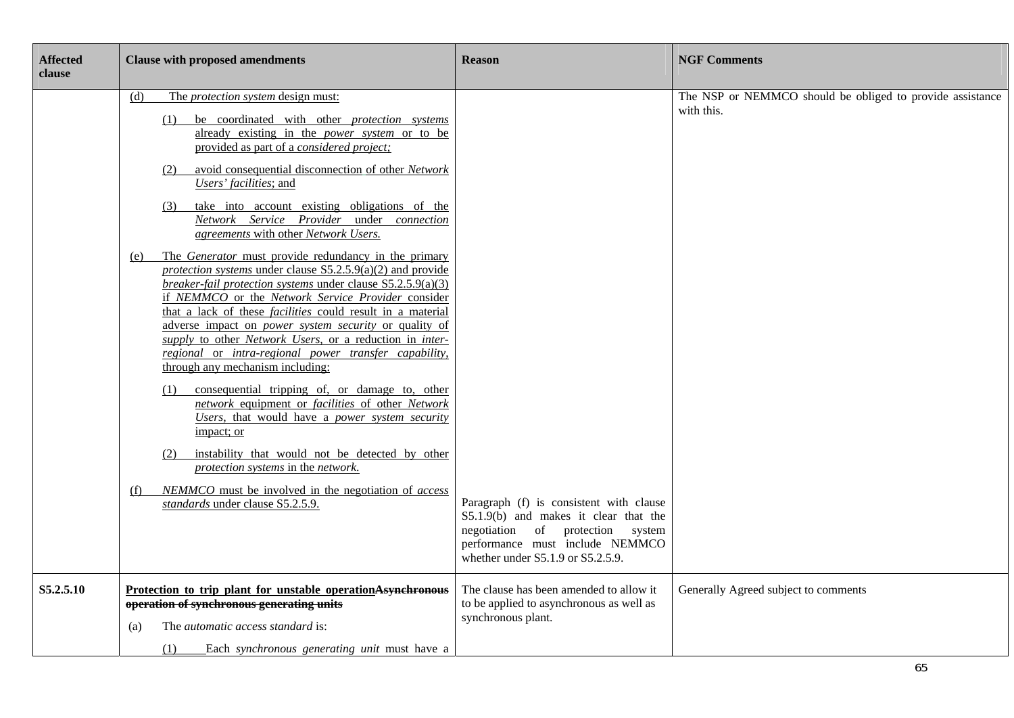| <b>Affected</b><br>clause | <b>Clause with proposed amendments</b>                                                                                                                                                                                                                                                                                                                                                                                                                                                                                                                                                                                                                                                                                                                                                                                                                                                                                                                                                                                                                                                                                                                                                                                                                                                                                                                                                   | <b>Reason</b>                                                                                                                                                                                   | <b>NGF Comments</b>                                                     |
|---------------------------|------------------------------------------------------------------------------------------------------------------------------------------------------------------------------------------------------------------------------------------------------------------------------------------------------------------------------------------------------------------------------------------------------------------------------------------------------------------------------------------------------------------------------------------------------------------------------------------------------------------------------------------------------------------------------------------------------------------------------------------------------------------------------------------------------------------------------------------------------------------------------------------------------------------------------------------------------------------------------------------------------------------------------------------------------------------------------------------------------------------------------------------------------------------------------------------------------------------------------------------------------------------------------------------------------------------------------------------------------------------------------------------|-------------------------------------------------------------------------------------------------------------------------------------------------------------------------------------------------|-------------------------------------------------------------------------|
|                           | The <i>protection system</i> design must:<br>(d)<br>be coordinated with other <i>protection</i> systems<br>(1)<br>already existing in the power system or to be<br>provided as part of a considered project;<br>avoid consequential disconnection of other Network<br>(2)<br>Users' facilities; and<br>take into account existing obligations of the<br>(3)<br>Network Service Provider under connection<br>agreements with other Network Users.<br>The <i>Generator</i> must provide redundancy in the primary<br>(e)<br>protection systems under clause $S5.2.5.9(a)(2)$ and provide<br>breaker-fail protection systems under clause S5.2.5.9(a)(3)<br>if NEMMCO or the Network Service Provider consider<br>that a lack of these <i>facilities</i> could result in a material<br>adverse impact on <i>power</i> system security or quality of<br>supply to other Network Users, or a reduction in inter-<br>regional or intra-regional power transfer capability,<br>through any mechanism including:<br>consequential tripping of, or damage to, other<br>(1)<br>network equipment or facilities of other Network<br>Users, that would have a power system security<br>impact; or<br>instability that would not be detected by other<br>(2)<br>protection systems in the network.<br>NEMMCO must be involved in the negotiation of access<br>(f)<br>standards under clause S5.2.5.9. | Paragraph (f) is consistent with clause<br>S5.1.9(b) and makes it clear that the<br>negotiation of protection<br>system<br>performance must include NEMMCO<br>whether under S5.1.9 or S5.2.5.9. | The NSP or NEMMCO should be obliged to provide assistance<br>with this. |
| S5.2.5.10                 | Protection to trip plant for unstable operationAsynchronous<br>operation of synchronous generating units<br>The automatic access standard is:<br>(a)<br>(1)<br>Each synchronous generating unit must have a                                                                                                                                                                                                                                                                                                                                                                                                                                                                                                                                                                                                                                                                                                                                                                                                                                                                                                                                                                                                                                                                                                                                                                              | The clause has been amended to allow it<br>to be applied to asynchronous as well as<br>synchronous plant.                                                                                       | Generally Agreed subject to comments                                    |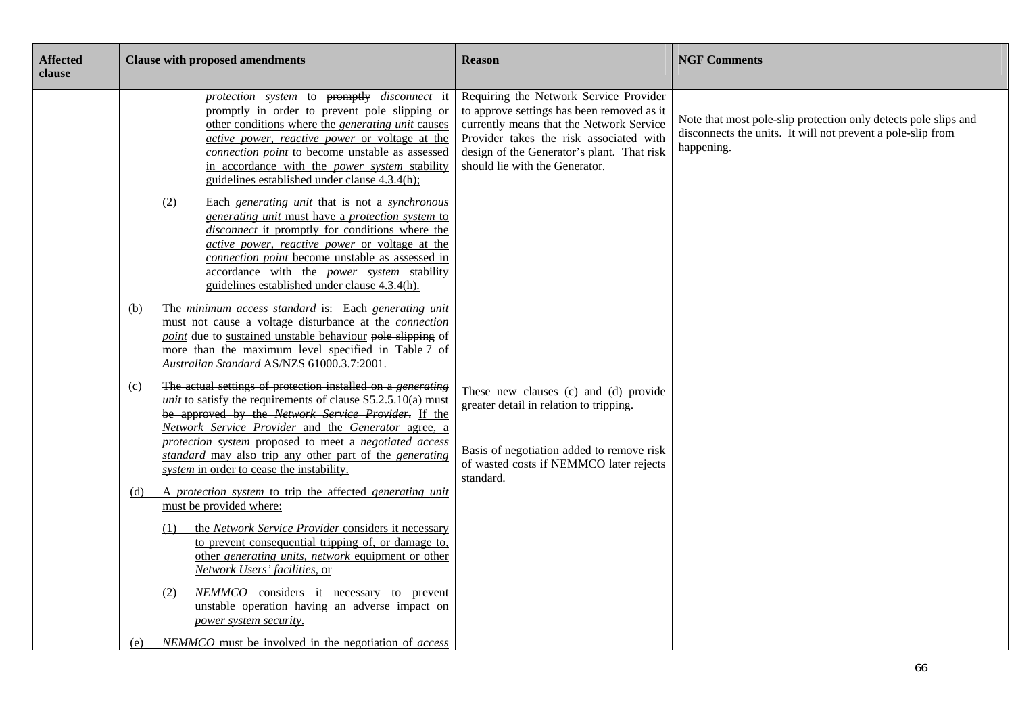| <b>Affected</b><br>clause | <b>Clause with proposed amendments</b>                                                                                                                                                                                                                                                                                                                                         | <b>Reason</b>                                                                                                                                                                                                                                               | <b>NGF Comments</b>                                                                                                                          |
|---------------------------|--------------------------------------------------------------------------------------------------------------------------------------------------------------------------------------------------------------------------------------------------------------------------------------------------------------------------------------------------------------------------------|-------------------------------------------------------------------------------------------------------------------------------------------------------------------------------------------------------------------------------------------------------------|----------------------------------------------------------------------------------------------------------------------------------------------|
|                           | protection system to promptly disconnect it<br>promptly in order to prevent pole slipping or<br>other conditions where the <i>generating unit</i> causes<br><i>active power, reactive power</i> or voltage at the<br>connection point to become unstable as assessed<br>in accordance with the <i>power</i> system stability<br>guidelines established under clause 4.3.4(h);  | Requiring the Network Service Provider<br>to approve settings has been removed as it<br>currently means that the Network Service<br>Provider takes the risk associated with<br>design of the Generator's plant. That risk<br>should lie with the Generator. | Note that most pole-slip protection only detects pole slips and<br>disconnects the units. It will not prevent a pole-slip from<br>happening. |
|                           | Each generating unit that is not a synchronous<br>(2)<br>generating unit must have a protection system to<br>disconnect it promptly for conditions where the<br><i>active power, reactive power</i> or voltage at the<br>connection point become unstable as assessed in<br>accordance with the <i>power</i> system stability<br>guidelines established under clause 4.3.4(h). |                                                                                                                                                                                                                                                             |                                                                                                                                              |
|                           | The minimum access standard is: Each generating unit<br>(b)<br>must not cause a voltage disturbance at the connection<br>point due to sustained unstable behaviour pole slipping of<br>more than the maximum level specified in Table 7 of<br>Australian Standard AS/NZS 61000.3.7:2001.                                                                                       |                                                                                                                                                                                                                                                             |                                                                                                                                              |
|                           | The actual settings of protection installed on a <i>generating</i><br>(c)<br>unit to satisfy the requirements of clause $S5.2.5.10(a)$ must<br>be approved by the Network Service Provider. If the<br>Network Service Provider and the Generator agree, a<br>protection system proposed to meet a negotiated access<br>standard may also trip any other part of the generating | These new clauses (c) and (d) provide<br>greater detail in relation to tripping.<br>Basis of negotiation added to remove risk<br>of wasted costs if NEMMCO later rejects                                                                                    |                                                                                                                                              |
|                           | system in order to cease the instability.<br>A protection system to trip the affected generating unit<br>(d)<br>must be provided where:                                                                                                                                                                                                                                        | standard.                                                                                                                                                                                                                                                   |                                                                                                                                              |
|                           | the Network Service Provider considers it necessary<br>(1)<br>to prevent consequential tripping of, or damage to,<br>other generating units, network equipment or other<br>Network Users' facilities, or                                                                                                                                                                       |                                                                                                                                                                                                                                                             |                                                                                                                                              |
|                           | NEMMCO considers it necessary to prevent<br>(2)<br>unstable operation having an adverse impact on<br>power system security.                                                                                                                                                                                                                                                    |                                                                                                                                                                                                                                                             |                                                                                                                                              |
|                           | NEMMCO must be involved in the negotiation of access<br>(e)                                                                                                                                                                                                                                                                                                                    |                                                                                                                                                                                                                                                             |                                                                                                                                              |

Ξ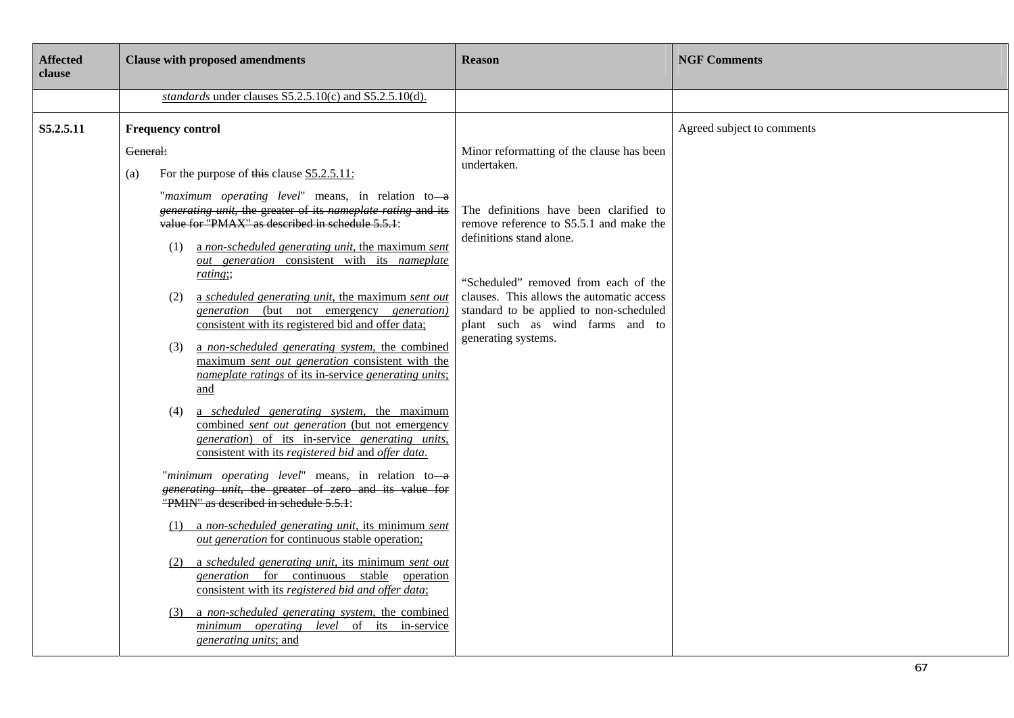| <b>Affected</b><br>clause | <b>Clause with proposed amendments</b>                                                                                                                                                                                                                                                                                                                                                                                                                                                                                                                                                                                                                                                                                                                                                                                                                                                                                                                                                                                                                                                                                                                                                                                                                                                                                                                                                                                                                                                                                | <b>Reason</b>                                                                                                                                                                                                                                                                                                                                                       | <b>NGF Comments</b>        |
|---------------------------|-----------------------------------------------------------------------------------------------------------------------------------------------------------------------------------------------------------------------------------------------------------------------------------------------------------------------------------------------------------------------------------------------------------------------------------------------------------------------------------------------------------------------------------------------------------------------------------------------------------------------------------------------------------------------------------------------------------------------------------------------------------------------------------------------------------------------------------------------------------------------------------------------------------------------------------------------------------------------------------------------------------------------------------------------------------------------------------------------------------------------------------------------------------------------------------------------------------------------------------------------------------------------------------------------------------------------------------------------------------------------------------------------------------------------------------------------------------------------------------------------------------------------|---------------------------------------------------------------------------------------------------------------------------------------------------------------------------------------------------------------------------------------------------------------------------------------------------------------------------------------------------------------------|----------------------------|
|                           | standards under clauses S5.2.5.10(c) and S5.2.5.10(d).                                                                                                                                                                                                                                                                                                                                                                                                                                                                                                                                                                                                                                                                                                                                                                                                                                                                                                                                                                                                                                                                                                                                                                                                                                                                                                                                                                                                                                                                |                                                                                                                                                                                                                                                                                                                                                                     |                            |
| S5.2.5.11                 | <b>Frequency control</b><br>General:<br>For the purpose of this clause S5.2.5.11:<br>(a)<br>"maximum operating level" means, in relation to-a<br>generating unit, the greater of its nameplate rating and its<br>value for "PMAX" as described in schedule 5.5.1:<br>a non-scheduled generating unit, the maximum sent<br>(1)<br>out generation consistent with its nameplate<br>rating;;<br>a scheduled generating unit, the maximum sent out<br>(2)<br>generation (but not emergency generation)<br>consistent with its registered bid and offer data;<br>a non-scheduled generating system, the combined<br>(3)<br>maximum sent out generation consistent with the<br>nameplate ratings of its in-service generating units;<br>and<br>a scheduled generating system, the maximum<br>(4)<br>combined sent out generation (but not emergency<br>generation) of its in-service generating units,<br>consistent with its registered bid and offer data.<br>"minimum operating level" means, in relation to-a<br>generating unit, the greater of zero and its value for<br>"PMIN" as described in schedule 5.5.1:<br>(1) a non-scheduled generating unit, its minimum sent<br>out generation for continuous stable operation;<br>(2) a scheduled generating unit, its minimum sent out<br>generation for continuous stable operation<br>consistent with its registered bid and offer data;<br>(3) a non-scheduled generating system, the combined<br>minimum operating level of its in-service<br>generating units; and | Minor reformatting of the clause has been<br>undertaken.<br>The definitions have been clarified to<br>remove reference to S5.5.1 and make the<br>definitions stand alone.<br>"Scheduled" removed from each of the<br>clauses. This allows the automatic access<br>standard to be applied to non-scheduled<br>plant such as wind farms and to<br>generating systems. | Agreed subject to comments |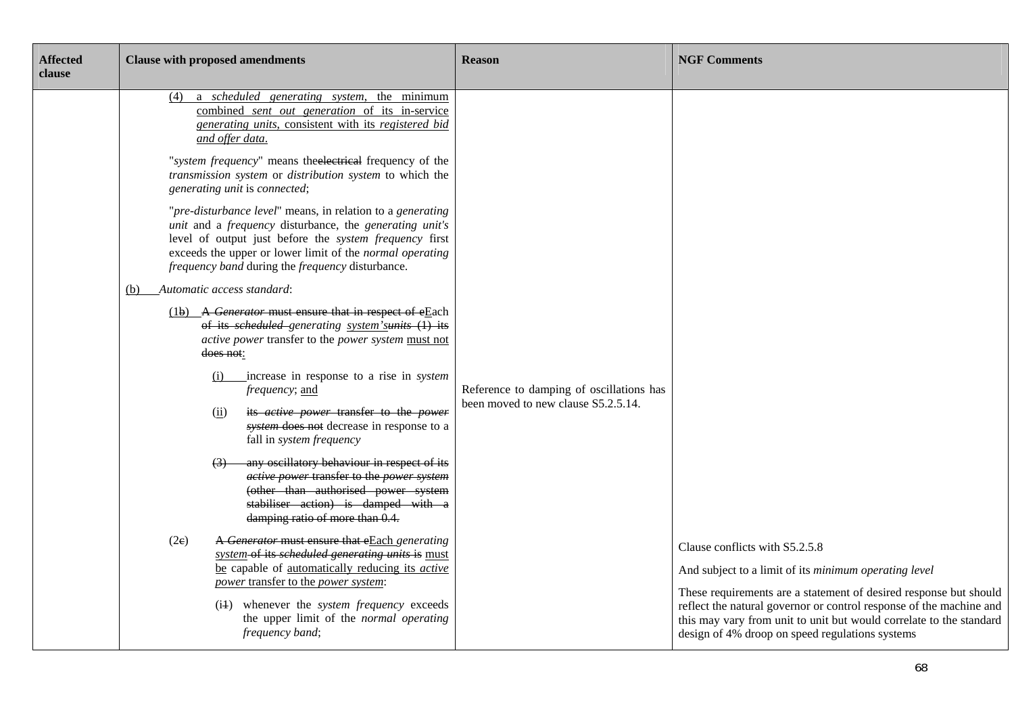| <b>Affected</b><br>clause | <b>Clause with proposed amendments</b>                                                                                                                                                                                                                                                                                                                                                                                                                                                                                                                                                                                                                                                                                                                                                                                                                                                                                                                                                                                                                                                                                                                                                                                                                                                                                                                                                                                                                                                                                                                                                                                                         | <b>Reason</b>                                                                   | <b>NGF Comments</b>                                                                                                                                                                                                                                                                                                                                           |
|---------------------------|------------------------------------------------------------------------------------------------------------------------------------------------------------------------------------------------------------------------------------------------------------------------------------------------------------------------------------------------------------------------------------------------------------------------------------------------------------------------------------------------------------------------------------------------------------------------------------------------------------------------------------------------------------------------------------------------------------------------------------------------------------------------------------------------------------------------------------------------------------------------------------------------------------------------------------------------------------------------------------------------------------------------------------------------------------------------------------------------------------------------------------------------------------------------------------------------------------------------------------------------------------------------------------------------------------------------------------------------------------------------------------------------------------------------------------------------------------------------------------------------------------------------------------------------------------------------------------------------------------------------------------------------|---------------------------------------------------------------------------------|---------------------------------------------------------------------------------------------------------------------------------------------------------------------------------------------------------------------------------------------------------------------------------------------------------------------------------------------------------------|
|                           | a <i>scheduled</i> generating system, the minimum<br>(4)<br>combined sent out generation of its in-service<br>generating units, consistent with its registered bid<br>and offer data.<br>"system frequency" means the electrical frequency of the<br>transmission system or distribution system to which the<br>generating unit is connected;<br>"pre-disturbance level" means, in relation to a generating<br>unit and a frequency disturbance, the generating unit's<br>level of output just before the system frequency first<br>exceeds the upper or lower limit of the normal operating<br><i>frequency band during the frequency disturbance.</i><br>(b) Automatic access standard:<br>(1b) A Generator must ensure that in respect of eEach<br>of its scheduled-generating system'sunits (1) its<br>active power transfer to the power system must not<br>does not:<br>increase in response to a rise in <i>system</i><br>(i)<br><i>frequency</i> ; and<br>its <i>active power</i> transfer to the <i>power</i><br>(ii)<br>system does not decrease in response to a<br>fall in system frequency<br>any oscillatory behaviour in respect of its<br>(3)<br>active power transfer to the power system<br>(other than authorised power system<br>stabiliser action) is damped with a<br>damping ratio of more than 0.4.<br>A Generator must ensure that eEach generating<br>(2e)<br>system-of its scheduled generating units is must<br>be capable of automatically reducing its active<br>power transfer to the power system:<br>(i4) whenever the system frequency exceeds<br>the upper limit of the normal operating<br>frequency band; | Reference to damping of oscillations has<br>been moved to new clause S5.2.5.14. | Clause conflicts with S5.2.5.8<br>And subject to a limit of its minimum operating level<br>These requirements are a statement of desired response but should<br>reflect the natural governor or control response of the machine and<br>this may vary from unit to unit but would correlate to the standard<br>design of 4% droop on speed regulations systems |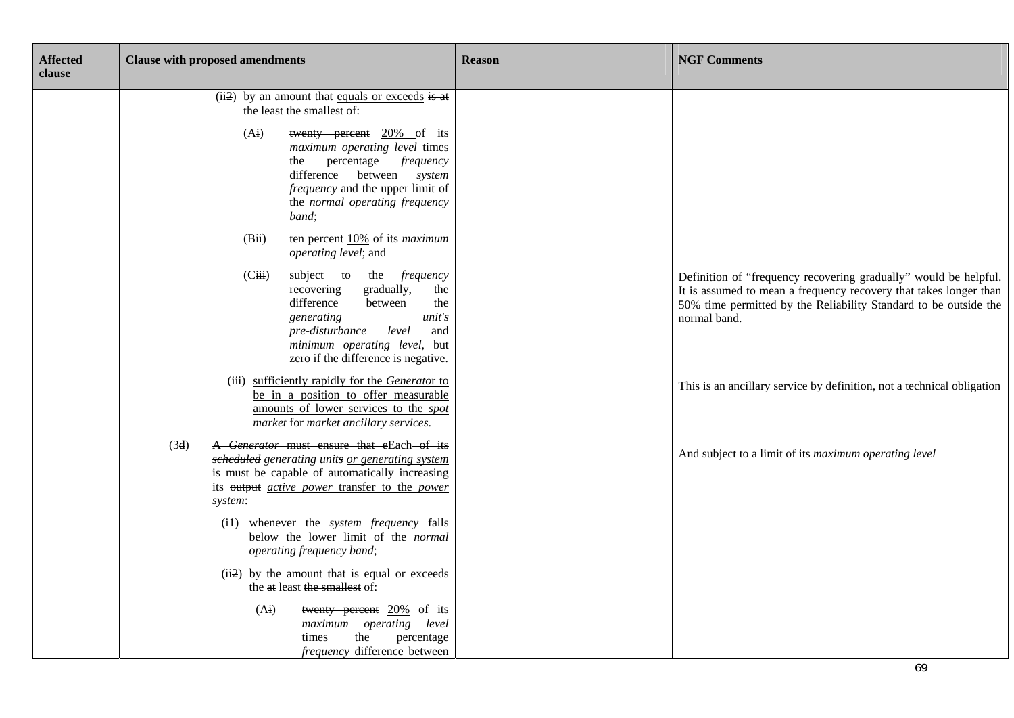| <b>Affected</b><br>clause | <b>Clause with proposed amendments</b>                                                                                                                                                                                                        | <b>Reason</b> | <b>NGF Comments</b>                                                                                                                                                                                                       |
|---------------------------|-----------------------------------------------------------------------------------------------------------------------------------------------------------------------------------------------------------------------------------------------|---------------|---------------------------------------------------------------------------------------------------------------------------------------------------------------------------------------------------------------------------|
|                           | (ii2) by an amount that equals or exceeds is at<br>the least the smallest of:                                                                                                                                                                 |               |                                                                                                                                                                                                                           |
|                           | (A <sub>i</sub> )<br>twenty percent 20% of its<br>maximum operating level times<br>percentage <i>frequency</i><br>the<br>difference<br>between system<br><i>frequency</i> and the upper limit of<br>the normal operating frequency<br>band;   |               |                                                                                                                                                                                                                           |
|                           | (Bii)<br>ten percent 10% of its maximum<br>operating level; and                                                                                                                                                                               |               |                                                                                                                                                                                                                           |
|                           | (Ciii)<br>frequency<br>subject to<br>the<br>gradually,<br>recovering<br>the<br>difference<br>between<br>the<br>unit's<br>generating<br>pre-disturbance<br>level<br>and<br>minimum operating level, but<br>zero if the difference is negative. |               | Definition of "frequency recovering gradually" would be helpful.<br>It is assumed to mean a frequency recovery that takes longer than<br>50% time permitted by the Reliability Standard to be outside the<br>normal band. |
|                           | (iii) sufficiently rapidly for the Generator to<br>be in a position to offer measurable<br>amounts of lower services to the spot<br>market for market ancillary services.                                                                     |               | This is an ancillary service by definition, not a technical obligation                                                                                                                                                    |
|                           | A Generator must ensure that eEach-of its<br>(3d)<br>scheduled generating units or generating system<br>is must be capable of automatically increasing<br>its output <i>active power</i> transfer to the <i>power</i><br>system:              |               | And subject to a limit of its maximum operating level                                                                                                                                                                     |
|                           | (i4) whenever the <i>system frequency</i> falls<br>below the lower limit of the normal<br>operating frequency band;                                                                                                                           |               |                                                                                                                                                                                                                           |
|                           | (ii2) by the amount that is equal or exceeds<br>the at least the smallest of:                                                                                                                                                                 |               |                                                                                                                                                                                                                           |
|                           | (A <sub>i</sub> )<br>twenty percent 20% of its<br>maximum operating level<br>the<br>percentage<br>times<br>frequency difference between                                                                                                       |               |                                                                                                                                                                                                                           |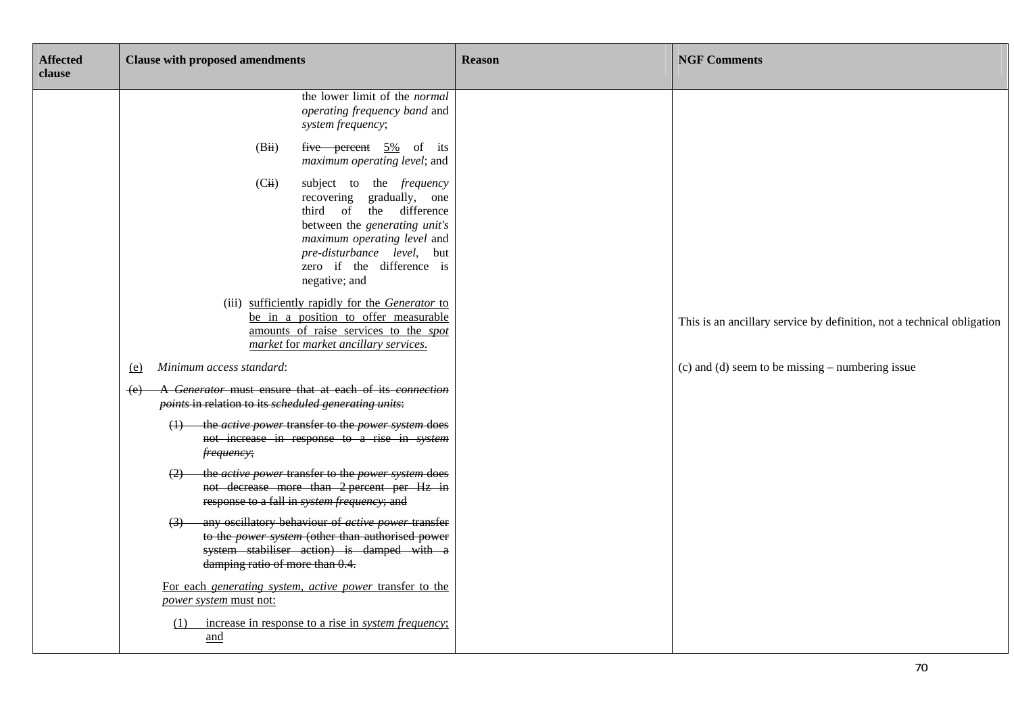| <b>Affected</b><br>clause | <b>Clause with proposed amendments</b>                                                                                                                                                                                                          | <b>Reason</b> | <b>NGF Comments</b>                                                    |
|---------------------------|-------------------------------------------------------------------------------------------------------------------------------------------------------------------------------------------------------------------------------------------------|---------------|------------------------------------------------------------------------|
|                           | the lower limit of the normal<br>operating frequency band and<br>system frequency;                                                                                                                                                              |               |                                                                        |
|                           | (Bii)<br>five percent $5\%$ of its<br>maximum operating level; and                                                                                                                                                                              |               |                                                                        |
|                           | (Cii)<br>subject to the <i>frequency</i><br>recovering gradually, one<br>the difference<br>third of<br>between the generating unit's<br>maximum operating level and<br>pre-disturbance level, but<br>zero if the difference is<br>negative; and |               |                                                                        |
|                           | (iii) sufficiently rapidly for the Generator to<br>be in a position to offer measurable<br>amounts of raise services to the spot<br>market for market ancillary services.                                                                       |               | This is an ancillary service by definition, not a technical obligation |
|                           | Minimum access standard:<br><u>(e)</u>                                                                                                                                                                                                          |               | (c) and (d) seem to be missing $-$ numbering issue                     |
|                           | A Generator must ensure that at each of its connection<br>$+e$<br>points in relation to its scheduled generating units:                                                                                                                         |               |                                                                        |
|                           | (1) the <i>active power</i> transfer to the <i>power system</i> does<br>not increase in response to a rise in system<br>frequency;                                                                                                              |               |                                                                        |
|                           | the <i>active power</i> transfer to the <i>power system</i> does<br>not decrease more than 2 percent per Hz in<br>response to a fall in system frequency; and                                                                                   |               |                                                                        |
|                           | any oscillatory behaviour of <i>active power</i> transfer<br>to the power system (other than authorised power<br>system stabiliser action) is damped with a<br>damping ratio of more than 0.4.                                                  |               |                                                                        |
|                           | For each generating system, active power transfer to the<br><i>power system</i> must not:                                                                                                                                                       |               |                                                                        |
|                           | increase in response to a rise in <i>system frequency</i> ;<br>(1)<br>and                                                                                                                                                                       |               |                                                                        |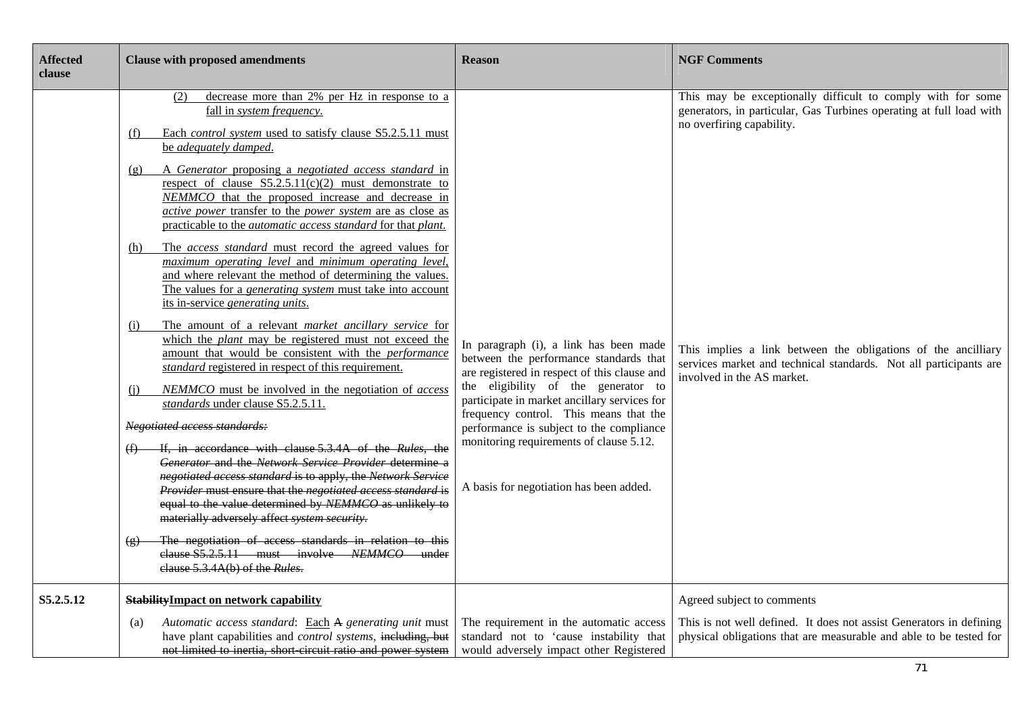| <b>Affected</b><br>clause | <b>Clause with proposed amendments</b>                                                                                                                                                                                                                                                                                                                                                                                                                                                                                                                                                                                                                                                                                                                                                                                                                                                                                                                                                                                                                                                                                                                                                                                                                                                                                                                                                                                                                                                                                                                                                                                                                                                                         | <b>Reason</b>                                                                                                                                                                                                                                                                                                                                                                                       | <b>NGF Comments</b>                                                                                                                                                                                                                                                                                                                 |
|---------------------------|----------------------------------------------------------------------------------------------------------------------------------------------------------------------------------------------------------------------------------------------------------------------------------------------------------------------------------------------------------------------------------------------------------------------------------------------------------------------------------------------------------------------------------------------------------------------------------------------------------------------------------------------------------------------------------------------------------------------------------------------------------------------------------------------------------------------------------------------------------------------------------------------------------------------------------------------------------------------------------------------------------------------------------------------------------------------------------------------------------------------------------------------------------------------------------------------------------------------------------------------------------------------------------------------------------------------------------------------------------------------------------------------------------------------------------------------------------------------------------------------------------------------------------------------------------------------------------------------------------------------------------------------------------------------------------------------------------------|-----------------------------------------------------------------------------------------------------------------------------------------------------------------------------------------------------------------------------------------------------------------------------------------------------------------------------------------------------------------------------------------------------|-------------------------------------------------------------------------------------------------------------------------------------------------------------------------------------------------------------------------------------------------------------------------------------------------------------------------------------|
|                           | decrease more than 2% per Hz in response to a<br>(2)<br>fall in system frequency.<br>Each <i>control system</i> used to satisfy clause S5.2.5.11 must<br>(f)<br>be adequately damped.<br>A Generator proposing a negotiated access standard in<br>(g)<br>respect of clause $S5.2.5.11(c)(2)$ must demonstrate to<br>NEMMCO that the proposed increase and decrease in<br>active power transfer to the power system are as close as<br>practicable to the <i>automatic</i> access standard for that <i>plant</i> .<br>The access standard must record the agreed values for<br>(h)<br>maximum operating level and minimum operating level,<br>and where relevant the method of determining the values.<br>The values for a <i>generating system</i> must take into account<br>its in-service generating units.<br>The amount of a relevant market ancillary service for<br>(i)<br>which the <i>plant</i> may be registered must not exceed the<br>amount that would be consistent with the <i>performance</i><br>standard registered in respect of this requirement.<br>NEMMCO must be involved in the negotiation of access<br>(i)<br>standards under clause S5.2.5.11.<br>Negotiated access standards:<br>If, in accordance with clause 5.3.4A of the Rules, the<br>Generator and the Network Service Provider determine a<br>negotiated access standard is to apply, the Network Service<br>Provider must ensure that the negotiated access standard is<br>equal to the value determined by NEMMCO as unlikely to<br>materially adversely affect system security.<br>The negotiation of access standards in relation to this<br>clause S5.2.5.11 must involve NEMMCO under<br>elause 5.3.4A(b) of the Rules. | In paragraph (i), a link has been made<br>between the performance standards that<br>are registered in respect of this clause and<br>the eligibility of the generator to<br>participate in market ancillary services for<br>frequency control. This means that the<br>performance is subject to the compliance<br>monitoring requirements of clause 5.12.<br>A basis for negotiation has been added. | This may be exceptionally difficult to comply with for some<br>generators, in particular, Gas Turbines operating at full load with<br>no overfiring capability.<br>This implies a link between the obligations of the ancilliary<br>services market and technical standards. Not all participants are<br>involved in the AS market. |
| S5.2.5.12                 | <b>StabilityImpact on network capability</b><br>Automatic access standard: Each A generating unit must<br>(a)                                                                                                                                                                                                                                                                                                                                                                                                                                                                                                                                                                                                                                                                                                                                                                                                                                                                                                                                                                                                                                                                                                                                                                                                                                                                                                                                                                                                                                                                                                                                                                                                  | The requirement in the automatic access                                                                                                                                                                                                                                                                                                                                                             | Agreed subject to comments<br>This is not well defined. It does not assist Generators in defining                                                                                                                                                                                                                                   |
|                           | have plant capabilities and <i>control systems</i> , including, but<br>not limited to inertia, short circuit ratio and power system                                                                                                                                                                                                                                                                                                                                                                                                                                                                                                                                                                                                                                                                                                                                                                                                                                                                                                                                                                                                                                                                                                                                                                                                                                                                                                                                                                                                                                                                                                                                                                            | standard not to 'cause instability that<br>would adversely impact other Registered                                                                                                                                                                                                                                                                                                                  | physical obligations that are measurable and able to be tested for                                                                                                                                                                                                                                                                  |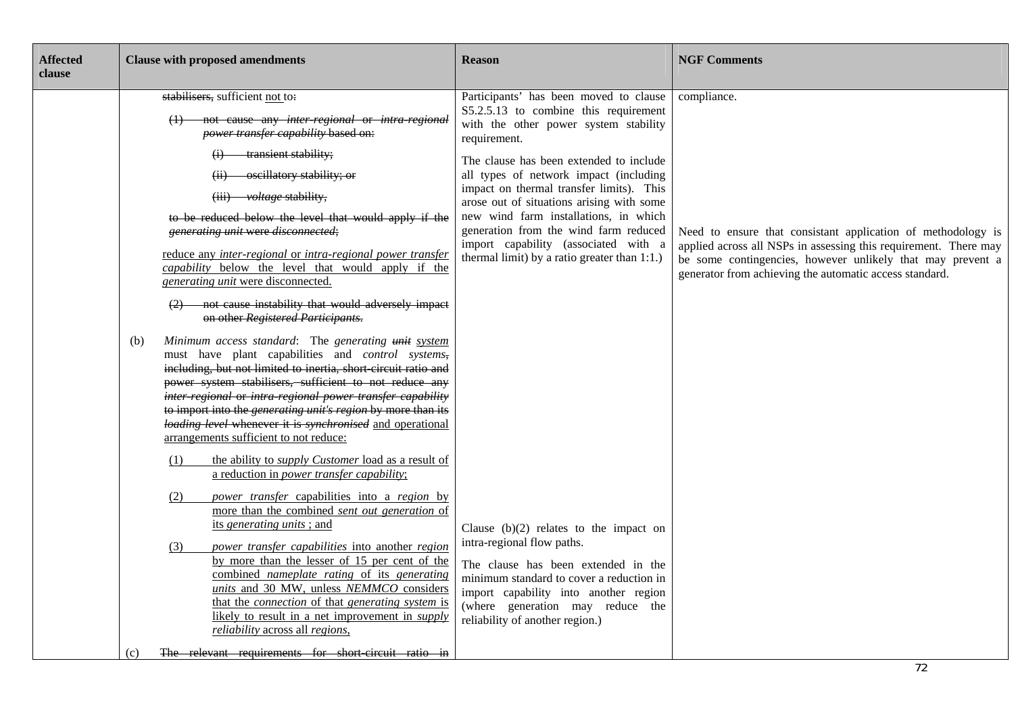| <b>Affected</b><br>clause | <b>Clause with proposed amendments</b>                                                                                                                                                                                                                                                                                                                                                                                                                                                                                                                                                                                                                                                                                                                                                                                                                                                                                                                                                                                                                                                                                                                                                                                                                                                                                                                                                                                                                                                                                                                                                                                                                                                                                                                                                             | <b>Reason</b>                                                                                                                                                                                                                                                                                                                                                                                                                                                                                                                                                                                                                                                                                                                                                                 | <b>NGF Comments</b>                                                                                                                                                                                                                                                      |
|---------------------------|----------------------------------------------------------------------------------------------------------------------------------------------------------------------------------------------------------------------------------------------------------------------------------------------------------------------------------------------------------------------------------------------------------------------------------------------------------------------------------------------------------------------------------------------------------------------------------------------------------------------------------------------------------------------------------------------------------------------------------------------------------------------------------------------------------------------------------------------------------------------------------------------------------------------------------------------------------------------------------------------------------------------------------------------------------------------------------------------------------------------------------------------------------------------------------------------------------------------------------------------------------------------------------------------------------------------------------------------------------------------------------------------------------------------------------------------------------------------------------------------------------------------------------------------------------------------------------------------------------------------------------------------------------------------------------------------------------------------------------------------------------------------------------------------------|-------------------------------------------------------------------------------------------------------------------------------------------------------------------------------------------------------------------------------------------------------------------------------------------------------------------------------------------------------------------------------------------------------------------------------------------------------------------------------------------------------------------------------------------------------------------------------------------------------------------------------------------------------------------------------------------------------------------------------------------------------------------------------|--------------------------------------------------------------------------------------------------------------------------------------------------------------------------------------------------------------------------------------------------------------------------|
|                           | stabilisers, sufficient not to:<br>(1) not cause any inter-regional or intra-regional<br>power transfer capability based on:<br>(i) transient stability;<br>oscillatory stability; or<br>(ii)<br>(iii) voltage stability,<br>to be reduced below the level that would apply if the<br>generating unit were disconnected;<br>reduce any inter-regional or intra-regional power transfer<br><i>capability</i> below the level that would apply if the<br>generating unit were disconnected.<br>(2) not cause instability that would adversely impact<br>on other Registered Participants.<br>Minimum access standard: The generating unit system<br>(b)<br>must have plant capabilities and <i>control</i> systems,<br>including, but not limited to inertia, short circuit ratio and<br>power system stabilisers, sufficient to not reduce any<br>inter regional or intra regional power transfer capability<br>to import into the <i>generating unit's region</i> by more than its<br>loading level whenever it is synchronised and operational<br>arrangements sufficient to not reduce:<br>the ability to <i>supply Customer</i> load as a result of<br>(1)<br>a reduction in <i>power transfer capability</i> ;<br>(2)<br>power transfer capabilities into a region by<br>more than the combined sent out generation of<br>its generating units; and<br>power transfer capabilities into another region<br>(3)<br>by more than the lesser of 15 per cent of the<br>combined <i>nameplate</i> rating of its generating<br>units and 30 MW, unless NEMMCO considers<br>that the <i>connection</i> of that <i>generating system</i> is<br>likely to result in a net improvement in <i>supply</i><br>reliability across all regions,<br>The relevant requirements for short circuit ratio in<br>(c) | Participants' has been moved to clause<br>S5.2.5.13 to combine this requirement<br>with the other power system stability<br>requirement.<br>The clause has been extended to include<br>all types of network impact (including<br>impact on thermal transfer limits). This<br>arose out of situations arising with some<br>new wind farm installations, in which<br>generation from the wind farm reduced<br>import capability (associated with a<br>thermal limit) by a ratio greater than 1:1.)<br>Clause $(b)(2)$ relates to the impact on<br>intra-regional flow paths.<br>The clause has been extended in the<br>minimum standard to cover a reduction in<br>import capability into another region<br>(where generation may reduce the<br>reliability of another region.) | compliance.<br>Need to ensure that consistant application of methodology is<br>applied across all NSPs in assessing this requirement. There may<br>be some contingencies, however unlikely that may prevent a<br>generator from achieving the automatic access standard. |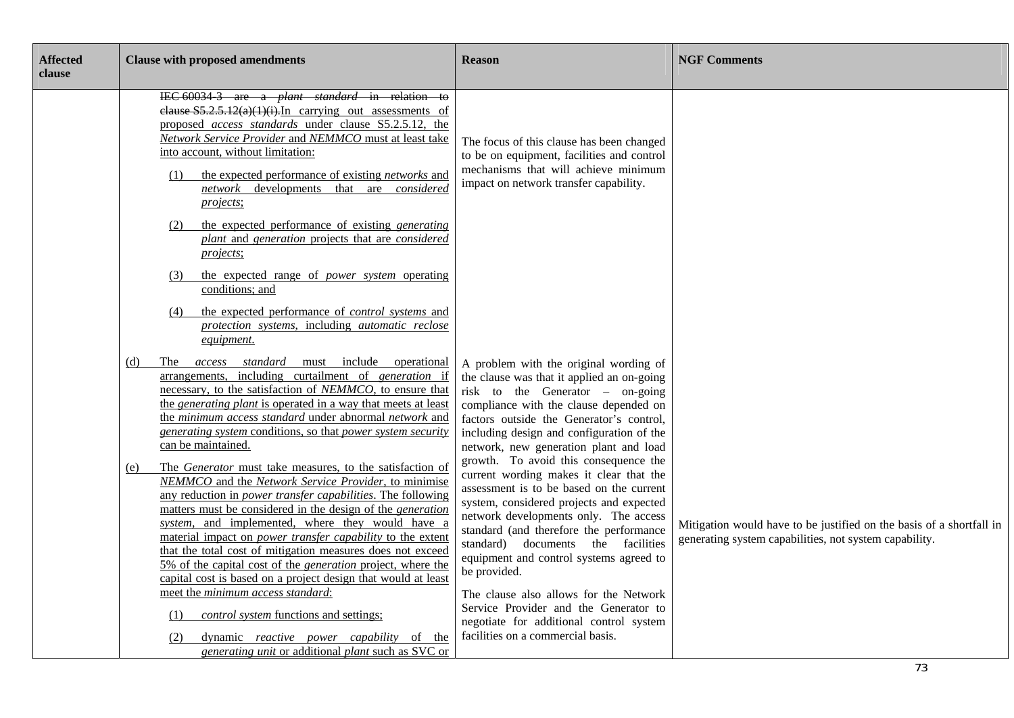| <b>Affected</b><br>clause | <b>Clause with proposed amendments</b>                                                                                                                                                                                                                                                                                                                                                                                                                                                                                                                                                     | <b>Reason</b>                                                                                                                                                                                                                                                                                                                                                 | <b>NGF Comments</b>                                                                                                            |
|---------------------------|--------------------------------------------------------------------------------------------------------------------------------------------------------------------------------------------------------------------------------------------------------------------------------------------------------------------------------------------------------------------------------------------------------------------------------------------------------------------------------------------------------------------------------------------------------------------------------------------|---------------------------------------------------------------------------------------------------------------------------------------------------------------------------------------------------------------------------------------------------------------------------------------------------------------------------------------------------------------|--------------------------------------------------------------------------------------------------------------------------------|
|                           | IEC 60034 3 are a <i>plant standard</i> in relation to<br>elause $S5.2.5.12(a)(1)(i)$ . In carrying out assessments of<br>proposed access standards under clause S5.2.5.12, the<br>Network Service Provider and NEMMCO must at least take<br>into account, without limitation:<br>the expected performance of existing <i>networks</i> and<br>(1)<br>network developments that are considered<br><i>projects</i> ;<br>the expected performance of existing <i>generating</i><br>(2)                                                                                                        | The focus of this clause has been changed<br>to be on equipment, facilities and control<br>mechanisms that will achieve minimum<br>impact on network transfer capability.                                                                                                                                                                                     |                                                                                                                                |
|                           | plant and generation projects that are considered<br><i>projects</i> ;                                                                                                                                                                                                                                                                                                                                                                                                                                                                                                                     |                                                                                                                                                                                                                                                                                                                                                               |                                                                                                                                |
|                           | the expected range of <i>power</i> system operating<br>(3)<br>conditions; and                                                                                                                                                                                                                                                                                                                                                                                                                                                                                                              |                                                                                                                                                                                                                                                                                                                                                               |                                                                                                                                |
|                           | the expected performance of <i>control systems</i> and<br>(4)<br>protection systems, including automatic reclose<br>equipment.                                                                                                                                                                                                                                                                                                                                                                                                                                                             |                                                                                                                                                                                                                                                                                                                                                               |                                                                                                                                |
|                           | The access standard must include operational<br>(d)<br>arrangements, including curtailment of generation if<br>necessary, to the satisfaction of NEMMCO, to ensure that<br>the <i>generating plant</i> is operated in a way that meets at least<br>the minimum access standard under abnormal network and<br>generating system conditions, so that power system security<br>can be maintained.                                                                                                                                                                                             | A problem with the original wording of<br>the clause was that it applied an on-going<br>risk to the Generator $-$ on-going<br>compliance with the clause depended on<br>factors outside the Generator's control,<br>including design and configuration of the<br>network, new generation plant and load                                                       |                                                                                                                                |
|                           | The Generator must take measures, to the satisfaction of<br>(e)<br>NEMMCO and the Network Service Provider, to minimise<br>any reduction in <i>power transfer capabilities</i> . The following<br>matters must be considered in the design of the generation<br>system, and implemented, where they would have a<br>material impact on <i>power transfer capability</i> to the extent<br>that the total cost of mitigation measures does not exceed<br>5% of the capital cost of the <i>generation</i> project, where the<br>capital cost is based on a project design that would at least | growth. To avoid this consequence the<br>current wording makes it clear that the<br>assessment is to be based on the current<br>system, considered projects and expected<br>network developments only. The access<br>standard (and therefore the performance<br>standard) documents the facilities<br>equipment and control systems agreed to<br>be provided. | Mitigation would have to be justified on the basis of a shortfall in<br>generating system capabilities, not system capability. |
|                           | meet the minimum access standard:<br><i>control system</i> functions and settings;<br>(1)<br>dynamic <i>reactive</i> power <i>capability</i> of the<br>(2)<br>generating unit or additional plant such as SVC or                                                                                                                                                                                                                                                                                                                                                                           | The clause also allows for the Network<br>Service Provider and the Generator to<br>negotiate for additional control system<br>facilities on a commercial basis.                                                                                                                                                                                               |                                                                                                                                |
|                           |                                                                                                                                                                                                                                                                                                                                                                                                                                                                                                                                                                                            |                                                                                                                                                                                                                                                                                                                                                               | 73                                                                                                                             |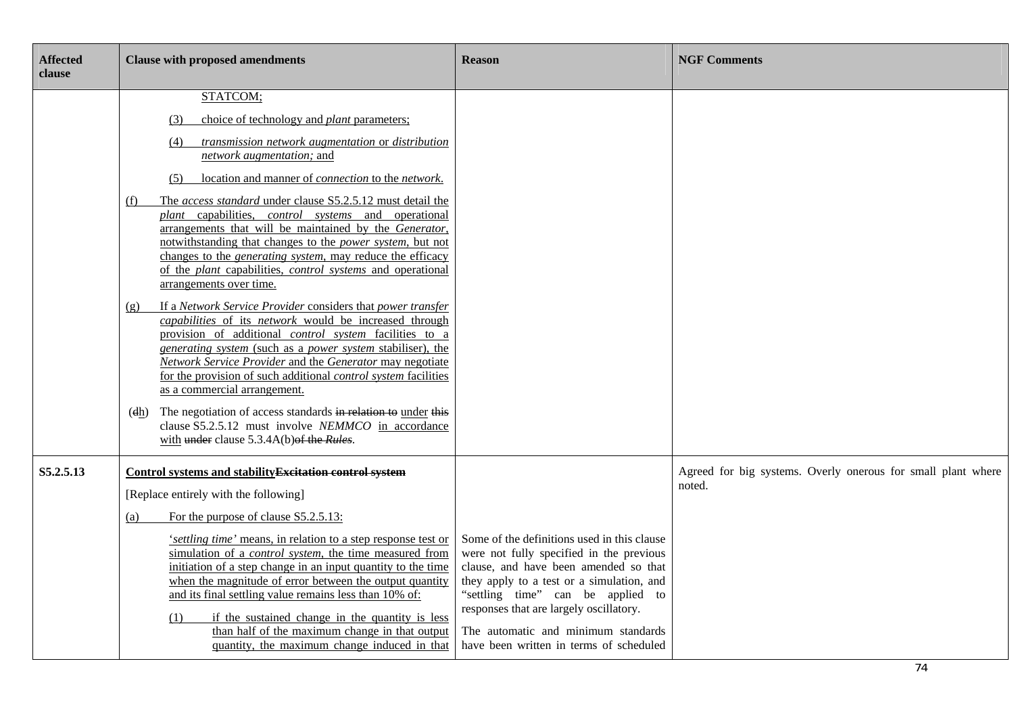| <b>Affected</b><br>clause | <b>Clause with proposed amendments</b>                                                                                                                                                                                                                                                                                                                                                                                                                                                                                                                                                                                                                                                                                                                                                                                                                                                                                                                                                                                                                                                                                                                                                                                                                                            | <b>Reason</b>                                                                                                                                                                                                                                                                                                                                   | <b>NGF Comments</b>                                                    |
|---------------------------|-----------------------------------------------------------------------------------------------------------------------------------------------------------------------------------------------------------------------------------------------------------------------------------------------------------------------------------------------------------------------------------------------------------------------------------------------------------------------------------------------------------------------------------------------------------------------------------------------------------------------------------------------------------------------------------------------------------------------------------------------------------------------------------------------------------------------------------------------------------------------------------------------------------------------------------------------------------------------------------------------------------------------------------------------------------------------------------------------------------------------------------------------------------------------------------------------------------------------------------------------------------------------------------|-------------------------------------------------------------------------------------------------------------------------------------------------------------------------------------------------------------------------------------------------------------------------------------------------------------------------------------------------|------------------------------------------------------------------------|
|                           | STATCOM;<br>choice of technology and <i>plant</i> parameters;<br>(3)<br>transmission network augmentation or distribution<br>(4)<br>network augmentation; and<br>location and manner of <i>connection</i> to the <i>network</i> .<br>(5)<br>The access standard under clause S5.2.5.12 must detail the<br>(f)<br>plant capabilities, control systems and operational<br>arrangements that will be maintained by the Generator,<br>notwithstanding that changes to the <i>power system</i> , but not<br>changes to the <i>generating system</i> , may reduce the efficacy<br>of the plant capabilities, control systems and operational<br>arrangements over time.<br>If a Network Service Provider considers that power transfer<br>(g)<br>capabilities of its network would be increased through<br>provision of additional <i>control system</i> facilities to a<br>generating system (such as a power system stabiliser), the<br>Network Service Provider and the Generator may negotiate<br>for the provision of such additional <i>control system</i> facilities<br>as a commercial arrangement.<br>The negotiation of access standards in relation to under this<br>(dh)<br>clause S5.2.5.12 must involve NEMMCO in accordance<br>with under clause 5.3.4A(b) of the Rules. |                                                                                                                                                                                                                                                                                                                                                 |                                                                        |
| S5.2.5.13                 | Control systems and stability Excitation control system<br>[Replace entirely with the following]<br>For the purpose of clause S5.2.5.13:<br>(a)<br>'settling time' means, in relation to a step response test or<br>simulation of a <i>control system</i> , the time measured from<br>initiation of a step change in an input quantity to the time<br>when the magnitude of error between the output quantity<br>and its final settling value remains less than 10% of:<br>if the sustained change in the quantity is less<br>(1)<br>than half of the maximum change in that output<br>quantity, the maximum change induced in that                                                                                                                                                                                                                                                                                                                                                                                                                                                                                                                                                                                                                                               | Some of the definitions used in this clause<br>were not fully specified in the previous<br>clause, and have been amended so that<br>they apply to a test or a simulation, and<br>"settling time" can be applied to<br>responses that are largely oscillatory.<br>The automatic and minimum standards<br>have been written in terms of scheduled | Agreed for big systems. Overly onerous for small plant where<br>noted. |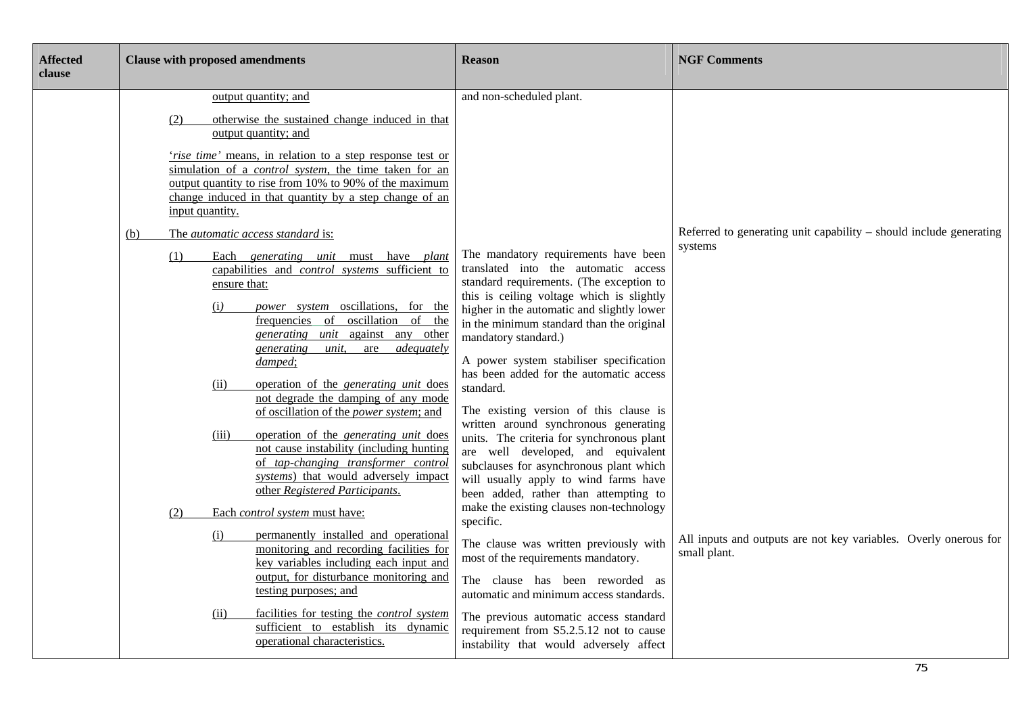| <b>Affected</b><br>clause |                        | <b>Clause with proposed amendments</b>                                                                                                                                                                                                                                                                                                                                                                                                                                                                                                                                                                                                                                                                   | <b>Reason</b>                                                                                                                                                                                                                                                                                                                                                                                                                                                                                                                                                                                                                                                                                  | <b>NGF Comments</b>                                                              |
|---------------------------|------------------------|----------------------------------------------------------------------------------------------------------------------------------------------------------------------------------------------------------------------------------------------------------------------------------------------------------------------------------------------------------------------------------------------------------------------------------------------------------------------------------------------------------------------------------------------------------------------------------------------------------------------------------------------------------------------------------------------------------|------------------------------------------------------------------------------------------------------------------------------------------------------------------------------------------------------------------------------------------------------------------------------------------------------------------------------------------------------------------------------------------------------------------------------------------------------------------------------------------------------------------------------------------------------------------------------------------------------------------------------------------------------------------------------------------------|----------------------------------------------------------------------------------|
|                           | (2)<br>input quantity. | output quantity; and<br>otherwise the sustained change induced in that<br>output quantity; and<br>'rise time' means, in relation to a step response test or<br>simulation of a <i>control</i> system, the time taken for an<br>output quantity to rise from 10% to 90% of the maximum<br>change induced in that quantity by a step change of an                                                                                                                                                                                                                                                                                                                                                          | and non-scheduled plant.                                                                                                                                                                                                                                                                                                                                                                                                                                                                                                                                                                                                                                                                       |                                                                                  |
|                           | (b)<br>(1)             | The automatic access standard is:<br>Each generating unit must have plant<br>capabilities and <i>control</i> systems sufficient to<br>ensure that:<br>power system oscillations, for the<br>(i)<br>frequencies of oscillation of the<br>generating unit against any other<br>adequately<br>generating<br>are<br>unit.<br>damped;<br>operation of the <i>generating unit</i> does<br>(ii)<br>not degrade the damping of any mode<br>of oscillation of the <i>power system</i> ; and<br>operation of the <i>generating unit</i> does<br>(iii)<br>not cause instability (including hunting<br>of tap-changing transformer control<br>systems) that would adversely impact<br>other Registered Participants. | The mandatory requirements have been<br>translated into the automatic access<br>standard requirements. (The exception to<br>this is ceiling voltage which is slightly<br>higher in the automatic and slightly lower<br>in the minimum standard than the original<br>mandatory standard.)<br>A power system stabiliser specification<br>has been added for the automatic access<br>standard.<br>The existing version of this clause is<br>written around synchronous generating<br>units. The criteria for synchronous plant<br>are well developed, and equivalent<br>subclauses for asynchronous plant which<br>will usually apply to wind farms have<br>been added, rather than attempting to | Referred to generating unit capability – should include generating<br>systems    |
|                           | (2)                    | Each control system must have:<br>permanently installed and operational<br>(i)<br>monitoring and recording facilities for<br>key variables including each input and<br>output, for disturbance monitoring and<br>testing purposes; and<br>facilities for testing the <i>control</i> system<br>(ii)<br>sufficient to establish its dynamic<br>operational characteristics.                                                                                                                                                                                                                                                                                                                                | make the existing clauses non-technology<br>specific.<br>The clause was written previously with<br>most of the requirements mandatory.<br>The clause has been reworded as<br>automatic and minimum access standards.<br>The previous automatic access standard<br>requirement from S5.2.5.12 not to cause<br>instability that would adversely affect                                                                                                                                                                                                                                                                                                                                           | All inputs and outputs are not key variables. Overly onerous for<br>small plant. |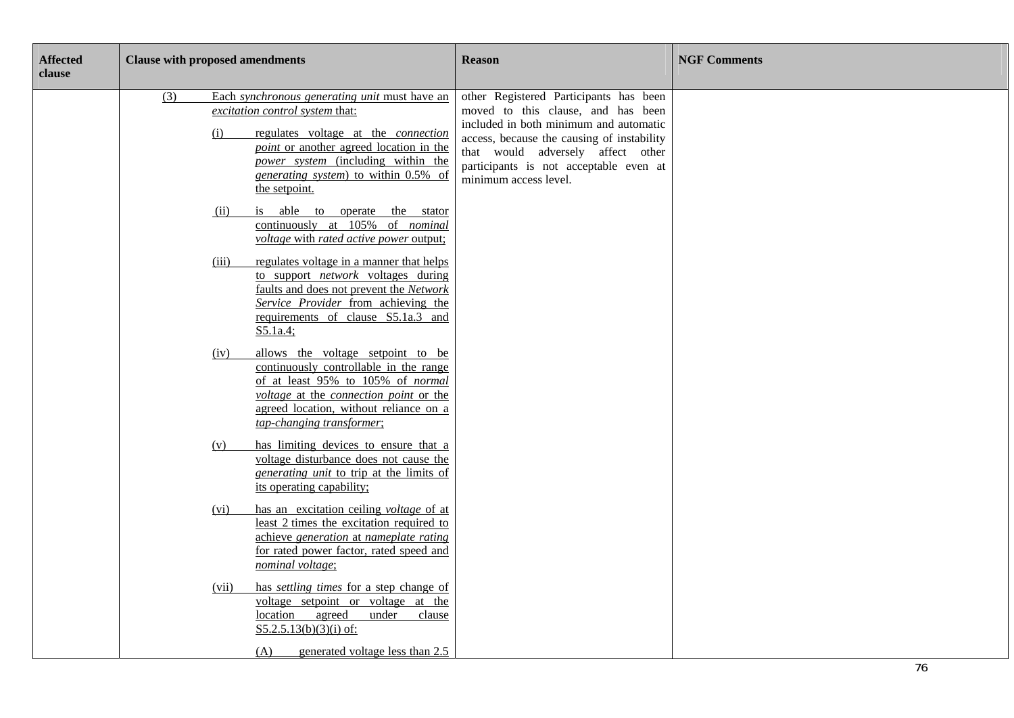| other Registered Participants has been<br>(3)<br>Each synchronous generating unit must have an<br>excitation control system that:<br>moved to this clause, and has been<br>included in both minimum and automatic<br>regulates voltage at the <i>connection</i><br>(i)<br>access, because the causing of instability<br><i>point</i> or another agreed location in the<br>that would adversely affect other<br>power system (including within the<br>participants is not acceptable even at<br>generating system) to within 0.5% of<br>minimum access level.<br>the setpoint.<br>is able to operate the stator<br>(ii)<br>continuously at 105% of <i>nominal</i><br>voltage with rated active power output;<br>regulates voltage in a manner that helps<br>(iii)<br>to support <i>network</i> voltages during<br>faults and does not prevent the Network<br>Service Provider from achieving the<br>requirements of clause S5.1a.3 and<br>S5.1a.4;<br>allows the voltage setpoint to be<br>(iv)<br>continuously controllable in the range<br>of at least 95% to 105% of normal<br>voltage at the connection point or the<br>agreed location, without reliance on a<br>tap-changing transformer; |  |
|------------------------------------------------------------------------------------------------------------------------------------------------------------------------------------------------------------------------------------------------------------------------------------------------------------------------------------------------------------------------------------------------------------------------------------------------------------------------------------------------------------------------------------------------------------------------------------------------------------------------------------------------------------------------------------------------------------------------------------------------------------------------------------------------------------------------------------------------------------------------------------------------------------------------------------------------------------------------------------------------------------------------------------------------------------------------------------------------------------------------------------------------------------------------------------------------|--|
|                                                                                                                                                                                                                                                                                                                                                                                                                                                                                                                                                                                                                                                                                                                                                                                                                                                                                                                                                                                                                                                                                                                                                                                                |  |
|                                                                                                                                                                                                                                                                                                                                                                                                                                                                                                                                                                                                                                                                                                                                                                                                                                                                                                                                                                                                                                                                                                                                                                                                |  |
|                                                                                                                                                                                                                                                                                                                                                                                                                                                                                                                                                                                                                                                                                                                                                                                                                                                                                                                                                                                                                                                                                                                                                                                                |  |
|                                                                                                                                                                                                                                                                                                                                                                                                                                                                                                                                                                                                                                                                                                                                                                                                                                                                                                                                                                                                                                                                                                                                                                                                |  |
| has limiting devices to ensure that a<br>(v)<br>voltage disturbance does not cause the<br><i>generating unit</i> to trip at the limits of<br>its operating capability;                                                                                                                                                                                                                                                                                                                                                                                                                                                                                                                                                                                                                                                                                                                                                                                                                                                                                                                                                                                                                         |  |
| has an excitation ceiling <i>voltage</i> of at<br>(vi)<br>least 2 times the excitation required to<br>achieve generation at nameplate rating<br>for rated power factor, rated speed and<br>nominal voltage;                                                                                                                                                                                                                                                                                                                                                                                                                                                                                                                                                                                                                                                                                                                                                                                                                                                                                                                                                                                    |  |
| has <i>settling times</i> for a step change of<br>(vii)<br>voltage setpoint or voltage at the<br>location agreed<br>under<br>clause<br>$S5.2.5.13(b)(3)(i)$ of:<br>generated voltage less than 2.5<br>(A)                                                                                                                                                                                                                                                                                                                                                                                                                                                                                                                                                                                                                                                                                                                                                                                                                                                                                                                                                                                      |  |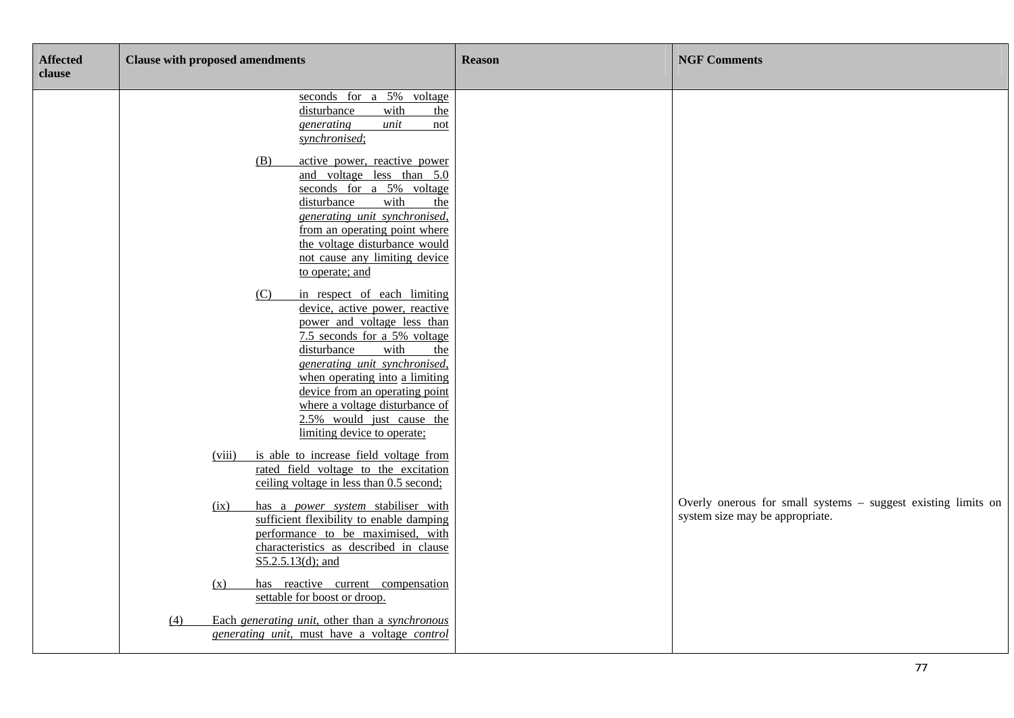| <b>Affected</b><br>clause | <b>Clause with proposed amendments</b>                                                                                                                                                                                                                                                                                                                                                  | <b>Reason</b> | <b>NGF Comments</b>                                                                              |
|---------------------------|-----------------------------------------------------------------------------------------------------------------------------------------------------------------------------------------------------------------------------------------------------------------------------------------------------------------------------------------------------------------------------------------|---------------|--------------------------------------------------------------------------------------------------|
|                           | seconds for a 5% voltage<br>disturbance<br>with<br>the<br>unit<br>generating<br>not<br>synchronised;                                                                                                                                                                                                                                                                                    |               |                                                                                                  |
|                           | active power, reactive power<br>(B)<br>and voltage less than 5.0<br>seconds for a 5% voltage<br>disturbance<br>with<br>the<br>generating unit synchronised,<br>from an operating point where<br>the voltage disturbance would<br>not cause any limiting device                                                                                                                          |               |                                                                                                  |
|                           | to operate; and<br>in respect of each limiting<br>(C)<br>device, active power, reactive<br>power and voltage less than<br>7.5 seconds for a 5% voltage<br>disturbance<br>with<br>the<br>generating unit synchronised,<br>when operating into a limiting<br>device from an operating point<br>where a voltage disturbance of<br>2.5% would just cause the<br>limiting device to operate; |               |                                                                                                  |
|                           | is able to increase field voltage from<br>(viii)<br>rated field voltage to the excitation<br>ceiling voltage in less than 0.5 second;                                                                                                                                                                                                                                                   |               |                                                                                                  |
|                           | has a power system stabiliser with<br>(ix)<br>sufficient flexibility to enable damping<br>performance to be maximised, with<br>characteristics as described in clause<br>$S5.2.5.13(d)$ ; and                                                                                                                                                                                           |               | Overly onerous for small systems - suggest existing limits on<br>system size may be appropriate. |
|                           | has reactive current compensation<br>(x)<br>settable for boost or droop.                                                                                                                                                                                                                                                                                                                |               |                                                                                                  |
|                           | Each generating unit, other than a synchronous<br>(4)<br>generating unit, must have a voltage control                                                                                                                                                                                                                                                                                   |               |                                                                                                  |

77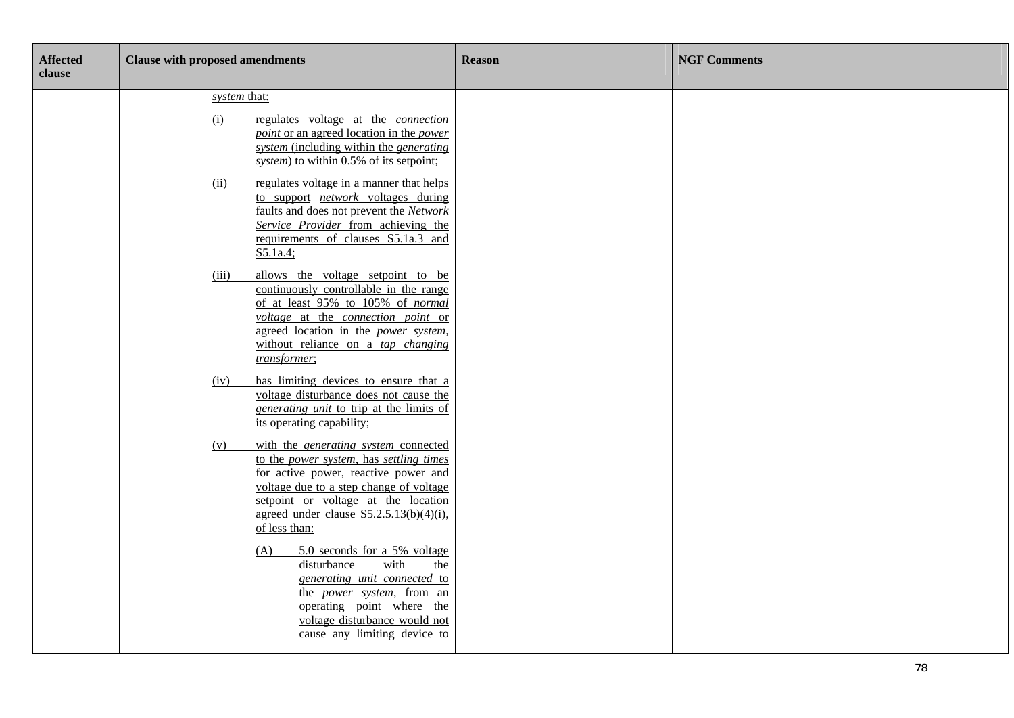| <b>Affected</b><br>clause | <b>Clause with proposed amendments</b>                                                                                                                                                                                                                                                                                                                                                                                                                                                                                        | <b>Reason</b> | <b>NGF Comments</b> |
|---------------------------|-------------------------------------------------------------------------------------------------------------------------------------------------------------------------------------------------------------------------------------------------------------------------------------------------------------------------------------------------------------------------------------------------------------------------------------------------------------------------------------------------------------------------------|---------------|---------------------|
|                           | system that:<br>regulates voltage at the <i>connection</i><br>(i)<br>point or an agreed location in the power<br>system (including within the generating<br>system) to within 0.5% of its setpoint;                                                                                                                                                                                                                                                                                                                           |               |                     |
|                           | (ii)<br>regulates voltage in a manner that helps<br>to support <i>network</i> voltages during<br>faults and does not prevent the Network<br>Service Provider from achieving the<br>requirements of clauses S5.1a.3 and<br>S5.1a.4;                                                                                                                                                                                                                                                                                            |               |                     |
|                           | allows the voltage setpoint to be<br>(iii)<br>continuously controllable in the range<br>of at least 95% to 105% of normal<br>voltage at the connection point or<br>agreed location in the <i>power</i> system,<br>without reliance on a tap changing<br>transformer;                                                                                                                                                                                                                                                          |               |                     |
|                           | has limiting devices to ensure that a<br>(iv)<br>voltage disturbance does not cause the<br>generating unit to trip at the limits of<br>its operating capability;                                                                                                                                                                                                                                                                                                                                                              |               |                     |
|                           | with the <i>generating system</i> connected<br>(v)<br>to the power system, has settling times<br>for active power, reactive power and<br>voltage due to a step change of voltage<br>setpoint or voltage at the location<br>agreed under clause $S5.2.5.13(b)(4)(i)$ ,<br>of less than:<br>5.0 seconds for a 5% voltage<br>(A)<br>disturbance<br>with<br>the<br>generating unit connected to<br>the <i>power</i> system, from an<br>operating point where the<br>voltage disturbance would not<br>cause any limiting device to |               |                     |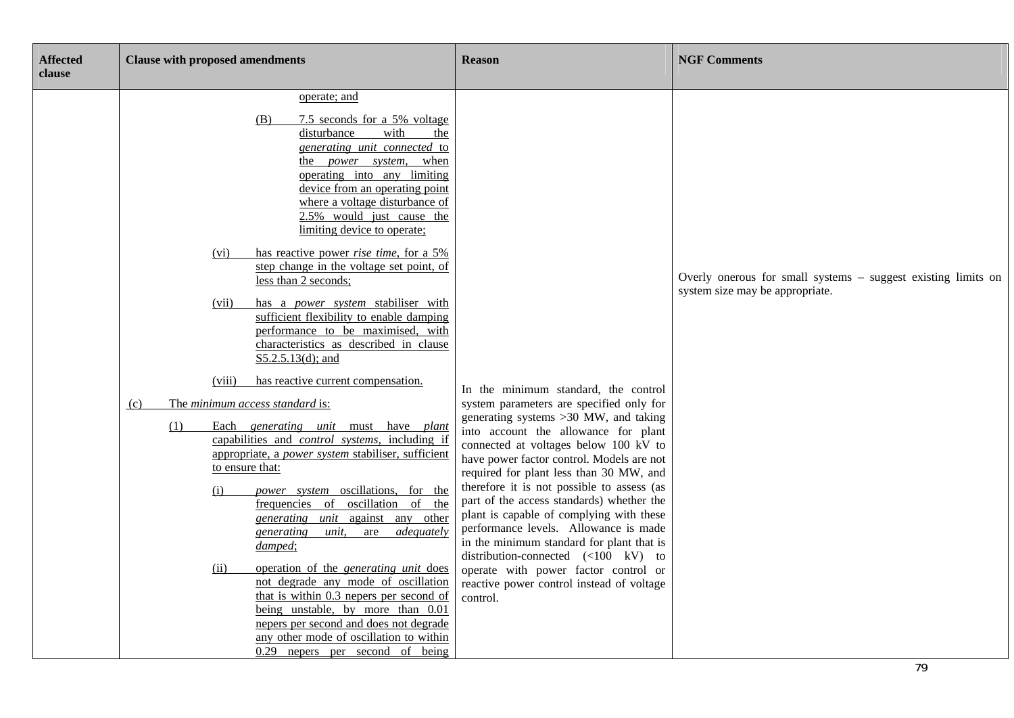| <b>Affected</b><br>clause | <b>Clause with proposed amendments</b>                                                                                                                                                                                                                                                                                                                                                                                                                                                                                                                                                                                                                                                                                                                                                                                                                                                                                                                                                                                                                                                                                                                                                                                                                                                                                                                                                         | <b>Reason</b>                                                                                                                                                                                                                                                                                                                                                                                                                                                                                                                                                                                                                                                                            | <b>NGF Comments</b>                                                                              |
|---------------------------|------------------------------------------------------------------------------------------------------------------------------------------------------------------------------------------------------------------------------------------------------------------------------------------------------------------------------------------------------------------------------------------------------------------------------------------------------------------------------------------------------------------------------------------------------------------------------------------------------------------------------------------------------------------------------------------------------------------------------------------------------------------------------------------------------------------------------------------------------------------------------------------------------------------------------------------------------------------------------------------------------------------------------------------------------------------------------------------------------------------------------------------------------------------------------------------------------------------------------------------------------------------------------------------------------------------------------------------------------------------------------------------------|------------------------------------------------------------------------------------------------------------------------------------------------------------------------------------------------------------------------------------------------------------------------------------------------------------------------------------------------------------------------------------------------------------------------------------------------------------------------------------------------------------------------------------------------------------------------------------------------------------------------------------------------------------------------------------------|--------------------------------------------------------------------------------------------------|
|                           | operate; and<br>7.5 seconds for a 5% voltage<br>(B)<br>disturbance<br>with<br>the<br>generating unit connected to<br>the <i>power</i> system,<br>when<br>operating into any limiting<br>device from an operating point<br>where a voltage disturbance of<br>2.5% would just cause the<br>limiting device to operate;<br>has reactive power <i>rise time</i> , for a 5%<br>(vi)<br>step change in the voltage set point, of<br>less than 2 seconds;<br>has a power system stabiliser with<br>(vii)<br>sufficient flexibility to enable damping<br>performance to be maximised, with<br>characteristics as described in clause<br>$S5.2.5.13(d)$ ; and<br>has reactive current compensation.<br>(viii)<br>The minimum access standard is:<br>(c)<br>(1)<br>Each generating unit must have plant<br>capabilities and <i>control</i> systems, including if<br>appropriate, a power system stabiliser, sufficient<br>to ensure that:<br>power system oscillations, for the<br>(i)<br>oscillation of<br>frequencies of<br>the<br><i>generating unit</i> against any other<br>adequately<br>generating<br>unit.<br>are<br>damped;<br>operation of the <i>generating unit</i> does<br>(ii)<br>not degrade any mode of oscillation<br>that is within 0.3 nepers per second of<br>being unstable, by more than 0.01<br>nepers per second and does not degrade<br>any other mode of oscillation to within | In the minimum standard, the control<br>system parameters are specified only for<br>generating systems >30 MW, and taking<br>into account the allowance for plant<br>connected at voltages below 100 kV to<br>have power factor control. Models are not<br>required for plant less than 30 MW, and<br>therefore it is not possible to assess (as<br>part of the access standards) whether the<br>plant is capable of complying with these<br>performance levels. Allowance is made<br>in the minimum standard for plant that is<br>distribution-connected $(\langle 100 \text{ kV})$ to<br>operate with power factor control or<br>reactive power control instead of voltage<br>control. | Overly onerous for small systems – suggest existing limits on<br>system size may be appropriate. |
|                           | $0.29$ nepers per second of being                                                                                                                                                                                                                                                                                                                                                                                                                                                                                                                                                                                                                                                                                                                                                                                                                                                                                                                                                                                                                                                                                                                                                                                                                                                                                                                                                              |                                                                                                                                                                                                                                                                                                                                                                                                                                                                                                                                                                                                                                                                                          |                                                                                                  |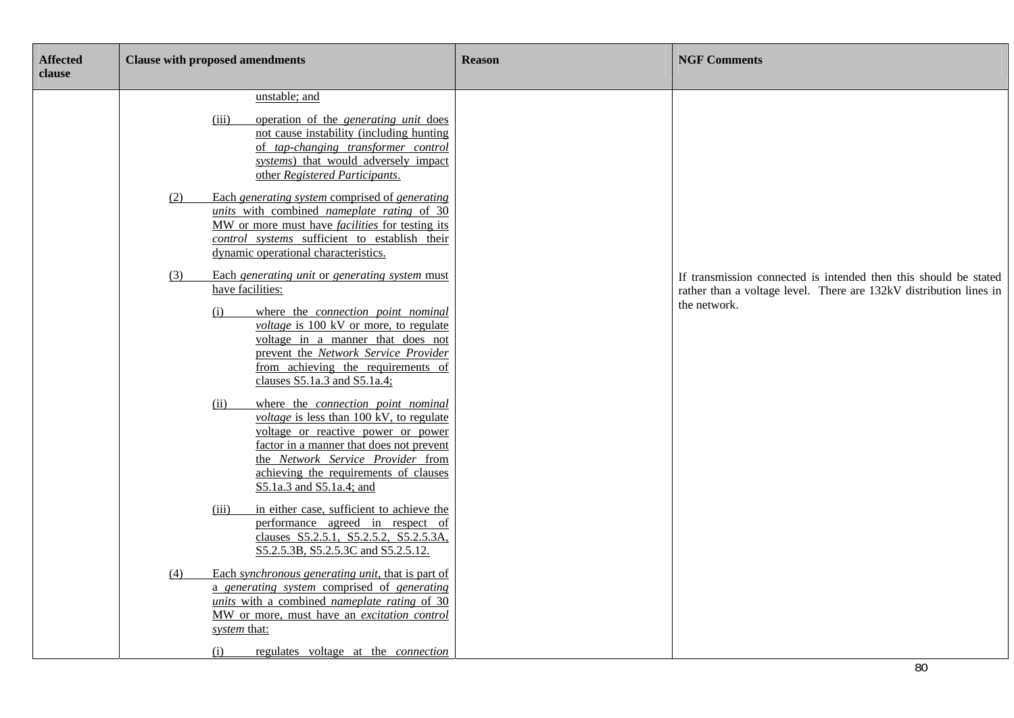| <b>Affected</b><br>clause | <b>Clause with proposed amendments</b>                                                                                                                                                                                                                                                                                     | <b>Reason</b> | <b>NGF Comments</b>                                                                                                                                    |
|---------------------------|----------------------------------------------------------------------------------------------------------------------------------------------------------------------------------------------------------------------------------------------------------------------------------------------------------------------------|---------------|--------------------------------------------------------------------------------------------------------------------------------------------------------|
|                           | unstable; and<br>(iii)<br>operation of the <i>generating unit</i> does<br>not cause instability (including hunting<br>of tap-changing transformer control<br>systems) that would adversely impact<br>other Registered Participants.                                                                                        |               |                                                                                                                                                        |
|                           | Each generating system comprised of generating<br>(2)<br>units with combined nameplate rating of 30<br>MW or more must have <i>facilities</i> for testing its<br>control systems sufficient to establish their<br>dynamic operational characteristics.                                                                     |               |                                                                                                                                                        |
|                           | Each generating unit or generating system must<br>(3)<br>have facilities:<br>where the connection point nominal<br>(i)<br><i>voltage</i> is 100 kV or more, to regulate<br>voltage in a manner that does not<br>prevent the Network Service Provider<br>from achieving the requirements of<br>clauses S5.1a.3 and S5.1a.4; |               | If transmission connected is intended then this should be stated<br>rather than a voltage level. There are 132kV distribution lines in<br>the network. |
|                           | where the connection point nominal<br>(ii)<br>voltage is less than 100 kV, to regulate<br>voltage or reactive power or power<br>factor in a manner that does not prevent<br>the Network Service Provider from<br>achieving the requirements of clauses<br>S5.1a.3 and S5.1a.4; and                                         |               |                                                                                                                                                        |
|                           | in either case, sufficient to achieve the<br>(iii)<br>performance agreed in respect of<br>clauses S5.2.5.1, S5.2.5.2, S5.2.5.3A,<br>S5.2.5.3B, S5.2.5.3C and S5.2.5.12.                                                                                                                                                    |               |                                                                                                                                                        |
|                           | Each synchronous generating unit, that is part of<br>(4)<br>a generating system comprised of generating<br>units with a combined nameplate rating of 30<br>MW or more, must have an excitation control<br>system that:<br>(i)<br>regulates voltage at the <i>connection</i>                                                |               |                                                                                                                                                        |
|                           |                                                                                                                                                                                                                                                                                                                            |               | 80                                                                                                                                                     |

٦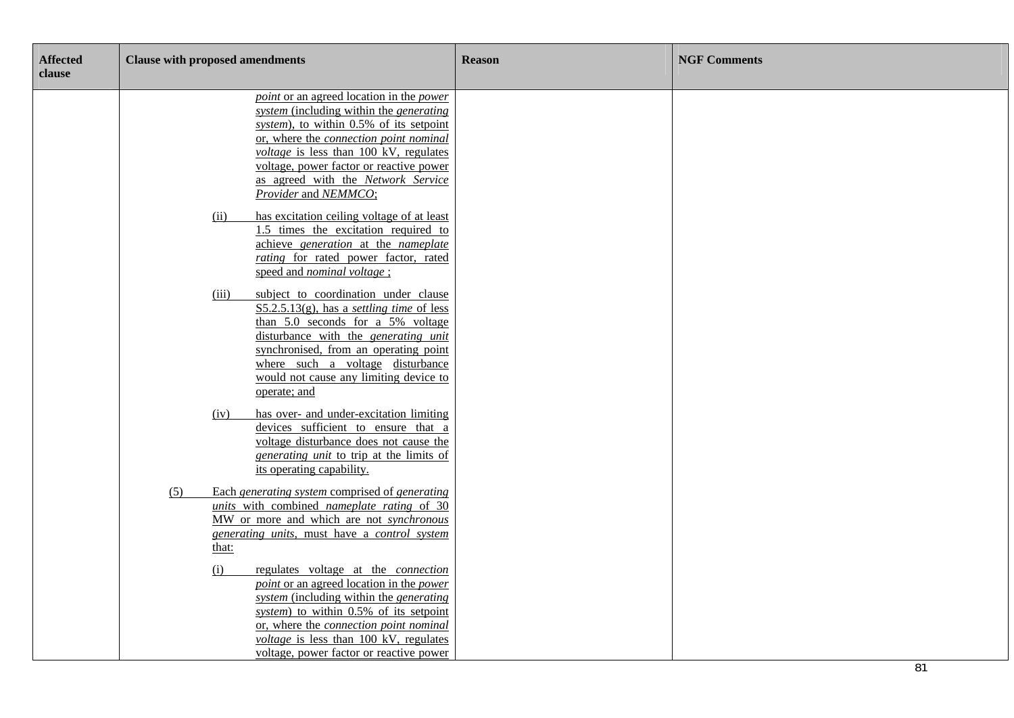| <b>Affected</b><br>clause | <b>Clause with proposed amendments</b>                                                                                                                                                                                                                                                                                                    | <b>Reason</b> | <b>NGF Comments</b> |
|---------------------------|-------------------------------------------------------------------------------------------------------------------------------------------------------------------------------------------------------------------------------------------------------------------------------------------------------------------------------------------|---------------|---------------------|
|                           | <i>point</i> or an agreed location in the <i>power</i><br>system (including within the generating<br>system), to within 0.5% of its setpoint<br>or, where the connection point nominal<br>voltage is less than 100 kV, regulates<br>voltage, power factor or reactive power<br>as agreed with the Network Service<br>Provider and NEMMCO; |               |                     |
|                           | has excitation ceiling voltage of at least<br>(ii)<br>1.5 times the excitation required to<br>achieve generation at the nameplate<br>rating for rated power factor, rated<br>speed and <i>nominal</i> voltage;                                                                                                                            |               |                     |
|                           | subject to coordination under clause<br>(iii)<br>$S5.2.5.13(g)$ , has a settling time of less<br>than 5.0 seconds for a 5% voltage<br>disturbance with the <i>generating unit</i><br>synchronised, from an operating point<br>where such a voltage disturbance<br>would not cause any limiting device to<br>operate; and                  |               |                     |
|                           | has over- and under-excitation limiting<br>(iv)<br>devices sufficient to ensure that a<br>voltage disturbance does not cause the<br><i>generating unit</i> to trip at the limits of<br>its operating capability.                                                                                                                          |               |                     |
|                           | Each generating system comprised of generating<br>(5)<br>units with combined nameplate rating of 30<br>MW or more and which are not synchronous<br>generating units, must have a control system<br>that:                                                                                                                                  |               |                     |
|                           | regulates voltage at the <i>connection</i><br>(i)<br><i>point</i> or an agreed location in the <i>power</i><br>system (including within the generating<br>system) to within 0.5% of its setpoint<br>or, where the connection point nominal<br><i>voltage</i> is less than $100$ kV, regulates<br>voltage, power factor or reactive power  |               | 81                  |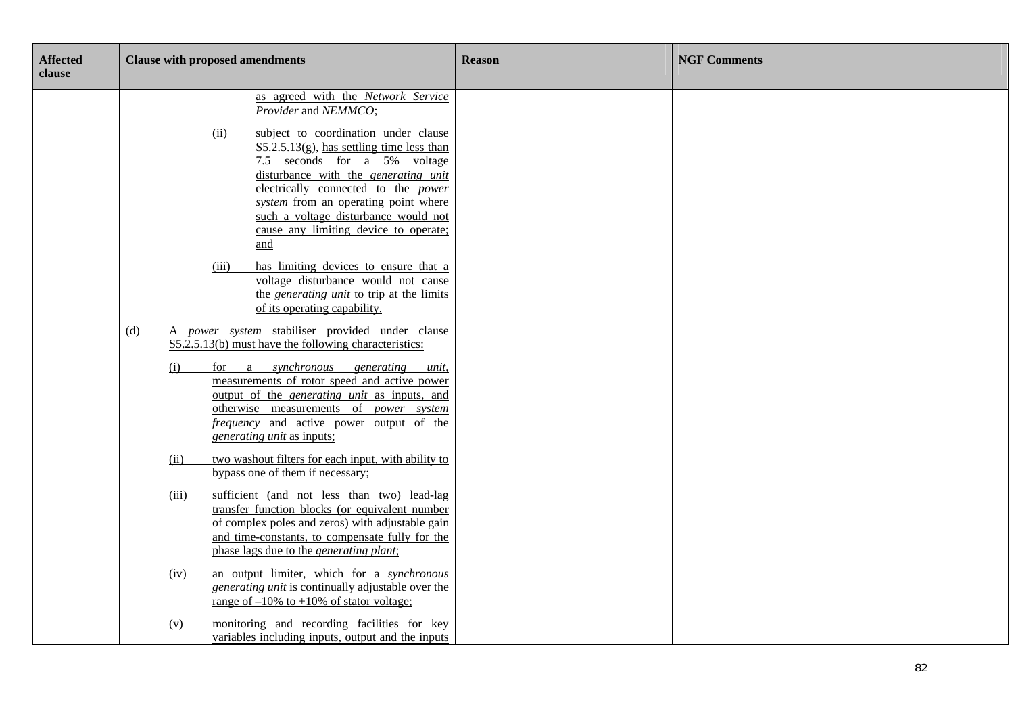| <b>Affected</b><br>clause | <b>Clause with proposed amendments</b>                                                                                                                                                                                                                                                                                                                                                                             | <b>Reason</b> | <b>NGF Comments</b> |
|---------------------------|--------------------------------------------------------------------------------------------------------------------------------------------------------------------------------------------------------------------------------------------------------------------------------------------------------------------------------------------------------------------------------------------------------------------|---------------|---------------------|
|                           | as agreed with the Network Service<br>Provider and NEMMCO;<br>(ii)<br>subject to coordination under clause<br>$S5.2.5.13(g)$ , has settling time less than<br>7.5 seconds for a 5% voltage<br>disturbance with the <i>generating unit</i><br>electrically connected to the power<br>system from an operating point where<br>such a voltage disturbance would not<br>cause any limiting device to operate;<br>and   |               |                     |
|                           | (iii)<br>has limiting devices to ensure that a<br>voltage disturbance would not cause<br>the <i>generating unit</i> to trip at the limits<br>of its operating capability.                                                                                                                                                                                                                                          |               |                     |
|                           | A power system stabiliser provided under clause<br>(d)<br>S5.2.5.13(b) must have the following characteristics:<br>synchronous<br>(i)<br>for a<br>generating unit,<br>measurements of rotor speed and active power<br>output of the <i>generating unit</i> as inputs, and<br>otherwise measurements of <i>power</i> system<br><i>frequency</i> and active power output of the<br><i>generating unit as inputs:</i> |               |                     |
|                           | two washout filters for each input, with ability to<br>(ii)<br>bypass one of them if necessary;<br>sufficient (and not less than two) lead-lag<br>(iii)<br>transfer function blocks (or equivalent number<br>of complex poles and zeros) with adjustable gain<br>and time-constants, to compensate fully for the<br>phase lags due to the <i>generating plant</i> ;                                                |               |                     |
|                           | an output limiter, which for a synchronous<br>(iv)<br>generating unit is continually adjustable over the<br>range of $-10\%$ to $+10\%$ of stator voltage;<br>monitoring and recording facilities for key<br>(v)<br>variables including inputs, output and the inputs                                                                                                                                              |               |                     |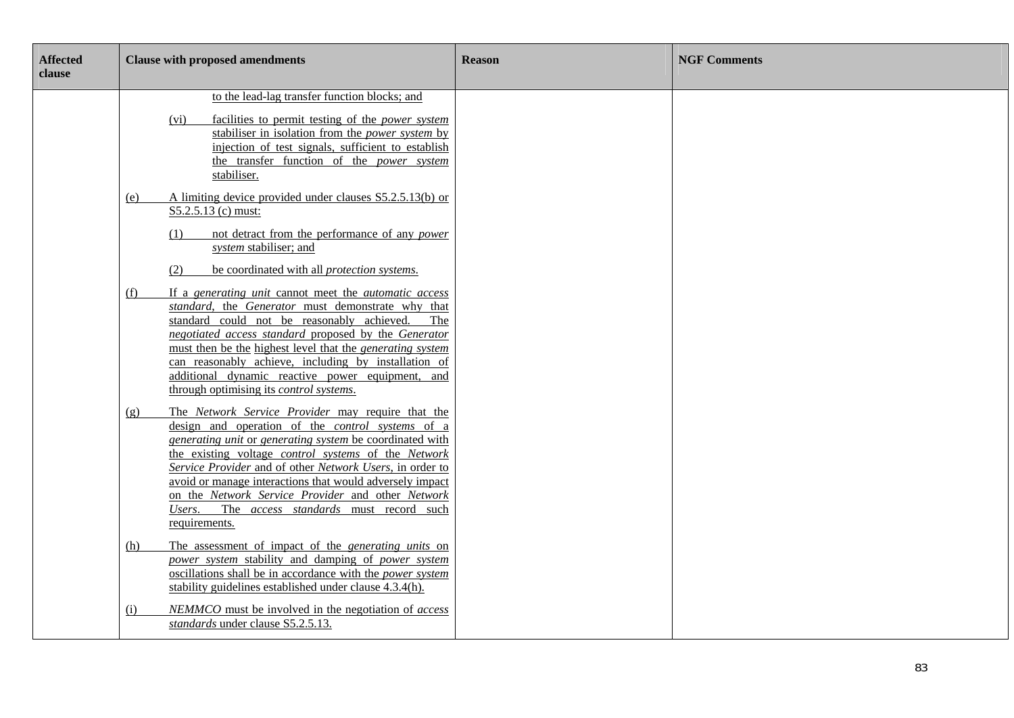| <b>Affected</b><br>clause | <b>Clause with proposed amendments</b>                                                                                                                                                                                                                                                                                                                                                                                                                                                             | <b>Reason</b> | <b>NGF Comments</b> |
|---------------------------|----------------------------------------------------------------------------------------------------------------------------------------------------------------------------------------------------------------------------------------------------------------------------------------------------------------------------------------------------------------------------------------------------------------------------------------------------------------------------------------------------|---------------|---------------------|
|                           | to the lead-lag transfer function blocks; and<br>facilities to permit testing of the <i>power</i> system<br>(vi)<br>stabiliser in isolation from the <i>power system</i> by<br>injection of test signals, sufficient to establish<br>the transfer function of the <i>power</i> system<br>stabiliser.                                                                                                                                                                                               |               |                     |
|                           | A limiting device provided under clauses S5.2.5.13(b) or<br>(e)<br>S5.2.5.13 (c) must:<br>not detract from the performance of any <i>power</i><br>(1)<br>system stabiliser; and<br>(2)<br>be coordinated with all <i>protection</i> systems.                                                                                                                                                                                                                                                       |               |                     |
|                           | If a generating unit cannot meet the <i>automatic</i> access<br>(f)<br>standard, the Generator must demonstrate why that<br>standard could not be reasonably achieved.<br>The<br>negotiated access standard proposed by the Generator<br>must then be the highest level that the <i>generating system</i><br>can reasonably achieve, including by installation of<br>additional dynamic reactive power equipment,<br>and<br>through optimising its <i>control systems</i> .                        |               |                     |
|                           | The Network Service Provider may require that the<br>(g)<br>design and operation of the <i>control</i> systems of a<br>generating unit or generating system be coordinated with<br>the existing voltage <i>control</i> systems of the <i>Network</i><br>Service Provider and of other Network Users, in order to<br>avoid or manage interactions that would adversely impact<br>on the Network Service Provider and other Network<br>Users. The access standards must record such<br>requirements. |               |                     |
|                           | The assessment of impact of the <i>generating units</i> on<br>(h)<br>power system stability and damping of power system<br>oscillations shall be in accordance with the power system<br>stability guidelines established under clause 4.3.4(h).                                                                                                                                                                                                                                                    |               |                     |
|                           | NEMMCO must be involved in the negotiation of access<br>(i)<br>standards under clause S5.2.5.13.                                                                                                                                                                                                                                                                                                                                                                                                   |               |                     |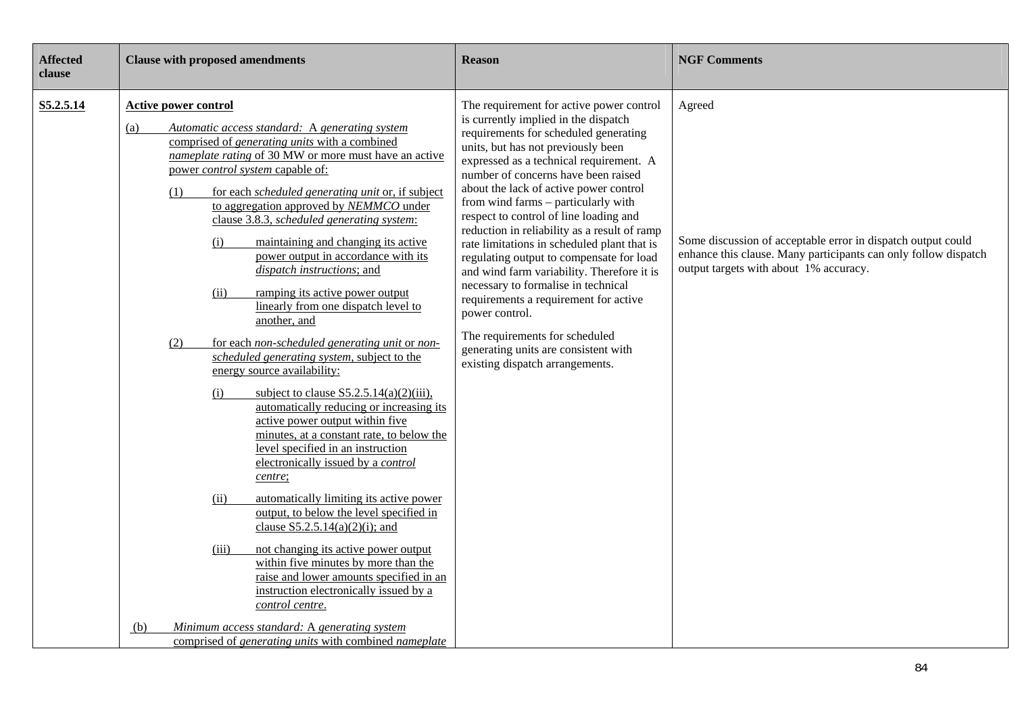| <b>Affected</b><br>clause | <b>Clause with proposed amendments</b>                                                                                                                                                                                                                                                                                                                                                                                                                                                                                                                                                                                                                                                                                                                                                                                                                                                                                                                                                                                                                                                                                                                                                                                                                                                                                                                                                                                                                                                              | <b>Reason</b>                                                                                                                                                                                                                                                                                                                                                                                                                                                                                                                                                                                                                                                                                                                                                                        | <b>NGF Comments</b>                                                                                                                                                                 |
|---------------------------|-----------------------------------------------------------------------------------------------------------------------------------------------------------------------------------------------------------------------------------------------------------------------------------------------------------------------------------------------------------------------------------------------------------------------------------------------------------------------------------------------------------------------------------------------------------------------------------------------------------------------------------------------------------------------------------------------------------------------------------------------------------------------------------------------------------------------------------------------------------------------------------------------------------------------------------------------------------------------------------------------------------------------------------------------------------------------------------------------------------------------------------------------------------------------------------------------------------------------------------------------------------------------------------------------------------------------------------------------------------------------------------------------------------------------------------------------------------------------------------------------------|--------------------------------------------------------------------------------------------------------------------------------------------------------------------------------------------------------------------------------------------------------------------------------------------------------------------------------------------------------------------------------------------------------------------------------------------------------------------------------------------------------------------------------------------------------------------------------------------------------------------------------------------------------------------------------------------------------------------------------------------------------------------------------------|-------------------------------------------------------------------------------------------------------------------------------------------------------------------------------------|
| S5.2.5.14                 | <b>Active power control</b><br>Automatic access standard: A generating system<br>(a)<br>comprised of <i>generating units</i> with a combined<br>nameplate rating of 30 MW or more must have an active<br>power control system capable of:<br>for each <i>scheduled generating unit</i> or, if subject<br>(1)<br>to aggregation approved by NEMMCO under<br>clause 3.8.3, scheduled generating system:<br>maintaining and changing its active<br>(i)<br>power output in accordance with its<br>dispatch instructions; and<br>(ii)<br>ramping its active power output<br>linearly from one dispatch level to<br>another, and<br>for each non-scheduled generating unit or non-<br>(2)<br>scheduled generating system, subject to the<br>energy source availability:<br>subject to clause $S5.2.5.14(a)(2)(iii)$ ,<br>(i)<br>automatically reducing or increasing its<br>active power output within five<br>minutes, at a constant rate, to below the<br>level specified in an instruction<br>electronically issued by a <i>control</i><br>centre;<br>automatically limiting its active power<br>(ii)<br>output, to below the level specified in<br>clause $S5.2.5.14(a)(2)(i)$ ; and<br>not changing its active power output<br>(iii)<br>within five minutes by more than the<br>raise and lower amounts specified in an<br>instruction electronically issued by a<br>control centre.<br>Minimum access standard: A generating system<br>(b)<br>comprised of generating units with combined nameplate | The requirement for active power control<br>is currently implied in the dispatch<br>requirements for scheduled generating<br>units, but has not previously been<br>expressed as a technical requirement. A<br>number of concerns have been raised<br>about the lack of active power control<br>from wind farms – particularly with<br>respect to control of line loading and<br>reduction in reliability as a result of ramp<br>rate limitations in scheduled plant that is<br>regulating output to compensate for load<br>and wind farm variability. Therefore it is<br>necessary to formalise in technical<br>requirements a requirement for active<br>power control.<br>The requirements for scheduled<br>generating units are consistent with<br>existing dispatch arrangements. | Agreed<br>Some discussion of acceptable error in dispatch output could<br>enhance this clause. Many participants can only follow dispatch<br>output targets with about 1% accuracy. |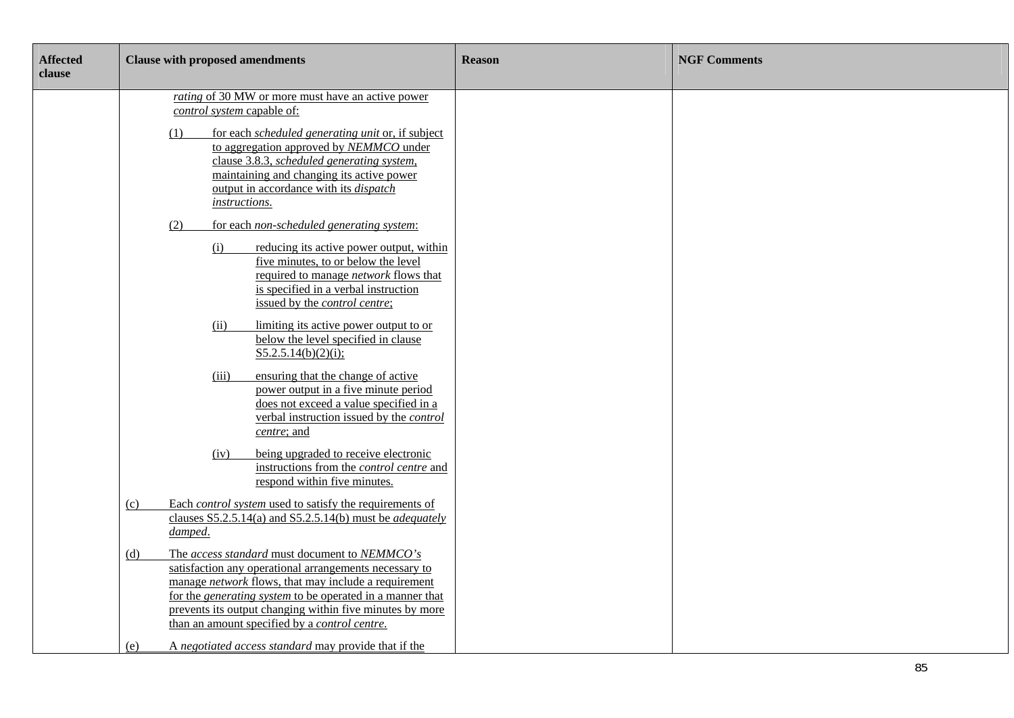| <b>Affected</b><br>clause | <b>Clause with proposed amendments</b>                                                                                                                                                                                                                                                                                                                            | <b>Reason</b> | <b>NGF Comments</b> |
|---------------------------|-------------------------------------------------------------------------------------------------------------------------------------------------------------------------------------------------------------------------------------------------------------------------------------------------------------------------------------------------------------------|---------------|---------------------|
|                           | <i>rating</i> of 30 MW or more must have an active power<br>control system capable of:<br>(1)<br>for each scheduled generating unit or, if subject<br>to aggregation approved by NEMMCO under<br>clause 3.8.3, scheduled generating system,<br>maintaining and changing its active power<br>output in accordance with its <i>dispatch</i><br><i>instructions.</i> |               |                     |
|                           | for each non-scheduled generating system:<br>(2)<br>reducing its active power output, within<br>(i)<br>five minutes, to or below the level<br>required to manage <i>network</i> flows that<br>is specified in a verbal instruction<br>issued by the <i>control centre</i> ;                                                                                       |               |                     |
|                           | limiting its active power output to or<br>(ii)<br>below the level specified in clause<br>S5.2.5.14(b)(2)(i);                                                                                                                                                                                                                                                      |               |                     |
|                           | ensuring that the change of active<br>(iii)<br>power output in a five minute period<br>does not exceed a value specified in a<br>verbal instruction issued by the <i>control</i><br>centre; and                                                                                                                                                                   |               |                     |
|                           | being upgraded to receive electronic<br>(iv)<br>instructions from the <i>control centre</i> and<br>respond within five minutes.                                                                                                                                                                                                                                   |               |                     |
|                           | Each <i>control system</i> used to satisfy the requirements of<br>(c)<br>clauses $S5.2.5.14(a)$ and $S5.2.5.14(b)$ must be <i>adequately</i><br>damped.                                                                                                                                                                                                           |               |                     |
|                           | The access standard must document to NEMMCO's<br>(d)<br>satisfaction any operational arrangements necessary to<br>manage network flows, that may include a requirement<br>for the <i>generating system</i> to be operated in a manner that<br>prevents its output changing within five minutes by more<br>than an amount specified by a <i>control centre</i> .   |               |                     |
|                           | A negotiated access standard may provide that if the<br>(e)                                                                                                                                                                                                                                                                                                       |               |                     |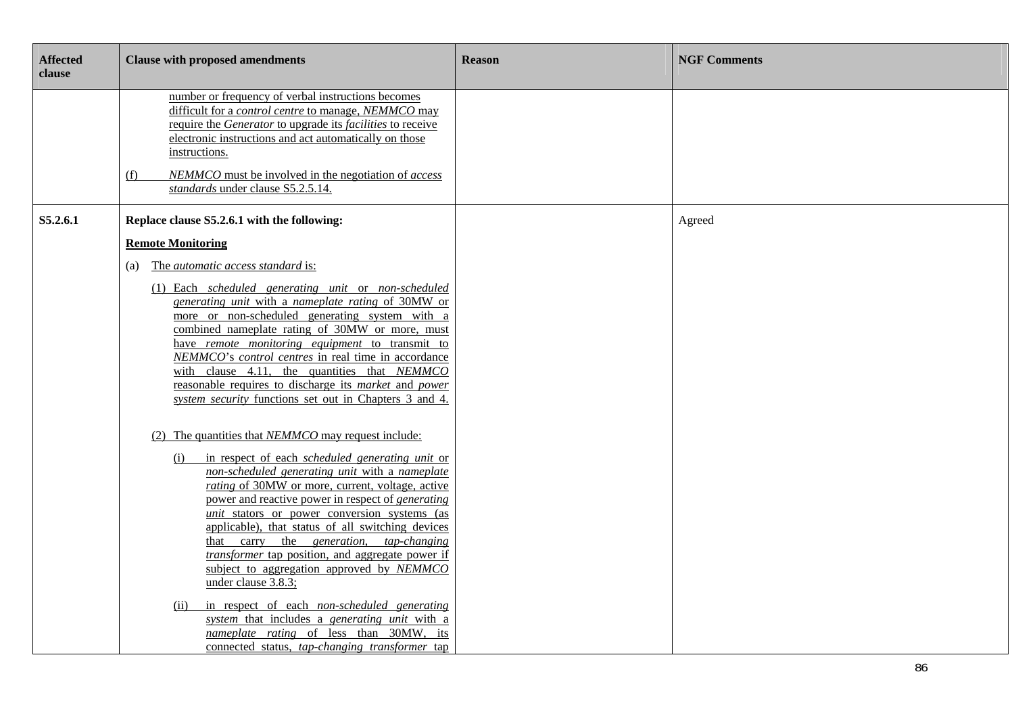| <b>Affected</b><br>clause | <b>Clause with proposed amendments</b>                                                                                                                                                                                                                                                                                                                  | <b>Reason</b> | <b>NGF Comments</b> |
|---------------------------|---------------------------------------------------------------------------------------------------------------------------------------------------------------------------------------------------------------------------------------------------------------------------------------------------------------------------------------------------------|---------------|---------------------|
|                           | number or frequency of verbal instructions becomes<br>difficult for a control centre to manage, NEMMCO may<br>require the Generator to upgrade its facilities to receive<br>electronic instructions and act automatically on those<br>instructions.<br>NEMMCO must be involved in the negotiation of access<br>(f)<br>standards under clause S5.2.5.14. |               |                     |
| S5.2.6.1                  | Replace clause S5.2.6.1 with the following:                                                                                                                                                                                                                                                                                                             |               | Agreed              |
|                           | <b>Remote Monitoring</b><br>The automatic access standard is:<br>(a)<br>(1) Each_scheduled_generating_unit_or_non-scheduled                                                                                                                                                                                                                             |               |                     |
|                           | generating unit with a nameplate rating of 30MW or<br>more or non-scheduled generating system with a<br>combined nameplate rating of 30MW or more, must<br>have remote monitoring equipment to transmit to<br>NEMMCO's control centres in real time in accordance                                                                                       |               |                     |
|                           | with clause 4.11, the quantities that NEMMCO<br>reasonable requires to discharge its <i>market</i> and <i>power</i><br>system security functions set out in Chapters 3 and 4.                                                                                                                                                                           |               |                     |
|                           | (2) The quantities that <i>NEMMCO</i> may request include:<br>in respect of each scheduled generating unit or<br>(i)<br>non-scheduled generating unit with a nameplate                                                                                                                                                                                  |               |                     |
|                           | rating of 30MW or more, current, voltage, active<br>power and reactive power in respect of <i>generating</i><br><i>unit</i> stators or power conversion systems (as<br>applicable), that status of all switching devices                                                                                                                                |               |                     |
|                           | that carry the <i>generation</i> , <i>tap-changing</i><br><i>transformer</i> tap position, and aggregate power if<br>subject to aggregation approved by NEMMCO<br>under clause 3.8.3;                                                                                                                                                                   |               |                     |
|                           | in respect of each non-scheduled generating<br>(ii)<br>system that includes a generating unit with a<br>nameplate rating of less than 30MW, its<br>connected status, tap-changing transformer tap                                                                                                                                                       |               |                     |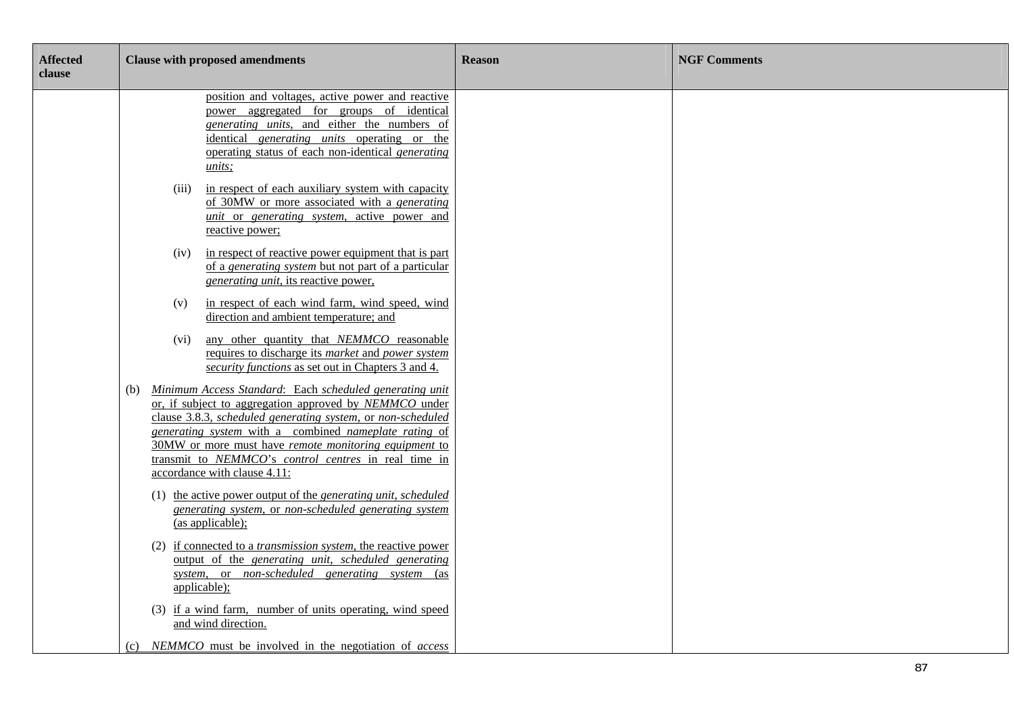| <b>Affected</b><br>clause | <b>Clause with proposed amendments</b>                                                                                                                                                                                                                                                                                                                                                            | <b>Reason</b> | <b>NGF Comments</b> |
|---------------------------|---------------------------------------------------------------------------------------------------------------------------------------------------------------------------------------------------------------------------------------------------------------------------------------------------------------------------------------------------------------------------------------------------|---------------|---------------------|
|                           | position and voltages, active power and reactive<br>power aggregated for groups of identical<br>generating units, and either the numbers of<br>identical <i>generating units</i> operating or the<br>operating status of each non-identical generating<br><i>units</i> ;                                                                                                                          |               |                     |
|                           | in respect of each auxiliary system with capacity<br>(iii)<br>of 30MW or more associated with a generating<br>unit or generating system, active power and<br>reactive power;                                                                                                                                                                                                                      |               |                     |
|                           | in respect of reactive power equipment that is part<br>(iv)<br>of a generating system but not part of a particular<br>generating unit, its reactive power,                                                                                                                                                                                                                                        |               |                     |
|                           | in respect of each wind farm, wind speed, wind<br>(v)<br>direction and ambient temperature; and                                                                                                                                                                                                                                                                                                   |               |                     |
|                           | (vi) any other quantity that NEMMCO reasonable<br>requires to discharge its market and power system<br>security functions as set out in Chapters 3 and 4.                                                                                                                                                                                                                                         |               |                     |
|                           | Minimum Access Standard: Each scheduled generating unit<br>(b)<br>or, if subject to aggregation approved by NEMMCO under<br>clause 3.8.3, scheduled generating system, or non-scheduled<br>generating system with a combined nameplate rating of<br>30MW or more must have remote monitoring equipment to<br>transmit to NEMMCO's control centres in real time in<br>accordance with clause 4.11: |               |                     |
|                           | (1) the active power output of the <i>generating unit, scheduled</i><br>generating system, or non-scheduled generating system<br>(as applicable);                                                                                                                                                                                                                                                 |               |                     |
|                           | (2) if connected to a <i>transmission system</i> , the reactive power<br>output of the generating unit, scheduled generating<br>system, or non-scheduled generating system (as<br>applicable);                                                                                                                                                                                                    |               |                     |
|                           | (3) if a wind farm, number of units operating, wind speed<br>and wind direction.                                                                                                                                                                                                                                                                                                                  |               |                     |
|                           | NEMMCO must be involved in the negotiation of access                                                                                                                                                                                                                                                                                                                                              |               |                     |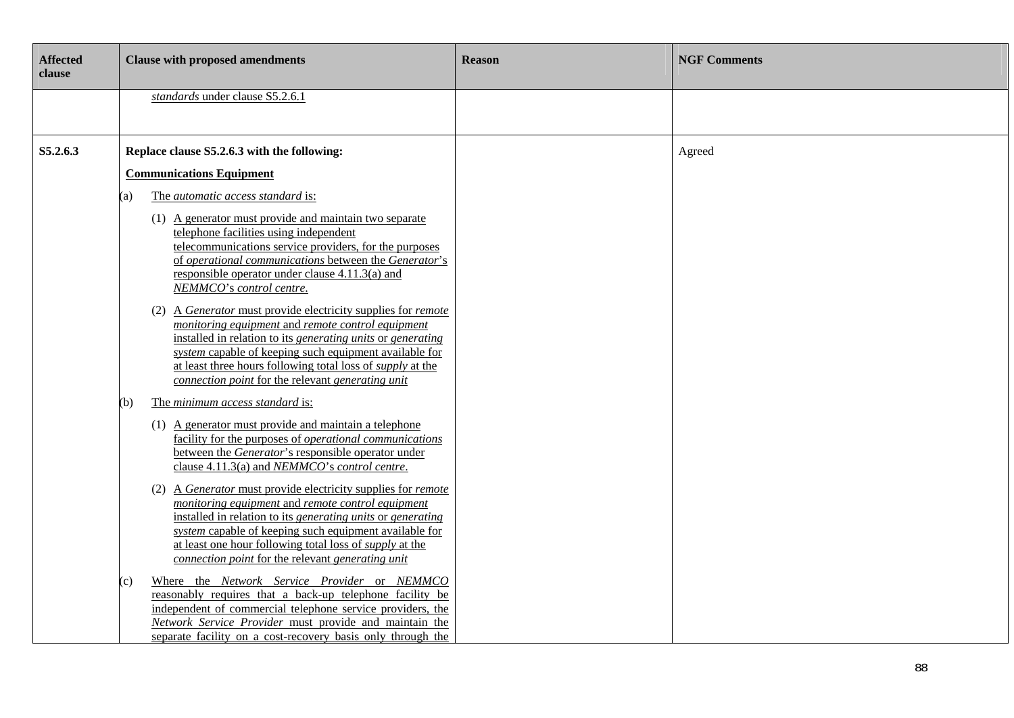| <b>Affected</b><br>clause | <b>Clause with proposed amendments</b>                                                                                                                                                                                                                                                                                                                                                                                                                                                                                                                                                                                                                                                    | <b>Reason</b> | <b>NGF Comments</b> |
|---------------------------|-------------------------------------------------------------------------------------------------------------------------------------------------------------------------------------------------------------------------------------------------------------------------------------------------------------------------------------------------------------------------------------------------------------------------------------------------------------------------------------------------------------------------------------------------------------------------------------------------------------------------------------------------------------------------------------------|---------------|---------------------|
|                           | standards under clause S5.2.6.1                                                                                                                                                                                                                                                                                                                                                                                                                                                                                                                                                                                                                                                           |               |                     |
| S5.2.6.3                  | Replace clause S5.2.6.3 with the following:<br><b>Communications Equipment</b><br>The automatic access standard is:<br><sup>'</sup> a)<br>(1) A generator must provide and maintain two separate<br>telephone facilities using independent<br>telecommunications service providers, for the purposes<br>of operational communications between the Generator's<br>responsible operator under clause $4.11.3(a)$ and<br>NEMMCO's control centre.<br>(2) A Generator must provide electricity supplies for remote<br>monitoring equipment and remote control equipment<br>installed in relation to its generating units or generating                                                        |               | Agreed              |
|                           | system capable of keeping such equipment available for<br>at least three hours following total loss of <i>supply</i> at the<br>connection point for the relevant generating unit<br>The minimum access standard is:<br>(b)<br>(1) A generator must provide and maintain a telephone<br>facility for the purposes of <i>operational communications</i><br>between the <i>Generator's</i> responsible operator under<br>clause 4.11.3(a) and NEMMCO's control centre.                                                                                                                                                                                                                       |               |                     |
|                           | (2) A <i>Generator</i> must provide electricity supplies for <i>remote</i><br>monitoring equipment and remote control equipment<br>installed in relation to its generating units or generating<br>system capable of keeping such equipment available for<br>at least one hour following total loss of <i>supply</i> at the<br>connection point for the relevant generating unit<br>Where the Network Service Provider or NEMMCO<br>(c)<br>reasonably requires that a back-up telephone facility be<br>independent of commercial telephone service providers, the<br>Network Service Provider must provide and maintain the<br>separate facility on a cost-recovery basis only through the |               |                     |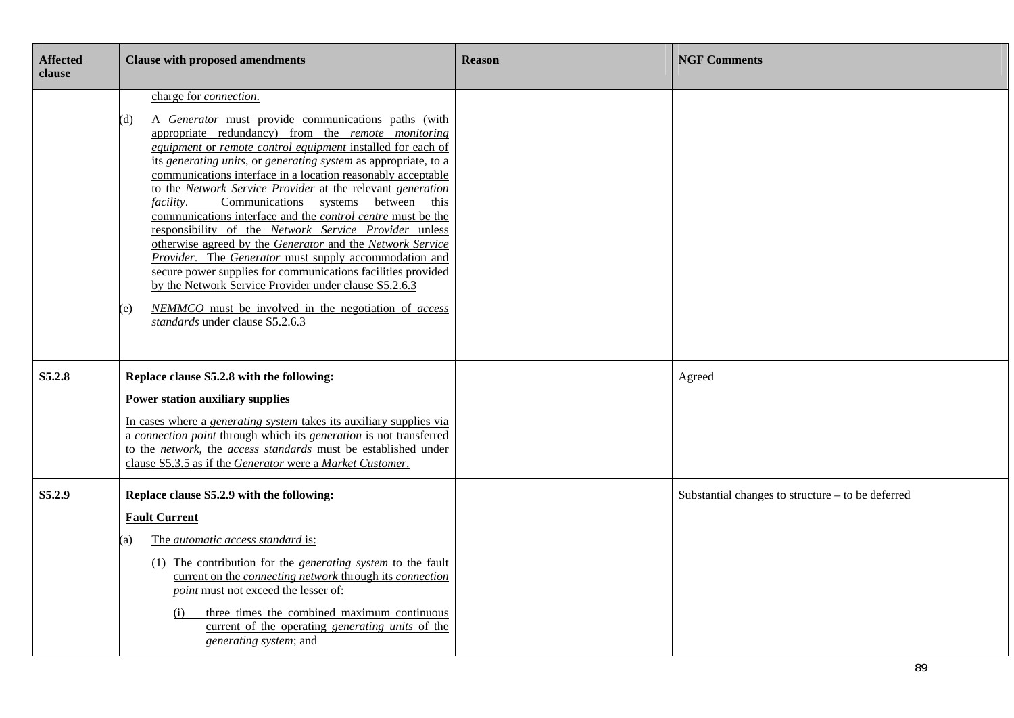| <b>Affected</b><br>clause | <b>Clause with proposed amendments</b>                                                                                                                                                                                                                                                                                                                                                                                                                                                                                                                                                                                                                                                                                                                                                                                                                                                                                                                           | <b>Reason</b> | <b>NGF Comments</b>                               |
|---------------------------|------------------------------------------------------------------------------------------------------------------------------------------------------------------------------------------------------------------------------------------------------------------------------------------------------------------------------------------------------------------------------------------------------------------------------------------------------------------------------------------------------------------------------------------------------------------------------------------------------------------------------------------------------------------------------------------------------------------------------------------------------------------------------------------------------------------------------------------------------------------------------------------------------------------------------------------------------------------|---------------|---------------------------------------------------|
|                           | charge for <i>connection</i> .<br>A Generator must provide communications paths (with<br>(d)<br>appropriate redundancy) from the remote monitoring<br>equipment or remote control equipment installed for each of<br>its generating units, or generating system as appropriate, to a<br>communications interface in a location reasonably acceptable<br>to the Network Service Provider at the relevant generation<br>Communications systems between<br><i>facility.</i><br>this<br>communications interface and the <i>control centre</i> must be the<br>responsibility of the Network Service Provider unless<br>otherwise agreed by the Generator and the Network Service<br>Provider. The Generator must supply accommodation and<br>secure power supplies for communications facilities provided<br>by the Network Service Provider under clause S5.2.6.3<br>NEMMCO must be involved in the negotiation of access<br>(e)<br>standards under clause S5.2.6.3 |               |                                                   |
| S5.2.8                    | Replace clause S5.2.8 with the following:<br><b>Power station auxiliary supplies</b><br>In cases where a <i>generating system</i> takes its auxiliary supplies via<br>a connection point through which its generation is not transferred<br>to the network, the access standards must be established under<br>clause S5.3.5 as if the Generator were a Market Customer.                                                                                                                                                                                                                                                                                                                                                                                                                                                                                                                                                                                          |               | Agreed                                            |
| S5.2.9                    | Replace clause S5.2.9 with the following:<br><b>Fault Current</b><br>The automatic access standard is:<br>(a)<br>(1) The contribution for the <i>generating system</i> to the fault<br>current on the <i>connecting network</i> through its <i>connection</i><br>point must not exceed the lesser of:<br>three times the combined maximum continuous<br>(i)<br>current of the operating <i>generating units</i> of the<br>generating system; and                                                                                                                                                                                                                                                                                                                                                                                                                                                                                                                 |               | Substantial changes to structure - to be deferred |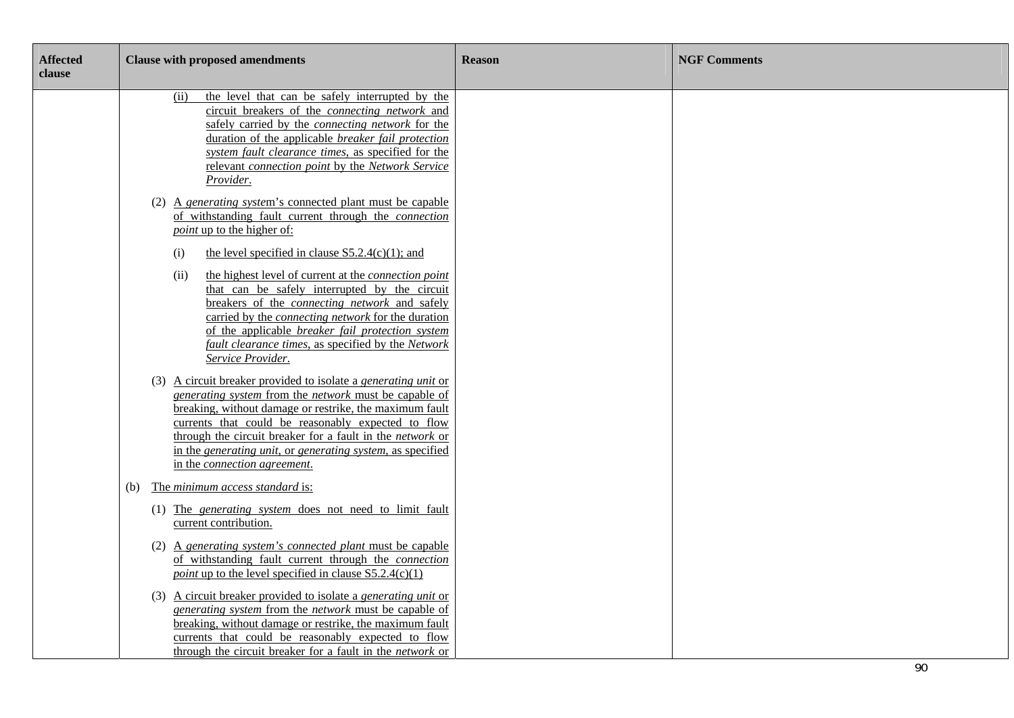| <b>Affected</b><br>clause | <b>Clause with proposed amendments</b>                                                                                                                                                                                                                                                                                                                                                                                                       | <b>Reason</b> | <b>NGF Comments</b> |
|---------------------------|----------------------------------------------------------------------------------------------------------------------------------------------------------------------------------------------------------------------------------------------------------------------------------------------------------------------------------------------------------------------------------------------------------------------------------------------|---------------|---------------------|
|                           | the level that can be safely interrupted by the<br>(ii)<br>circuit breakers of the <i>connecting network</i> and<br>safely carried by the <i>connecting network</i> for the<br>duration of the applicable <i>breaker fail protection</i><br>system fault clearance times, as specified for the<br>relevant connection point by the Network Service<br>Provider.                                                                              |               |                     |
|                           | (2) A generating system's connected plant must be capable<br>of withstanding fault current through the connection<br><i>point</i> up to the higher of:                                                                                                                                                                                                                                                                                       |               |                     |
|                           | the level specified in clause $S5.2.4(c)(1)$ ; and<br>(i)<br>the highest level of current at the <i>connection point</i><br>(ii)<br>that can be safely interrupted by the circuit<br>breakers of the <i>connecting network</i> and safely<br>carried by the <i>connecting network</i> for the duration<br>of the applicable <i>breaker fail protection system</i><br>fault clearance times, as specified by the Network<br>Service Provider. |               |                     |
|                           | (3) A circuit breaker provided to isolate a <i>generating unit</i> or<br>generating system from the network must be capable of<br>breaking, without damage or restrike, the maximum fault<br>currents that could be reasonably expected to flow<br>through the circuit breaker for a fault in the network or<br>in the generating unit, or generating system, as specified<br>in the connection agreement.                                   |               |                     |
|                           | (b) The minimum access standard is:<br>(1) The generating system does not need to limit fault<br>current contribution.                                                                                                                                                                                                                                                                                                                       |               |                     |
|                           | (2) A generating system's connected plant must be capable<br>of withstanding fault current through the connection<br><i>point</i> up to the level specified in clause $S5.2.4(c)(1)$                                                                                                                                                                                                                                                         |               |                     |
|                           | (3) A circuit breaker provided to isolate a <i>generating unit</i> or<br>generating system from the network must be capable of<br>breaking, without damage or restrike, the maximum fault<br>currents that could be reasonably expected to flow<br>through the circuit breaker for a fault in the network or                                                                                                                                 |               | $\sim$              |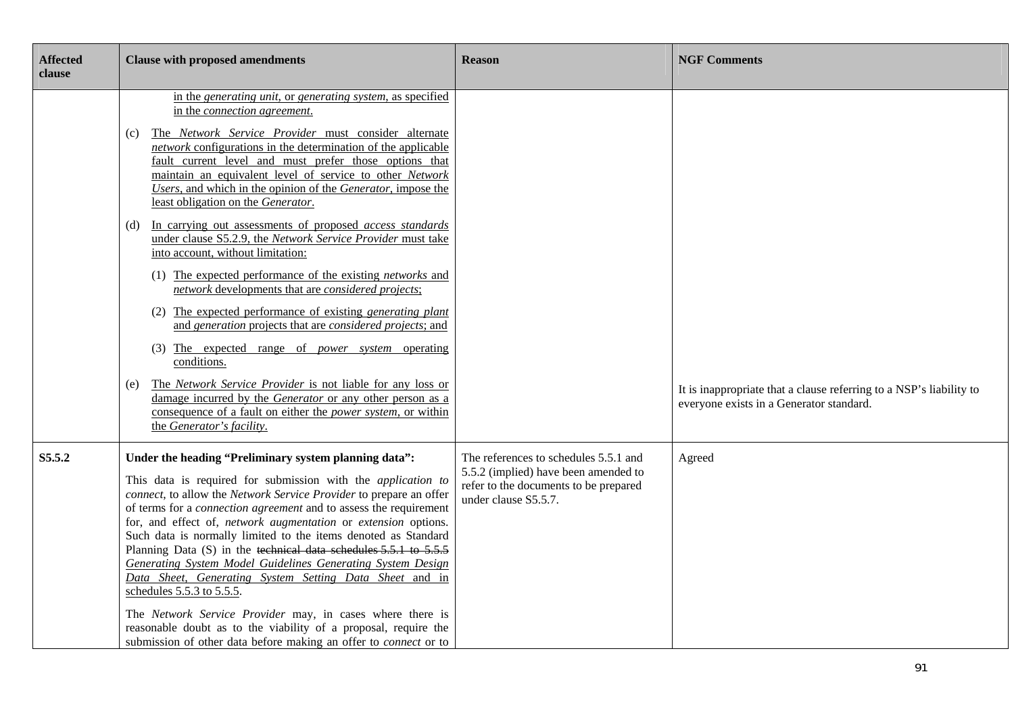| <b>Affected</b><br>clause | <b>Clause with proposed amendments</b>                                                                                                                                                                                                                                                                                                                                                                                                                                                                                                                                                                                                                                                                                                                                                                                                                                                                                                                                                                                                                                                                                                                                                                           | <b>Reason</b>                                                                                                                                  | <b>NGF Comments</b>                                                                                             |
|---------------------------|------------------------------------------------------------------------------------------------------------------------------------------------------------------------------------------------------------------------------------------------------------------------------------------------------------------------------------------------------------------------------------------------------------------------------------------------------------------------------------------------------------------------------------------------------------------------------------------------------------------------------------------------------------------------------------------------------------------------------------------------------------------------------------------------------------------------------------------------------------------------------------------------------------------------------------------------------------------------------------------------------------------------------------------------------------------------------------------------------------------------------------------------------------------------------------------------------------------|------------------------------------------------------------------------------------------------------------------------------------------------|-----------------------------------------------------------------------------------------------------------------|
|                           | in the generating unit, or generating system, as specified<br>in the connection agreement.<br>The Network Service Provider must consider alternate<br>(c)<br>network configurations in the determination of the applicable<br>fault current level and must prefer those options that<br>maintain an equivalent level of service to other Network<br>Users, and which in the opinion of the Generator, impose the<br>least obligation on the Generator.<br>In carrying out assessments of proposed <i>access standards</i><br>(d)<br>under clause S5.2.9, the Network Service Provider must take<br>into account, without limitation:<br>(1) The expected performance of the existing <i>networks</i> and<br>network developments that are considered projects;<br>(2) The expected performance of existing <i>generating plant</i><br>and generation projects that are considered projects; and<br>(3) The expected range of <i>power</i> system operating<br>conditions.<br>The Network Service Provider is not liable for any loss or<br>(e)<br>damage incurred by the Generator or any other person as a<br>consequence of a fault on either the <i>power system</i> , or within<br>the Generator's facility. |                                                                                                                                                | It is inappropriate that a clause referring to a NSP's liability to<br>everyone exists in a Generator standard. |
| S5.5.2                    | Under the heading "Preliminary system planning data":<br>This data is required for submission with the <i>application to</i><br>connect, to allow the Network Service Provider to prepare an offer<br>of terms for a <i>connection agreement</i> and to assess the requirement<br>for, and effect of, network augmentation or extension options.<br>Such data is normally limited to the items denoted as Standard<br>Planning Data (S) in the technical data schedules 5.5.1 to 5.5.5<br><b>Generating System Model Guidelines Generating System Design</b><br>Data Sheet, Generating System Setting Data Sheet and in<br>schedules 5.5.3 to 5.5.5.<br>The Network Service Provider may, in cases where there is<br>reasonable doubt as to the viability of a proposal, require the<br>submission of other data before making an offer to connect or to                                                                                                                                                                                                                                                                                                                                                         | The references to schedules 5.5.1 and<br>5.5.2 (implied) have been amended to<br>refer to the documents to be prepared<br>under clause S5.5.7. | Agreed                                                                                                          |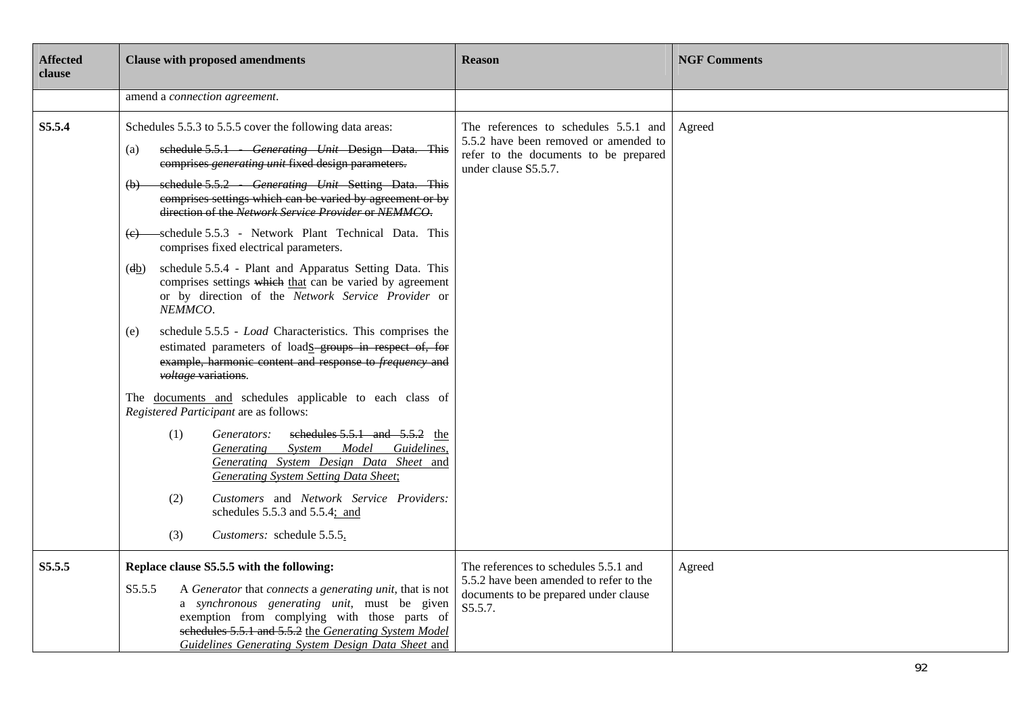| <b>Affected</b><br>clause | <b>Clause with proposed amendments</b>                                                                                                                                                                                                                                                                                                                                                                                                                                                                                                                                                                                                                                                                                                                                                                                                                                                                                                                                                                                                                                                                                                                                                                                                                                                                          | <b>Reason</b>                                                                                                                                   | <b>NGF Comments</b> |
|---------------------------|-----------------------------------------------------------------------------------------------------------------------------------------------------------------------------------------------------------------------------------------------------------------------------------------------------------------------------------------------------------------------------------------------------------------------------------------------------------------------------------------------------------------------------------------------------------------------------------------------------------------------------------------------------------------------------------------------------------------------------------------------------------------------------------------------------------------------------------------------------------------------------------------------------------------------------------------------------------------------------------------------------------------------------------------------------------------------------------------------------------------------------------------------------------------------------------------------------------------------------------------------------------------------------------------------------------------|-------------------------------------------------------------------------------------------------------------------------------------------------|---------------------|
|                           | amend a connection agreement.                                                                                                                                                                                                                                                                                                                                                                                                                                                                                                                                                                                                                                                                                                                                                                                                                                                                                                                                                                                                                                                                                                                                                                                                                                                                                   |                                                                                                                                                 |                     |
| S5.5.4                    | Schedules 5.5.3 to 5.5.5 cover the following data areas:<br>schedule 5.5.1 Generating Unit Design Data. This<br>(a)<br>comprises generating unit fixed design parameters.<br>schedule 5.5.2 Generating Unit Setting Data. This<br>(b)<br>comprises settings which can be varied by agreement or by<br>direction of the Network Service Provider or NEMMCO.<br>(e) schedule 5.5.3 - Network Plant Technical Data. This<br>comprises fixed electrical parameters.<br>schedule 5.5.4 - Plant and Apparatus Setting Data. This<br>(db)<br>comprises settings which that can be varied by agreement<br>or by direction of the Network Service Provider or<br>NEMMCO.<br>schedule 5.5.5 - Load Characteristics. This comprises the<br>(e)<br>estimated parameters of loads groups in respect of, for<br>example, harmonic content and response to <i>frequency</i> and<br>voltage variations.<br>The documents and schedules applicable to each class of<br>Registered Participant are as follows:<br>schedules $5.5.1$ and $5.5.2$ the<br>(1)<br>Generators:<br>System Model Guidelines,<br>Generating<br>Generating System Design Data Sheet and<br>Generating System Setting Data Sheet;<br>Customers and Network Service Providers:<br>(2)<br>schedules 5.5.3 and 5.5.4; and<br>(3)<br>Customers: schedule 5.5.5. | The references to schedules 5.5.1 and<br>5.5.2 have been removed or amended to<br>refer to the documents to be prepared<br>under clause S5.5.7. | Agreed              |
| S5.5.5                    | Replace clause S5.5.5 with the following:<br>A Generator that connects a generating unit, that is not<br>S5.5.5<br>a synchronous generating unit, must be given<br>exemption from complying with those parts of<br>schedules 5.5.1 and 5.5.2 the Generating System Model<br>Guidelines Generating System Design Data Sheet and                                                                                                                                                                                                                                                                                                                                                                                                                                                                                                                                                                                                                                                                                                                                                                                                                                                                                                                                                                                  | The references to schedules 5.5.1 and<br>5.5.2 have been amended to refer to the<br>documents to be prepared under clause<br>S5.5.7.            | Agreed              |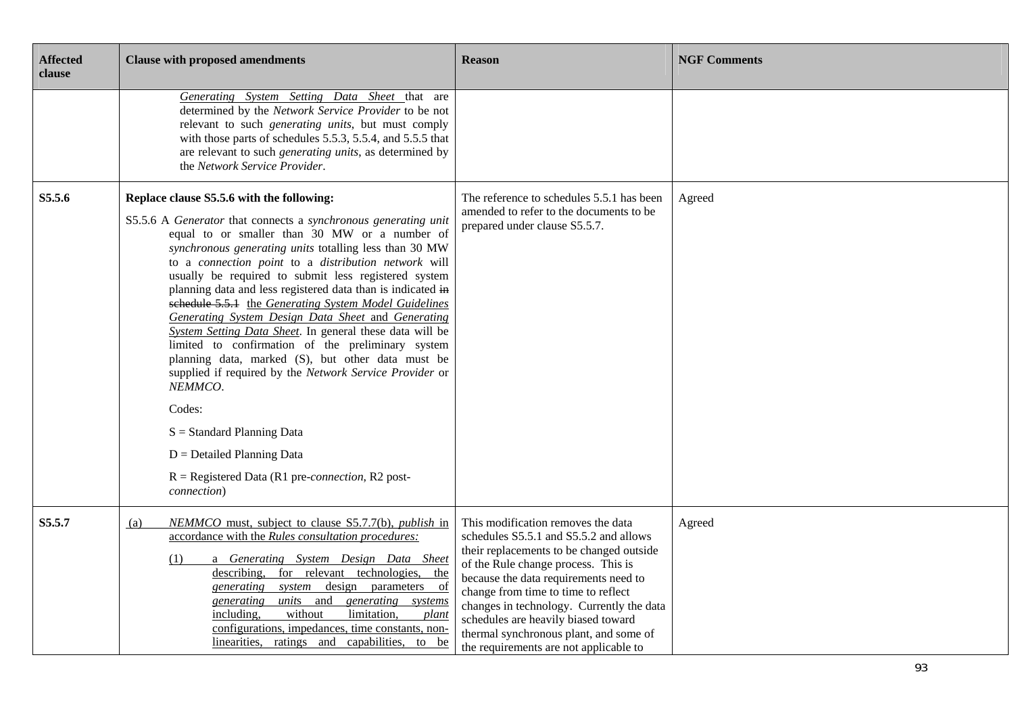| <b>Affected</b><br>clause | <b>Clause with proposed amendments</b>                                                                                                                                                                                                                                                                                                                                                                                                                                                                                                                                                                                                                                                                                                                                                                                                                                                                                   | <b>Reason</b>                                                                                                                                                                                                                                                                                                                                                                                                           | <b>NGF Comments</b> |
|---------------------------|--------------------------------------------------------------------------------------------------------------------------------------------------------------------------------------------------------------------------------------------------------------------------------------------------------------------------------------------------------------------------------------------------------------------------------------------------------------------------------------------------------------------------------------------------------------------------------------------------------------------------------------------------------------------------------------------------------------------------------------------------------------------------------------------------------------------------------------------------------------------------------------------------------------------------|-------------------------------------------------------------------------------------------------------------------------------------------------------------------------------------------------------------------------------------------------------------------------------------------------------------------------------------------------------------------------------------------------------------------------|---------------------|
|                           | Generating System Setting Data Sheet that are<br>determined by the Network Service Provider to be not<br>relevant to such <i>generating units</i> , but must comply<br>with those parts of schedules 5.5.3, 5.5.4, and 5.5.5 that<br>are relevant to such <i>generating units</i> , as determined by<br>the Network Service Provider.                                                                                                                                                                                                                                                                                                                                                                                                                                                                                                                                                                                    |                                                                                                                                                                                                                                                                                                                                                                                                                         |                     |
| S5.5.6                    | Replace clause S5.5.6 with the following:<br>S5.5.6 A Generator that connects a synchronous generating unit<br>equal to or smaller than 30 MW or a number of<br>synchronous generating units totalling less than 30 MW<br>to a connection point to a distribution network will<br>usually be required to submit less registered system<br>planning data and less registered data than is indicated in<br>sehedule 5.5.1 the Generating System Model Guidelines<br>Generating System Design Data Sheet and Generating<br>System Setting Data Sheet. In general these data will be<br>limited to confirmation of the preliminary system<br>planning data, marked (S), but other data must be<br>supplied if required by the Network Service Provider or<br>NEMMCO.<br>Codes:<br>$S = Standard Planning Data$<br>$D =$ Detailed Planning Data<br>$R =$ Registered Data (R1 pre- <i>connection</i> , R2 post-<br>connection) | The reference to schedules 5.5.1 has been<br>amended to refer to the documents to be<br>prepared under clause S5.5.7.                                                                                                                                                                                                                                                                                                   | Agreed              |
| S5.5.7                    | NEMMCO must, subject to clause S5.7.7(b), publish in<br>(a)<br>accordance with the Rules consultation procedures:<br>a Generating System Design Data Sheet<br>(1)<br>describing, for relevant technologies, the<br>system design parameters of<br>generating<br>units and generating systems<br>generating<br>including.<br>without<br>limitation,<br>plant<br>configurations, impedances, time constants, non-<br>linearities, ratings and capabilities, to be                                                                                                                                                                                                                                                                                                                                                                                                                                                          | This modification removes the data<br>schedules S5.5.1 and S5.5.2 and allows<br>their replacements to be changed outside<br>of the Rule change process. This is<br>because the data requirements need to<br>change from time to time to reflect<br>changes in technology. Currently the data<br>schedules are heavily biased toward<br>thermal synchronous plant, and some of<br>the requirements are not applicable to | Agreed              |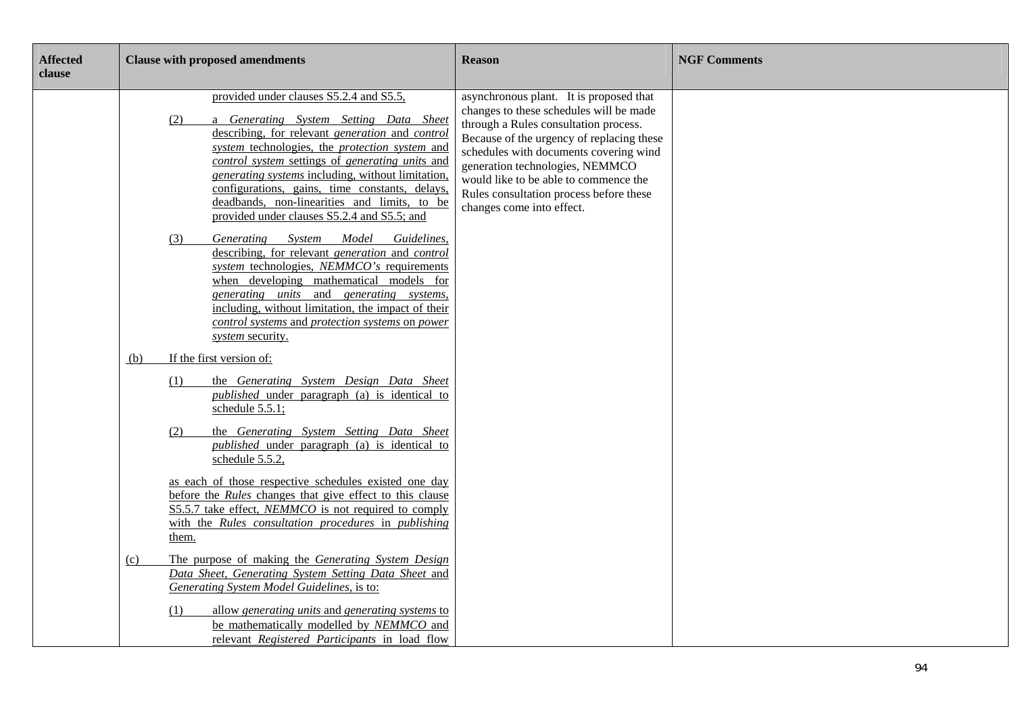| <b>Affected</b><br>clause | <b>Clause with proposed amendments</b>                                                                                                                                                                                                                                                                                                                                                                                                                        | <b>Reason</b>                                                                                                                                                                                                                                                                                                                                                          | <b>NGF Comments</b> |
|---------------------------|---------------------------------------------------------------------------------------------------------------------------------------------------------------------------------------------------------------------------------------------------------------------------------------------------------------------------------------------------------------------------------------------------------------------------------------------------------------|------------------------------------------------------------------------------------------------------------------------------------------------------------------------------------------------------------------------------------------------------------------------------------------------------------------------------------------------------------------------|---------------------|
|                           | provided under clauses S5.2.4 and S5.5,<br>a Generating System Setting Data Sheet<br>(2)<br>describing, for relevant generation and control<br>system technologies, the <i>protection</i> system and<br>control system settings of generating units and<br>generating systems including, without limitation,<br>configurations, gains, time constants, delays,<br>deadbands, non-linearities and limits, to be<br>provided under clauses S5.2.4 and S5.5; and | asynchronous plant. It is proposed that<br>changes to these schedules will be made<br>through a Rules consultation process.<br>Because of the urgency of replacing these<br>schedules with documents covering wind<br>generation technologies, NEMMCO<br>would like to be able to commence the<br>Rules consultation process before these<br>changes come into effect. |                     |
|                           | System<br>Model<br>Generating<br>Guidelines,<br>(3)<br>describing, for relevant <i>generation</i> and <i>control</i><br>system technologies, NEMMCO's requirements<br>when developing mathematical models for<br>generating units and generating systems,<br>including, without limitation, the impact of their<br>control systems and protection systems on power<br>system security.                                                                        |                                                                                                                                                                                                                                                                                                                                                                        |                     |
|                           | If the first version of:<br>(b)                                                                                                                                                                                                                                                                                                                                                                                                                               |                                                                                                                                                                                                                                                                                                                                                                        |                     |
|                           | the Generating System Design Data Sheet<br>(1)<br><i>published</i> under paragraph (a) is identical to<br>schedule 5.5.1;                                                                                                                                                                                                                                                                                                                                     |                                                                                                                                                                                                                                                                                                                                                                        |                     |
|                           | the Generating System Setting Data Sheet<br>(2)<br><i>published</i> under paragraph (a) is identical to<br>schedule 5.5.2,                                                                                                                                                                                                                                                                                                                                    |                                                                                                                                                                                                                                                                                                                                                                        |                     |
|                           | as each of those respective schedules existed one day<br>before the <i>Rules</i> changes that give effect to this clause<br>S5.5.7 take effect, <i>NEMMCO</i> is not required to comply<br>with the Rules consultation procedures in publishing<br>them.                                                                                                                                                                                                      |                                                                                                                                                                                                                                                                                                                                                                        |                     |
|                           | The purpose of making the Generating System Design<br>(c)<br>Data Sheet, Generating System Setting Data Sheet and<br>Generating System Model Guidelines, is to:                                                                                                                                                                                                                                                                                               |                                                                                                                                                                                                                                                                                                                                                                        |                     |
|                           | allow generating units and generating systems to<br>(1)<br>be mathematically modelled by NEMMCO and<br>relevant Registered Participants in load flow                                                                                                                                                                                                                                                                                                          |                                                                                                                                                                                                                                                                                                                                                                        |                     |

٦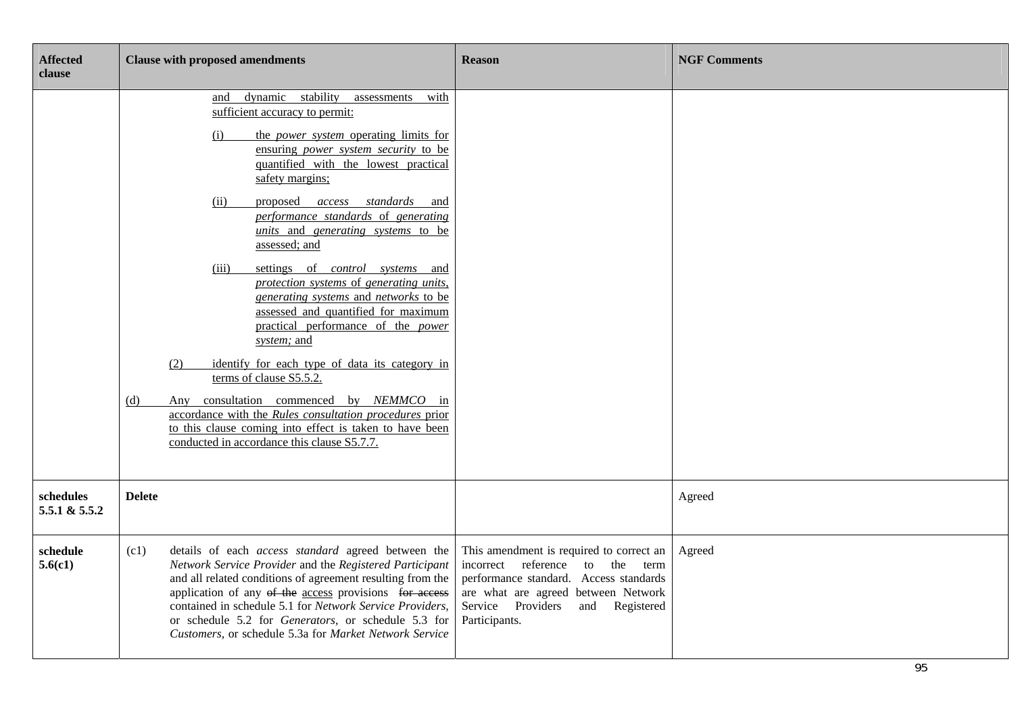| <b>Affected</b><br>clause  | <b>Clause with proposed amendments</b>                                                                                                                                                                                                                                                                                                                                                                                                                                                                                                                                                                                                                                                                                                                                                                                                                                                                                                                   | <b>Reason</b>                                                                                                                                                                                                        | <b>NGF Comments</b> |
|----------------------------|----------------------------------------------------------------------------------------------------------------------------------------------------------------------------------------------------------------------------------------------------------------------------------------------------------------------------------------------------------------------------------------------------------------------------------------------------------------------------------------------------------------------------------------------------------------------------------------------------------------------------------------------------------------------------------------------------------------------------------------------------------------------------------------------------------------------------------------------------------------------------------------------------------------------------------------------------------|----------------------------------------------------------------------------------------------------------------------------------------------------------------------------------------------------------------------|---------------------|
|                            | dynamic stability<br>assessments<br>with<br>and<br>sufficient accuracy to permit:<br>(i)<br>the <i>power</i> system operating limits for<br>ensuring <i>power</i> system security to be<br>quantified with the lowest practical<br>safety margins;<br>proposed access standards<br>(ii)<br>and<br>performance standards of generating<br><i>units</i> and <i>generating systems</i> to be<br>assessed; and<br>settings of control systems and<br>(iii)<br>protection systems of generating units,<br>generating systems and networks to be<br>assessed and quantified for maximum<br>practical performance of the <i>power</i><br>system; and<br>identify for each type of data its category in<br>(2)<br>terms of clause S5.5.2.<br>Any consultation commenced by NEMMCO in<br>(d)<br>accordance with the Rules consultation procedures prior<br>to this clause coming into effect is taken to have been<br>conducted in accordance this clause S5.7.7. |                                                                                                                                                                                                                      |                     |
| schedules<br>5.5.1 & 5.5.2 | <b>Delete</b>                                                                                                                                                                                                                                                                                                                                                                                                                                                                                                                                                                                                                                                                                                                                                                                                                                                                                                                                            |                                                                                                                                                                                                                      | Agreed              |
| schedule<br>5.6(c1)        | details of each access standard agreed between the<br>(c1)<br>Network Service Provider and the Registered Participant<br>and all related conditions of agreement resulting from the<br>application of any of the access provisions for access<br>contained in schedule 5.1 for Network Service Providers,<br>or schedule 5.2 for Generators, or schedule 5.3 for<br>Customers, or schedule 5.3a for Market Network Service                                                                                                                                                                                                                                                                                                                                                                                                                                                                                                                               | This amendment is required to correct an<br>incorrect reference to the term<br>performance standard. Access standards<br>are what are agreed between Network<br>Service Providers<br>and Registered<br>Participants. | Agreed              |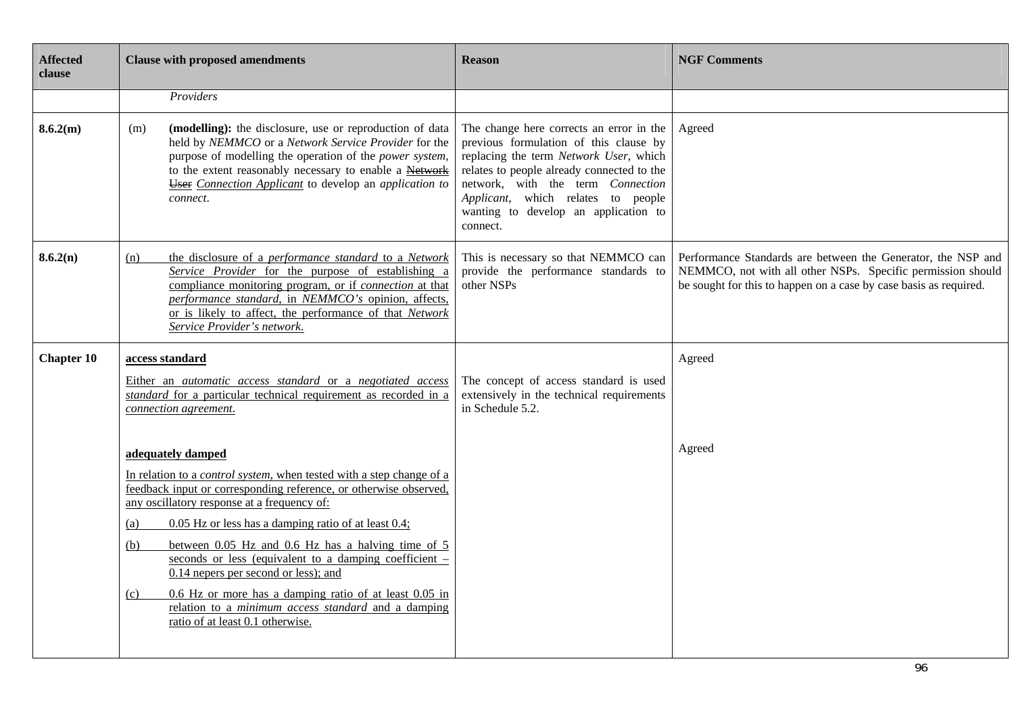| <b>Affected</b><br>clause | <b>Clause with proposed amendments</b>                                                                                                                                                                                                                                                                                                                                                                                                                                                                                                                                                                                        | <b>Reason</b>                                                                                                                                                                                                                                                                                             | <b>NGF Comments</b>                                                                                                                                                                              |
|---------------------------|-------------------------------------------------------------------------------------------------------------------------------------------------------------------------------------------------------------------------------------------------------------------------------------------------------------------------------------------------------------------------------------------------------------------------------------------------------------------------------------------------------------------------------------------------------------------------------------------------------------------------------|-----------------------------------------------------------------------------------------------------------------------------------------------------------------------------------------------------------------------------------------------------------------------------------------------------------|--------------------------------------------------------------------------------------------------------------------------------------------------------------------------------------------------|
|                           | Providers                                                                                                                                                                                                                                                                                                                                                                                                                                                                                                                                                                                                                     |                                                                                                                                                                                                                                                                                                           |                                                                                                                                                                                                  |
| 8.6.2(m)                  | (modelling): the disclosure, use or reproduction of data<br>(m)<br>held by NEMMCO or a Network Service Provider for the<br>purpose of modelling the operation of the power system,<br>to the extent reasonably necessary to enable a Network<br><b>User</b> Connection Applicant to develop an application to<br>connect.                                                                                                                                                                                                                                                                                                     | The change here corrects an error in the<br>previous formulation of this clause by<br>replacing the term Network User, which<br>relates to people already connected to the<br>network, with the term Connection<br>Applicant, which relates to people<br>wanting to develop an application to<br>connect. | Agreed                                                                                                                                                                                           |
| 8.6.2(n)                  | the disclosure of a performance standard to a Network<br>(n)<br>Service Provider for the purpose of establishing a<br>compliance monitoring program, or if <i>connection</i> at that<br>performance standard, in NEMMCO's opinion, affects,<br>or is likely to affect, the performance of that Network<br>Service Provider's network.                                                                                                                                                                                                                                                                                         | This is necessary so that NEMMCO can<br>provide the performance standards to<br>other NSPs                                                                                                                                                                                                                | Performance Standards are between the Generator, the NSP and<br>NEMMCO, not with all other NSPs. Specific permission should<br>be sought for this to happen on a case by case basis as required. |
| <b>Chapter 10</b>         | access standard                                                                                                                                                                                                                                                                                                                                                                                                                                                                                                                                                                                                               |                                                                                                                                                                                                                                                                                                           | Agreed                                                                                                                                                                                           |
|                           | Either an automatic access standard or a negotiated access<br>standard for a particular technical requirement as recorded in a<br>connection agreement.                                                                                                                                                                                                                                                                                                                                                                                                                                                                       | The concept of access standard is used<br>extensively in the technical requirements<br>in Schedule 5.2.                                                                                                                                                                                                   |                                                                                                                                                                                                  |
|                           | adequately damped<br>In relation to a <i>control system</i> , when tested with a step change of a<br>feedback input or corresponding reference, or otherwise observed,<br>any oscillatory response at a frequency of:<br>$0.05$ Hz or less has a damping ratio of at least $0.4$ ;<br>(a)<br>between 0.05 Hz and 0.6 Hz has a halving time of 5<br>(b)<br>seconds or less (equivalent to a damping coefficient -<br>$0.14$ nepers per second or less); and<br>0.6 Hz or more has a damping ratio of at least 0.05 in<br>(c)<br>relation to a <i>minimum access standard</i> and a damping<br>ratio of at least 0.1 otherwise. |                                                                                                                                                                                                                                                                                                           | Agreed                                                                                                                                                                                           |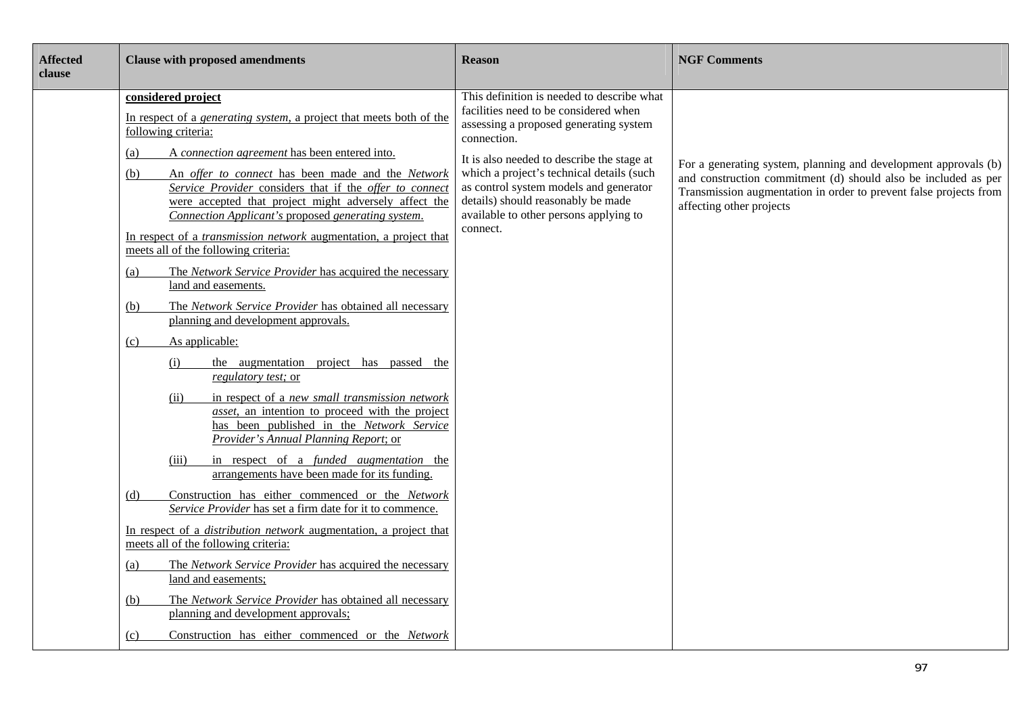| <b>Affected</b><br>clause | <b>Clause with proposed amendments</b>                                                                                                                                                                                                                                                                                                                                                                                                                                                                                                                                                                                                                                                                                                                                                                                                                                                                                                                                                                                                                                                                                                                                                                                                                                                                                                                                                                                                                                                                                                                                                                                                                                | <b>Reason</b>                                                                                                                                                                                                                                                                                                                                                                 | <b>NGF Comments</b>                                                                                                                                                                                                                |
|---------------------------|-----------------------------------------------------------------------------------------------------------------------------------------------------------------------------------------------------------------------------------------------------------------------------------------------------------------------------------------------------------------------------------------------------------------------------------------------------------------------------------------------------------------------------------------------------------------------------------------------------------------------------------------------------------------------------------------------------------------------------------------------------------------------------------------------------------------------------------------------------------------------------------------------------------------------------------------------------------------------------------------------------------------------------------------------------------------------------------------------------------------------------------------------------------------------------------------------------------------------------------------------------------------------------------------------------------------------------------------------------------------------------------------------------------------------------------------------------------------------------------------------------------------------------------------------------------------------------------------------------------------------------------------------------------------------|-------------------------------------------------------------------------------------------------------------------------------------------------------------------------------------------------------------------------------------------------------------------------------------------------------------------------------------------------------------------------------|------------------------------------------------------------------------------------------------------------------------------------------------------------------------------------------------------------------------------------|
|                           | considered project<br>In respect of a <i>generating system</i> , a project that meets both of the<br>following criteria:<br>A connection agreement has been entered into.<br>(a)<br>An offer to connect has been made and the Network<br>(b)<br>Service Provider considers that if the offer to connect<br>were accepted that project might adversely affect the<br>Connection Applicant's proposed generating system.<br>In respect of a <i>transmission network</i> augmentation, a project that<br>meets all of the following criteria:<br>The Network Service Provider has acquired the necessary<br>(a)<br>land and easements.<br>The Network Service Provider has obtained all necessary<br>(b)<br>planning and development approvals.<br>As applicable:<br>(c)<br>the augmentation project has passed the<br>(i)<br>regulatory test; or<br>in respect of a new small transmission network<br>(ii)<br><i>asset</i> , an intention to proceed with the project<br>has been published in the Network Service<br>Provider's Annual Planning Report; or<br>in respect of a <i>funded augmentation</i> the<br>(iii)<br>arrangements have been made for its funding.<br>Construction has either commenced or the Network<br>(d)<br>Service Provider has set a firm date for it to commence.<br>In respect of a <i>distribution network</i> augmentation, a project that<br>meets all of the following criteria:<br>The Network Service Provider has acquired the necessary<br>(a)<br>land and easements;<br>The Network Service Provider has obtained all necessary<br>(b)<br>planning and development approvals;<br>Construction has either commenced or the Network | This definition is needed to describe what<br>facilities need to be considered when<br>assessing a proposed generating system<br>connection.<br>It is also needed to describe the stage at<br>which a project's technical details (such<br>as control system models and generator<br>details) should reasonably be made<br>available to other persons applying to<br>connect. | For a generating system, planning and development approvals (b)<br>and construction commitment (d) should also be included as per<br>Transmission augmentation in order to prevent false projects from<br>affecting other projects |
|                           | (c)                                                                                                                                                                                                                                                                                                                                                                                                                                                                                                                                                                                                                                                                                                                                                                                                                                                                                                                                                                                                                                                                                                                                                                                                                                                                                                                                                                                                                                                                                                                                                                                                                                                                   |                                                                                                                                                                                                                                                                                                                                                                               |                                                                                                                                                                                                                                    |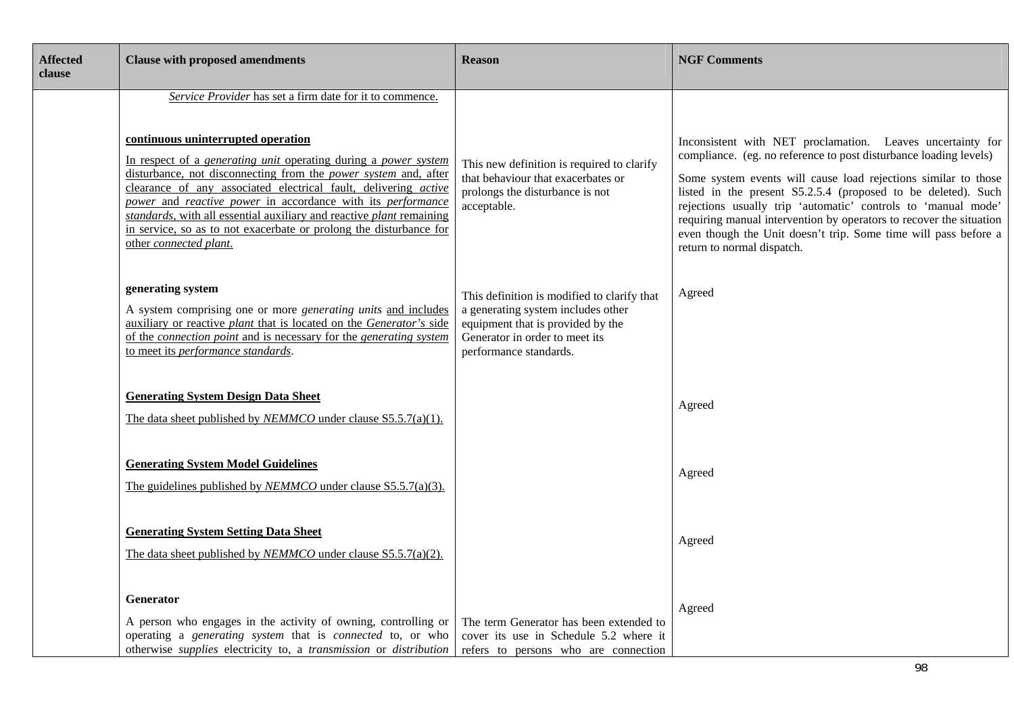| <b>Affected</b><br>clause | <b>Clause with proposed amendments</b>                                                                                                                                                                                                                                                                                                                                                                                                                                                                                                                              | <b>Reason</b>                                                                                                                                                                      | <b>NGF Comments</b>                                                                                                                                                                                                                                                                                                                                                                                                                                                                                         |
|---------------------------|---------------------------------------------------------------------------------------------------------------------------------------------------------------------------------------------------------------------------------------------------------------------------------------------------------------------------------------------------------------------------------------------------------------------------------------------------------------------------------------------------------------------------------------------------------------------|------------------------------------------------------------------------------------------------------------------------------------------------------------------------------------|-------------------------------------------------------------------------------------------------------------------------------------------------------------------------------------------------------------------------------------------------------------------------------------------------------------------------------------------------------------------------------------------------------------------------------------------------------------------------------------------------------------|
|                           | Service Provider has set a firm date for it to commence.<br>continuous uninterrupted operation<br>In respect of a <i>generating unit</i> operating during a <i>power system</i><br>disturbance, not disconnecting from the <i>power system</i> and, after<br>clearance of any associated electrical fault, delivering active<br>power and reactive power in accordance with its performance<br>standards, with all essential auxiliary and reactive plant remaining<br>in service, so as to not exacerbate or prolong the disturbance for<br>other connected plant. | This new definition is required to clarify<br>that behaviour that exacerbates or<br>prolongs the disturbance is not<br>acceptable.                                                 | Inconsistent with NET proclamation. Leaves uncertainty for<br>compliance. (eg. no reference to post disturbance loading levels)<br>Some system events will cause load rejections similar to those<br>listed in the present S5.2.5.4 (proposed to be deleted). Such<br>rejections usually trip 'automatic' controls to 'manual mode'<br>requiring manual intervention by operators to recover the situation<br>even though the Unit doesn't trip. Some time will pass before a<br>return to normal dispatch. |
|                           | generating system<br>A system comprising one or more <i>generating units</i> and includes<br>auxiliary or reactive plant that is located on the Generator's side<br>of the <i>connection point</i> and is necessary for the <i>generating system</i><br>to meet its performance standards.                                                                                                                                                                                                                                                                          | This definition is modified to clarify that<br>a generating system includes other<br>equipment that is provided by the<br>Generator in order to meet its<br>performance standards. | Agreed                                                                                                                                                                                                                                                                                                                                                                                                                                                                                                      |
|                           | <b>Generating System Design Data Sheet</b><br>The data sheet published by <i>NEMMCO</i> under clause S5.5.7(a)(1).                                                                                                                                                                                                                                                                                                                                                                                                                                                  |                                                                                                                                                                                    | Agreed                                                                                                                                                                                                                                                                                                                                                                                                                                                                                                      |
|                           | <b>Generating System Model Guidelines</b><br>The guidelines published by <i>NEMMCO</i> under clause S5.5.7(a)(3).                                                                                                                                                                                                                                                                                                                                                                                                                                                   |                                                                                                                                                                                    | Agreed                                                                                                                                                                                                                                                                                                                                                                                                                                                                                                      |
|                           | <b>Generating System Setting Data Sheet</b><br>The data sheet published by <i>NEMMCO</i> under clause $S5.5.7(a)(2)$ .                                                                                                                                                                                                                                                                                                                                                                                                                                              |                                                                                                                                                                                    | Agreed                                                                                                                                                                                                                                                                                                                                                                                                                                                                                                      |
|                           | <b>Generator</b><br>A person who engages in the activity of owning, controlling or<br>operating a generating system that is connected to, or who<br>otherwise supplies electricity to, a transmission or distribution                                                                                                                                                                                                                                                                                                                                               | The term Generator has been extended to<br>cover its use in Schedule 5.2 where it<br>refers to persons who are connection                                                          | Agreed                                                                                                                                                                                                                                                                                                                                                                                                                                                                                                      |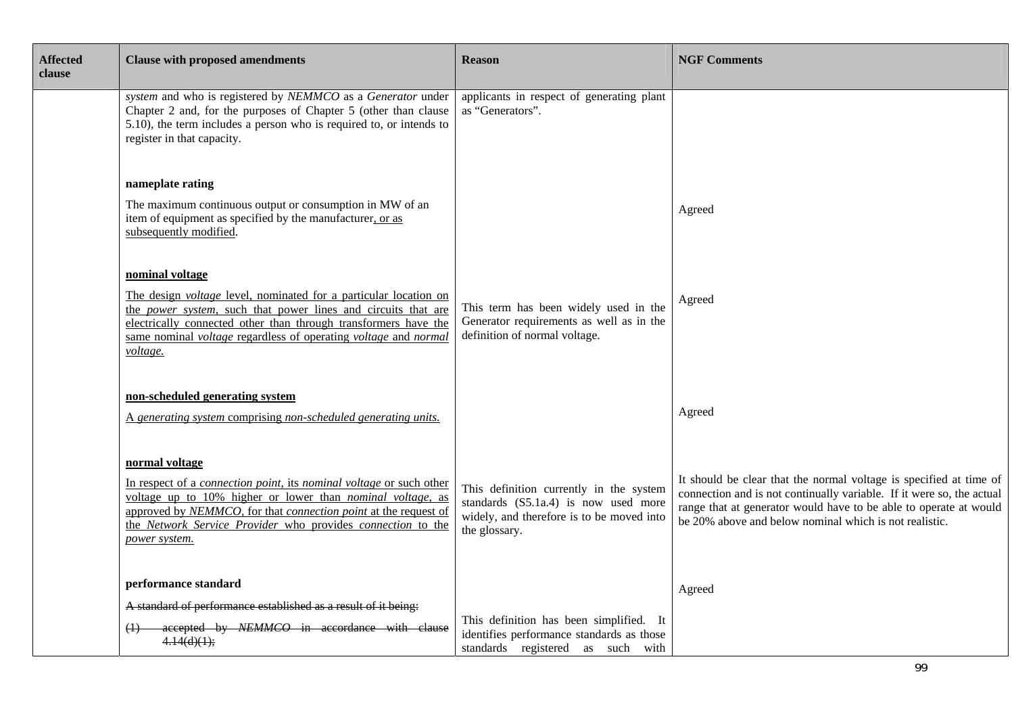| <b>Affected</b><br>clause | <b>Clause with proposed amendments</b>                                                                                                                                                                                                                                                                                             | <b>Reason</b>                                                                                                                                 | <b>NGF Comments</b>                                                                                                                                                                                                                                                        |
|---------------------------|------------------------------------------------------------------------------------------------------------------------------------------------------------------------------------------------------------------------------------------------------------------------------------------------------------------------------------|-----------------------------------------------------------------------------------------------------------------------------------------------|----------------------------------------------------------------------------------------------------------------------------------------------------------------------------------------------------------------------------------------------------------------------------|
|                           | system and who is registered by NEMMCO as a Generator under<br>Chapter 2 and, for the purposes of Chapter 5 (other than clause<br>5.10), the term includes a person who is required to, or intends to<br>register in that capacity.                                                                                                | applicants in respect of generating plant<br>as "Generators".                                                                                 |                                                                                                                                                                                                                                                                            |
|                           | nameplate rating                                                                                                                                                                                                                                                                                                                   |                                                                                                                                               |                                                                                                                                                                                                                                                                            |
|                           | The maximum continuous output or consumption in MW of an<br>item of equipment as specified by the manufacturer, or as<br>subsequently modified.                                                                                                                                                                                    |                                                                                                                                               | Agreed                                                                                                                                                                                                                                                                     |
|                           | nominal voltage<br>The design <i>voltage</i> level, nominated for a particular location on<br>the power system, such that power lines and circuits that are<br>electrically connected other than through transformers have the<br>same nominal <i>voltage</i> regardless of operating <i>voltage</i> and <i>normal</i><br>voltage. | This term has been widely used in the<br>Generator requirements as well as in the<br>definition of normal voltage.                            | Agreed                                                                                                                                                                                                                                                                     |
|                           | non-scheduled generating system<br>A generating system comprising non-scheduled generating units.                                                                                                                                                                                                                                  |                                                                                                                                               | Agreed                                                                                                                                                                                                                                                                     |
|                           | normal voltage<br>In respect of a connection point, its nominal voltage or such other<br>voltage up to 10% higher or lower than <i>nominal voltage</i> , as<br>approved by NEMMCO, for that connection point at the request of<br>the Network Service Provider who provides connection to the<br>power system.                     | This definition currently in the system<br>standards (S5.1a.4) is now used more<br>widely, and therefore is to be moved into<br>the glossary. | It should be clear that the normal voltage is specified at time of<br>connection and is not continually variable. If it were so, the actual<br>range that at generator would have to be able to operate at would<br>be 20% above and below nominal which is not realistic. |
|                           | performance standard                                                                                                                                                                                                                                                                                                               |                                                                                                                                               | Agreed                                                                                                                                                                                                                                                                     |
|                           | A standard of performance established as a result of it being:<br>accepted by NEMMCO in accordance with clause<br>4.14(d)(1);                                                                                                                                                                                                      | This definition has been simplified. It<br>identifies performance standards as those<br>standards registered as such with                     |                                                                                                                                                                                                                                                                            |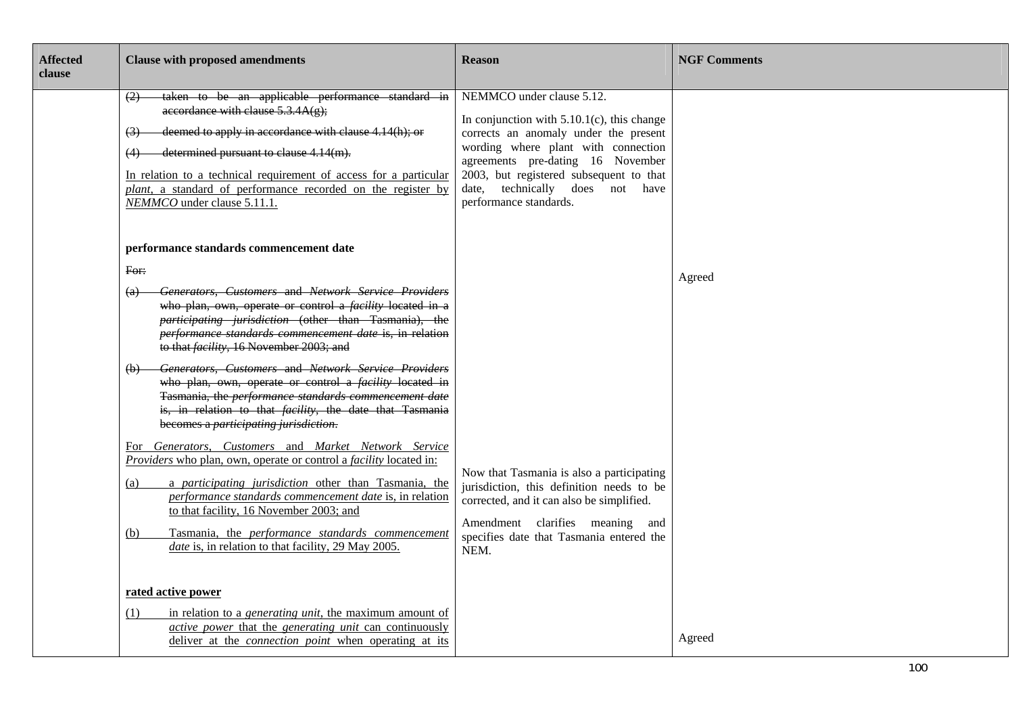| <b>Affected</b><br>clause | <b>Clause with proposed amendments</b>                                                                                                                                                                                                                                                                                                                                                                                                                                                                                                                                                                                                                                                                                                                                                                                                                                                                                     | <b>Reason</b>                                                                                                                                                                                                                                                                                           | <b>NGF Comments</b> |
|---------------------------|----------------------------------------------------------------------------------------------------------------------------------------------------------------------------------------------------------------------------------------------------------------------------------------------------------------------------------------------------------------------------------------------------------------------------------------------------------------------------------------------------------------------------------------------------------------------------------------------------------------------------------------------------------------------------------------------------------------------------------------------------------------------------------------------------------------------------------------------------------------------------------------------------------------------------|---------------------------------------------------------------------------------------------------------------------------------------------------------------------------------------------------------------------------------------------------------------------------------------------------------|---------------------|
|                           | taken to be an applicable performance standard in<br>(2)<br>accordance with clause $5.3.4A(g)$ ;<br>deemed to apply in accordance with clause 4.14(h); or<br>$\left(3\right)$<br>determined pursuant to clause 4.14(m).<br>In relation to a technical requirement of access for a particular<br>plant, a standard of performance recorded on the register by<br>NEMMCO under clause 5.11.1.                                                                                                                                                                                                                                                                                                                                                                                                                                                                                                                                | NEMMCO under clause 5.12.<br>In conjunction with $5.10.1(c)$ , this change<br>corrects an anomaly under the present<br>wording where plant with connection<br>agreements pre-dating 16 November<br>2003, but registered subsequent to that<br>date, technically does not have<br>performance standards. |                     |
|                           | performance standards commencement date                                                                                                                                                                                                                                                                                                                                                                                                                                                                                                                                                                                                                                                                                                                                                                                                                                                                                    |                                                                                                                                                                                                                                                                                                         |                     |
|                           | For:<br>Generators, Customers and Network Service Providers<br>$\left( a\right)$<br>who plan, own, operate or control a <i>facility</i> located in a<br>participating jurisdiction (other than Tasmania), the<br>performance standards commencement date is, in relation<br>to that facility, 16 November 2003; and<br>(b) Generators, Customers and Network Service Providers<br>who plan, own, operate or control a <i>facility</i> located in<br>Tasmania, the performance standards commencement date<br>is, in relation to that <i>facility</i> , the date that Tasmania<br>becomes a participating jurisdiction.<br>For Generators, Customers and Market Network Service<br>Providers who plan, own, operate or control a facility located in:<br>a participating jurisdiction other than Tasmania, the<br>(a)<br>performance standards commencement date is, in relation<br>to that facility, 16 November 2003; and | Now that Tasmania is also a participating<br>jurisdiction, this definition needs to be<br>corrected, and it can also be simplified.                                                                                                                                                                     | Agreed              |
|                           | Tasmania, the performance standards commencement<br>(b)<br>date is, in relation to that facility, 29 May 2005.                                                                                                                                                                                                                                                                                                                                                                                                                                                                                                                                                                                                                                                                                                                                                                                                             | Amendment clarifies meaning and<br>specifies date that Tasmania entered the<br>NEM.                                                                                                                                                                                                                     |                     |
|                           | rated active power<br>in relation to a <i>generating unit</i> , the maximum amount of<br>(1)<br>active power that the generating unit can continuously<br>deliver at the <i>connection point</i> when operating at its                                                                                                                                                                                                                                                                                                                                                                                                                                                                                                                                                                                                                                                                                                     |                                                                                                                                                                                                                                                                                                         | Agreed              |